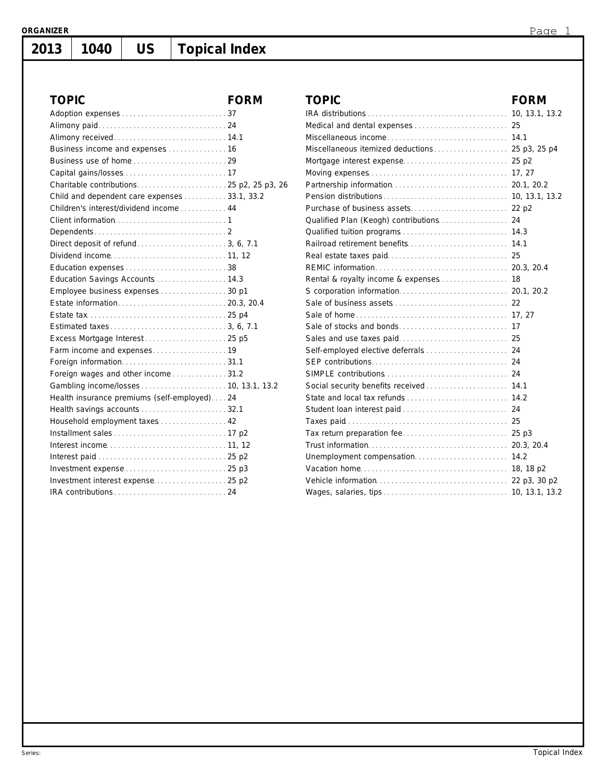**2013**

# **1040 US Topical Index**

| <b>TOPIC</b>                                 | <b>FORM</b> | <b>TOPIC</b>        |
|----------------------------------------------|-------------|---------------------|
|                                              |             | IRA distributio     |
|                                              |             | Medical and o       |
|                                              |             | Miscellaneous       |
|                                              |             | Miscellaneou:       |
|                                              |             | Mortgage inte       |
|                                              |             | Moving exper        |
|                                              |             | Partnership in      |
| Child and dependent care expenses 33.1, 33.2 |             | Pension distr       |
| Children's interest/dividend income 44       |             | Purchase of b       |
|                                              |             | Qualified Plar      |
|                                              |             | Qualified tuiti     |
|                                              |             | Railroad retire     |
|                                              |             | Real estate ta      |
|                                              |             | REMIC inform        |
| Education Savings Accounts  14.3             |             | Rental & roya       |
| Employee business expenses30 p1              |             | S corporation       |
|                                              |             | Sale of busin       |
|                                              |             | Sale of home        |
|                                              |             | Sale of stock:      |
| Excess Mortgage Interest  25 p5              |             | Sales and us        |
|                                              |             | Self-employe        |
|                                              |             | <b>SEP</b> contribu |
| Foreign wages and other income31.2           |             | SIMPLE conti        |
|                                              |             | Social securit      |
| Health insurance premiums (self-employed)24  |             | State and loc       |
|                                              |             | Student Ioan        |
| Household employment taxes 42                |             | Taxes paid          |
|                                              |             | Tax return pr       |
|                                              |             | Trust informa       |
|                                              |             | Unemployme          |
|                                              |             | Vacation hom        |
|                                              |             | Vehicle inforr      |
|                                              |             | Wages, salari       |

| <b>TOPIC</b>                                                                                        | <b>FORM</b> |
|-----------------------------------------------------------------------------------------------------|-------------|
|                                                                                                     |             |
|                                                                                                     |             |
|                                                                                                     |             |
|                                                                                                     |             |
|                                                                                                     |             |
| Moving expenses $\ldots$ , $\ldots$ , $\ldots$ , $\ldots$ , $\ldots$ , $\ldots$ , $\ldots$ , 17, 27 |             |
|                                                                                                     |             |
|                                                                                                     |             |
|                                                                                                     |             |
|                                                                                                     |             |
|                                                                                                     |             |
|                                                                                                     |             |
|                                                                                                     |             |
|                                                                                                     |             |
| Rental & royalty income & expenses  18                                                              |             |
|                                                                                                     |             |
|                                                                                                     |             |
|                                                                                                     |             |
|                                                                                                     |             |
|                                                                                                     |             |
| Self-employed elective deferrals  24                                                                |             |
|                                                                                                     |             |
|                                                                                                     |             |
| Social security benefits received  14.1                                                             |             |
| State and local tax refunds  14.2                                                                   |             |
|                                                                                                     |             |
|                                                                                                     |             |
|                                                                                                     |             |
|                                                                                                     |             |
| Unemployment compensation 14.2                                                                      |             |
|                                                                                                     |             |
|                                                                                                     |             |
|                                                                                                     |             |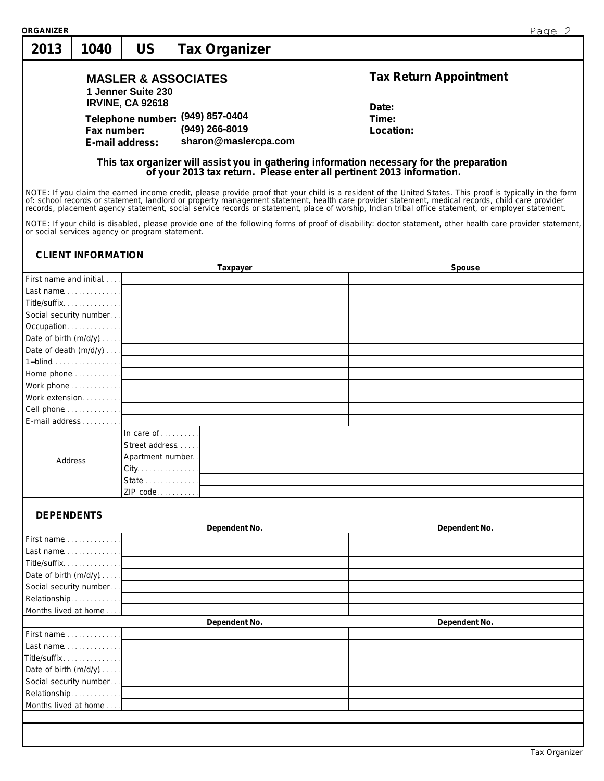| <b>ORGANIZER</b>                     |                           |                                                 |                                                                                                                                                                                                                             | Page 2                                                                                                                                                                                                                                                                                                                                                                                      |
|--------------------------------------|---------------------------|-------------------------------------------------|-----------------------------------------------------------------------------------------------------------------------------------------------------------------------------------------------------------------------------|---------------------------------------------------------------------------------------------------------------------------------------------------------------------------------------------------------------------------------------------------------------------------------------------------------------------------------------------------------------------------------------------|
| 2013                                 | 1040                      | <b>US</b>                                       | <b>Tax Organizer</b>                                                                                                                                                                                                        |                                                                                                                                                                                                                                                                                                                                                                                             |
|                                      |                           | 1 Jenner Suite 230                              | <b>MASLER &amp; ASSOCIATES</b>                                                                                                                                                                                              | <b>Tax Return Appointment</b>                                                                                                                                                                                                                                                                                                                                                               |
|                                      |                           | <b>IRVINE, CA 92618</b>                         |                                                                                                                                                                                                                             | Date:                                                                                                                                                                                                                                                                                                                                                                                       |
|                                      |                           |                                                 | Telephone number: (949) 857-0404                                                                                                                                                                                            | Time:                                                                                                                                                                                                                                                                                                                                                                                       |
|                                      | Fax number:               |                                                 | (949) 266-8019                                                                                                                                                                                                              | Location:                                                                                                                                                                                                                                                                                                                                                                                   |
|                                      |                           | E-mail address:                                 | sharon@maslercpa.com                                                                                                                                                                                                        |                                                                                                                                                                                                                                                                                                                                                                                             |
|                                      |                           |                                                 |                                                                                                                                                                                                                             | This tax organizer will assist you in gathering information necessary for the preparation<br>of your 2013 tax return. Please enter all pertinent 2013 information.                                                                                                                                                                                                                          |
|                                      |                           |                                                 |                                                                                                                                                                                                                             | NOTE: If you claim the earned income credit, please provide proof that your child is a resident of the United States. This proof is typically in the form<br>of: school records or statement, landlord or property management statement, health care provider statement, medical records, child care provider records, placement agency statement, social service records or statement, pla |
|                                      |                           | or social services agency or program statement. |                                                                                                                                                                                                                             | NOTE: If your child is disabled, please provide one of the following forms of proof of disability: doctor statement, other health care provider statement,                                                                                                                                                                                                                                  |
|                                      | <b>CLIENT INFORMATION</b> |                                                 |                                                                                                                                                                                                                             |                                                                                                                                                                                                                                                                                                                                                                                             |
|                                      |                           |                                                 | Taxpayer                                                                                                                                                                                                                    | Spouse                                                                                                                                                                                                                                                                                                                                                                                      |
| First name and initial               |                           |                                                 |                                                                                                                                                                                                                             |                                                                                                                                                                                                                                                                                                                                                                                             |
| Title/suffix. 1                      |                           |                                                 |                                                                                                                                                                                                                             |                                                                                                                                                                                                                                                                                                                                                                                             |
|                                      |                           |                                                 | Social security number Note that the security number of the security number of the security of the security of the security of the security of the security of the security of the security of the security of the security |                                                                                                                                                                                                                                                                                                                                                                                             |
| Occupation                           |                           |                                                 | and the control of the control of the control of the control of the control of the control of the control of the                                                                                                            |                                                                                                                                                                                                                                                                                                                                                                                             |
| Date of birth $(m/d/y)$              |                           |                                                 | and the control of the control of the control of the control of the control of the control of the control of the                                                                                                            |                                                                                                                                                                                                                                                                                                                                                                                             |
|                                      |                           |                                                 | Date of death $(m/d/y) \ldots$ .                                                                                                                                                                                            |                                                                                                                                                                                                                                                                                                                                                                                             |
|                                      |                           |                                                 | $1 = blind$ $l$                                                                                                                                                                                                             |                                                                                                                                                                                                                                                                                                                                                                                             |
|                                      |                           |                                                 |                                                                                                                                                                                                                             |                                                                                                                                                                                                                                                                                                                                                                                             |
|                                      |                           |                                                 |                                                                                                                                                                                                                             |                                                                                                                                                                                                                                                                                                                                                                                             |
| Work extension                       |                           |                                                 |                                                                                                                                                                                                                             |                                                                                                                                                                                                                                                                                                                                                                                             |
| Cell phone                           |                           |                                                 | <u> 1980 - Johann Barbara, martxa alemaniar amerikan a</u>                                                                                                                                                                  |                                                                                                                                                                                                                                                                                                                                                                                             |
| E-mail address                       |                           |                                                 |                                                                                                                                                                                                                             |                                                                                                                                                                                                                                                                                                                                                                                             |
|                                      |                           | In care of $\ldots \ldots$                      |                                                                                                                                                                                                                             |                                                                                                                                                                                                                                                                                                                                                                                             |
|                                      |                           | Street address                                  |                                                                                                                                                                                                                             |                                                                                                                                                                                                                                                                                                                                                                                             |
| Address                              |                           | Apartment number.                               |                                                                                                                                                                                                                             |                                                                                                                                                                                                                                                                                                                                                                                             |
|                                      |                           | City.                                           |                                                                                                                                                                                                                             |                                                                                                                                                                                                                                                                                                                                                                                             |
|                                      |                           | State<br>ZIP code                               |                                                                                                                                                                                                                             |                                                                                                                                                                                                                                                                                                                                                                                             |
| <b>DEPENDENTS</b>                    |                           |                                                 |                                                                                                                                                                                                                             |                                                                                                                                                                                                                                                                                                                                                                                             |
|                                      |                           |                                                 | Dependent No.                                                                                                                                                                                                               | Dependent No.                                                                                                                                                                                                                                                                                                                                                                               |
| First name                           |                           |                                                 |                                                                                                                                                                                                                             |                                                                                                                                                                                                                                                                                                                                                                                             |
| Last name. 1                         |                           |                                                 |                                                                                                                                                                                                                             |                                                                                                                                                                                                                                                                                                                                                                                             |
| Title/suffix                         |                           |                                                 |                                                                                                                                                                                                                             |                                                                                                                                                                                                                                                                                                                                                                                             |
| Date of birth (m/d/y)                |                           |                                                 |                                                                                                                                                                                                                             |                                                                                                                                                                                                                                                                                                                                                                                             |
| Social security number               |                           |                                                 |                                                                                                                                                                                                                             |                                                                                                                                                                                                                                                                                                                                                                                             |
| Relationship<br>Months lived at home |                           |                                                 |                                                                                                                                                                                                                             |                                                                                                                                                                                                                                                                                                                                                                                             |
|                                      |                           |                                                 | Dependent No.                                                                                                                                                                                                               | Dependent No.                                                                                                                                                                                                                                                                                                                                                                               |
| First name                           |                           |                                                 |                                                                                                                                                                                                                             |                                                                                                                                                                                                                                                                                                                                                                                             |
| Last name. 1                         |                           |                                                 |                                                                                                                                                                                                                             |                                                                                                                                                                                                                                                                                                                                                                                             |
| Title/suffix                         |                           |                                                 |                                                                                                                                                                                                                             |                                                                                                                                                                                                                                                                                                                                                                                             |
| Date of birth (m/d/y)                |                           |                                                 |                                                                                                                                                                                                                             |                                                                                                                                                                                                                                                                                                                                                                                             |
| Social security number               |                           |                                                 |                                                                                                                                                                                                                             |                                                                                                                                                                                                                                                                                                                                                                                             |
| Relationship                         |                           |                                                 |                                                                                                                                                                                                                             |                                                                                                                                                                                                                                                                                                                                                                                             |
| Months lived at home                 |                           |                                                 |                                                                                                                                                                                                                             |                                                                                                                                                                                                                                                                                                                                                                                             |
|                                      |                           |                                                 |                                                                                                                                                                                                                             |                                                                                                                                                                                                                                                                                                                                                                                             |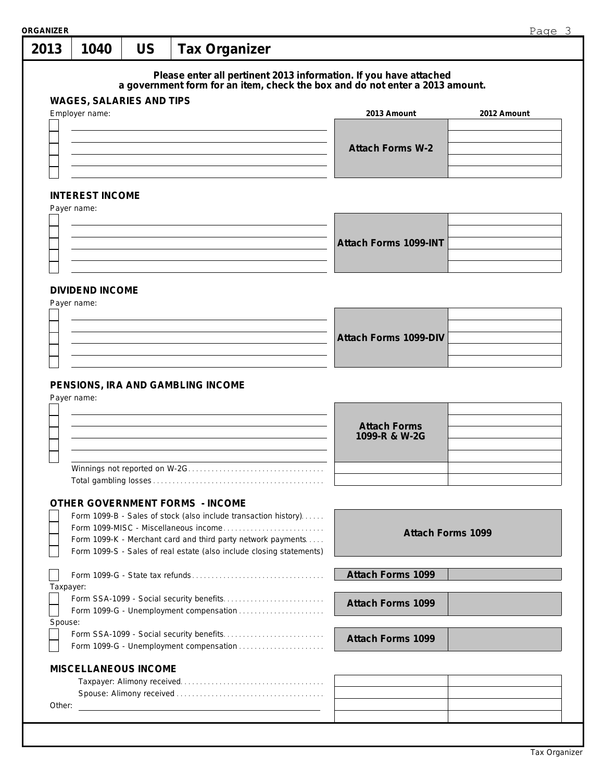| 2013      | 1040                                                                                                                                 | <b>US</b>                                     | <b>Tax Organizer</b> |  |                                                                                                                                                   |                          |             |  |
|-----------|--------------------------------------------------------------------------------------------------------------------------------------|-----------------------------------------------|----------------------|--|---------------------------------------------------------------------------------------------------------------------------------------------------|--------------------------|-------------|--|
|           |                                                                                                                                      |                                               |                      |  | Please enter all pertinent 2013 information. If you have attached<br>a government form for an item, check the box and do not enter a 2013 amount. |                          |             |  |
|           | <b>WAGES, SALARIES AND TIPS</b><br>Employer name:                                                                                    |                                               |                      |  | 2013 Amount                                                                                                                                       |                          | 2012 Amount |  |
|           |                                                                                                                                      |                                               |                      |  |                                                                                                                                                   |                          |             |  |
|           |                                                                                                                                      |                                               |                      |  | <b>Attach Forms W-2</b>                                                                                                                           |                          |             |  |
|           |                                                                                                                                      |                                               |                      |  |                                                                                                                                                   |                          |             |  |
|           |                                                                                                                                      |                                               |                      |  |                                                                                                                                                   |                          |             |  |
|           | <b>INTEREST INCOME</b>                                                                                                               |                                               |                      |  |                                                                                                                                                   |                          |             |  |
|           | Payer name:                                                                                                                          |                                               |                      |  |                                                                                                                                                   |                          |             |  |
|           |                                                                                                                                      |                                               |                      |  |                                                                                                                                                   |                          |             |  |
|           |                                                                                                                                      |                                               |                      |  | <b>Attach Forms 1099-INT</b>                                                                                                                      |                          |             |  |
|           |                                                                                                                                      |                                               |                      |  |                                                                                                                                                   |                          |             |  |
|           |                                                                                                                                      |                                               |                      |  |                                                                                                                                                   |                          |             |  |
|           | <b>DIVIDEND INCOME</b>                                                                                                               |                                               |                      |  |                                                                                                                                                   |                          |             |  |
|           | Payer name:                                                                                                                          |                                               |                      |  |                                                                                                                                                   |                          |             |  |
|           |                                                                                                                                      |                                               |                      |  |                                                                                                                                                   |                          |             |  |
|           |                                                                                                                                      |                                               |                      |  | <b>Attach Forms 1099-DIV</b>                                                                                                                      |                          |             |  |
|           |                                                                                                                                      |                                               |                      |  |                                                                                                                                                   |                          |             |  |
|           |                                                                                                                                      |                                               |                      |  |                                                                                                                                                   |                          |             |  |
|           | PENSIONS, IRA AND GAMBLING INCOME                                                                                                    |                                               |                      |  |                                                                                                                                                   |                          |             |  |
|           | Payer name:                                                                                                                          |                                               |                      |  | <b>Attach Forms</b>                                                                                                                               |                          |             |  |
|           |                                                                                                                                      |                                               |                      |  | 1099-R & W-2G                                                                                                                                     |                          |             |  |
|           |                                                                                                                                      |                                               |                      |  |                                                                                                                                                   |                          |             |  |
|           | Winnings not reported on W-2G                                                                                                        |                                               |                      |  |                                                                                                                                                   |                          |             |  |
|           |                                                                                                                                      |                                               |                      |  |                                                                                                                                                   |                          |             |  |
|           | <b>OTHER GOVERNMENT FORMS - INCOME</b>                                                                                               |                                               |                      |  |                                                                                                                                                   |                          |             |  |
|           | Form 1099-B - Sales of stock (also include transaction history).                                                                     |                                               |                      |  |                                                                                                                                                   |                          |             |  |
|           |                                                                                                                                      |                                               |                      |  |                                                                                                                                                   | <b>Attach Forms 1099</b> |             |  |
|           | Form 1099-K - Merchant card and third party network payments<br>Form 1099-S - Sales of real estate (also include closing statements) |                                               |                      |  |                                                                                                                                                   |                          |             |  |
|           |                                                                                                                                      |                                               |                      |  | <b>Attach Forms 1099</b>                                                                                                                          |                          |             |  |
| Taxpayer: |                                                                                                                                      |                                               |                      |  |                                                                                                                                                   |                          |             |  |
|           |                                                                                                                                      |                                               |                      |  | <b>Attach Forms 1099</b>                                                                                                                          |                          |             |  |
|           | Form 1099-G - Unemployment compensation                                                                                              |                                               |                      |  |                                                                                                                                                   |                          |             |  |
| Spouse:   |                                                                                                                                      |                                               |                      |  | <b>Attach Forms 1099</b>                                                                                                                          |                          |             |  |
|           |                                                                                                                                      |                                               |                      |  |                                                                                                                                                   |                          |             |  |
|           | <b>MISCELLANEOUS INCOME</b>                                                                                                          |                                               |                      |  |                                                                                                                                                   |                          |             |  |
|           |                                                                                                                                      |                                               |                      |  |                                                                                                                                                   |                          |             |  |
| Other:    |                                                                                                                                      | <u> 2000 - Andrea Andrew Maria (h. 1878).</u> |                      |  |                                                                                                                                                   |                          |             |  |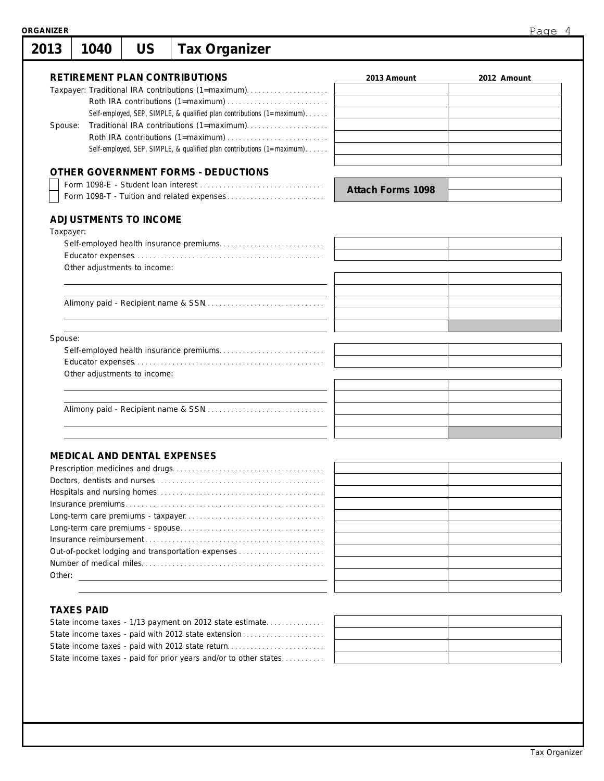| 2013      | 1040 | <b>US</b>                          | <b>Tax Organizer</b>                                                                        |                          |             |
|-----------|------|------------------------------------|---------------------------------------------------------------------------------------------|--------------------------|-------------|
|           |      |                                    | <b>RETIREMENT PLAN CONTRIBUTIONS</b><br>Taxpayer: Traditional IRA contributions (1=maximum) | 2013 Amount              | 2012 Amount |
|           |      |                                    |                                                                                             |                          |             |
|           |      |                                    | Self-employed, SEP, SIMPLE, & qualified plan contributions (1=maximum)                      |                          |             |
| Spouse:   |      |                                    |                                                                                             |                          |             |
|           |      |                                    |                                                                                             |                          |             |
|           |      |                                    | Self-employed, SEP, SIMPLE, & qualified plan contributions (1=maximum).                     |                          |             |
|           |      |                                    | OTHER GOVERNMENT FORMS - DEDUCTIONS                                                         |                          |             |
|           |      |                                    |                                                                                             | <b>Attach Forms 1098</b> |             |
|           |      |                                    |                                                                                             |                          |             |
|           |      | <b>ADJUSTMENTS TO INCOME</b>       |                                                                                             |                          |             |
| Taxpayer: |      |                                    |                                                                                             |                          |             |
|           |      |                                    |                                                                                             |                          |             |
|           |      |                                    |                                                                                             |                          |             |
|           |      | Other adjustments to income:       |                                                                                             |                          |             |
|           |      |                                    |                                                                                             |                          |             |
|           |      |                                    |                                                                                             |                          |             |
|           |      |                                    |                                                                                             |                          |             |
|           |      |                                    |                                                                                             |                          |             |
|           |      |                                    |                                                                                             |                          |             |
| Spouse:   |      |                                    |                                                                                             |                          |             |
|           |      |                                    |                                                                                             |                          |             |
|           |      | Other adjustments to income:       |                                                                                             |                          |             |
|           |      |                                    |                                                                                             |                          |             |
|           |      |                                    |                                                                                             |                          |             |
|           |      |                                    |                                                                                             |                          |             |
|           |      |                                    |                                                                                             |                          |             |
|           |      |                                    |                                                                                             |                          |             |
|           |      |                                    |                                                                                             |                          |             |
|           |      | <b>MEDICAL AND DENTAL EXPENSES</b> |                                                                                             |                          |             |
|           |      |                                    |                                                                                             |                          |             |
|           |      |                                    |                                                                                             |                          |             |
|           |      |                                    |                                                                                             |                          |             |
|           |      |                                    |                                                                                             |                          |             |
|           |      |                                    |                                                                                             |                          |             |
|           |      |                                    |                                                                                             |                          |             |
|           |      |                                    | Out-of-pocket lodging and transportation expenses                                           |                          |             |
|           |      |                                    |                                                                                             |                          |             |

#### **TAXES PAID**

Other:

| State income taxes - paid with 2012 state return                 |  |
|------------------------------------------------------------------|--|
| State income taxes - paid for prior years and/or to other states |  |
|                                                                  |  |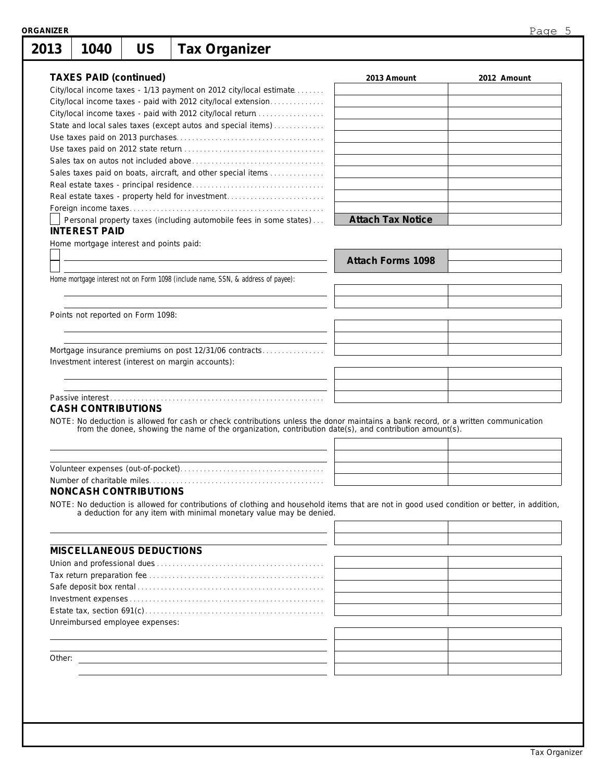| 2013 | 1040                          | <b>US</b>                               | <b>Tax Organizer</b>                                                                                                                                                                                                                          |                          |             |
|------|-------------------------------|-----------------------------------------|-----------------------------------------------------------------------------------------------------------------------------------------------------------------------------------------------------------------------------------------------|--------------------------|-------------|
|      | <b>TAXES PAID (continued)</b> |                                         |                                                                                                                                                                                                                                               |                          |             |
|      |                               |                                         | City/local income taxes - 1/13 payment on 2012 city/local estimate                                                                                                                                                                            | 2013 Amount              | 2012 Amount |
|      |                               |                                         | City/local income taxes - paid with 2012 city/local extension                                                                                                                                                                                 |                          |             |
|      |                               |                                         | City/local income taxes - paid with 2012 city/local return                                                                                                                                                                                    |                          |             |
|      |                               |                                         | State and local sales taxes (except autos and special items)                                                                                                                                                                                  |                          |             |
|      |                               |                                         |                                                                                                                                                                                                                                               |                          |             |
|      |                               |                                         |                                                                                                                                                                                                                                               |                          |             |
|      |                               |                                         |                                                                                                                                                                                                                                               |                          |             |
|      |                               |                                         | Sales taxes paid on boats, aircraft, and other special items                                                                                                                                                                                  |                          |             |
|      |                               |                                         |                                                                                                                                                                                                                                               |                          |             |
|      |                               |                                         | Real estate taxes - property held for investment                                                                                                                                                                                              |                          |             |
|      |                               |                                         |                                                                                                                                                                                                                                               |                          |             |
|      |                               |                                         | Personal property taxes (including automobile fees in some states)                                                                                                                                                                            | <b>Attach Tax Notice</b> |             |
|      | <b>INTEREST PAID</b>          |                                         |                                                                                                                                                                                                                                               |                          |             |
|      |                               | Home mortgage interest and points paid: |                                                                                                                                                                                                                                               |                          |             |
|      |                               |                                         |                                                                                                                                                                                                                                               | <b>Attach Forms 1098</b> |             |
|      |                               |                                         |                                                                                                                                                                                                                                               |                          |             |
|      |                               |                                         | Home mortgage interest not on Form 1098 (include name, SSN, & address of payee):                                                                                                                                                              |                          |             |
|      |                               |                                         |                                                                                                                                                                                                                                               |                          |             |
|      |                               | Points not reported on Form 1098:       |                                                                                                                                                                                                                                               |                          |             |
|      |                               |                                         |                                                                                                                                                                                                                                               |                          |             |
|      |                               |                                         |                                                                                                                                                                                                                                               |                          |             |
|      |                               |                                         | Mortgage insurance premiums on post 12/31/06 contracts                                                                                                                                                                                        |                          |             |
|      |                               |                                         | Investment interest (interest on margin accounts):                                                                                                                                                                                            |                          |             |
|      |                               |                                         |                                                                                                                                                                                                                                               |                          |             |
|      |                               |                                         |                                                                                                                                                                                                                                               |                          |             |
|      |                               |                                         |                                                                                                                                                                                                                                               |                          |             |
|      | <b>CASH CONTRIBUTIONS</b>     |                                         |                                                                                                                                                                                                                                               |                          |             |
|      |                               |                                         | NOTE: No deduction is allowed for cash or check contributions unless the donor maintains a bank record, or a written communication<br>from the donee, showing the name of the organization, contribution date(s), and contribution amount(s). |                          |             |
|      |                               |                                         |                                                                                                                                                                                                                                               |                          |             |
|      |                               |                                         |                                                                                                                                                                                                                                               |                          |             |
|      |                               |                                         |                                                                                                                                                                                                                                               |                          |             |
|      |                               |                                         |                                                                                                                                                                                                                                               |                          |             |
|      |                               | <b>NONCASH CONTRIBUTIONS</b>            |                                                                                                                                                                                                                                               |                          |             |
|      |                               |                                         | NOTE: No deduction is allowed for contributions of clothing and household items that are not in good used condition or better, in addition, a deduction for any item with minimal monetary value may be denied.                               |                          |             |
|      |                               |                                         |                                                                                                                                                                                                                                               |                          |             |
|      |                               |                                         |                                                                                                                                                                                                                                               |                          |             |
|      |                               |                                         |                                                                                                                                                                                                                                               |                          |             |
|      |                               |                                         |                                                                                                                                                                                                                                               |                          |             |
|      |                               | <b>MISCELLANEOUS DEDUCTIONS</b>         |                                                                                                                                                                                                                                               |                          |             |
|      |                               |                                         |                                                                                                                                                                                                                                               |                          |             |
|      |                               |                                         |                                                                                                                                                                                                                                               |                          |             |
|      |                               |                                         |                                                                                                                                                                                                                                               |                          |             |
|      |                               |                                         |                                                                                                                                                                                                                                               |                          |             |
|      |                               |                                         |                                                                                                                                                                                                                                               |                          |             |
|      |                               | Unreimbursed employee expenses:         |                                                                                                                                                                                                                                               |                          |             |
|      |                               |                                         |                                                                                                                                                                                                                                               |                          |             |
|      |                               |                                         |                                                                                                                                                                                                                                               |                          |             |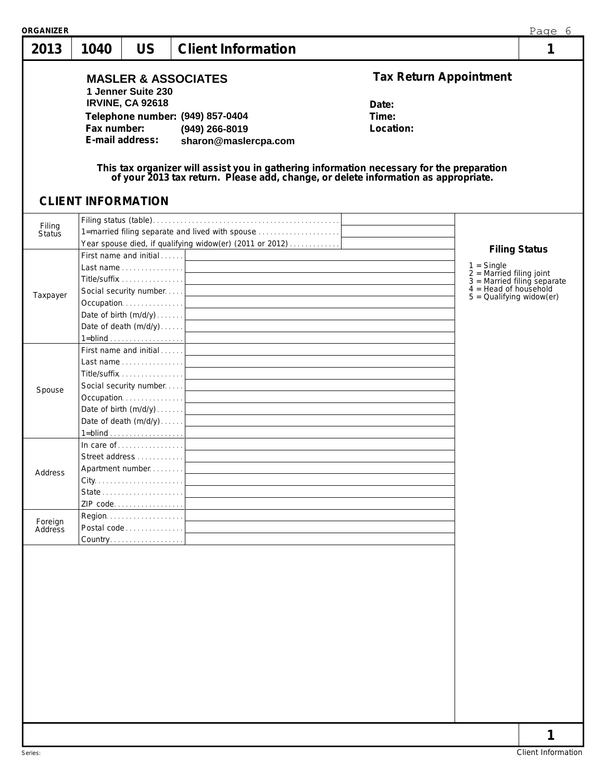| <b>ORGANIZER</b><br>2013 | 1040        | <b>US</b>                                                        | <b>Client Information</b>                                                                                                                                                                                                                                                                                                                         |                                                              | Page 6<br>1                                                                                                                          |
|--------------------------|-------------|------------------------------------------------------------------|---------------------------------------------------------------------------------------------------------------------------------------------------------------------------------------------------------------------------------------------------------------------------------------------------------------------------------------------------|--------------------------------------------------------------|--------------------------------------------------------------------------------------------------------------------------------------|
|                          | Fax number: | 1 Jenner Suite 230<br><b>IRVINE, CA 92618</b><br>E-mail address: | <b>MASLER &amp; ASSOCIATES</b><br>Telephone number: (949) 857-0404<br>(949) 266-8019<br>sharon@maslercpa.com<br>This tax organizer will assist you in gathering information necessary for the preparation<br>of your 2013 tax return. Please add, change, or delete information as appropriate.                                                   | <b>Tax Return Appointment</b><br>Date:<br>Time:<br>Location: |                                                                                                                                      |
| Filing<br>Status         |             | <b>CLIENT INFORMATION</b>                                        | 1=married filing separate and lived with spouse<br>Year spouse died, if qualifying widow(er) (2011 or 2012)<br>First name and initial                                                                                                                                                                                                             |                                                              | <b>Filing Status</b>                                                                                                                 |
| Taxpayer                 |             | Title/suffix 1                                                   | $1 = \underline{\text{blind}} \cdot \frac{1}{2}$                                                                                                                                                                                                                                                                                                  |                                                              | $1 =$ Single<br>$2 =$ Married filing joint<br>$3 =$ Married filing separate<br>$4 =$ Head of household<br>$5 =$ Qualifying widow(er) |
| Spouse                   |             | First name and initial                                           | and the control of the control of the control of the control of the control of the control of the control of the<br>Occupation contract and contract the contract of the contract of the contract of the contract of the contract of the contract of the contract of the contract of the contract of the contract of the contract of the contract |                                                              |                                                                                                                                      |
| Address                  |             | Street address<br>Apartment number<br>ZIP code                   | $1 = \underline{\text{blind}} \cdot \ldots \cdot \ldots \cdot \ldots \cdot \cdot \cdot \cdot$<br>and the control of the control of the control of the control of the control of the control of the control of the                                                                                                                                 |                                                              |                                                                                                                                      |
| Foreign<br>Address       |             | Postal code 1<br>Country.                                        |                                                                                                                                                                                                                                                                                                                                                   |                                                              |                                                                                                                                      |
|                          |             |                                                                  |                                                                                                                                                                                                                                                                                                                                                   |                                                              |                                                                                                                                      |
|                          |             |                                                                  |                                                                                                                                                                                                                                                                                                                                                   |                                                              | 1                                                                                                                                    |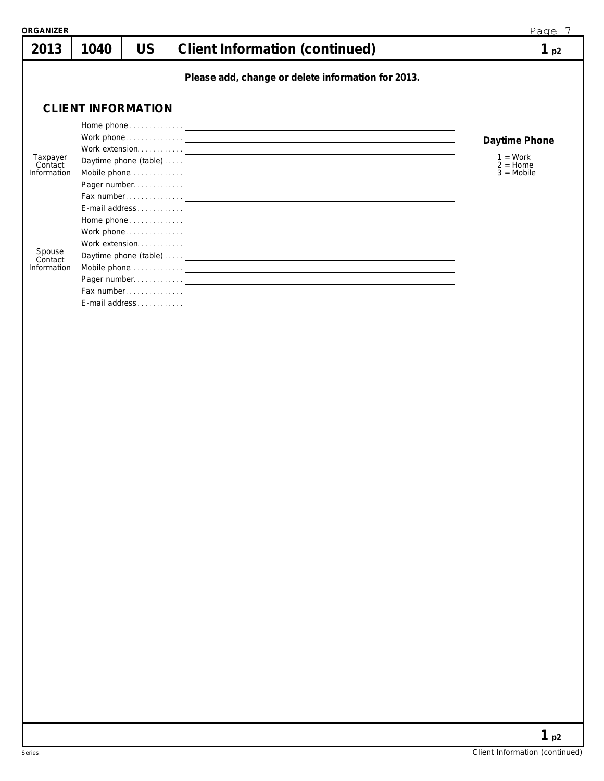| ORGANIZER<br>2013                  | 1040 | <b>US</b>                                                                                                                           | <b>Client Information (continued)</b>                                                                                                                                                                                                                                                                                                                                                                                                                                                           |                                          | Page 7<br>1 <sub>p2</sub> |
|------------------------------------|------|-------------------------------------------------------------------------------------------------------------------------------------|-------------------------------------------------------------------------------------------------------------------------------------------------------------------------------------------------------------------------------------------------------------------------------------------------------------------------------------------------------------------------------------------------------------------------------------------------------------------------------------------------|------------------------------------------|---------------------------|
|                                    |      |                                                                                                                                     | Please add, change or delete information for 2013.                                                                                                                                                                                                                                                                                                                                                                                                                                              |                                          |                           |
|                                    |      |                                                                                                                                     |                                                                                                                                                                                                                                                                                                                                                                                                                                                                                                 |                                          |                           |
|                                    |      | <b>CLIENT INFORMATION</b>                                                                                                           |                                                                                                                                                                                                                                                                                                                                                                                                                                                                                                 |                                          |                           |
| Taxpayer<br>Contact<br>Information |      | Home phone<br>Work phone<br>Work extension<br>Daytime phone (table)<br>Mobile phone<br>Pager number<br>Fax number<br>E-mail address | <u> 1980 - Johann Barn, mars ann an t-Amhain Aonaichte ann an t-Amhain Aonaichte ann an t-Amhain Aonaichte ann an</u><br><u> 1980 - Johann Barn, mars ann an t-Amhain Aonaichte ann an t-Amhain Aonaichte ann an t-Amhain Aonaichte ann an</u><br><u> 1980 - Johann Barn, mars ann an t-Amhain Aonaichte ann an t-Aonaichte ann an t-Aonaichte ann an t-Aonaichte a</u><br><u> 1989 - Johann Barbara, martxa alemaniar arg</u>                                                                  | $1 = Work$<br>$2 =$ Home<br>$3 = Mobile$ | Daytime Phone             |
| Spouse<br>Contact<br>Information   |      | Home phone<br>Work phone<br>Work extension<br>Daytime phone (table)<br>Mobile phone<br>Pager number<br>Fax number<br>E-mail address | <u> 1989 - Johann Stoff, deutscher Stoffen und der Stoffen und der Stoffen und der Stoffen und der Stoffen und der</u><br><u> 1980 - Johann Barn, mars ann an t-Amhain Aonaichte ann an t-Aonaichte ann an t-Aonaichte ann an t-Aonaichte a</u><br><u> 1989 - Johann Barn, mars ann an t-Amhain Aonaich an t-Aonaich an t-Aonaich ann an t-Aonaich ann an t-Aonaich</u><br><u> 1989 - Johann Barn, mars eta bat erroman erroman erroman erroman erroman erroman erroman erroman erroman err</u> |                                          |                           |
|                                    |      |                                                                                                                                     |                                                                                                                                                                                                                                                                                                                                                                                                                                                                                                 |                                          |                           |
|                                    |      |                                                                                                                                     |                                                                                                                                                                                                                                                                                                                                                                                                                                                                                                 |                                          |                           |
|                                    |      |                                                                                                                                     |                                                                                                                                                                                                                                                                                                                                                                                                                                                                                                 |                                          |                           |
|                                    |      |                                                                                                                                     |                                                                                                                                                                                                                                                                                                                                                                                                                                                                                                 |                                          |                           |
|                                    |      |                                                                                                                                     |                                                                                                                                                                                                                                                                                                                                                                                                                                                                                                 |                                          |                           |
|                                    |      |                                                                                                                                     |                                                                                                                                                                                                                                                                                                                                                                                                                                                                                                 |                                          |                           |
|                                    |      |                                                                                                                                     |                                                                                                                                                                                                                                                                                                                                                                                                                                                                                                 |                                          |                           |
|                                    |      |                                                                                                                                     |                                                                                                                                                                                                                                                                                                                                                                                                                                                                                                 |                                          |                           |
|                                    |      |                                                                                                                                     |                                                                                                                                                                                                                                                                                                                                                                                                                                                                                                 |                                          |                           |
|                                    |      |                                                                                                                                     |                                                                                                                                                                                                                                                                                                                                                                                                                                                                                                 |                                          |                           |
|                                    |      |                                                                                                                                     |                                                                                                                                                                                                                                                                                                                                                                                                                                                                                                 |                                          |                           |
|                                    |      |                                                                                                                                     |                                                                                                                                                                                                                                                                                                                                                                                                                                                                                                 |                                          | 1 <sub>p2</sub>           |

L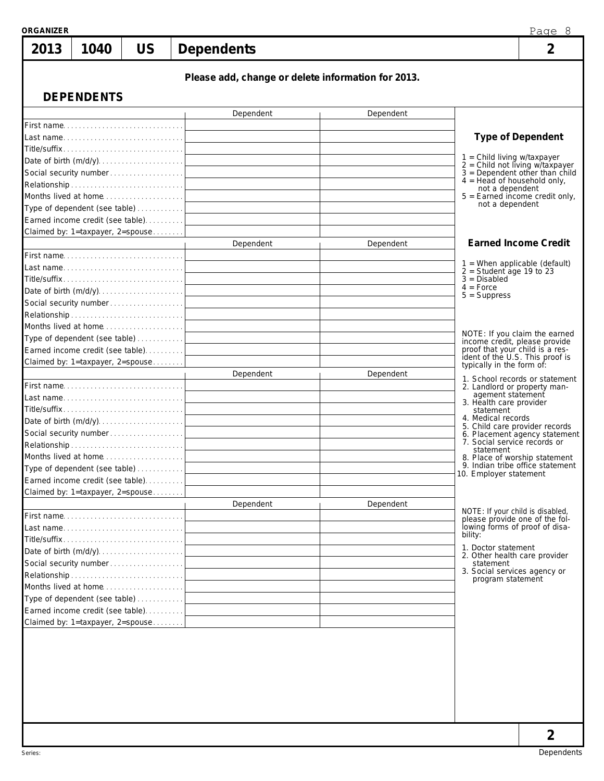| 1040 |                   |            |                                                                                                                                                                                                                                                                                                                                                                                                                                                                                                                                                                                                                                                               |                                                                                                        |
|------|-------------------|------------|---------------------------------------------------------------------------------------------------------------------------------------------------------------------------------------------------------------------------------------------------------------------------------------------------------------------------------------------------------------------------------------------------------------------------------------------------------------------------------------------------------------------------------------------------------------------------------------------------------------------------------------------------------------|--------------------------------------------------------------------------------------------------------|
|      | <b>US</b>         | Dependents |                                                                                                                                                                                                                                                                                                                                                                                                                                                                                                                                                                                                                                                               | $\overline{2}$                                                                                         |
|      |                   |            |                                                                                                                                                                                                                                                                                                                                                                                                                                                                                                                                                                                                                                                               |                                                                                                        |
|      |                   |            |                                                                                                                                                                                                                                                                                                                                                                                                                                                                                                                                                                                                                                                               |                                                                                                        |
|      |                   | Dependent  | Dependent                                                                                                                                                                                                                                                                                                                                                                                                                                                                                                                                                                                                                                                     |                                                                                                        |
|      |                   |            |                                                                                                                                                                                                                                                                                                                                                                                                                                                                                                                                                                                                                                                               |                                                                                                        |
|      |                   |            |                                                                                                                                                                                                                                                                                                                                                                                                                                                                                                                                                                                                                                                               | <b>Type of Dependent</b>                                                                               |
|      |                   |            |                                                                                                                                                                                                                                                                                                                                                                                                                                                                                                                                                                                                                                                               |                                                                                                        |
|      |                   |            |                                                                                                                                                                                                                                                                                                                                                                                                                                                                                                                                                                                                                                                               | $1 =$ Child living w/taxpayer<br>$2 =$ Child not living w/taxpayer<br>$3 =$ Dependent other than child |
|      |                   |            |                                                                                                                                                                                                                                                                                                                                                                                                                                                                                                                                                                                                                                                               | $4 =$ Head of household only,<br>not a dependent                                                       |
|      |                   |            |                                                                                                                                                                                                                                                                                                                                                                                                                                                                                                                                                                                                                                                               | $5 =$ Earned income credit only,                                                                       |
|      |                   |            |                                                                                                                                                                                                                                                                                                                                                                                                                                                                                                                                                                                                                                                               | not a dependent                                                                                        |
|      |                   |            |                                                                                                                                                                                                                                                                                                                                                                                                                                                                                                                                                                                                                                                               |                                                                                                        |
|      |                   |            |                                                                                                                                                                                                                                                                                                                                                                                                                                                                                                                                                                                                                                                               | <b>Earned Income Credit</b>                                                                            |
|      |                   |            |                                                                                                                                                                                                                                                                                                                                                                                                                                                                                                                                                                                                                                                               |                                                                                                        |
|      |                   |            |                                                                                                                                                                                                                                                                                                                                                                                                                                                                                                                                                                                                                                                               | $1$ = When applicable (default)                                                                        |
|      |                   |            |                                                                                                                                                                                                                                                                                                                                                                                                                                                                                                                                                                                                                                                               | $2 =$ Student age 19 to 23<br>$3 = Disabeled$                                                          |
|      |                   |            |                                                                                                                                                                                                                                                                                                                                                                                                                                                                                                                                                                                                                                                               | $4 = Force$<br>$5 =$ Suppress                                                                          |
|      |                   |            |                                                                                                                                                                                                                                                                                                                                                                                                                                                                                                                                                                                                                                                               |                                                                                                        |
|      |                   |            |                                                                                                                                                                                                                                                                                                                                                                                                                                                                                                                                                                                                                                                               |                                                                                                        |
|      |                   |            |                                                                                                                                                                                                                                                                                                                                                                                                                                                                                                                                                                                                                                                               | NOTE: If you claim the earned                                                                          |
|      |                   |            |                                                                                                                                                                                                                                                                                                                                                                                                                                                                                                                                                                                                                                                               | income credit, please provide                                                                          |
|      |                   |            |                                                                                                                                                                                                                                                                                                                                                                                                                                                                                                                                                                                                                                                               | proof that your child is a res-<br>ident of the U.S. This proof is                                     |
|      |                   |            |                                                                                                                                                                                                                                                                                                                                                                                                                                                                                                                                                                                                                                                               | typically in the form of:                                                                              |
|      |                   |            |                                                                                                                                                                                                                                                                                                                                                                                                                                                                                                                                                                                                                                                               | 1. School records or statement<br>2. Landlord or property man-                                         |
|      |                   |            |                                                                                                                                                                                                                                                                                                                                                                                                                                                                                                                                                                                                                                                               | agement statement                                                                                      |
|      |                   |            |                                                                                                                                                                                                                                                                                                                                                                                                                                                                                                                                                                                                                                                               | 3. Health care provider<br>statement                                                                   |
|      |                   |            |                                                                                                                                                                                                                                                                                                                                                                                                                                                                                                                                                                                                                                                               | 4. Medical records<br>5. Child care provider records                                                   |
|      |                   |            |                                                                                                                                                                                                                                                                                                                                                                                                                                                                                                                                                                                                                                                               | 6. Placement agency statement<br>7. Social service records or                                          |
|      |                   |            |                                                                                                                                                                                                                                                                                                                                                                                                                                                                                                                                                                                                                                                               | statement                                                                                              |
|      |                   |            |                                                                                                                                                                                                                                                                                                                                                                                                                                                                                                                                                                                                                                                               | 8. Place of worship statement<br>9. Indian tribe office statement                                      |
|      |                   |            |                                                                                                                                                                                                                                                                                                                                                                                                                                                                                                                                                                                                                                                               | 10. Employer statement                                                                                 |
|      |                   |            |                                                                                                                                                                                                                                                                                                                                                                                                                                                                                                                                                                                                                                                               |                                                                                                        |
|      |                   |            |                                                                                                                                                                                                                                                                                                                                                                                                                                                                                                                                                                                                                                                               |                                                                                                        |
|      |                   |            |                                                                                                                                                                                                                                                                                                                                                                                                                                                                                                                                                                                                                                                               | NOTE: If your child is disabled,<br>please provide one of the fol-                                     |
|      |                   |            |                                                                                                                                                                                                                                                                                                                                                                                                                                                                                                                                                                                                                                                               | lowing forms of proof of disa-                                                                         |
|      |                   |            |                                                                                                                                                                                                                                                                                                                                                                                                                                                                                                                                                                                                                                                               | bility:                                                                                                |
|      |                   |            |                                                                                                                                                                                                                                                                                                                                                                                                                                                                                                                                                                                                                                                               | 1. Doctor statement<br>2. Other health care provider                                                   |
|      |                   |            |                                                                                                                                                                                                                                                                                                                                                                                                                                                                                                                                                                                                                                                               | statement<br>3. Social services agency or                                                              |
|      |                   |            |                                                                                                                                                                                                                                                                                                                                                                                                                                                                                                                                                                                                                                                               | program statement                                                                                      |
|      |                   |            |                                                                                                                                                                                                                                                                                                                                                                                                                                                                                                                                                                                                                                                               |                                                                                                        |
|      |                   |            |                                                                                                                                                                                                                                                                                                                                                                                                                                                                                                                                                                                                                                                               |                                                                                                        |
|      |                   |            |                                                                                                                                                                                                                                                                                                                                                                                                                                                                                                                                                                                                                                                               |                                                                                                        |
|      |                   |            |                                                                                                                                                                                                                                                                                                                                                                                                                                                                                                                                                                                                                                                               |                                                                                                        |
|      | <b>DEPENDENTS</b> |            | First name<br>Type of dependent (see table)<br>Earned income credit (see table)<br>Claimed by: 1=taxpayer, 2=spouse<br>Dependent<br>Date of birth (m/d/y)<br>Type of dependent (see table)<br>Earned income credit (see table).<br>Claimed by: 1=taxpayer, 2=spouse<br>Dependent<br>Last name<br>Date of birth (m/d/y) <br>Social security number<br>Type of dependent (see table)<br>Earned income credit (see table)<br>Claimed by: 1=taxpayer, 2=spouse<br>Dependent<br>First name<br>Last name<br>Social security number<br>Months lived at home<br>Type of dependent (see table)<br>Earned income credit (see table)<br>Claimed by: 1=taxpayer, 2=spouse | Please add, change or delete information for 2013.<br>Dependent<br>Dependent<br>Dependent              |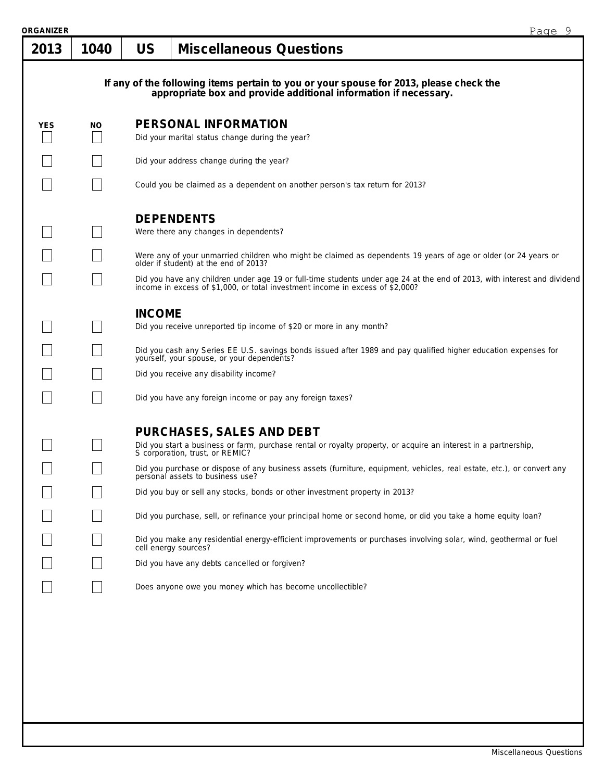| ORGANIZER |      |               |                                                                                                                                                                                                                                                                                                                                                                                                                           | Page 9 |  |  |  |  |  |
|-----------|------|---------------|---------------------------------------------------------------------------------------------------------------------------------------------------------------------------------------------------------------------------------------------------------------------------------------------------------------------------------------------------------------------------------------------------------------------------|--------|--|--|--|--|--|
| 2013      | 1040 | <b>US</b>     | <b>Miscellaneous Questions</b>                                                                                                                                                                                                                                                                                                                                                                                            |        |  |  |  |  |  |
|           |      |               | If any of the following items pertain to you or your spouse for 2013, please check the appropriate box and provide additional information if necessary.                                                                                                                                                                                                                                                                   |        |  |  |  |  |  |
| YES       | NO.  |               | PERSONAL INFORMATION<br>Did your marital status change during the year?                                                                                                                                                                                                                                                                                                                                                   |        |  |  |  |  |  |
|           |      |               | Did your address change during the year?                                                                                                                                                                                                                                                                                                                                                                                  |        |  |  |  |  |  |
|           |      |               | Could you be claimed as a dependent on another person's tax return for 2013?                                                                                                                                                                                                                                                                                                                                              |        |  |  |  |  |  |
|           |      |               | <b>DEPENDENTS</b><br>Were there any changes in dependents?                                                                                                                                                                                                                                                                                                                                                                |        |  |  |  |  |  |
|           |      |               | Were any of your unmarried children who might be claimed as dependents 19 years of age or older (or 24 years or older if student) at the end of 2013?                                                                                                                                                                                                                                                                     |        |  |  |  |  |  |
|           |      |               | Did you have any children under age 19 or full-time students under age 24 at the end of 2013, with interest and dividend income in excess of \$1,000, or total investment income in excess of \$2,000?                                                                                                                                                                                                                    |        |  |  |  |  |  |
|           |      | <b>INCOME</b> | Did you receive unreported tip income of \$20 or more in any month?<br>Did you cash any Series EE U.S. savings bonds issued after 1989 and pay qualified higher education expenses for<br>yourself, your spouse, or your dependents?<br>Did you receive any disability income?<br>Did you have any foreign income or pay any foreign taxes?                                                                               |        |  |  |  |  |  |
|           |      |               | PURCHASES, SALES AND DEBT<br>Did you start a business or farm, purchase rental or royalty property, or acquire an interest in a partnership, S corporation, trust, or REMIC?<br>Did you purchase or dispose of any business assets (furniture, equipment, vehicles, real estate, etc.), or convert any<br>personal assets to business use?<br>Did you buy or sell any stocks, bonds or other investment property in 2013? |        |  |  |  |  |  |
|           |      |               | Did you purchase, sell, or refinance your principal home or second home, or did you take a home equity loan?<br>Did you make any residential energy-efficient improvements or purchases involving solar, wind, geothermal or fuel<br>cell energy sources?                                                                                                                                                                 |        |  |  |  |  |  |
|           |      |               | Did you have any debts cancelled or forgiven?<br>Does anyone owe you money which has become uncollectible?                                                                                                                                                                                                                                                                                                                |        |  |  |  |  |  |
|           |      |               |                                                                                                                                                                                                                                                                                                                                                                                                                           |        |  |  |  |  |  |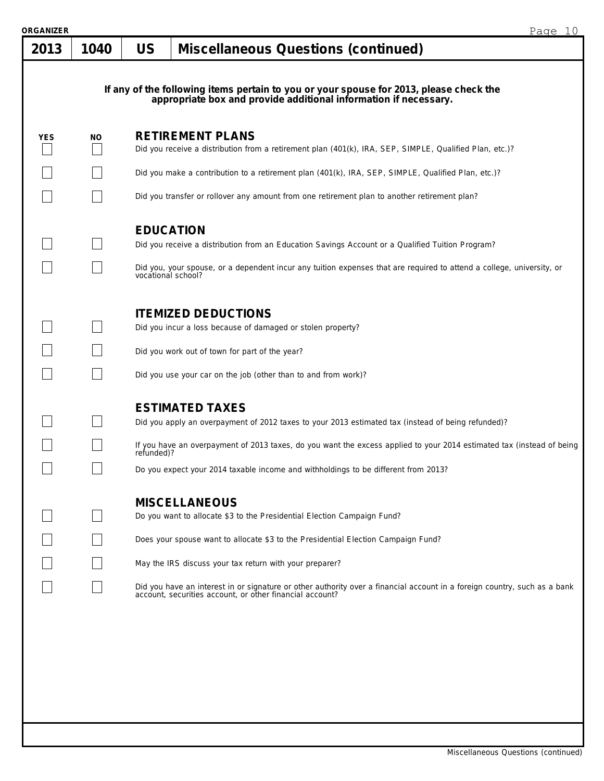| ORGANIZER  |      |                                        |                                                                                                                                                                                                                                                                                                                                                                                                                                       | Page 10 |
|------------|------|----------------------------------------|---------------------------------------------------------------------------------------------------------------------------------------------------------------------------------------------------------------------------------------------------------------------------------------------------------------------------------------------------------------------------------------------------------------------------------------|---------|
| 2013       | 1040 | <b>US</b>                              | <b>Miscellaneous Questions (continued)</b>                                                                                                                                                                                                                                                                                                                                                                                            |         |
|            |      |                                        | If any of the following items pertain to you or your spouse for 2013, please check the<br>appropriate box and provide additional information if necessary.                                                                                                                                                                                                                                                                            |         |
| <b>YES</b> | NO.  |                                        | <b>RETIREMENT PLANS</b><br>Did you receive a distribution from a retirement plan (401(k), IRA, SEP, SIMPLE, Qualified Plan, etc.)?                                                                                                                                                                                                                                                                                                    |         |
|            |      |                                        | Did you make a contribution to a retirement plan (401(k), IRA, SEP, SIMPLE, Qualified Plan, etc.)?                                                                                                                                                                                                                                                                                                                                    |         |
|            |      |                                        | Did you transfer or rollover any amount from one retirement plan to another retirement plan?                                                                                                                                                                                                                                                                                                                                          |         |
|            |      | <b>EDUCATION</b><br>vocational school? | Did you receive a distribution from an Education Savings Account or a Qualified Tuition Program?<br>Did you, your spouse, or a dependent incur any tuition expenses that are required to attend a college, university, or                                                                                                                                                                                                             |         |
|            |      |                                        | <b>ITEMIZED DEDUCTIONS</b><br>Did you incur a loss because of damaged or stolen property?<br>Did you work out of town for part of the year?<br>Did you use your car on the job (other than to and from work)?                                                                                                                                                                                                                         |         |
|            |      | refunded)?                             | <b>ESTIMATED TAXES</b><br>Did you apply an overpayment of 2012 taxes to your 2013 estimated tax (instead of being refunded)?<br>If you have an overpayment of 2013 taxes, do you want the excess applied to your 2014 estimated tax (instead of being<br>Do you expect your 2014 taxable income and withholdings to be different from 2013?                                                                                           |         |
|            |      |                                        | <b>MISCELLANEOUS</b><br>Do you want to allocate \$3 to the Presidential Election Campaign Fund?<br>Does your spouse want to allocate \$3 to the Presidential Election Campaign Fund?<br>May the IRS discuss your tax return with your preparer?<br>Did you have an interest in or signature or other authority over a financial account in a foreign country, such as a bank account, securities account, or other financial account? |         |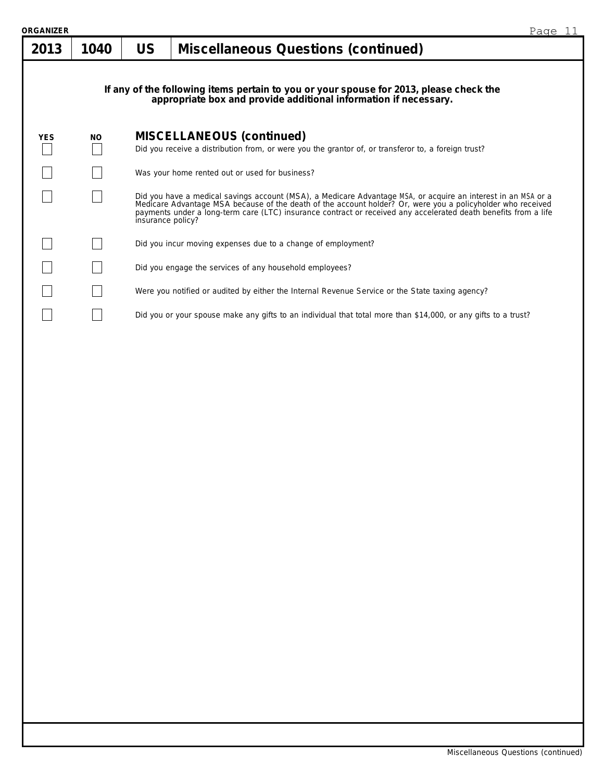| ORGANIZER  |           |           |                                                                                                                                                                                                                                                                                                                                                                      | Page 11 |  |  |  |  |
|------------|-----------|-----------|----------------------------------------------------------------------------------------------------------------------------------------------------------------------------------------------------------------------------------------------------------------------------------------------------------------------------------------------------------------------|---------|--|--|--|--|
| 2013       | 1040      | <b>US</b> | <b>Miscellaneous Questions (continued)</b>                                                                                                                                                                                                                                                                                                                           |         |  |  |  |  |
|            |           |           | If any of the following items pertain to you or your spouse for 2013, please check the<br>appropriate box and provide additional information if necessary.                                                                                                                                                                                                           |         |  |  |  |  |
| <b>YES</b> | <b>NO</b> |           | <b>MISCELLANEOUS (continued)</b>                                                                                                                                                                                                                                                                                                                                     |         |  |  |  |  |
|            |           |           | Did you receive a distribution from, or were you the grantor of, or transferor to, a foreign trust?                                                                                                                                                                                                                                                                  |         |  |  |  |  |
|            |           |           | Was your home rented out or used for business?                                                                                                                                                                                                                                                                                                                       |         |  |  |  |  |
|            |           |           | Did you have a medical savings account (MSA), a Medicare Advantage MSA, or acquire an interest in an MSA or a<br>Medicare Advantage MSA because of the death of the account holder? Or, were you a policyholder who received<br>payments under a long-term care (LTC) insurance contract or received any accelerated death benefits from a life<br>insurance policy? |         |  |  |  |  |
|            |           |           | Did you incur moving expenses due to a change of employment?                                                                                                                                                                                                                                                                                                         |         |  |  |  |  |
|            |           |           | Did you engage the services of any household employees?                                                                                                                                                                                                                                                                                                              |         |  |  |  |  |
|            |           |           | Were you notified or audited by either the Internal Revenue Service or the State taxing agency?                                                                                                                                                                                                                                                                      |         |  |  |  |  |
|            |           |           | Did you or your spouse make any gifts to an individual that total more than \$14,000, or any gifts to a trust?                                                                                                                                                                                                                                                       |         |  |  |  |  |
|            |           |           |                                                                                                                                                                                                                                                                                                                                                                      |         |  |  |  |  |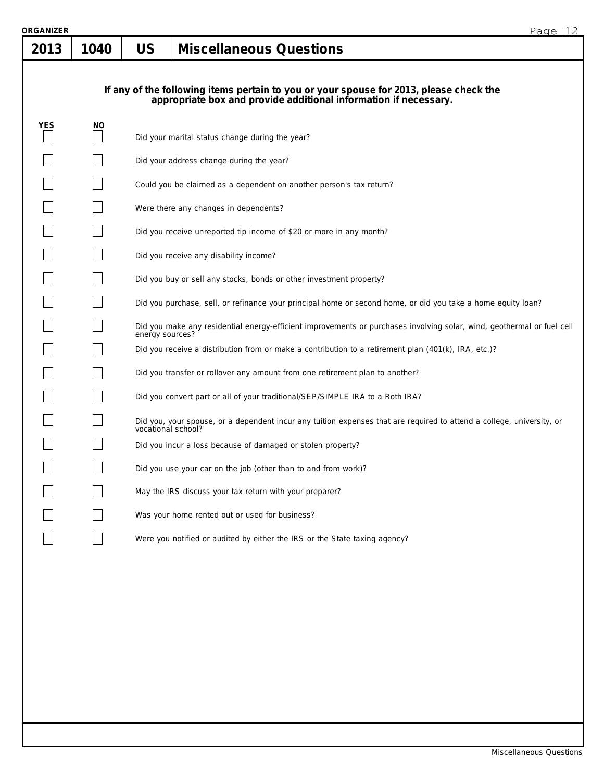| RGANIZER<br>2013 | 1040                                                                                                                                                       | <b>US</b>       | 12<br>Page<br><b>Miscellaneous Questions</b>                                                                                             |  |  |  |  |  |  |  |  |
|------------------|------------------------------------------------------------------------------------------------------------------------------------------------------------|-----------------|------------------------------------------------------------------------------------------------------------------------------------------|--|--|--|--|--|--|--|--|
|                  | If any of the following items pertain to you or your spouse for 2013, please check the<br>appropriate box and provide additional information if necessary. |                 |                                                                                                                                          |  |  |  |  |  |  |  |  |
| <b>YES</b>       | NO.                                                                                                                                                        |                 | Did your marital status change during the year?                                                                                          |  |  |  |  |  |  |  |  |
|                  |                                                                                                                                                            |                 | Did your address change during the year?                                                                                                 |  |  |  |  |  |  |  |  |
|                  |                                                                                                                                                            |                 | Could you be claimed as a dependent on another person's tax return?                                                                      |  |  |  |  |  |  |  |  |
|                  |                                                                                                                                                            |                 | Were there any changes in dependents?                                                                                                    |  |  |  |  |  |  |  |  |
|                  |                                                                                                                                                            |                 | Did you receive unreported tip income of \$20 or more in any month?                                                                      |  |  |  |  |  |  |  |  |
|                  |                                                                                                                                                            |                 | Did you receive any disability income?                                                                                                   |  |  |  |  |  |  |  |  |
|                  |                                                                                                                                                            |                 | Did you buy or sell any stocks, bonds or other investment property?                                                                      |  |  |  |  |  |  |  |  |
|                  |                                                                                                                                                            |                 | Did you purchase, sell, or refinance your principal home or second home, or did you take a home equity loan?                             |  |  |  |  |  |  |  |  |
|                  |                                                                                                                                                            | energy sources? | Did you make any residential energy-efficient improvements or purchases involving solar, wind, geothermal or fuel cell                   |  |  |  |  |  |  |  |  |
|                  |                                                                                                                                                            |                 | Did you receive a distribution from or make a contribution to a retirement plan (401(k), IRA, etc.)?                                     |  |  |  |  |  |  |  |  |
|                  |                                                                                                                                                            |                 | Did you transfer or rollover any amount from one retirement plan to another?                                                             |  |  |  |  |  |  |  |  |
|                  |                                                                                                                                                            |                 | Did you convert part or all of your traditional/SEP/SIMPLE IRA to a Roth IRA?                                                            |  |  |  |  |  |  |  |  |
|                  |                                                                                                                                                            |                 | Did you, your spouse, or a dependent incur any tuition expenses that are required to attend a college, university, or vocational school? |  |  |  |  |  |  |  |  |
|                  |                                                                                                                                                            |                 | Did you incur a loss because of damaged or stolen property?                                                                              |  |  |  |  |  |  |  |  |
|                  |                                                                                                                                                            |                 | Did you use your car on the job (other than to and from work)?                                                                           |  |  |  |  |  |  |  |  |
|                  |                                                                                                                                                            |                 | May the IRS discuss your tax return with your preparer?                                                                                  |  |  |  |  |  |  |  |  |
|                  |                                                                                                                                                            |                 | Was your home rented out or used for business?                                                                                           |  |  |  |  |  |  |  |  |
|                  |                                                                                                                                                            |                 | Were you notified or audited by either the IRS or the State taxing agency?                                                               |  |  |  |  |  |  |  |  |
|                  |                                                                                                                                                            |                 |                                                                                                                                          |  |  |  |  |  |  |  |  |
|                  |                                                                                                                                                            |                 |                                                                                                                                          |  |  |  |  |  |  |  |  |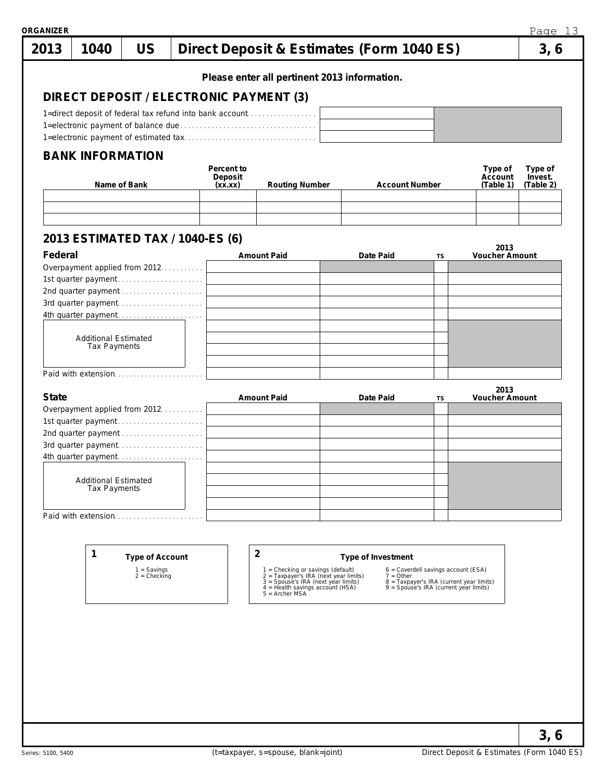| 2013         | 1040                                 | <b>US</b>                       |                                         |            |                                                                                                                   | Direct Deposit & Estimates (Form 1040 ES) |                                                                                    |                               | 3, 6      |
|--------------|--------------------------------------|---------------------------------|-----------------------------------------|------------|-------------------------------------------------------------------------------------------------------------------|-------------------------------------------|------------------------------------------------------------------------------------|-------------------------------|-----------|
|              |                                      |                                 |                                         |            | Please enter all pertinent 2013 information.                                                                      |                                           |                                                                                    |                               |           |
|              |                                      |                                 |                                         |            |                                                                                                                   |                                           |                                                                                    |                               |           |
|              |                                      |                                 | DIRECT DEPOSIT / ELECTRONIC PAYMENT (3) |            |                                                                                                                   |                                           |                                                                                    |                               |           |
|              |                                      |                                 |                                         |            | 1=direct deposit of federal tax refund into bank account                                                          |                                           |                                                                                    |                               |           |
|              |                                      |                                 |                                         |            |                                                                                                                   |                                           |                                                                                    |                               |           |
|              |                                      |                                 |                                         |            |                                                                                                                   |                                           |                                                                                    |                               |           |
|              | <b>BANK INFORMATION</b>              |                                 |                                         | Percent to |                                                                                                                   |                                           |                                                                                    | Type of                       | Type of   |
|              |                                      |                                 |                                         | Deposit    |                                                                                                                   |                                           |                                                                                    | Account                       | Invest.   |
|              |                                      | Name of Bank                    |                                         | (xx.xx)    | Routing Number                                                                                                    | <b>Account Number</b>                     |                                                                                    | (Table 1)                     | (Table 2) |
|              |                                      |                                 |                                         |            |                                                                                                                   |                                           |                                                                                    |                               |           |
|              |                                      |                                 |                                         |            |                                                                                                                   |                                           |                                                                                    |                               |           |
|              |                                      |                                 | 2013 ESTIMATED TAX / 1040-ES (6)        |            |                                                                                                                   |                                           |                                                                                    |                               |           |
| Federal      |                                      |                                 |                                         |            | <b>Amount Paid</b>                                                                                                | Date Paid                                 | TS                                                                                 | 2013<br><b>Voucher Amount</b> |           |
|              | Overpayment applied from 2012        |                                 |                                         |            |                                                                                                                   |                                           |                                                                                    |                               |           |
|              | 1st quarter payment                  |                                 |                                         |            |                                                                                                                   |                                           |                                                                                    |                               |           |
|              | 2nd quarter payment                  |                                 |                                         |            |                                                                                                                   |                                           |                                                                                    |                               |           |
|              | 3rd quarter payment                  |                                 |                                         |            |                                                                                                                   |                                           |                                                                                    |                               |           |
|              | 4th quarter payment                  |                                 |                                         |            |                                                                                                                   |                                           |                                                                                    |                               |           |
|              |                                      |                                 |                                         |            |                                                                                                                   |                                           |                                                                                    |                               |           |
|              | <b>Additional Estimated</b>          |                                 |                                         |            |                                                                                                                   |                                           |                                                                                    |                               |           |
|              | Tax Payments                         |                                 |                                         |            |                                                                                                                   |                                           |                                                                                    |                               |           |
|              |                                      |                                 |                                         |            |                                                                                                                   |                                           |                                                                                    |                               |           |
|              | Paid with extension                  |                                 |                                         |            |                                                                                                                   |                                           |                                                                                    |                               |           |
| <b>State</b> |                                      |                                 |                                         |            | <b>Amount Paid</b>                                                                                                | Date Paid                                 | TS                                                                                 | 2013<br><b>Voucher Amount</b> |           |
|              | Overpayment applied from 2012.       |                                 |                                         |            |                                                                                                                   |                                           |                                                                                    |                               |           |
|              | 1st quarter payment                  |                                 |                                         |            |                                                                                                                   |                                           |                                                                                    |                               |           |
|              | 2nd quarter payment                  |                                 |                                         |            |                                                                                                                   |                                           |                                                                                    |                               |           |
|              | 3rd quarter payment                  |                                 |                                         |            |                                                                                                                   |                                           |                                                                                    |                               |           |
|              | 4th quarter payment                  |                                 |                                         |            |                                                                                                                   |                                           |                                                                                    |                               |           |
|              |                                      |                                 |                                         |            |                                                                                                                   |                                           |                                                                                    |                               |           |
|              | Additional Estimated<br>Tax Payments |                                 |                                         |            |                                                                                                                   |                                           |                                                                                    |                               |           |
|              |                                      |                                 |                                         |            |                                                                                                                   |                                           |                                                                                    |                               |           |
|              |                                      |                                 |                                         |            |                                                                                                                   |                                           |                                                                                    |                               |           |
|              | Paid with extension.                 |                                 |                                         |            |                                                                                                                   |                                           |                                                                                    |                               |           |
|              |                                      |                                 |                                         |            |                                                                                                                   |                                           |                                                                                    |                               |           |
|              |                                      |                                 |                                         |            |                                                                                                                   |                                           |                                                                                    |                               |           |
|              | 1                                    | <b>Type of Account</b>          |                                         |            | $\overline{2}$                                                                                                    | Type of Investment                        |                                                                                    |                               |           |
|              |                                      | $1 =$ Savings<br>$2 =$ Checking |                                         |            | 1 = Checking or savings (default)<br>2 = Taxpayer's IRA (next year limits)<br>3 = Spouse's IRA (next year limits) | $7 = Other$                               | 6 = Coverdell savings account (ESA)                                                |                               |           |
|              |                                      |                                 |                                         |            | $4 =$ Health savings account (HSA)                                                                                |                                           | 8 = Taxpayer's IRA (current year limits)<br>9 = Spouse's IRA (current year limits) |                               |           |
|              |                                      |                                 |                                         |            | $5 =$ Archer MSA                                                                                                  |                                           |                                                                                    |                               |           |
|              |                                      |                                 |                                         |            |                                                                                                                   |                                           |                                                                                    |                               |           |
|              |                                      |                                 |                                         |            |                                                                                                                   |                                           |                                                                                    |                               |           |

**3, 6**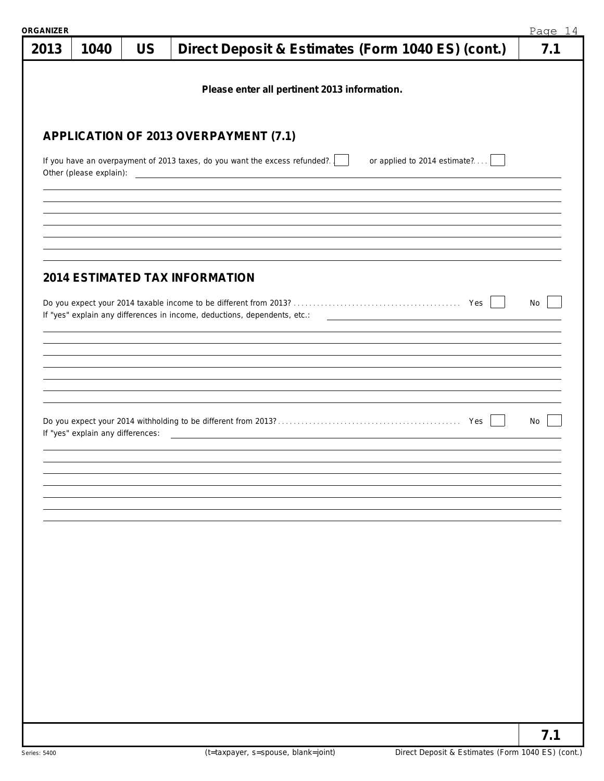| <b>RGANIZER</b> |                                   |           |                                                                                                                      | Page 14 |
|-----------------|-----------------------------------|-----------|----------------------------------------------------------------------------------------------------------------------|---------|
| 2013            | 1040                              | <b>US</b> | Direct Deposit & Estimates (Form 1040 ES) (cont.)                                                                    | 7.1     |
|                 |                                   |           | Please enter all pertinent 2013 information.                                                                         |         |
|                 |                                   |           | APPLICATION OF 2013 OVERPAYMENT (7.1)                                                                                |         |
|                 |                                   |           | If you have an overpayment of 2013 taxes, do you want the excess refunded?<br>or applied to 2014 estimate?           |         |
|                 |                                   |           |                                                                                                                      |         |
|                 |                                   |           | <b>2014 ESTIMATED TAX INFORMATION</b>                                                                                |         |
|                 |                                   |           |                                                                                                                      | No      |
|                 |                                   |           |                                                                                                                      |         |
|                 |                                   |           |                                                                                                                      |         |
|                 | If "yes" explain any differences: |           | <u> Territoria de la contrada de la contrada de la contrada de la contrada de la contrada de la contrada de la c</u> | No      |
|                 |                                   |           |                                                                                                                      |         |
|                 |                                   |           |                                                                                                                      |         |
|                 |                                   |           |                                                                                                                      |         |
|                 |                                   |           |                                                                                                                      |         |
|                 |                                   |           |                                                                                                                      |         |
|                 |                                   |           |                                                                                                                      |         |
|                 |                                   |           |                                                                                                                      | 7.1     |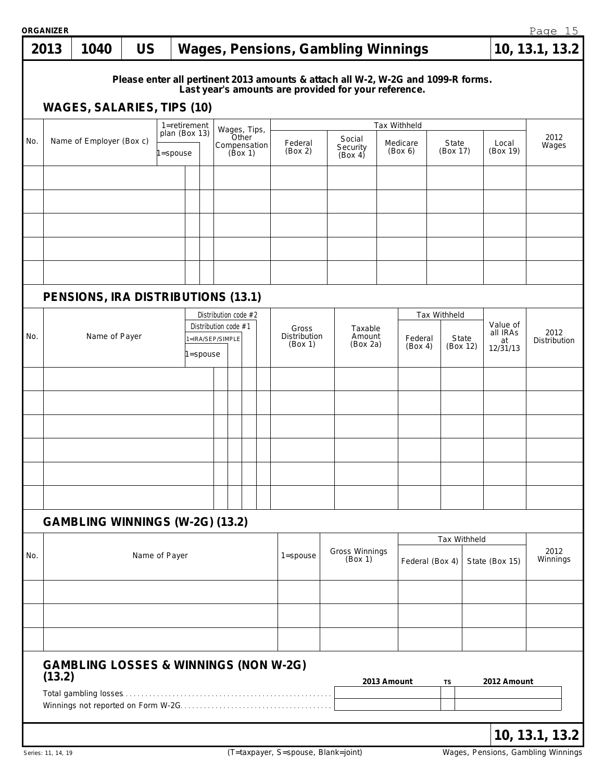| ORGANIZER |  |  |
|-----------|--|--|

|     | <b>ORGANIZER</b>                                                                                                                                                       |                                                  |               |        |                                          |          |                      |                                  |              |                               |      |                                         |                     |                                        |                      |                   | Page 15        |
|-----|------------------------------------------------------------------------------------------------------------------------------------------------------------------------|--------------------------------------------------|---------------|--------|------------------------------------------|----------|----------------------|----------------------------------|--------------|-------------------------------|------|-----------------------------------------|---------------------|----------------------------------------|----------------------|-------------------|----------------|
|     | 2013                                                                                                                                                                   | 1040                                             | <b>US</b>     |        |                                          |          |                      |                                  |              |                               |      | Wages, Pensions, Gambling Winnings      |                     |                                        |                      |                   | 10, 13.1, 13.2 |
|     | Please enter all pertinent 2013 amounts & attach all W-2, W-2G and 1099-R forms.<br>Last year's amounts are provided for your reference.<br>WAGES, SALARIES, TIPS (10) |                                                  |               |        |                                          |          |                      |                                  |              |                               |      |                                         |                     |                                        |                      |                   |                |
|     |                                                                                                                                                                        |                                                  |               |        |                                          |          |                      |                                  |              |                               |      |                                         |                     |                                        |                      |                   |                |
|     | Tax Withheld<br>1=retirement<br>Wages, Tips,<br>plan (Box 13)<br>Other                                                                                                 |                                                  |               |        |                                          |          |                      |                                  |              |                               | 2012 |                                         |                     |                                        |                      |                   |                |
| No. |                                                                                                                                                                        | Name of Employer (Box c)                         |               | spouse |                                          |          |                      | (Box 1)                          | Compensation | Federal<br>(Box 2)            |      | Social<br>Security<br>(Box 4)           | Medicare<br>(Box 6) | State<br>(Box 17)                      |                      | Local<br>(Box 19) | Wages          |
|     |                                                                                                                                                                        |                                                  |               |        |                                          |          |                      |                                  |              |                               |      |                                         |                     |                                        |                      |                   |                |
|     |                                                                                                                                                                        |                                                  |               |        |                                          |          |                      |                                  |              |                               |      |                                         |                     |                                        |                      |                   |                |
|     |                                                                                                                                                                        |                                                  |               |        |                                          |          |                      |                                  |              |                               |      |                                         |                     |                                        |                      |                   |                |
|     |                                                                                                                                                                        |                                                  |               |        |                                          |          |                      |                                  |              |                               |      |                                         |                     |                                        |                      |                   |                |
|     |                                                                                                                                                                        |                                                  |               |        |                                          |          |                      |                                  |              |                               |      |                                         |                     |                                        |                      |                   |                |
|     |                                                                                                                                                                        |                                                  |               |        |                                          |          |                      |                                  |              |                               |      |                                         |                     |                                        |                      |                   |                |
|     |                                                                                                                                                                        | PENSIONS, IRA DISTRIBUTIONS (13.1)               |               |        |                                          |          |                      |                                  |              |                               |      |                                         |                     |                                        |                      |                   |                |
|     |                                                                                                                                                                        |                                                  |               |        |                                          |          | Distribution code #2 |                                  |              |                               |      |                                         |                     | Tax Withheld                           |                      |                   |                |
| No. |                                                                                                                                                                        | Name of Payer                                    |               |        | Distribution code #1<br>1=IRA/SEP/SIMPLE |          |                      | Gross<br>Distribution<br>(Box 1) |              | Taxable<br>Amount<br>(Box 2a) |      | State<br>Federal<br>(Box 4)<br>(Box 12) |                     | Value of<br>all IRAs<br>at<br>12/31/13 | 2012<br>Distribution |                   |                |
|     |                                                                                                                                                                        |                                                  |               |        |                                          | l=spouse |                      |                                  |              |                               |      |                                         |                     |                                        |                      |                   |                |
|     |                                                                                                                                                                        |                                                  |               |        |                                          |          |                      |                                  |              |                               |      |                                         |                     |                                        |                      |                   |                |
|     |                                                                                                                                                                        |                                                  |               |        |                                          |          |                      |                                  |              |                               |      |                                         |                     |                                        |                      |                   |                |
|     |                                                                                                                                                                        |                                                  |               |        |                                          |          |                      |                                  |              |                               |      |                                         |                     |                                        |                      |                   |                |
|     |                                                                                                                                                                        |                                                  |               |        |                                          |          |                      |                                  |              |                               |      |                                         |                     |                                        |                      |                   |                |
|     |                                                                                                                                                                        |                                                  |               |        |                                          |          |                      |                                  |              |                               |      |                                         |                     |                                        |                      |                   |                |
|     |                                                                                                                                                                        |                                                  |               |        |                                          |          |                      |                                  |              |                               |      |                                         |                     |                                        |                      |                   |                |
|     |                                                                                                                                                                        |                                                  |               |        |                                          |          |                      |                                  |              |                               |      |                                         |                     |                                        |                      |                   |                |
|     |                                                                                                                                                                        | GAMBLING WINNINGS (W-2G) (13.2)                  |               |        |                                          |          |                      |                                  |              |                               |      |                                         |                     |                                        | Tax Withheld         |                   |                |
| No. |                                                                                                                                                                        |                                                  | Name of Payer |        |                                          |          |                      |                                  |              | $1 =$ spouse                  |      | Gross Winnings                          |                     |                                        |                      |                   | 2012           |
|     |                                                                                                                                                                        |                                                  |               |        |                                          |          |                      |                                  |              |                               |      | (Box 1)                                 | Federal (Box 4)     |                                        |                      | State (Box 15)    | Winnings       |
|     |                                                                                                                                                                        |                                                  |               |        |                                          |          |                      |                                  |              |                               |      |                                         |                     |                                        |                      |                   |                |
|     |                                                                                                                                                                        |                                                  |               |        |                                          |          |                      |                                  |              |                               |      |                                         |                     |                                        |                      |                   |                |
|     |                                                                                                                                                                        |                                                  |               |        |                                          |          |                      |                                  |              |                               |      |                                         |                     |                                        |                      |                   |                |
|     |                                                                                                                                                                        | <b>GAMBLING LOSSES &amp; WINNINGS (NON W-2G)</b> |               |        |                                          |          |                      |                                  |              |                               |      |                                         |                     |                                        |                      |                   |                |
|     | (13.2)                                                                                                                                                                 |                                                  |               |        |                                          |          |                      |                                  |              |                               |      |                                         | 2013 Amount         | TS                                     |                      | 2012 Amount       |                |
|     |                                                                                                                                                                        |                                                  |               |        |                                          |          |                      |                                  |              |                               |      |                                         |                     |                                        |                      |                   |                |
|     |                                                                                                                                                                        |                                                  |               |        |                                          |          |                      |                                  |              |                               |      |                                         |                     |                                        |                      |                   |                |
|     |                                                                                                                                                                        |                                                  |               |        |                                          |          |                      |                                  |              |                               |      |                                         |                     |                                        |                      |                   | 10, 13.1, 13.2 |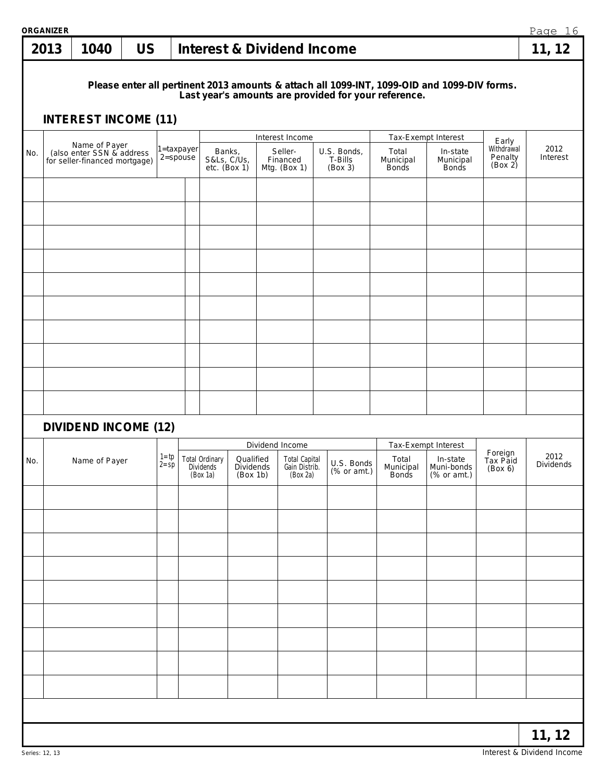|     | ORGANIZER |                                             |           |                      |              |                                                |                                           |  |                                                   |  |                                   |                                                                                                                                                     | Page 16 |                                                       |                                |                   |
|-----|-----------|---------------------------------------------|-----------|----------------------|--------------|------------------------------------------------|-------------------------------------------|--|---------------------------------------------------|--|-----------------------------------|-----------------------------------------------------------------------------------------------------------------------------------------------------|---------|-------------------------------------------------------|--------------------------------|-------------------|
|     | 2013      | 1040                                        | <b>US</b> |                      |              |                                                |                                           |  | <b>Interest &amp; Dividend Income</b>             |  |                                   |                                                                                                                                                     |         |                                                       |                                | 11, 12            |
|     |           | <b>INTEREST INCOME (11)</b>                 |           |                      |              |                                                |                                           |  |                                                   |  |                                   | Please enter all pertinent 2013 amounts & attach all 1099-INT, 1099-OID and 1099-DIV forms.<br>Last year's amounts are provided for your reference. |         |                                                       |                                |                   |
|     |           |                                             |           |                      |              |                                                |                                           |  |                                                   |  |                                   |                                                                                                                                                     |         |                                                       |                                |                   |
|     |           | Name of Payer<br>(also enter SSN & address) |           |                      | 1=taxpayer   |                                                |                                           |  | Interest Income                                   |  |                                   | Tax-Exempt Interest                                                                                                                                 |         |                                                       | Early<br>Withdrawal            | 2012              |
| No. |           | for seller-financed mortgage)               |           |                      | $2 =$ spouse | Banks,<br>S&Ls, C/Us,                          | $etc.$ (Box 1)                            |  | Seller-<br>Financed<br>Mtg. (Box 1)               |  | U.S. Bonds,<br>T-Bills<br>(Box 3) | Total<br>Municipal<br><b>Bonds</b>                                                                                                                  |         | In-state<br>Municipal<br><b>Bonds</b>                 | Penalty<br>(Box 2)             | Interest          |
|     |           |                                             |           |                      |              |                                                |                                           |  |                                                   |  |                                   |                                                                                                                                                     |         |                                                       |                                |                   |
|     |           |                                             |           |                      |              |                                                |                                           |  |                                                   |  |                                   |                                                                                                                                                     |         |                                                       |                                |                   |
|     |           |                                             |           |                      |              |                                                |                                           |  |                                                   |  |                                   |                                                                                                                                                     |         |                                                       |                                |                   |
|     |           |                                             |           |                      |              |                                                |                                           |  |                                                   |  |                                   |                                                                                                                                                     |         |                                                       |                                |                   |
|     |           |                                             |           |                      |              |                                                |                                           |  |                                                   |  |                                   |                                                                                                                                                     |         |                                                       |                                |                   |
|     |           |                                             |           |                      |              |                                                |                                           |  |                                                   |  |                                   |                                                                                                                                                     |         |                                                       |                                |                   |
|     |           |                                             |           |                      |              |                                                |                                           |  |                                                   |  |                                   |                                                                                                                                                     |         |                                                       |                                |                   |
|     |           |                                             |           |                      |              |                                                |                                           |  |                                                   |  |                                   |                                                                                                                                                     |         |                                                       |                                |                   |
|     |           | <b>DIVIDEND INCOME (12)</b>                 |           |                      |              |                                                |                                           |  | Dividend Income                                   |  |                                   | Tax-Exempt Interest                                                                                                                                 |         |                                                       |                                |                   |
| No. |           | Name of Payer                               |           | $1 = tp$<br>$2 = sp$ |              | <b>Total Ordinary</b><br>Dividends<br>(Box 1a) | Qualified<br><b>Dividends</b><br>(Box 1b) |  | <b>Total Capital</b><br>Gain Distrib.<br>(Box 2a) |  | U.S. Bonds<br>(% or amt.)         | Total                                                                                                                                               |         | In-state<br>Municipal Muni-bonds<br>Bonds (% or amt.) | Foreign<br>Tax Paid<br>(Box 6) | 2012<br>Dividends |
|     |           |                                             |           |                      |              |                                                |                                           |  |                                                   |  |                                   |                                                                                                                                                     |         |                                                       |                                |                   |
|     |           |                                             |           |                      |              |                                                |                                           |  |                                                   |  |                                   |                                                                                                                                                     |         |                                                       |                                |                   |
|     |           |                                             |           |                      |              |                                                |                                           |  |                                                   |  |                                   |                                                                                                                                                     |         |                                                       |                                |                   |
|     |           |                                             |           |                      |              |                                                |                                           |  |                                                   |  |                                   |                                                                                                                                                     |         |                                                       |                                |                   |
|     |           |                                             |           |                      |              |                                                |                                           |  |                                                   |  |                                   |                                                                                                                                                     |         |                                                       |                                |                   |
|     |           |                                             |           |                      |              |                                                |                                           |  |                                                   |  |                                   |                                                                                                                                                     |         |                                                       |                                |                   |
|     |           |                                             |           |                      |              |                                                |                                           |  |                                                   |  |                                   |                                                                                                                                                     |         |                                                       |                                |                   |
|     |           |                                             |           |                      |              |                                                |                                           |  |                                                   |  |                                   |                                                                                                                                                     |         |                                                       |                                |                   |
|     |           |                                             |           |                      |              |                                                |                                           |  |                                                   |  |                                   |                                                                                                                                                     |         |                                                       |                                | 11, 12            |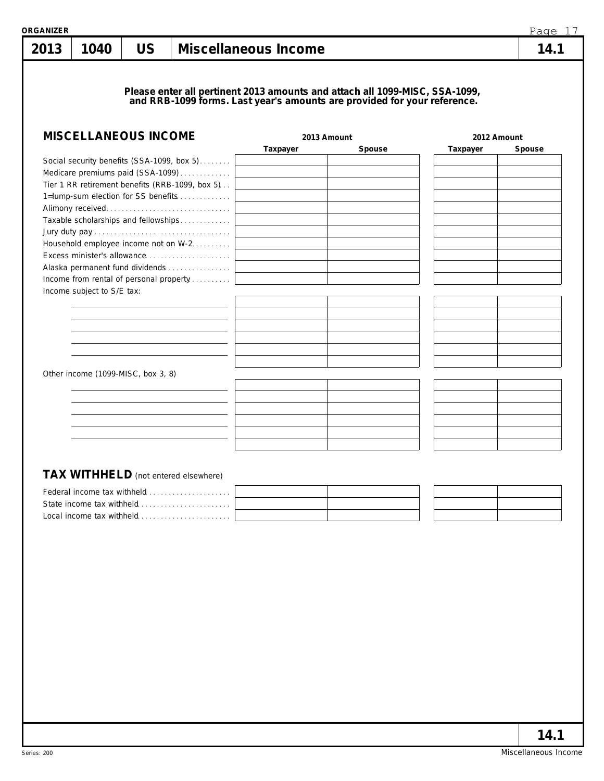| I |  |
|---|--|
|   |  |

**Please enter all pertinent 2013 amounts and attach all 1099-MISC, SSA-1099, and RRB-1099 forms. Last year's amounts are provided for your reference.**

1040 | US | Miscellaneous Income

| <b>MISCELLANEOUS INCOME</b>                     |          | 2013 Amount | 2012 Amount |        |  |
|-------------------------------------------------|----------|-------------|-------------|--------|--|
|                                                 | Taxpayer | Spouse      | Taxpayer    | Spouse |  |
| Social security benefits (SSA-1099, box 5)      |          |             |             |        |  |
| Medicare premiums paid (SSA-1099)               |          |             |             |        |  |
| Tier 1 RR retirement benefits (RRB-1099, box 5) |          |             |             |        |  |
| 1=lump-sum election for SS benefits             |          |             |             |        |  |
|                                                 |          |             |             |        |  |
| Taxable scholarships and fellowships            |          |             |             |        |  |
|                                                 |          |             |             |        |  |
| Household employee income not on W-2.           |          |             |             |        |  |
|                                                 |          |             |             |        |  |
| Alaska permanent fund dividends                 |          |             |             |        |  |
| Income from rental of personal property         |          |             |             |        |  |
| Income subject to S/E tax:                      |          |             |             |        |  |
|                                                 |          |             |             |        |  |
|                                                 |          |             |             |        |  |
|                                                 |          |             |             |        |  |
|                                                 |          |             |             |        |  |
|                                                 |          |             |             |        |  |
|                                                 |          |             |             |        |  |
| Other income (1099-MISC, box 3, 8)              |          |             |             |        |  |
|                                                 |          |             |             |        |  |
|                                                 |          |             |             |        |  |
|                                                 |          |             |             |        |  |
|                                                 |          |             |             |        |  |
|                                                 |          |             |             |        |  |
|                                                 |          |             |             |        |  |
|                                                 |          |             |             |        |  |
| <b>TAX WITHHELD</b> (not entered elsewhere)     |          |             |             |        |  |
|                                                 |          |             |             |        |  |
| Federal income tax withheld                     |          |             |             |        |  |
|                                                 |          |             |             |        |  |
|                                                 |          |             |             |        |  |
|                                                 |          |             |             |        |  |
|                                                 |          |             |             |        |  |
|                                                 |          |             |             |        |  |
|                                                 |          |             |             |        |  |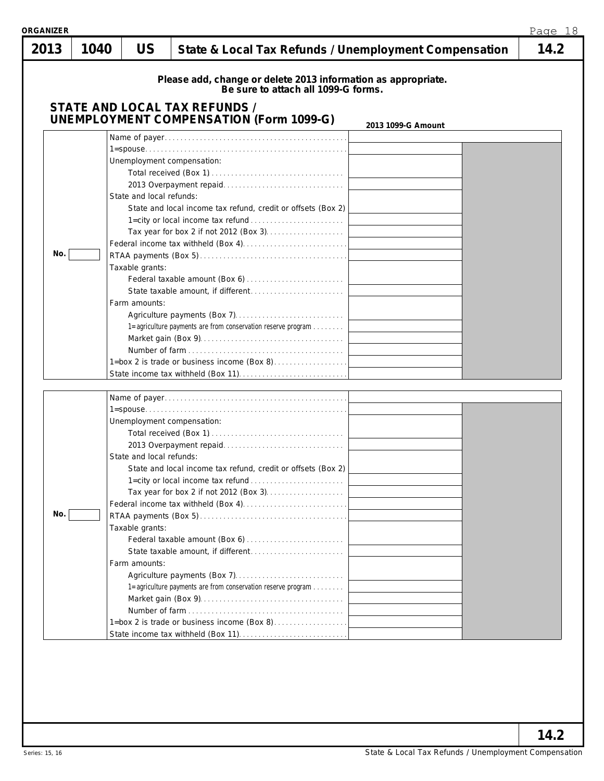| <b>ORGANIZER</b> |      |                                                              |                                                                                                                                                                                                           | Page 18 |
|------------------|------|--------------------------------------------------------------|-----------------------------------------------------------------------------------------------------------------------------------------------------------------------------------------------------------|---------|
| 2013             | 1040 | <b>US</b>                                                    | State & Local Tax Refunds / Unemployment Compensation                                                                                                                                                     | 14.2    |
|                  |      |                                                              | Please add, change or delete 2013 information as appropriate.<br>Be sure to attach all 1099-G forms.<br>STATE AND LOCAL TAX REFUNDS /<br><b>UNEMPLOYMENT COMPENSATION (Form 1099-G)</b>                   |         |
|                  |      |                                                              | 2013 1099-G Amount                                                                                                                                                                                        |         |
| No.              |      | State and local refunds:<br>Taxable grants:<br>Farm amounts: | Unemployment compensation:<br>State and local income tax refund, credit or offsets (Box 2)<br>1=agriculture payments are from conservation reserve program<br>1=box 2 is trade or business income (Box 8) |         |
| No.              |      | State and local refunds:<br>Taxable grants:<br>Farm amounts: | Unemployment compensation:<br>State and local income tax refund, credit or offsets (Box 2)<br>1=agriculture payments are from conservation reserve program<br>1=box 2 is trade or business income (Box 8) |         |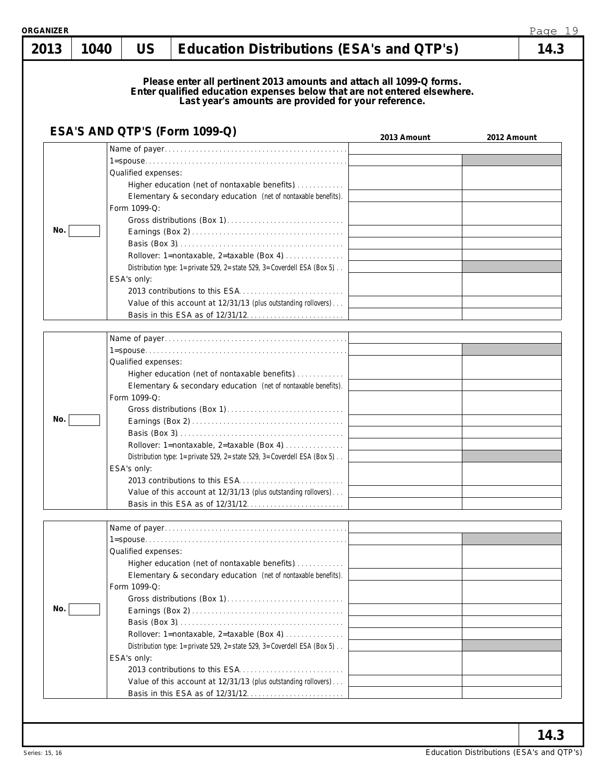| 2013 | 1040 | <b>US</b>                                          | Education Distributions (ESA's and QTP's)                                                                                                                                                                                                                                                                 |             | 14.3        |
|------|------|----------------------------------------------------|-----------------------------------------------------------------------------------------------------------------------------------------------------------------------------------------------------------------------------------------------------------------------------------------------------------|-------------|-------------|
|      |      |                                                    | Please enter all pertinent 2013 amounts and attach all 1099-Q forms.<br>Enter qualified education expenses below that are not entered elsewhere.<br>Last year's amounts are provided for your reference.                                                                                                  |             |             |
|      |      |                                                    | ESA'S AND QTP'S (Form 1099-Q)                                                                                                                                                                                                                                                                             | 2013 Amount | 2012 Amount |
| No.  |      | Qualified expenses:<br>Form 1099-Q:<br>ESA's only: | Higher education (net of nontaxable benefits)<br>Elementary & secondary education (net of nontaxable benefits).<br>Rollover: 1=nontaxable, 2=taxable (Box 4)<br>Distribution type: 1=private 529, 2=state 529, 3=Coverdell ESA (Box 5).                                                                   |             |             |
|      |      |                                                    | Value of this account at 12/31/13 (plus outstanding rollovers)                                                                                                                                                                                                                                            |             |             |
| No.  |      | Qualified expenses:<br>Form 1099-Q:<br>ESA's only: | Higher education (net of nontaxable benefits)<br>Elementary & secondary education (net of nontaxable benefits).<br>Rollover: 1=nontaxable, 2=taxable (Box 4)<br>Distribution type: 1=private 529, 2=state 529, 3=Coverdell ESA (Box 5)<br>Value of this account at 12/31/13 (plus outstanding rollovers)  |             |             |
| No.  |      | Qualified expenses:<br>Form 1099-Q:<br>ESA's only: | Higher education (net of nontaxable benefits)<br>Elementary & secondary education (net of nontaxable benefits).<br>Rollover: 1=nontaxable, 2=taxable (Box 4)<br>Distribution type: 1=private 529, 2=state 529, 3=Coverdell ESA (Box 5).<br>Value of this account at 12/31/13 (plus outstanding rollovers) |             |             |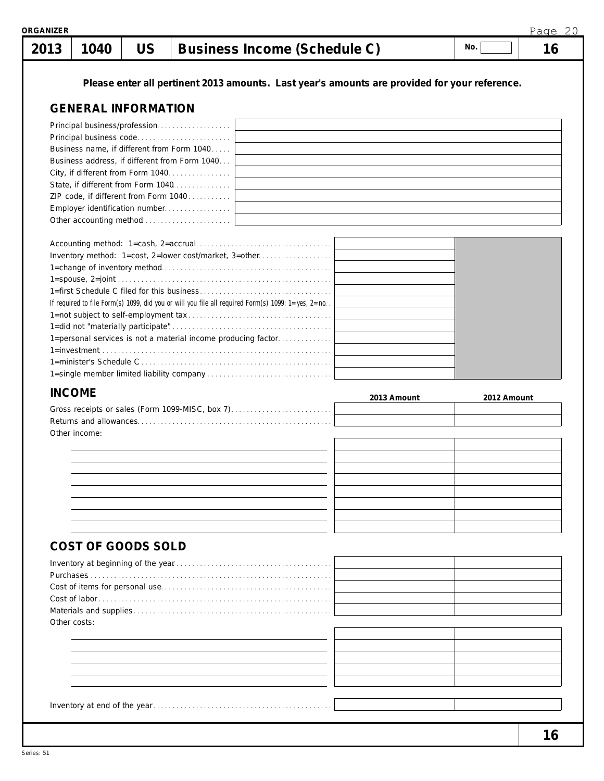| 2013 | 1040                                                                                              | <b>US</b>                                                                                     |  |  | Business Income (Schedule C) |             | No. |             | 16 |
|------|---------------------------------------------------------------------------------------------------|-----------------------------------------------------------------------------------------------|--|--|------------------------------|-------------|-----|-------------|----|
|      |                                                                                                   | Please enter all pertinent 2013 amounts. Last year's amounts are provided for your reference. |  |  |                              |             |     |             |    |
|      | <b>GENERAL INFORMATION</b>                                                                        |                                                                                               |  |  |                              |             |     |             |    |
|      | Principal business/profession                                                                     |                                                                                               |  |  |                              |             |     |             |    |
|      |                                                                                                   |                                                                                               |  |  |                              |             |     |             |    |
|      | Business name, if different from Form 1040                                                        |                                                                                               |  |  |                              |             |     |             |    |
|      | Business address, if different from Form 1040                                                     |                                                                                               |  |  |                              |             |     |             |    |
|      | City, if different from Form 1040<br>State, if different from Form 1040                           |                                                                                               |  |  |                              |             |     |             |    |
|      | ZIP code, if different from Form 1040                                                             |                                                                                               |  |  |                              |             |     |             |    |
|      |                                                                                                   |                                                                                               |  |  |                              |             |     |             |    |
|      |                                                                                                   |                                                                                               |  |  |                              |             |     |             |    |
|      |                                                                                                   |                                                                                               |  |  |                              |             |     |             |    |
|      | Inventory method: 1=cost, 2=lower cost/market, 3=other                                            |                                                                                               |  |  |                              |             |     |             |    |
|      |                                                                                                   |                                                                                               |  |  |                              |             |     |             |    |
|      |                                                                                                   |                                                                                               |  |  |                              |             |     |             |    |
|      | If required to file Form(s) 1099, did you or will you file all required Form(s) 1099: 1=yes, 2=no |                                                                                               |  |  |                              |             |     |             |    |
|      |                                                                                                   |                                                                                               |  |  |                              |             |     |             |    |
|      |                                                                                                   |                                                                                               |  |  |                              |             |     |             |    |
|      | 1=personal services is not a material income producing factor                                     |                                                                                               |  |  |                              |             |     |             |    |
|      |                                                                                                   |                                                                                               |  |  |                              |             |     |             |    |
|      |                                                                                                   |                                                                                               |  |  |                              |             |     |             |    |
|      |                                                                                                   |                                                                                               |  |  |                              |             |     |             |    |
|      | <b>INCOME</b>                                                                                     |                                                                                               |  |  |                              | 2013 Amount |     | 2012 Amount |    |
|      | Gross receipts or sales (Form 1099-MISC, box 7)                                                   |                                                                                               |  |  |                              |             |     |             |    |
|      | Other income:                                                                                     |                                                                                               |  |  |                              |             |     |             |    |
|      |                                                                                                   |                                                                                               |  |  |                              |             |     |             |    |
|      |                                                                                                   |                                                                                               |  |  |                              |             |     |             |    |
|      |                                                                                                   |                                                                                               |  |  |                              |             |     |             |    |
|      |                                                                                                   |                                                                                               |  |  |                              |             |     |             |    |
|      |                                                                                                   |                                                                                               |  |  |                              |             |     |             |    |
|      |                                                                                                   |                                                                                               |  |  |                              |             |     |             |    |
|      | COST OF GOODS SOLD                                                                                |                                                                                               |  |  |                              |             |     |             |    |
|      |                                                                                                   |                                                                                               |  |  |                              |             |     |             |    |
|      |                                                                                                   |                                                                                               |  |  |                              |             |     |             |    |
|      |                                                                                                   |                                                                                               |  |  |                              |             |     |             |    |
|      |                                                                                                   |                                                                                               |  |  |                              |             |     |             |    |
|      | Other costs:                                                                                      |                                                                                               |  |  |                              |             |     |             |    |
|      |                                                                                                   |                                                                                               |  |  |                              |             |     |             |    |
|      |                                                                                                   |                                                                                               |  |  |                              |             |     |             |    |
|      |                                                                                                   |                                                                                               |  |  |                              |             |     |             |    |
|      |                                                                                                   |                                                                                               |  |  |                              |             |     |             |    |
|      |                                                                                                   |                                                                                               |  |  |                              |             |     |             |    |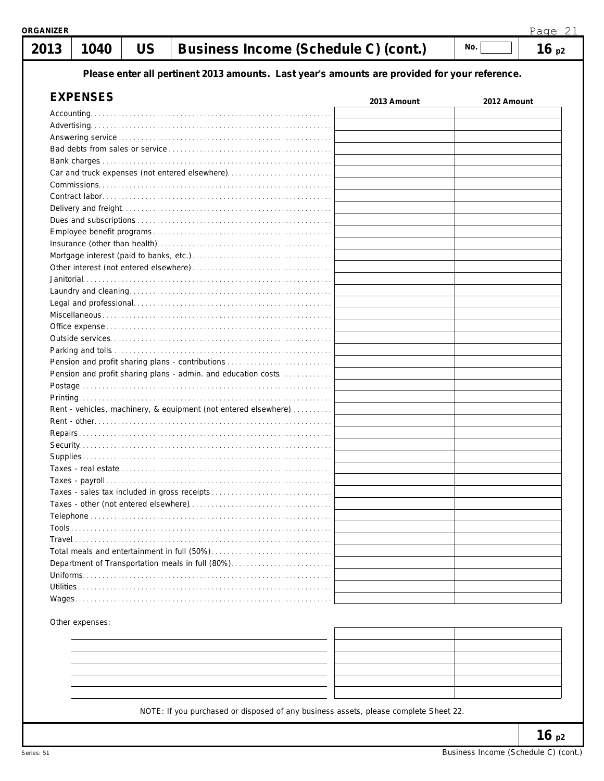|                 | Page 21<br>१GANIZER |                                                                                               |             |             |      |  |  |  |
|-----------------|---------------------|-----------------------------------------------------------------------------------------------|-------------|-------------|------|--|--|--|
| 2013<br>1040    | <b>US</b>           | Business Income (Schedule C) (cont.)                                                          |             | No.         | 16p2 |  |  |  |
|                 |                     | Please enter all pertinent 2013 amounts. Last year's amounts are provided for your reference. |             |             |      |  |  |  |
|                 |                     |                                                                                               |             |             |      |  |  |  |
| <b>EXPENSES</b> |                     |                                                                                               | 2013 Amount | 2012 Amount |      |  |  |  |
| Accounting.     |                     |                                                                                               |             |             |      |  |  |  |
|                 |                     |                                                                                               |             |             |      |  |  |  |
|                 |                     |                                                                                               |             |             |      |  |  |  |
|                 |                     |                                                                                               |             |             |      |  |  |  |
|                 |                     |                                                                                               |             |             |      |  |  |  |
|                 |                     | Car and truck expenses (not entered elsewhere)                                                |             |             |      |  |  |  |
|                 |                     |                                                                                               |             |             |      |  |  |  |
|                 |                     |                                                                                               |             |             |      |  |  |  |
|                 |                     |                                                                                               |             |             |      |  |  |  |
|                 |                     |                                                                                               |             |             |      |  |  |  |
|                 |                     |                                                                                               |             |             |      |  |  |  |
|                 |                     |                                                                                               |             |             |      |  |  |  |
|                 |                     |                                                                                               |             |             |      |  |  |  |
|                 |                     |                                                                                               |             |             |      |  |  |  |
|                 |                     |                                                                                               |             |             |      |  |  |  |
|                 |                     |                                                                                               |             |             |      |  |  |  |
|                 |                     |                                                                                               |             |             |      |  |  |  |
|                 |                     |                                                                                               |             |             |      |  |  |  |
|                 |                     |                                                                                               |             |             |      |  |  |  |
|                 |                     |                                                                                               |             |             |      |  |  |  |
|                 |                     |                                                                                               |             |             |      |  |  |  |
|                 |                     | Pension and profit sharing plans - contributions                                              |             |             |      |  |  |  |
|                 |                     | Pension and profit sharing plans - admin. and education costs                                 |             |             |      |  |  |  |
|                 |                     |                                                                                               |             |             |      |  |  |  |
|                 |                     |                                                                                               |             |             |      |  |  |  |
|                 |                     | Rent - vehicles, machinery, & equipment (not entered elsewhere)                               |             |             |      |  |  |  |
|                 |                     |                                                                                               |             |             |      |  |  |  |
|                 |                     |                                                                                               |             |             |      |  |  |  |
|                 |                     |                                                                                               |             |             |      |  |  |  |
|                 |                     |                                                                                               |             |             |      |  |  |  |
|                 |                     |                                                                                               |             |             |      |  |  |  |
|                 |                     |                                                                                               |             |             |      |  |  |  |
|                 |                     |                                                                                               |             |             |      |  |  |  |
|                 |                     |                                                                                               |             |             |      |  |  |  |
|                 |                     |                                                                                               |             |             |      |  |  |  |
|                 |                     |                                                                                               |             |             |      |  |  |  |
|                 |                     |                                                                                               |             |             |      |  |  |  |
|                 |                     |                                                                                               |             |             |      |  |  |  |
|                 |                     |                                                                                               |             |             |      |  |  |  |
|                 |                     |                                                                                               |             |             |      |  |  |  |
|                 |                     |                                                                                               |             |             |      |  |  |  |
|                 |                     |                                                                                               |             |             |      |  |  |  |

Other expenses:

|                                                                                 | <u>records and the contract of the contract of the contract of the contract of the contract of the contract of the contract of the contract of the contract of the contract of the contract of the contract of the contract of t</u> |  |
|---------------------------------------------------------------------------------|--------------------------------------------------------------------------------------------------------------------------------------------------------------------------------------------------------------------------------------|--|
|                                                                                 |                                                                                                                                                                                                                                      |  |
| and the control of the control of                                               |                                                                                                                                                                                                                                      |  |
|                                                                                 |                                                                                                                                                                                                                                      |  |
| the contract of the contract of the contract of the contract of the contract of |                                                                                                                                                                                                                                      |  |
|                                                                                 |                                                                                                                                                                                                                                      |  |

NOTE: If you purchased or disposed of any business assets, please complete Sheet 22.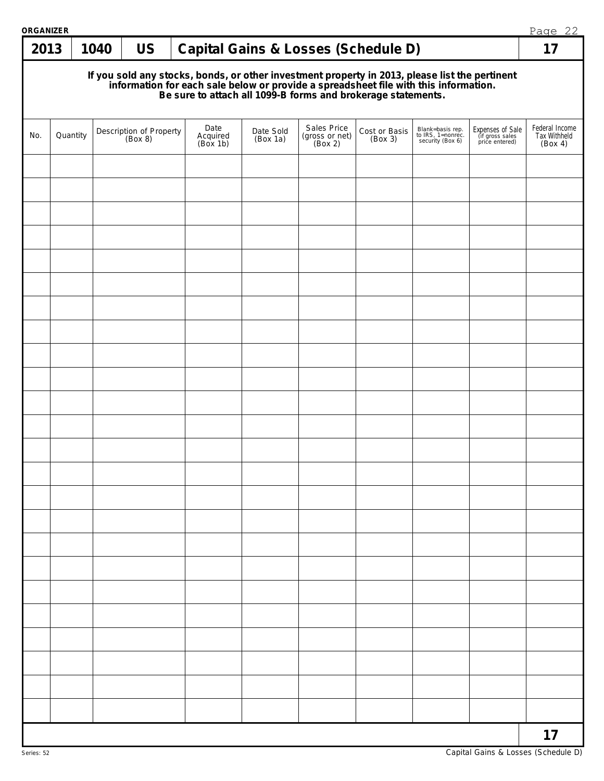| ORGANIZER |          |      |                                    |  |                              |                       |                                                                                                                                                                                                                                      | Page 22                  |                                                           |                                                       |                                           |
|-----------|----------|------|------------------------------------|--|------------------------------|-----------------------|--------------------------------------------------------------------------------------------------------------------------------------------------------------------------------------------------------------------------------------|--------------------------|-----------------------------------------------------------|-------------------------------------------------------|-------------------------------------------|
| 2013      |          | 1040 | <b>US</b>                          |  |                              |                       | Capital Gains & Losses (Schedule D)                                                                                                                                                                                                  |                          |                                                           |                                                       | 17                                        |
|           |          |      |                                    |  |                              |                       | If you sold any stocks, bonds, or other investment property in 2013, please list the pertinent<br>information for each sale below or provide a spreadsheet file with this information.<br>Be sure to attach all 1099-B forms and bro |                          |                                                           |                                                       |                                           |
| No.       | Quantity |      | Description of Property<br>(Box 8) |  | Date<br>Acquired<br>(Box 1b) | Date Sold<br>(Box 1a) | Sales Price<br>(gross or net)<br>(Box 2)                                                                                                                                                                                             | Cost or Basis<br>(Box 3) | Blank=basis rep.<br>to IRS, 1=nonrec.<br>security (Box 6) | Expenses of Sale<br>(if gross sales<br>price entered) | Federal Income<br>Tax Withheld<br>(Box 4) |
|           |          |      |                                    |  |                              |                       |                                                                                                                                                                                                                                      |                          |                                                           |                                                       |                                           |
|           |          |      |                                    |  |                              |                       |                                                                                                                                                                                                                                      |                          |                                                           |                                                       |                                           |
|           |          |      |                                    |  |                              |                       |                                                                                                                                                                                                                                      |                          |                                                           |                                                       |                                           |
|           |          |      |                                    |  |                              |                       |                                                                                                                                                                                                                                      |                          |                                                           |                                                       |                                           |
|           |          |      |                                    |  |                              |                       |                                                                                                                                                                                                                                      |                          |                                                           |                                                       |                                           |
|           |          |      |                                    |  |                              |                       |                                                                                                                                                                                                                                      |                          |                                                           |                                                       |                                           |
|           |          |      |                                    |  |                              |                       |                                                                                                                                                                                                                                      |                          |                                                           |                                                       |                                           |
|           |          |      |                                    |  |                              |                       |                                                                                                                                                                                                                                      |                          |                                                           |                                                       |                                           |
|           |          |      |                                    |  |                              |                       |                                                                                                                                                                                                                                      |                          |                                                           |                                                       |                                           |
|           |          |      |                                    |  |                              |                       |                                                                                                                                                                                                                                      |                          |                                                           |                                                       |                                           |
|           |          |      |                                    |  |                              |                       |                                                                                                                                                                                                                                      |                          |                                                           |                                                       |                                           |
|           |          |      |                                    |  |                              |                       |                                                                                                                                                                                                                                      |                          |                                                           |                                                       |                                           |
|           |          |      |                                    |  |                              |                       |                                                                                                                                                                                                                                      |                          |                                                           |                                                       |                                           |
|           |          |      |                                    |  |                              |                       |                                                                                                                                                                                                                                      |                          |                                                           |                                                       |                                           |
|           |          |      |                                    |  |                              |                       |                                                                                                                                                                                                                                      |                          |                                                           |                                                       |                                           |
|           |          |      |                                    |  |                              |                       |                                                                                                                                                                                                                                      |                          |                                                           |                                                       |                                           |
|           |          |      |                                    |  |                              |                       |                                                                                                                                                                                                                                      |                          |                                                           |                                                       |                                           |
|           |          |      |                                    |  |                              |                       |                                                                                                                                                                                                                                      |                          |                                                           |                                                       |                                           |
|           |          |      |                                    |  |                              |                       |                                                                                                                                                                                                                                      |                          |                                                           |                                                       |                                           |
|           |          |      |                                    |  |                              |                       |                                                                                                                                                                                                                                      |                          |                                                           |                                                       |                                           |
|           |          |      |                                    |  |                              |                       |                                                                                                                                                                                                                                      |                          |                                                           |                                                       |                                           |
|           |          |      |                                    |  |                              |                       |                                                                                                                                                                                                                                      |                          |                                                           |                                                       |                                           |
|           |          |      |                                    |  |                              |                       |                                                                                                                                                                                                                                      |                          |                                                           |                                                       |                                           |
|           |          |      |                                    |  |                              |                       |                                                                                                                                                                                                                                      |                          |                                                           |                                                       |                                           |
|           |          |      |                                    |  |                              |                       |                                                                                                                                                                                                                                      |                          |                                                           |                                                       | 17                                        |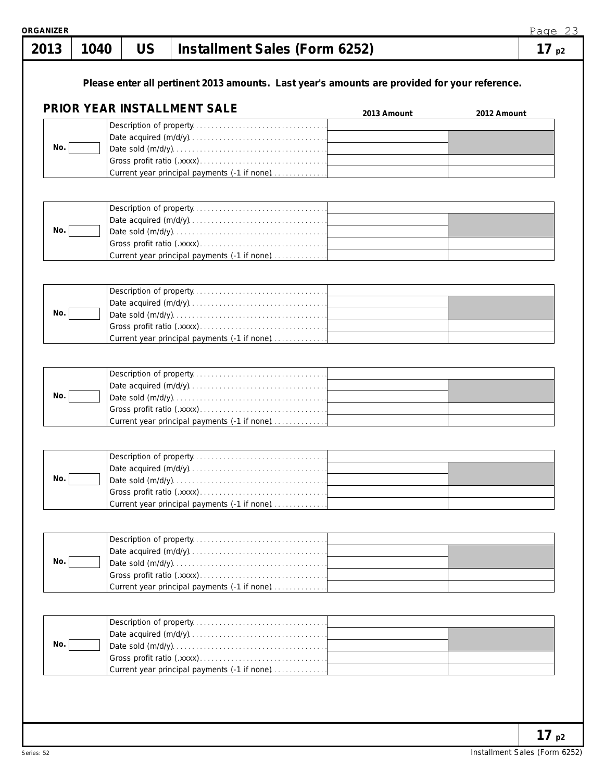|     |  | Please enter all pertinent 2013 amounts. Last year's amounts are provided for your reference.<br>PRIOR YEAR INSTALLMENT SALE | 2013 Amount | 2012 Amount |
|-----|--|------------------------------------------------------------------------------------------------------------------------------|-------------|-------------|
|     |  |                                                                                                                              |             |             |
| No. |  | Current year principal payments (-1 if none)                                                                                 |             |             |
|     |  |                                                                                                                              |             |             |
| No. |  | Current year principal payments (-1 if none)                                                                                 |             |             |
|     |  |                                                                                                                              |             |             |
| No. |  |                                                                                                                              |             |             |
|     |  |                                                                                                                              |             |             |
| No. |  | Current year principal payments (-1 if none)                                                                                 |             |             |
|     |  |                                                                                                                              |             |             |
| No. |  |                                                                                                                              |             |             |
|     |  | Current year principal payments (-1 if none)                                                                                 |             |             |
|     |  |                                                                                                                              |             |             |
| No. |  |                                                                                                                              |             |             |
|     |  | Current year principal payments (-1 if none)                                                                                 |             |             |
|     |  |                                                                                                                              |             |             |
| No. |  |                                                                                                                              |             |             |
|     |  | Current year principal payments (-1 if none)                                                                                 |             |             |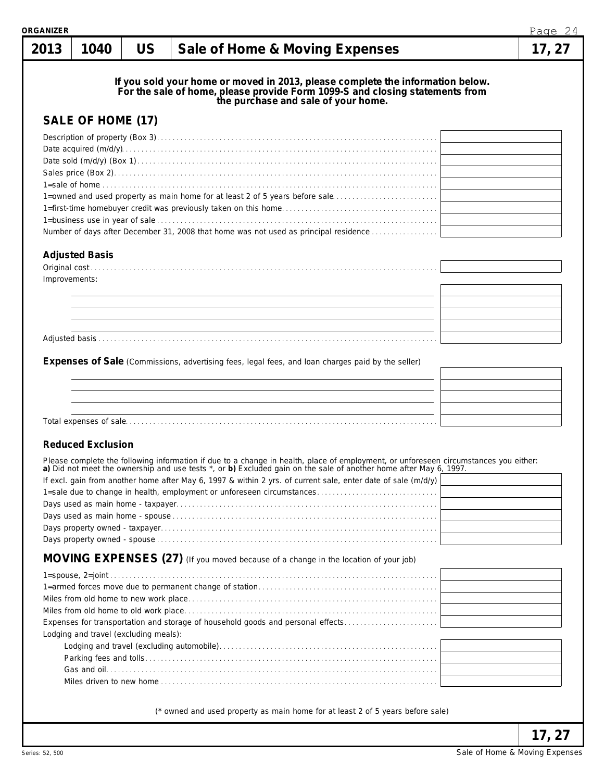| १GANIZER      |                                       |           |                                                                                                                                                                                                                                                                                                                                                                                                                           | Page 24 |
|---------------|---------------------------------------|-----------|---------------------------------------------------------------------------------------------------------------------------------------------------------------------------------------------------------------------------------------------------------------------------------------------------------------------------------------------------------------------------------------------------------------------------|---------|
| 2013          | 1040                                  | <b>US</b> | Sale of Home & Moving Expenses                                                                                                                                                                                                                                                                                                                                                                                            | 17, 27  |
|               | SALE OF HOME (17)                     |           | If you sold your home or moved in 2013, please complete the information below.<br>For the sale of home, please provide Form 1099-S and closing statements from<br>the purchase and sale of your home.<br>1=owned and used property as main home for at least 2 of 5 years before sale                                                                                                                                     |         |
|               |                                       |           | Number of days after December 31, 2008 that home was not used as principal residence                                                                                                                                                                                                                                                                                                                                      |         |
| Improvements: | <b>Adjusted Basis</b>                 |           |                                                                                                                                                                                                                                                                                                                                                                                                                           |         |
|               |                                       |           |                                                                                                                                                                                                                                                                                                                                                                                                                           |         |
|               | <b>Reduced Exclusion</b>              |           |                                                                                                                                                                                                                                                                                                                                                                                                                           |         |
|               |                                       |           | Please complete the following information if due to a change in health, place of employment, or unforeseen circumstances you either: a) Did not meet the ownership and use tests *, or b) Excluded gain on the sale of another<br>If excl. gain from another home after May 6, 1997 & within 2 yrs. of current sale, enter date of sale (m/d/y)<br>1=sale due to change in health, employment or unforeseen circumstances |         |
|               | Lodging and travel (excluding meals): |           | MOVING EXPENSES (27) (If you moved because of a change in the location of your job)<br>Expenses for transportation and storage of household goods and personal effects                                                                                                                                                                                                                                                    |         |
|               |                                       |           |                                                                                                                                                                                                                                                                                                                                                                                                                           |         |
|               |                                       |           | (* owned and used property as main home for at least 2 of 5 years before sale)                                                                                                                                                                                                                                                                                                                                            | 17, 27  |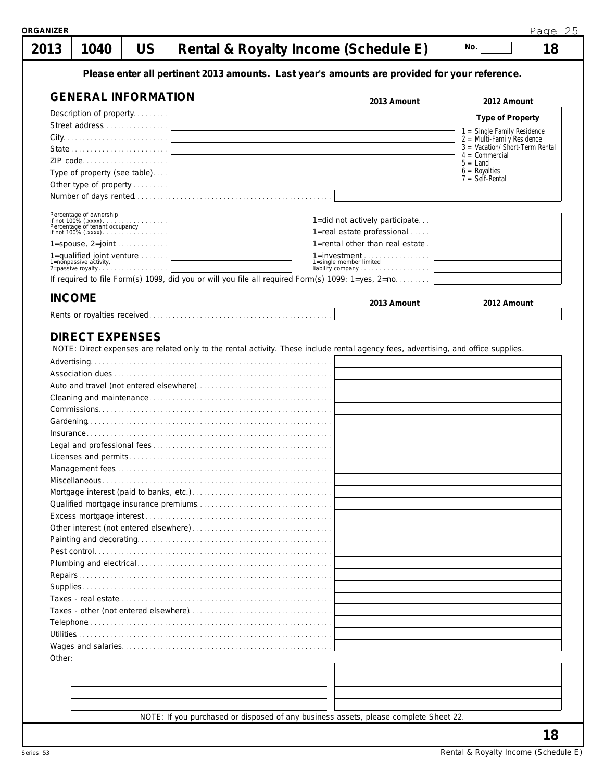| 2013<br>1040                                                 | <b>US</b> | Rental & Royalty Income (Schedule E)                                                              | 18<br>No.                                            |
|--------------------------------------------------------------|-----------|---------------------------------------------------------------------------------------------------|------------------------------------------------------|
|                                                              |           | Please enter all pertinent 2013 amounts. Last year's amounts are provided for your reference.     |                                                      |
| <b>GENERAL INFORMATION</b>                                   |           | 2013 Amount                                                                                       | 2012 Amount                                          |
| Description of property                                      |           |                                                                                                   | <b>Type of Property</b>                              |
|                                                              |           |                                                                                                   | $1 =$ Single Family Residence                        |
|                                                              |           |                                                                                                   | $2 =$ Multi-Family Residence                         |
|                                                              |           |                                                                                                   | $3 =$ Vacation/Short-Term Rental<br>$4 =$ Commercial |
|                                                              |           |                                                                                                   | $5 =$ Land<br>$6 = \text{Royalties}$                 |
| Type of property (see table)                                 |           |                                                                                                   | $7 = \text{Self-Rental}$                             |
|                                                              |           |                                                                                                   |                                                      |
| Percentage of ownership<br>if not 100% (.xxxx)               |           | 1=did not actively participate                                                                    |                                                      |
| Percentage of tenant occupancy                               |           | 1=real estate professional                                                                        |                                                      |
| $1 =$ spouse, $2 =$ joint                                    |           | 1=rental other than real estate.                                                                  |                                                      |
| 1=qualified joint venture $\ldots$<br>1=nonpassive activity, |           | 1=single member limited                                                                           |                                                      |
| 1=nonpassive activity,<br>2=passive royalty                  |           |                                                                                                   |                                                      |
|                                                              |           | If required to file Form(s) 1099, did you or will you file all required Form(s) 1099: 1=yes, 2=no |                                                      |
| <b>INCOME</b>                                                |           | 2013 Amount                                                                                       | 2012 Amount                                          |
|                                                              |           |                                                                                                   |                                                      |
|                                                              |           |                                                                                                   |                                                      |
|                                                              |           |                                                                                                   |                                                      |
|                                                              |           |                                                                                                   |                                                      |
|                                                              |           |                                                                                                   |                                                      |
|                                                              |           |                                                                                                   |                                                      |
|                                                              |           |                                                                                                   |                                                      |
|                                                              |           |                                                                                                   |                                                      |
|                                                              |           |                                                                                                   |                                                      |
|                                                              |           |                                                                                                   |                                                      |
|                                                              |           |                                                                                                   |                                                      |
|                                                              |           |                                                                                                   |                                                      |
|                                                              |           |                                                                                                   |                                                      |
|                                                              |           |                                                                                                   |                                                      |
|                                                              |           |                                                                                                   |                                                      |
|                                                              |           |                                                                                                   |                                                      |
|                                                              |           |                                                                                                   |                                                      |
|                                                              |           |                                                                                                   |                                                      |
|                                                              |           |                                                                                                   |                                                      |
|                                                              |           |                                                                                                   |                                                      |
|                                                              |           |                                                                                                   |                                                      |
| Other:                                                       |           |                                                                                                   |                                                      |
|                                                              |           |                                                                                                   |                                                      |
|                                                              |           |                                                                                                   |                                                      |
|                                                              |           |                                                                                                   |                                                      |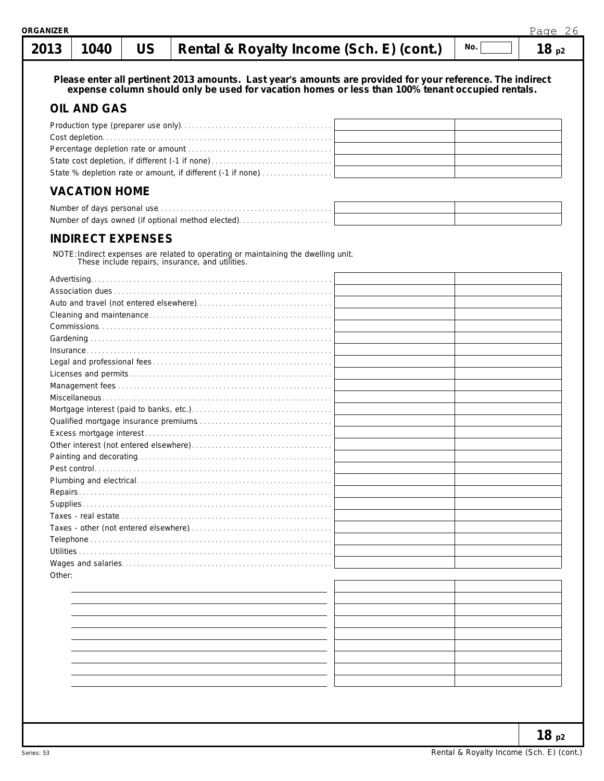#### **1040 US**  $\begin{bmatrix} \text{Path 1} \\ \text{Path 2} \end{bmatrix}$  **Repose**  $\begin{bmatrix} \text{R}_1 \\ \text{R}_2 \end{bmatrix}$  **Paper Properties Properties Properties**  $N<sub>0</sub>$ **2013** H

Page 26

| נו ט∠    | TU40                 | UJ                       |                                                                                                                                        | Rental & Royalty Income (Sch. E) (Cont.)                                                                                                                                                                       | $\cdots$ | 10p2 |
|----------|----------------------|--------------------------|----------------------------------------------------------------------------------------------------------------------------------------|----------------------------------------------------------------------------------------------------------------------------------------------------------------------------------------------------------------|----------|------|
|          |                      |                          |                                                                                                                                        | Please enter all pertinent 2013 amounts. Last year's amounts are provided for your reference. The indirect<br>expense column should only be used for vacation homes or less than 100% tenant occupied rentals. |          |      |
|          | <b>OIL AND GAS</b>   |                          |                                                                                                                                        |                                                                                                                                                                                                                |          |      |
|          |                      |                          |                                                                                                                                        |                                                                                                                                                                                                                |          |      |
|          |                      |                          |                                                                                                                                        |                                                                                                                                                                                                                |          |      |
|          |                      |                          |                                                                                                                                        |                                                                                                                                                                                                                |          |      |
|          |                      |                          |                                                                                                                                        |                                                                                                                                                                                                                |          |      |
|          |                      |                          |                                                                                                                                        |                                                                                                                                                                                                                |          |      |
|          |                      |                          | State % depletion rate or amount, if different (-1 if none)                                                                            |                                                                                                                                                                                                                |          |      |
|          | <b>VACATION HOME</b> |                          |                                                                                                                                        |                                                                                                                                                                                                                |          |      |
|          |                      |                          |                                                                                                                                        |                                                                                                                                                                                                                |          |      |
|          |                      |                          | Number of days owned (if optional method elected)                                                                                      |                                                                                                                                                                                                                |          |      |
|          |                      | <b>INDIRECT EXPENSES</b> |                                                                                                                                        |                                                                                                                                                                                                                |          |      |
|          |                      |                          | NOTE: Indirect expenses are related to operating or maintaining the dwelling unit.<br>These include repairs, insurance, and utilities. |                                                                                                                                                                                                                |          |      |
|          |                      |                          |                                                                                                                                        |                                                                                                                                                                                                                |          |      |
|          |                      |                          |                                                                                                                                        |                                                                                                                                                                                                                |          |      |
|          |                      |                          |                                                                                                                                        |                                                                                                                                                                                                                |          |      |
|          |                      |                          |                                                                                                                                        |                                                                                                                                                                                                                |          |      |
|          |                      |                          |                                                                                                                                        |                                                                                                                                                                                                                |          |      |
|          |                      |                          |                                                                                                                                        |                                                                                                                                                                                                                |          |      |
|          |                      |                          |                                                                                                                                        |                                                                                                                                                                                                                |          |      |
|          |                      |                          |                                                                                                                                        |                                                                                                                                                                                                                |          |      |
|          |                      |                          |                                                                                                                                        |                                                                                                                                                                                                                |          |      |
|          |                      |                          |                                                                                                                                        |                                                                                                                                                                                                                |          |      |
|          |                      |                          |                                                                                                                                        |                                                                                                                                                                                                                |          |      |
|          |                      |                          |                                                                                                                                        |                                                                                                                                                                                                                |          |      |
|          |                      |                          |                                                                                                                                        |                                                                                                                                                                                                                |          |      |
|          |                      |                          |                                                                                                                                        |                                                                                                                                                                                                                |          |      |
|          |                      |                          |                                                                                                                                        |                                                                                                                                                                                                                |          |      |
|          |                      |                          |                                                                                                                                        |                                                                                                                                                                                                                |          |      |
|          |                      |                          |                                                                                                                                        |                                                                                                                                                                                                                |          |      |
|          |                      |                          |                                                                                                                                        |                                                                                                                                                                                                                |          |      |
| Repairs. |                      |                          |                                                                                                                                        |                                                                                                                                                                                                                |          |      |
|          |                      |                          |                                                                                                                                        |                                                                                                                                                                                                                |          |      |
|          |                      |                          |                                                                                                                                        |                                                                                                                                                                                                                |          |      |
|          |                      |                          |                                                                                                                                        |                                                                                                                                                                                                                |          |      |
|          |                      |                          |                                                                                                                                        |                                                                                                                                                                                                                |          |      |
|          |                      |                          |                                                                                                                                        |                                                                                                                                                                                                                |          |      |
|          |                      |                          |                                                                                                                                        |                                                                                                                                                                                                                |          |      |
| Other:   |                      |                          |                                                                                                                                        |                                                                                                                                                                                                                |          |      |
|          |                      |                          |                                                                                                                                        |                                                                                                                                                                                                                |          |      |
|          |                      |                          |                                                                                                                                        |                                                                                                                                                                                                                |          |      |
|          |                      |                          |                                                                                                                                        |                                                                                                                                                                                                                |          |      |
|          |                      |                          |                                                                                                                                        |                                                                                                                                                                                                                |          |      |
|          |                      |                          |                                                                                                                                        |                                                                                                                                                                                                                |          |      |
|          |                      |                          |                                                                                                                                        |                                                                                                                                                                                                                |          |      |
|          |                      |                          |                                                                                                                                        |                                                                                                                                                                                                                |          |      |
|          |                      |                          |                                                                                                                                        |                                                                                                                                                                                                                |          |      |
|          |                      |                          |                                                                                                                                        |                                                                                                                                                                                                                |          |      |
|          |                      |                          |                                                                                                                                        |                                                                                                                                                                                                                |          |      |
|          |                      |                          |                                                                                                                                        |                                                                                                                                                                                                                |          |      |
|          |                      |                          |                                                                                                                                        |                                                                                                                                                                                                                |          |      |
|          |                      |                          |                                                                                                                                        |                                                                                                                                                                                                                |          |      |
|          |                      |                          |                                                                                                                                        |                                                                                                                                                                                                                |          |      |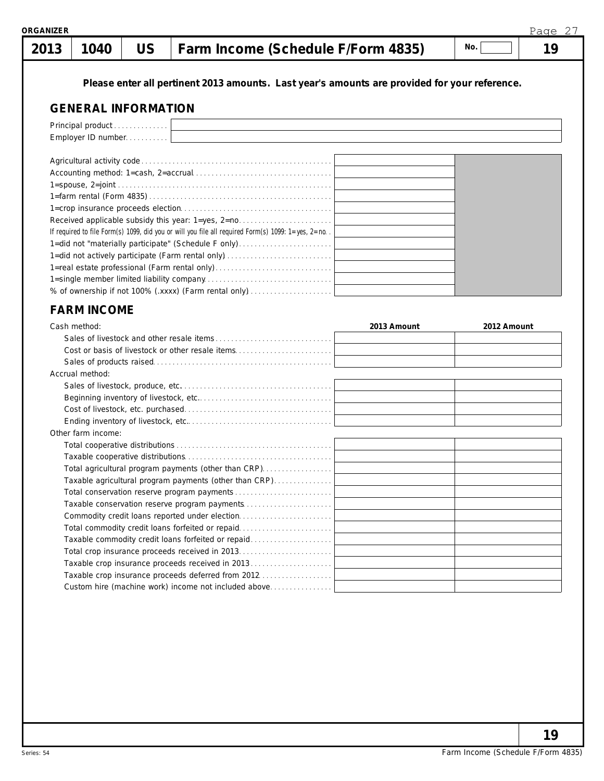| יישובוייי |  |                                                       |     | L UUC |
|-----------|--|-------------------------------------------------------|-----|-------|
|           |  | 2013   1040   US   Farm Income (Schedule F/Form 4835) | No. | 19    |

**Please enter all pertinent 2013 amounts. Last year's amounts are provided for your reference.**

#### **GENERAL INFORMATION**

| Principal product<br>Employer ID number                                                            |  |  |  |  |  |
|----------------------------------------------------------------------------------------------------|--|--|--|--|--|
|                                                                                                    |  |  |  |  |  |
|                                                                                                    |  |  |  |  |  |
|                                                                                                    |  |  |  |  |  |
|                                                                                                    |  |  |  |  |  |
|                                                                                                    |  |  |  |  |  |
|                                                                                                    |  |  |  |  |  |
| Received applicable subsidy this year: 1=yes, 2=no                                                 |  |  |  |  |  |
| If required to file Form(s) 1099, did you or will you file all required Form(s) 1099: 1=yes, 2=no. |  |  |  |  |  |
| 1=did not "materially participate" (Schedule F only)                                               |  |  |  |  |  |
|                                                                                                    |  |  |  |  |  |
|                                                                                                    |  |  |  |  |  |
|                                                                                                    |  |  |  |  |  |
| % of ownership if not 100% (.xxxx) (Farm rental only)                                              |  |  |  |  |  |

#### **FARM INCOME**

| Cash method:                                           | 2013 Amount | 2012 Amount |
|--------------------------------------------------------|-------------|-------------|
|                                                        |             |             |
| Cost or basis of livestock or other resale items       |             |             |
|                                                        |             |             |
| Accrual method:                                        |             |             |
|                                                        |             |             |
|                                                        |             |             |
|                                                        |             |             |
|                                                        |             |             |
| Other farm income:                                     |             |             |
|                                                        |             |             |
|                                                        |             |             |
| Total agricultural program payments (other than CRP)   |             |             |
| Taxable agricultural program payments (other than CRP) |             |             |
|                                                        |             |             |
| Taxable conservation reserve program payments          |             |             |
| Commodity credit loans reported under election         |             |             |
| Total commodity credit loans forfeited or repaid       |             |             |
| Taxable commodity credit loans forfeited or repaid     |             |             |
|                                                        |             |             |
| Taxable crop insurance proceeds received in 2013       |             |             |
|                                                        |             |             |
| Custom hire (machine work) income not included above   |             |             |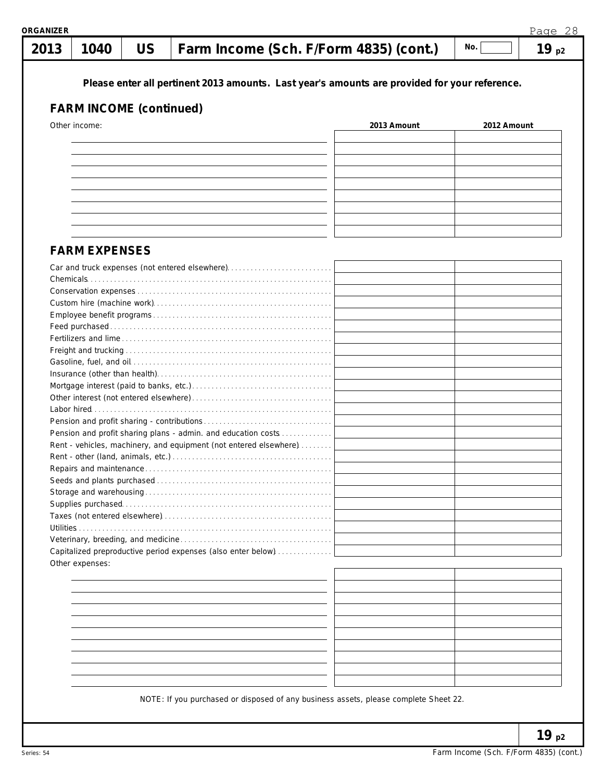| 2013 | 1040                           | <b>US</b> | Farm Income (Sch. F/Form 4835) (cont.)                                                        |             | No.         | 19p2 |
|------|--------------------------------|-----------|-----------------------------------------------------------------------------------------------|-------------|-------------|------|
|      | <b>FARM INCOME (continued)</b> |           | Please enter all pertinent 2013 amounts. Last year's amounts are provided for your reference. |             |             |      |
|      | Other income:                  |           |                                                                                               | 2013 Amount | 2012 Amount |      |
|      |                                |           |                                                                                               |             |             |      |
|      |                                |           |                                                                                               |             |             |      |
|      |                                |           |                                                                                               |             |             |      |
|      |                                |           |                                                                                               |             |             |      |
|      |                                |           |                                                                                               |             |             |      |
|      |                                |           |                                                                                               |             |             |      |
|      |                                |           |                                                                                               |             |             |      |
|      |                                |           |                                                                                               |             |             |      |
|      | <b>FARM EXPENSES</b>           |           |                                                                                               |             |             |      |
|      |                                |           | Car and truck expenses (not entered elsewhere)                                                |             |             |      |
|      |                                |           |                                                                                               |             |             |      |
|      |                                |           |                                                                                               |             |             |      |
|      |                                |           |                                                                                               |             |             |      |
|      |                                |           |                                                                                               |             |             |      |
|      |                                |           |                                                                                               |             |             |      |
|      |                                |           |                                                                                               |             |             |      |
|      |                                |           |                                                                                               |             |             |      |
|      |                                |           |                                                                                               |             |             |      |
|      |                                |           |                                                                                               |             |             |      |
|      |                                |           |                                                                                               |             |             |      |
|      |                                |           |                                                                                               |             |             |      |
|      |                                |           | Pension and profit sharing plans - admin. and education costs                                 |             |             |      |
|      |                                |           | Rent - vehicles, machinery, and equipment (not entered elsewhere)                             |             |             |      |
|      |                                |           |                                                                                               |             |             |      |
|      |                                |           |                                                                                               |             |             |      |
|      |                                |           |                                                                                               |             |             |      |
|      |                                |           |                                                                                               |             |             |      |
|      |                                |           |                                                                                               |             |             |      |
|      |                                |           |                                                                                               |             |             |      |
|      |                                |           |                                                                                               |             |             |      |
|      |                                |           | Capitalized preproductive period expenses (also enter below)                                  |             |             |      |
|      | Other expenses:                |           |                                                                                               |             |             |      |
|      |                                |           |                                                                                               |             |             |      |
|      |                                |           |                                                                                               |             |             |      |
|      |                                |           |                                                                                               |             |             |      |
|      |                                |           |                                                                                               |             |             |      |
|      |                                |           |                                                                                               |             |             |      |
|      |                                |           |                                                                                               |             |             |      |
|      |                                |           |                                                                                               |             |             |      |
|      |                                |           |                                                                                               |             |             |      |
|      |                                |           |                                                                                               |             |             |      |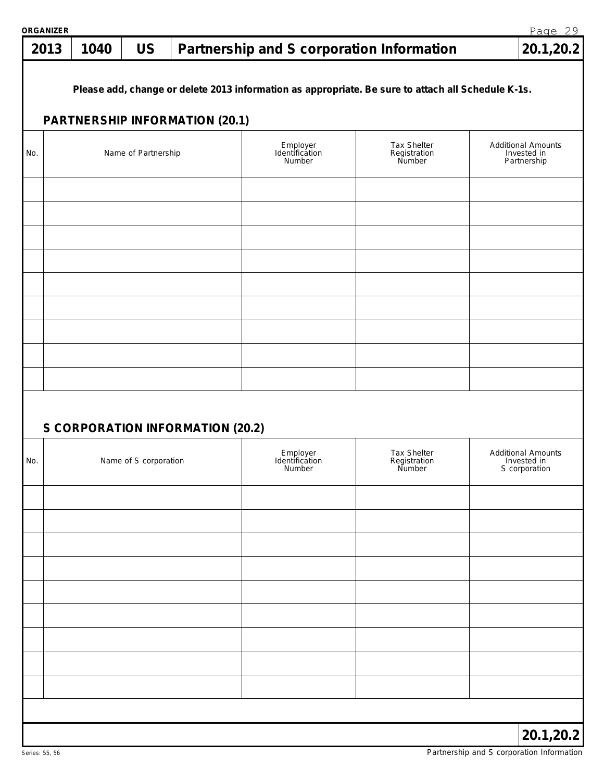#### **1040 US Partnership and S corporation Information 20.1,20.2 2013**

**Please add, change or delete 2013 information as appropriate. Be sure to attach all Schedule K-1s.**

#### **PARTNERSHIP INFORMATION (20.1)**

| No. | .<br>Name of Partnership         | Employer<br>Identification<br>Number | Tax Shelter<br>Registration<br>Number | <b>Additional Amounts</b><br>Invested in<br>Partnership   |
|-----|----------------------------------|--------------------------------------|---------------------------------------|-----------------------------------------------------------|
|     |                                  |                                      |                                       |                                                           |
|     |                                  |                                      |                                       |                                                           |
|     |                                  |                                      |                                       |                                                           |
|     |                                  |                                      |                                       |                                                           |
|     |                                  |                                      |                                       |                                                           |
|     |                                  |                                      |                                       |                                                           |
|     |                                  |                                      |                                       |                                                           |
|     |                                  |                                      |                                       |                                                           |
|     |                                  |                                      |                                       |                                                           |
|     | S CORPORATION INFORMATION (20.2) |                                      |                                       |                                                           |
| No. | Name of S corporation            | Employer<br>Identification<br>Number | Tax Shelter<br>Registration<br>Number | <b>Additional Amounts</b><br>Invested in<br>S corporation |
|     |                                  |                                      |                                       |                                                           |
|     |                                  |                                      |                                       |                                                           |
|     |                                  |                                      |                                       |                                                           |
|     |                                  |                                      |                                       |                                                           |
|     |                                  |                                      |                                       |                                                           |
|     |                                  |                                      |                                       |                                                           |
|     |                                  |                                      |                                       |                                                           |
|     |                                  |                                      |                                       |                                                           |
|     |                                  |                                      |                                       |                                                           |
|     |                                  |                                      |                                       |                                                           |

Page 29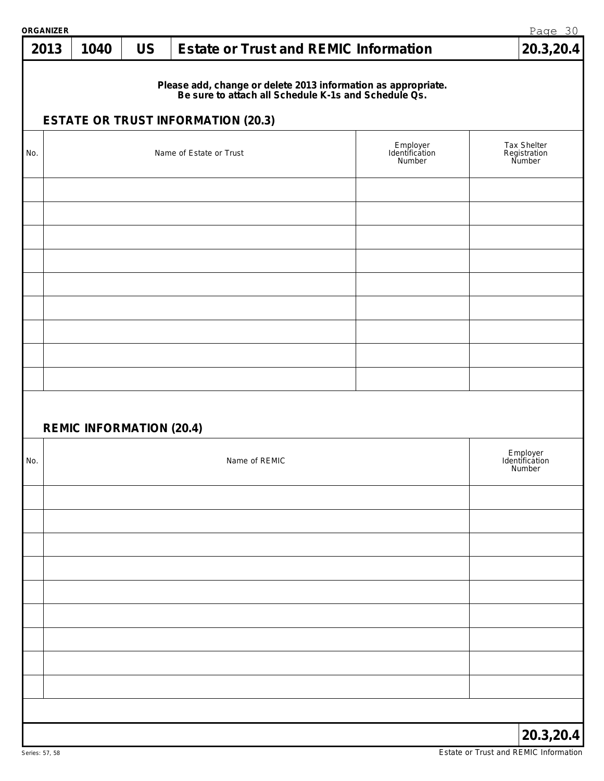| ORGANIZER |                                 |           |                                                                                                                                                                    |                                      | Page 30                               |
|-----------|---------------------------------|-----------|--------------------------------------------------------------------------------------------------------------------------------------------------------------------|--------------------------------------|---------------------------------------|
| 2013      | 1040                            | <b>US</b> | <b>Estate or Trust and REMIC Information</b>                                                                                                                       |                                      | 20.3,20.4                             |
|           |                                 |           | Please add, change or delete 2013 information as appropriate.<br>Be sure to attach all Schedule K-1s and Schedule Qs.<br><b>ESTATE OR TRUST INFORMATION (20.3)</b> |                                      |                                       |
|           |                                 |           |                                                                                                                                                                    |                                      |                                       |
| No.       |                                 |           | Name of Estate or Trust                                                                                                                                            | Employer<br>Identification<br>Number | Tax Shelter<br>Registration<br>Number |
|           |                                 |           |                                                                                                                                                                    |                                      |                                       |
|           |                                 |           |                                                                                                                                                                    |                                      |                                       |
|           |                                 |           |                                                                                                                                                                    |                                      |                                       |
|           |                                 |           |                                                                                                                                                                    |                                      |                                       |
|           |                                 |           |                                                                                                                                                                    |                                      |                                       |
|           |                                 |           |                                                                                                                                                                    |                                      |                                       |
|           | <b>REMIC INFORMATION (20.4)</b> |           |                                                                                                                                                                    |                                      |                                       |
| No.       |                                 |           | Name of REMIC                                                                                                                                                      |                                      | Employer<br>Identification<br>Number  |
|           |                                 |           |                                                                                                                                                                    |                                      |                                       |
|           |                                 |           |                                                                                                                                                                    |                                      |                                       |
|           |                                 |           |                                                                                                                                                                    |                                      |                                       |
|           |                                 |           |                                                                                                                                                                    |                                      |                                       |
|           |                                 |           |                                                                                                                                                                    |                                      |                                       |
|           |                                 |           |                                                                                                                                                                    |                                      |                                       |
|           |                                 |           |                                                                                                                                                                    |                                      |                                       |
|           |                                 |           |                                                                                                                                                                    |                                      | 20.3,20.4                             |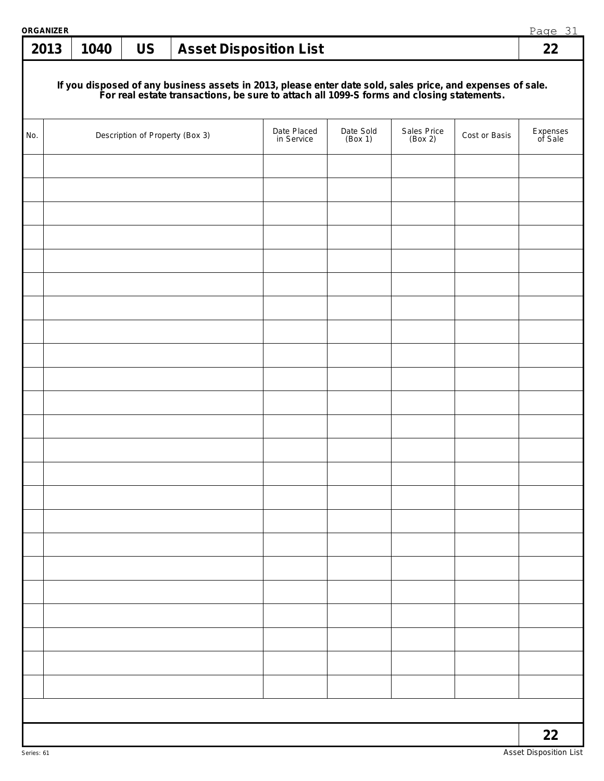| ORGANIZER |      |                                 |                                                                                                                                                                                                        |                      |                        |               | Page 31             |
|-----------|------|---------------------------------|--------------------------------------------------------------------------------------------------------------------------------------------------------------------------------------------------------|----------------------|------------------------|---------------|---------------------|
| 2013      | 1040 | <b>US</b>                       | <b>Asset Disposition List</b>                                                                                                                                                                          |                      |                        |               | 22                  |
|           |      |                                 | If you disposed of any business assets in 2013, please enter date sold, sales price, and expenses of sale.<br>For real estate transactions, be sure to attach all 1099-S forms and closing statements. |                      |                        |               |                     |
| No.       |      | Description of Property (Box 3) | Date Placed<br>in Service                                                                                                                                                                              | Date Sold<br>(Box 1) | Sales Price<br>(Box 2) | Cost or Basis | Expenses<br>of Sale |
|           |      |                                 |                                                                                                                                                                                                        |                      |                        |               |                     |
|           |      |                                 |                                                                                                                                                                                                        |                      |                        |               |                     |
|           |      |                                 |                                                                                                                                                                                                        |                      |                        |               |                     |
|           |      |                                 |                                                                                                                                                                                                        |                      |                        |               |                     |
|           |      |                                 |                                                                                                                                                                                                        |                      |                        |               |                     |
|           |      |                                 |                                                                                                                                                                                                        |                      |                        |               |                     |
|           |      |                                 |                                                                                                                                                                                                        |                      |                        |               |                     |
|           |      |                                 |                                                                                                                                                                                                        |                      |                        |               |                     |
|           |      |                                 |                                                                                                                                                                                                        |                      |                        |               |                     |
|           |      |                                 |                                                                                                                                                                                                        |                      |                        |               |                     |
|           |      |                                 |                                                                                                                                                                                                        |                      |                        |               |                     |
|           |      |                                 |                                                                                                                                                                                                        |                      |                        |               |                     |
|           |      |                                 |                                                                                                                                                                                                        |                      |                        |               |                     |
|           |      |                                 |                                                                                                                                                                                                        |                      |                        |               |                     |
|           |      |                                 |                                                                                                                                                                                                        |                      |                        |               |                     |
|           |      |                                 |                                                                                                                                                                                                        |                      |                        |               |                     |
|           |      |                                 |                                                                                                                                                                                                        |                      |                        |               |                     |
|           |      |                                 |                                                                                                                                                                                                        |                      |                        |               |                     |
|           |      |                                 |                                                                                                                                                                                                        |                      |                        |               |                     |
|           |      |                                 |                                                                                                                                                                                                        |                      |                        |               |                     |
|           |      |                                 |                                                                                                                                                                                                        |                      |                        |               |                     |
|           |      |                                 |                                                                                                                                                                                                        |                      |                        |               |                     |
|           |      |                                 |                                                                                                                                                                                                        |                      |                        |               |                     |
|           |      |                                 |                                                                                                                                                                                                        |                      |                        |               | 22                  |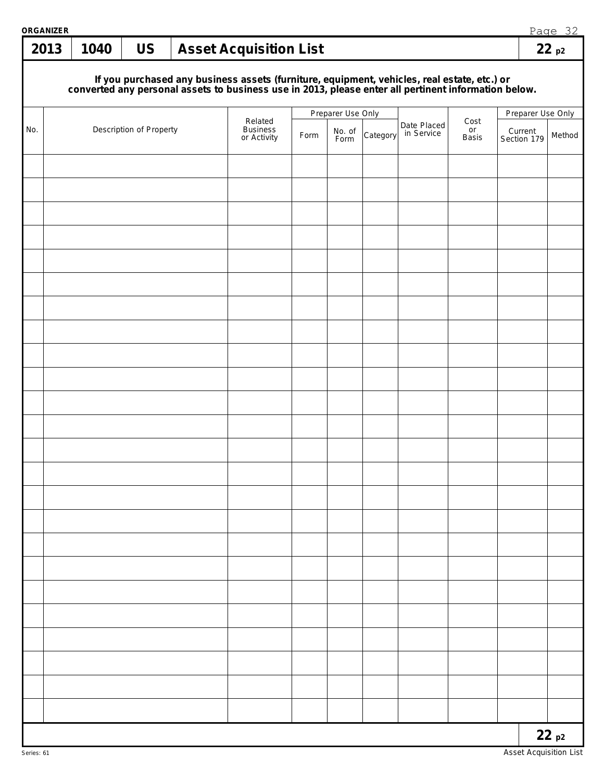| ORGANIZER<br>2013 | 1040                                                                                                                                                                                                                                          | <b>US</b>               |  | <b>Asset Acquisition List</b>             |      |                |          |                           |                     |                        | Page 32<br>22p2 |
|-------------------|-----------------------------------------------------------------------------------------------------------------------------------------------------------------------------------------------------------------------------------------------|-------------------------|--|-------------------------------------------|------|----------------|----------|---------------------------|---------------------|------------------------|-----------------|
|                   |                                                                                                                                                                                                                                               |                         |  |                                           |      |                |          |                           |                     |                        |                 |
|                   | If you purchased any business assets (furniture, equipment, vehicles, real estate, etc.) or<br>converted any personal assets to business use in 2013, please enter all pertinent information below.<br>Preparer Use Only<br>Preparer Use Only |                         |  |                                           |      |                |          |                           |                     |                        |                 |
| No.               |                                                                                                                                                                                                                                               | Description of Property |  | Related<br><b>Business</b><br>or Activity | Form | No. of<br>Form | Category | Date Placed<br>in Service | Cost<br>or<br>Basis | Current<br>Section 179 | Method          |
|                   |                                                                                                                                                                                                                                               |                         |  |                                           |      |                |          |                           |                     |                        |                 |
|                   |                                                                                                                                                                                                                                               |                         |  |                                           |      |                |          |                           |                     |                        |                 |
|                   |                                                                                                                                                                                                                                               |                         |  |                                           |      |                |          |                           |                     |                        |                 |
|                   |                                                                                                                                                                                                                                               |                         |  |                                           |      |                |          |                           |                     |                        |                 |
|                   |                                                                                                                                                                                                                                               |                         |  |                                           |      |                |          |                           |                     |                        |                 |
|                   |                                                                                                                                                                                                                                               |                         |  |                                           |      |                |          |                           |                     |                        |                 |
|                   |                                                                                                                                                                                                                                               |                         |  |                                           |      |                |          |                           |                     |                        |                 |
|                   |                                                                                                                                                                                                                                               |                         |  |                                           |      |                |          |                           |                     |                        |                 |
|                   |                                                                                                                                                                                                                                               |                         |  |                                           |      |                |          |                           |                     |                        |                 |
|                   |                                                                                                                                                                                                                                               |                         |  |                                           |      |                |          |                           |                     |                        |                 |
|                   |                                                                                                                                                                                                                                               |                         |  |                                           |      |                |          |                           |                     |                        |                 |
|                   |                                                                                                                                                                                                                                               |                         |  |                                           |      |                |          |                           |                     |                        |                 |
|                   |                                                                                                                                                                                                                                               |                         |  |                                           |      |                |          |                           |                     |                        |                 |
|                   |                                                                                                                                                                                                                                               |                         |  |                                           |      |                |          |                           |                     |                        |                 |
|                   |                                                                                                                                                                                                                                               |                         |  |                                           |      |                |          |                           |                     |                        |                 |
|                   |                                                                                                                                                                                                                                               |                         |  |                                           |      |                |          |                           |                     |                        |                 |
|                   |                                                                                                                                                                                                                                               |                         |  |                                           |      |                |          |                           |                     |                        |                 |
|                   |                                                                                                                                                                                                                                               |                         |  |                                           |      |                |          |                           |                     |                        |                 |
|                   |                                                                                                                                                                                                                                               |                         |  |                                           |      |                |          |                           |                     |                        |                 |
|                   |                                                                                                                                                                                                                                               |                         |  |                                           |      |                |          |                           |                     |                        |                 |
|                   |                                                                                                                                                                                                                                               |                         |  |                                           |      |                |          |                           |                     |                        |                 |
|                   |                                                                                                                                                                                                                                               |                         |  |                                           |      |                |          |                           |                     |                        |                 |
|                   |                                                                                                                                                                                                                                               |                         |  |                                           |      |                |          |                           |                     |                        | 22p2            |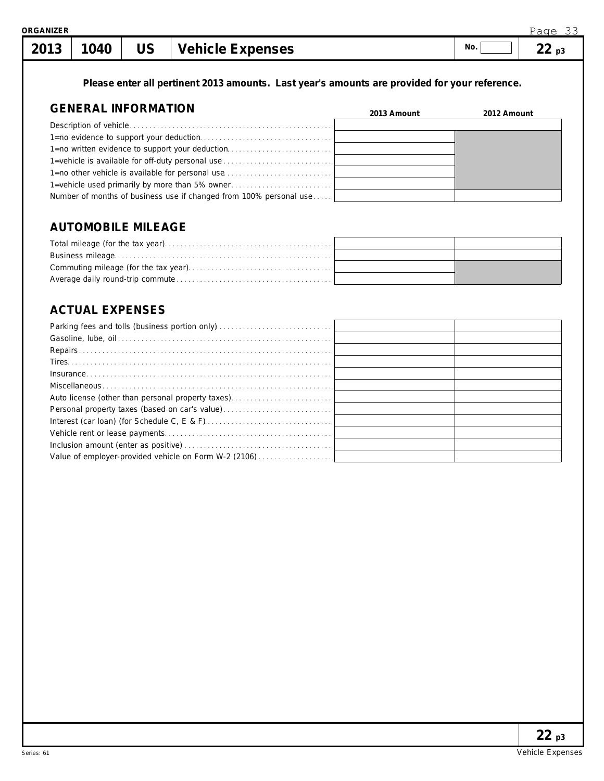**Please enter all pertinent 2013 amounts. Last year's amounts are provided for your reference.**

#### **GENERAL INFORMATION**

| GENERAL INFORMATION                                                | 2013 Amount | 2012 Amount |
|--------------------------------------------------------------------|-------------|-------------|
|                                                                    |             |             |
|                                                                    |             |             |
| 1=no written evidence to support your deduction                    |             |             |
| 1=vehicle is available for off-duty personal use                   |             |             |
| 1=no other vehicle is available for personal use                   |             |             |
| 1=vehicle used primarily by more than 5% owner                     |             |             |
| Number of months of business use if changed from 100% personal use |             |             |

## **AUTOMOBILE MILEAGE**

### **ACTUAL EXPENSES**

| Auto license (other than personal property taxes)     |  |
|-------------------------------------------------------|--|
| Personal property taxes (based on car's value)        |  |
|                                                       |  |
|                                                       |  |
|                                                       |  |
| Value of employer-provided vehicle on Form W-2 (2106) |  |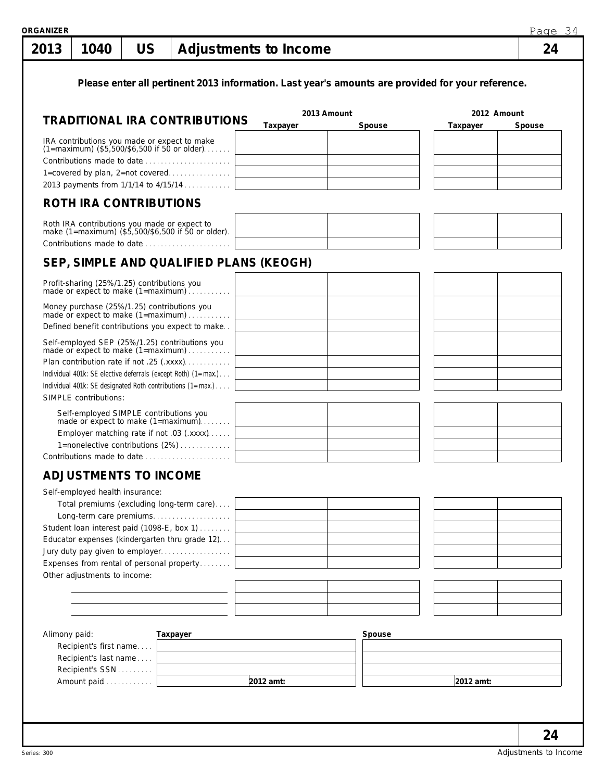| 2013          | 1040                                                               | <b>US</b> |                                                                                                                                                                                                                                                                  | Adjustments to Income  |             |        |             | 24     |
|---------------|--------------------------------------------------------------------|-----------|------------------------------------------------------------------------------------------------------------------------------------------------------------------------------------------------------------------------------------------------------------------|------------------------|-------------|--------|-------------|--------|
|               |                                                                    |           | Please enter all pertinent 2013 information. Last year's amounts are provided for your reference.                                                                                                                                                                |                        | 2013 Amount |        | 2012 Amount |        |
|               |                                                                    |           | <b>TRADITIONAL IRA CONTRIBUTIONS</b>                                                                                                                                                                                                                             | Taxpayer               |             | Spouse | Taxpayer    | Spouse |
|               | <b>ROTH IRA CONTRIBUTIONS</b>                                      |           | IRA contributions you made or expect to make<br>(1=maximum) (\$5,500/\$6,500 if 50 or older)<br>Contributions made to date<br>1=covered by plan, 2=not covered<br>2013 payments from 1/1/14 to 4/15/14                                                           |                        |             |        |             |        |
|               |                                                                    |           | Roth IRA contributions you made or expect to<br>make (1=maximum) (\$5,500/\$6,500 if 50 or older).<br>Contributions made to date                                                                                                                                 |                        |             |        |             |        |
|               |                                                                    |           | SEP, SIMPLE AND QUALIFIED PLANS (KEOGH)                                                                                                                                                                                                                          |                        |             |        |             |        |
|               |                                                                    |           | Profit-sharing (25%/1.25) contributions you<br>made or expect to make (1=maximum)                                                                                                                                                                                |                        |             |        |             |        |
|               |                                                                    |           | Money purchase (25%/1.25) contributions you<br>made or expect to make (1=maximum)<br>Defined benefit contributions you expect to make                                                                                                                            |                        |             |        |             |        |
|               | SIMPLE contributions:                                              |           | Self-employed SEP (25%/1.25) contributions you<br>made or expect to make (1=maximum)<br>Plan contribution rate if not .25 (.xxxx)<br>Individual 401k: SE elective deferrals (except Roth) (1=max.)<br>Individual 401k: SE designated Roth contributions (1=max.) |                        |             |        |             |        |
|               | Self-employed SIMPLE contributions you                             |           | made or expect to make (1=maximum)<br>Employer matching rate if not .03 (.xxxx)<br>1=nonelective contributions (2%)<br>Contributions made to date                                                                                                                |                        |             |        |             |        |
|               | <b>ADJUSTMENTS TO INCOME</b>                                       |           |                                                                                                                                                                                                                                                                  |                        |             |        |             |        |
|               | Self-employed health insurance:<br>Other adjustments to income:    |           | Total premiums (excluding long-term care)<br>Long-term care premiums<br>Student loan interest paid (1098-E, box 1)<br>Educator expenses (kindergarten thru grade 12)<br>Jury duty pay given to employer<br>Expenses from rental of personal property             |                        |             |        |             |        |
|               |                                                                    |           |                                                                                                                                                                                                                                                                  |                        |             |        |             |        |
| Alimony paid: | Recipient's first name<br>Recipient's last name<br>Recipient's SSN |           | Taxpayer                                                                                                                                                                                                                                                         |                        |             | Spouse |             |        |
|               | Amount paid                                                        |           |                                                                                                                                                                                                                                                                  | $\overline{2012}$ amt: |             |        | 2012 amt:   |        |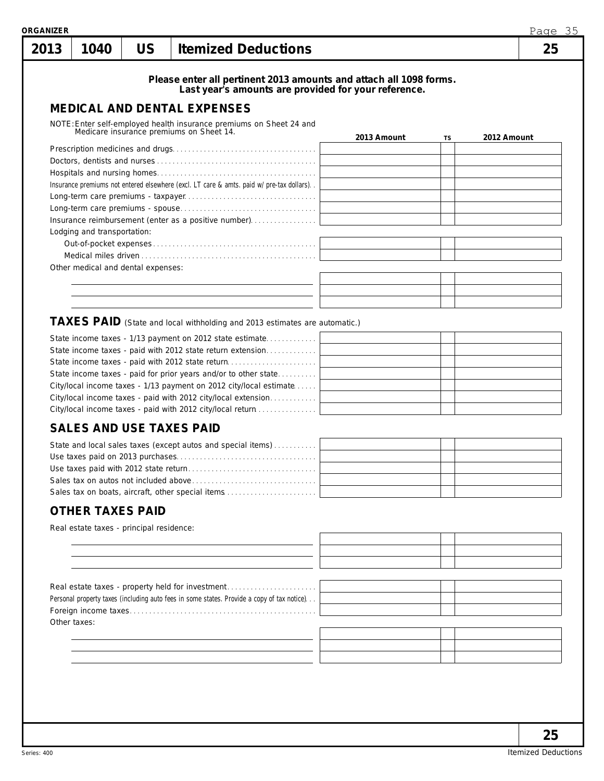| Please enter all pertinent 2013 amounts and attach all 1098 forms.<br>Last year's amounts are provided for your reference.<br><b>MEDICAL AND DENTAL EXPENSES</b><br>NOTE: Enter self-employed health insurance premiums on Sheet 24 and<br>Medicare insurance premiums on Sheet 14.<br>2013 Amount<br>2012 Amount<br>TS<br>Insurance premiums not entered elsewhere (excl. LT care & amts. paid w/pre-tax dollars).<br>Insurance reimbursement (enter as a positive number)<br>Lodging and transportation:<br>Other medical and dental expenses:<br>TAXES PAID (State and local withholding and 2013 estimates are automatic.)<br>State income taxes - 1/13 payment on 2012 state estimate<br>State income taxes - paid with 2012 state return extension<br>State income taxes - paid with 2012 state return<br>State income taxes - paid for prior years and/or to other state<br>City/local income taxes - 1/13 payment on 2012 city/local estimate<br>City/local income taxes - paid with 2012 city/local extension<br>City/local income taxes - paid with 2012 city/local return<br><b>SALES AND USE TAXES PAID</b><br>State and local sales taxes (except autos and special items)<br>Use taxes paid on 2013 purchases<br>Sales tax on boats, aircraft, other special items<br><b>OTHER TAXES PAID</b><br>Real estate taxes - principal residence: | 1040 | <b>US</b> | <b>Itemized Deductions</b>                       |  | 25 |
|---------------------------------------------------------------------------------------------------------------------------------------------------------------------------------------------------------------------------------------------------------------------------------------------------------------------------------------------------------------------------------------------------------------------------------------------------------------------------------------------------------------------------------------------------------------------------------------------------------------------------------------------------------------------------------------------------------------------------------------------------------------------------------------------------------------------------------------------------------------------------------------------------------------------------------------------------------------------------------------------------------------------------------------------------------------------------------------------------------------------------------------------------------------------------------------------------------------------------------------------------------------------------------------------------------------------------------------------------------|------|-----------|--------------------------------------------------|--|----|
|                                                                                                                                                                                                                                                                                                                                                                                                                                                                                                                                                                                                                                                                                                                                                                                                                                                                                                                                                                                                                                                                                                                                                                                                                                                                                                                                                         |      |           |                                                  |  |    |
|                                                                                                                                                                                                                                                                                                                                                                                                                                                                                                                                                                                                                                                                                                                                                                                                                                                                                                                                                                                                                                                                                                                                                                                                                                                                                                                                                         |      |           |                                                  |  |    |
|                                                                                                                                                                                                                                                                                                                                                                                                                                                                                                                                                                                                                                                                                                                                                                                                                                                                                                                                                                                                                                                                                                                                                                                                                                                                                                                                                         |      |           |                                                  |  |    |
|                                                                                                                                                                                                                                                                                                                                                                                                                                                                                                                                                                                                                                                                                                                                                                                                                                                                                                                                                                                                                                                                                                                                                                                                                                                                                                                                                         |      |           |                                                  |  |    |
|                                                                                                                                                                                                                                                                                                                                                                                                                                                                                                                                                                                                                                                                                                                                                                                                                                                                                                                                                                                                                                                                                                                                                                                                                                                                                                                                                         |      |           |                                                  |  |    |
|                                                                                                                                                                                                                                                                                                                                                                                                                                                                                                                                                                                                                                                                                                                                                                                                                                                                                                                                                                                                                                                                                                                                                                                                                                                                                                                                                         |      |           |                                                  |  |    |
|                                                                                                                                                                                                                                                                                                                                                                                                                                                                                                                                                                                                                                                                                                                                                                                                                                                                                                                                                                                                                                                                                                                                                                                                                                                                                                                                                         |      |           |                                                  |  |    |
|                                                                                                                                                                                                                                                                                                                                                                                                                                                                                                                                                                                                                                                                                                                                                                                                                                                                                                                                                                                                                                                                                                                                                                                                                                                                                                                                                         |      |           |                                                  |  |    |
|                                                                                                                                                                                                                                                                                                                                                                                                                                                                                                                                                                                                                                                                                                                                                                                                                                                                                                                                                                                                                                                                                                                                                                                                                                                                                                                                                         |      |           |                                                  |  |    |
|                                                                                                                                                                                                                                                                                                                                                                                                                                                                                                                                                                                                                                                                                                                                                                                                                                                                                                                                                                                                                                                                                                                                                                                                                                                                                                                                                         |      |           |                                                  |  |    |
|                                                                                                                                                                                                                                                                                                                                                                                                                                                                                                                                                                                                                                                                                                                                                                                                                                                                                                                                                                                                                                                                                                                                                                                                                                                                                                                                                         |      |           |                                                  |  |    |
|                                                                                                                                                                                                                                                                                                                                                                                                                                                                                                                                                                                                                                                                                                                                                                                                                                                                                                                                                                                                                                                                                                                                                                                                                                                                                                                                                         |      |           |                                                  |  |    |
|                                                                                                                                                                                                                                                                                                                                                                                                                                                                                                                                                                                                                                                                                                                                                                                                                                                                                                                                                                                                                                                                                                                                                                                                                                                                                                                                                         |      |           |                                                  |  |    |
|                                                                                                                                                                                                                                                                                                                                                                                                                                                                                                                                                                                                                                                                                                                                                                                                                                                                                                                                                                                                                                                                                                                                                                                                                                                                                                                                                         |      |           |                                                  |  |    |
|                                                                                                                                                                                                                                                                                                                                                                                                                                                                                                                                                                                                                                                                                                                                                                                                                                                                                                                                                                                                                                                                                                                                                                                                                                                                                                                                                         |      |           |                                                  |  |    |
|                                                                                                                                                                                                                                                                                                                                                                                                                                                                                                                                                                                                                                                                                                                                                                                                                                                                                                                                                                                                                                                                                                                                                                                                                                                                                                                                                         |      |           |                                                  |  |    |
|                                                                                                                                                                                                                                                                                                                                                                                                                                                                                                                                                                                                                                                                                                                                                                                                                                                                                                                                                                                                                                                                                                                                                                                                                                                                                                                                                         |      |           |                                                  |  |    |
|                                                                                                                                                                                                                                                                                                                                                                                                                                                                                                                                                                                                                                                                                                                                                                                                                                                                                                                                                                                                                                                                                                                                                                                                                                                                                                                                                         |      |           |                                                  |  |    |
|                                                                                                                                                                                                                                                                                                                                                                                                                                                                                                                                                                                                                                                                                                                                                                                                                                                                                                                                                                                                                                                                                                                                                                                                                                                                                                                                                         |      |           |                                                  |  |    |
|                                                                                                                                                                                                                                                                                                                                                                                                                                                                                                                                                                                                                                                                                                                                                                                                                                                                                                                                                                                                                                                                                                                                                                                                                                                                                                                                                         |      |           |                                                  |  |    |
|                                                                                                                                                                                                                                                                                                                                                                                                                                                                                                                                                                                                                                                                                                                                                                                                                                                                                                                                                                                                                                                                                                                                                                                                                                                                                                                                                         |      |           |                                                  |  |    |
|                                                                                                                                                                                                                                                                                                                                                                                                                                                                                                                                                                                                                                                                                                                                                                                                                                                                                                                                                                                                                                                                                                                                                                                                                                                                                                                                                         |      |           |                                                  |  |    |
|                                                                                                                                                                                                                                                                                                                                                                                                                                                                                                                                                                                                                                                                                                                                                                                                                                                                                                                                                                                                                                                                                                                                                                                                                                                                                                                                                         |      |           |                                                  |  |    |
|                                                                                                                                                                                                                                                                                                                                                                                                                                                                                                                                                                                                                                                                                                                                                                                                                                                                                                                                                                                                                                                                                                                                                                                                                                                                                                                                                         |      |           |                                                  |  |    |
|                                                                                                                                                                                                                                                                                                                                                                                                                                                                                                                                                                                                                                                                                                                                                                                                                                                                                                                                                                                                                                                                                                                                                                                                                                                                                                                                                         |      |           |                                                  |  |    |
|                                                                                                                                                                                                                                                                                                                                                                                                                                                                                                                                                                                                                                                                                                                                                                                                                                                                                                                                                                                                                                                                                                                                                                                                                                                                                                                                                         |      |           |                                                  |  |    |
|                                                                                                                                                                                                                                                                                                                                                                                                                                                                                                                                                                                                                                                                                                                                                                                                                                                                                                                                                                                                                                                                                                                                                                                                                                                                                                                                                         |      |           |                                                  |  |    |
|                                                                                                                                                                                                                                                                                                                                                                                                                                                                                                                                                                                                                                                                                                                                                                                                                                                                                                                                                                                                                                                                                                                                                                                                                                                                                                                                                         |      |           |                                                  |  |    |
|                                                                                                                                                                                                                                                                                                                                                                                                                                                                                                                                                                                                                                                                                                                                                                                                                                                                                                                                                                                                                                                                                                                                                                                                                                                                                                                                                         |      |           |                                                  |  |    |
|                                                                                                                                                                                                                                                                                                                                                                                                                                                                                                                                                                                                                                                                                                                                                                                                                                                                                                                                                                                                                                                                                                                                                                                                                                                                                                                                                         |      |           | Real estate taxes - property held for investment |  |    |

Foreign income taxes. . . . . . . . . . . . . . . . . . . . . . . . . . . . . . . . . . . . . . . . . . . . . . . . Other taxes: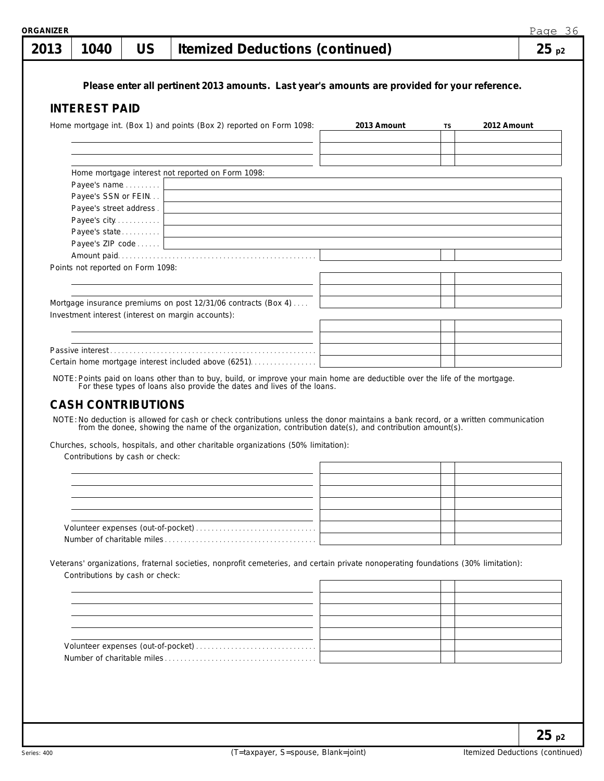| 2013 | 1040                                | <b>US</b> | <b>Itemized Deductions (continued)</b>                                                                                                                                                                  |             |           |             | 25p2 |
|------|-------------------------------------|-----------|---------------------------------------------------------------------------------------------------------------------------------------------------------------------------------------------------------|-------------|-----------|-------------|------|
|      |                                     |           |                                                                                                                                                                                                         |             |           |             |      |
|      |                                     |           | Please enter all pertinent 2013 amounts. Last year's amounts are provided for your reference.                                                                                                           |             |           |             |      |
|      | <b>INTEREST PAID</b>                |           |                                                                                                                                                                                                         |             |           |             |      |
|      |                                     |           |                                                                                                                                                                                                         |             |           |             |      |
|      |                                     |           | Home mortgage int. (Box 1) and points (Box 2) reported on Form 1098:                                                                                                                                    | 2013 Amount | <b>TS</b> | 2012 Amount |      |
|      |                                     |           |                                                                                                                                                                                                         |             |           |             |      |
|      |                                     |           |                                                                                                                                                                                                         |             |           |             |      |
|      |                                     |           |                                                                                                                                                                                                         |             |           |             |      |
|      |                                     |           | Home mortgage interest not reported on Form 1098:                                                                                                                                                       |             |           |             |      |
|      | Payee's name<br>Payee's SSN or FEIN |           | <u> 1980 - Johann Stoff, deutscher Stoffen und der Stoffen und der Stoffen und der Stoffen und der Stoffen und der</u>                                                                                  |             |           |             |      |
|      | Payee's street address.             |           |                                                                                                                                                                                                         |             |           |             |      |
|      | Payee's city                        |           |                                                                                                                                                                                                         |             |           |             |      |
|      | Payee's state                       |           |                                                                                                                                                                                                         |             |           |             |      |
|      |                                     |           | Payee's ZIP code                                                                                                                                                                                        |             |           |             |      |
|      |                                     |           |                                                                                                                                                                                                         |             |           |             |      |
|      | Points not reported on Form 1098:   |           |                                                                                                                                                                                                         |             |           |             |      |
|      |                                     |           |                                                                                                                                                                                                         |             |           |             |      |
|      |                                     |           |                                                                                                                                                                                                         |             |           |             |      |
|      |                                     |           | Mortgage insurance premiums on post 12/31/06 contracts (Box 4)                                                                                                                                          |             |           |             |      |
|      |                                     |           | Investment interest (interest on margin accounts):                                                                                                                                                      |             |           |             |      |
|      |                                     |           |                                                                                                                                                                                                         |             |           |             |      |
|      |                                     |           |                                                                                                                                                                                                         |             |           |             |      |
|      |                                     |           |                                                                                                                                                                                                         |             |           |             |      |
|      |                                     |           | Certain home mortgage interest included above (6251)                                                                                                                                                    |             |           |             |      |
|      |                                     |           |                                                                                                                                                                                                         |             |           |             |      |
|      |                                     |           | NOTE: Points paid on loans other than to buy, build, or improve your main home are deductible over the life of the mortgage.<br>For these types of loans also provide the dates and lives of the loans. |             |           |             |      |

### **CASH CONTRIBUTIONS**

NOTE:No deduction is allowed for cash or check contributions unless the donor maintains a bank record, or a written communication from the donee, showing the name of the organization, contribution date(s), and contribution amount(s).

Churches, schools, hospitals, and other charitable organizations (50% limitation):

Contributions by cash or check:

Veterans' organizations, fraternal societies, nonprofit cemeteries, and certain private nonoperating foundations (30% limitation): Contributions by cash or check: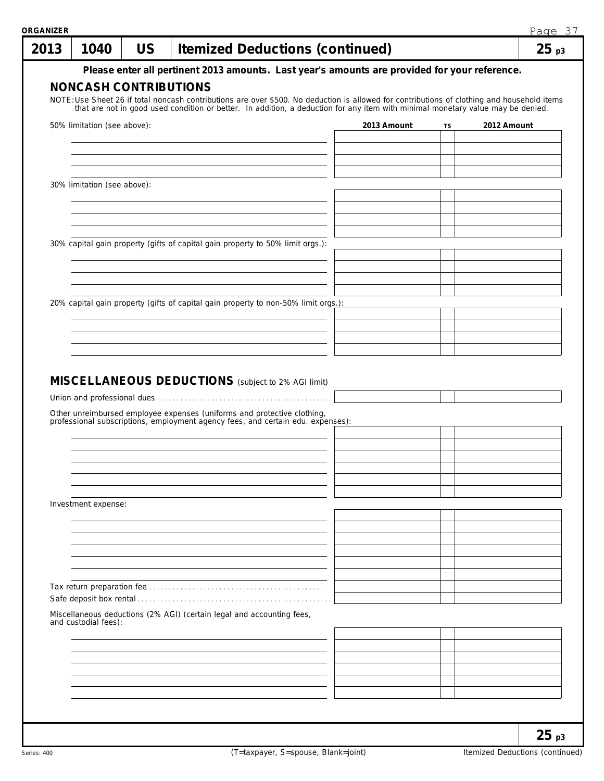| 1040                                                                                                                                                    | <b>US</b> |  |  | <b>Itemized Deductions (continued)</b> |                                                                                                                                                                                                                                    |    |             | 25 <sub>p3</sub> |
|---------------------------------------------------------------------------------------------------------------------------------------------------------|-----------|--|--|----------------------------------------|------------------------------------------------------------------------------------------------------------------------------------------------------------------------------------------------------------------------------------|----|-------------|------------------|
|                                                                                                                                                         |           |  |  |                                        | Please enter all pertinent 2013 amounts. Last year's amounts are provided for your reference.                                                                                                                                      |    |             |                  |
| <b>NONCASH CONTRIBUTIONS</b>                                                                                                                            |           |  |  |                                        |                                                                                                                                                                                                                                    |    |             |                  |
|                                                                                                                                                         |           |  |  |                                        | NOTE: Use Sheet 26 if total noncash contributions are over \$500. No deduction is allowed for contributions of clothing and household items<br>that are not in good used condition or better. In addition, a deduction for any ite |    |             |                  |
| 50% limitation (see above):                                                                                                                             |           |  |  |                                        | 2013 Amount                                                                                                                                                                                                                        |    | 2012 Amount |                  |
|                                                                                                                                                         |           |  |  |                                        |                                                                                                                                                                                                                                    | TS |             |                  |
|                                                                                                                                                         |           |  |  |                                        |                                                                                                                                                                                                                                    |    |             |                  |
|                                                                                                                                                         |           |  |  |                                        |                                                                                                                                                                                                                                    |    |             |                  |
| 30% limitation (see above):                                                                                                                             |           |  |  |                                        |                                                                                                                                                                                                                                    |    |             |                  |
|                                                                                                                                                         |           |  |  |                                        |                                                                                                                                                                                                                                    |    |             |                  |
|                                                                                                                                                         |           |  |  |                                        |                                                                                                                                                                                                                                    |    |             |                  |
|                                                                                                                                                         |           |  |  |                                        |                                                                                                                                                                                                                                    |    |             |                  |
| 30% capital gain property (gifts of capital gain property to 50% limit orgs.):                                                                          |           |  |  |                                        |                                                                                                                                                                                                                                    |    |             |                  |
|                                                                                                                                                         |           |  |  |                                        |                                                                                                                                                                                                                                    |    |             |                  |
|                                                                                                                                                         |           |  |  |                                        |                                                                                                                                                                                                                                    |    |             |                  |
| 20% capital gain property (gifts of capital gain property to non-50% limit orgs.):                                                                      |           |  |  |                                        |                                                                                                                                                                                                                                    |    |             |                  |
|                                                                                                                                                         |           |  |  |                                        |                                                                                                                                                                                                                                    |    |             |                  |
|                                                                                                                                                         |           |  |  |                                        |                                                                                                                                                                                                                                    |    |             |                  |
|                                                                                                                                                         |           |  |  |                                        |                                                                                                                                                                                                                                    |    |             |                  |
| MISCELLANEOUS DEDUCTIONS (subject to 2% AGI limit)                                                                                                      |           |  |  |                                        |                                                                                                                                                                                                                                    |    |             |                  |
| Other unreimbursed employee expenses (uniforms and protective clothing, professional subscriptions, employment agency fees, and certain edu. expenses): |           |  |  |                                        |                                                                                                                                                                                                                                    |    |             |                  |
|                                                                                                                                                         |           |  |  |                                        |                                                                                                                                                                                                                                    |    |             |                  |
| Investment expense:                                                                                                                                     |           |  |  |                                        |                                                                                                                                                                                                                                    |    |             |                  |
|                                                                                                                                                         |           |  |  |                                        |                                                                                                                                                                                                                                    |    |             |                  |
|                                                                                                                                                         |           |  |  |                                        |                                                                                                                                                                                                                                    |    |             |                  |
|                                                                                                                                                         |           |  |  |                                        |                                                                                                                                                                                                                                    |    |             |                  |
|                                                                                                                                                         |           |  |  |                                        |                                                                                                                                                                                                                                    |    |             |                  |
|                                                                                                                                                         |           |  |  |                                        |                                                                                                                                                                                                                                    |    |             |                  |
|                                                                                                                                                         |           |  |  |                                        |                                                                                                                                                                                                                                    |    |             |                  |
| Miscellaneous deductions (2% AGI) (certain legal and accounting fees,<br>and custodial fees):                                                           |           |  |  |                                        |                                                                                                                                                                                                                                    |    |             |                  |
|                                                                                                                                                         |           |  |  |                                        |                                                                                                                                                                                                                                    |    |             |                  |
|                                                                                                                                                         |           |  |  |                                        |                                                                                                                                                                                                                                    |    |             |                  |
|                                                                                                                                                         |           |  |  |                                        |                                                                                                                                                                                                                                    |    |             |                  |
|                                                                                                                                                         |           |  |  |                                        |                                                                                                                                                                                                                                    |    |             |                  |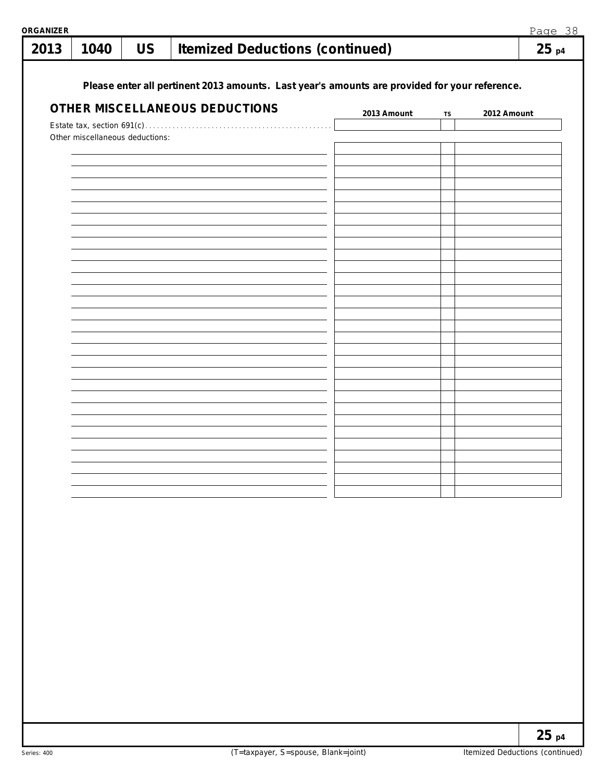| 2013 | 1040                            | <b>US</b> | <b>Itemized Deductions (continued)</b>                                                        |             |    | 25p4        |
|------|---------------------------------|-----------|-----------------------------------------------------------------------------------------------|-------------|----|-------------|
|      |                                 |           | Please enter all pertinent 2013 amounts. Last year's amounts are provided for your reference. |             |    |             |
|      |                                 |           | OTHER MISCELLANEOUS DEDUCTIONS                                                                | 2013 Amount | TS | 2012 Amount |
|      | Other miscellaneous deductions: |           |                                                                                               |             |    |             |
|      |                                 |           |                                                                                               |             |    |             |
|      |                                 |           |                                                                                               |             |    |             |
|      |                                 |           |                                                                                               |             |    |             |
|      |                                 |           |                                                                                               |             |    |             |
|      |                                 |           |                                                                                               |             |    |             |
|      |                                 |           |                                                                                               |             |    |             |
|      |                                 |           |                                                                                               |             |    |             |
|      |                                 |           |                                                                                               |             |    |             |
|      |                                 |           |                                                                                               |             |    |             |
|      |                                 |           |                                                                                               |             |    |             |
|      |                                 |           |                                                                                               |             |    |             |
|      |                                 |           |                                                                                               |             |    |             |
|      |                                 |           |                                                                                               |             |    |             |
|      |                                 |           |                                                                                               |             |    |             |
|      |                                 |           |                                                                                               |             |    |             |
|      |                                 |           |                                                                                               |             |    |             |
|      |                                 |           |                                                                                               |             |    |             |
|      |                                 |           |                                                                                               |             |    |             |
|      |                                 |           |                                                                                               |             |    |             |
|      |                                 |           |                                                                                               |             |    |             |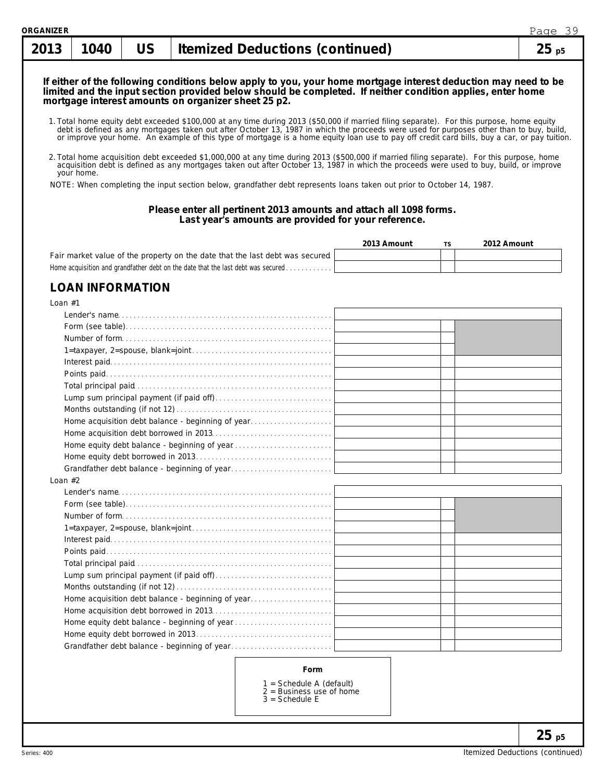#### **If either of the following conditions below apply to you, your home mortgage interest deduction may need to be limited and the input section provided below should be completed. If neither condition applies, enter home mortgage interest amounts on organizer sheet 25 p2.**

- 1. Total home equity debt exceeded \$100,000 at any time during 2013 (\$50,000 if married filing separate). For this purpose, home equity debt is defined as any mortgages taken out after October 13, 1987 in which the proceeds were used for purposes other than to buy, build,<br>or improve your home. An example of this type of mortgage is a home equity loan use t
- 2. Total home acquisition debt exceeded \$1,000,000 at any time during 2013 (\$500,000 if married filing separate). For this purpose, home acquisition debt is defined as any mortgages taken out after October 13, 1987 in which the proceeds were used to buy, build, or improve your home.

NOTE: When completing the input section below, grandfather debt represents loans taken out prior to October 14, 1987.

#### **Please enter all pertinent 2013 amounts and attach all 1098 forms. Last year's amounts are provided for your reference.**

|                                                                                  | 2013 Amount | TS. | 2012 Amount |
|----------------------------------------------------------------------------------|-------------|-----|-------------|
| Fair market value of the property on the date that the last debt was secured     |             |     |             |
| Home acquisition and grandfather debt on the date that the last debt was secured |             |     |             |

### **LOAN INFORMATION**

| Loan $#1$                                         |  |
|---------------------------------------------------|--|
|                                                   |  |
|                                                   |  |
|                                                   |  |
|                                                   |  |
|                                                   |  |
|                                                   |  |
|                                                   |  |
|                                                   |  |
|                                                   |  |
| Home acquisition debt balance - beginning of year |  |
|                                                   |  |
|                                                   |  |
|                                                   |  |
|                                                   |  |
| Loan $#2$                                         |  |
|                                                   |  |
|                                                   |  |
|                                                   |  |
|                                                   |  |
|                                                   |  |
|                                                   |  |
|                                                   |  |
|                                                   |  |
|                                                   |  |
| Home acquisition debt balance - beginning of year |  |
|                                                   |  |
| Home equity debt balance - beginning of year      |  |
|                                                   |  |
|                                                   |  |
|                                                   |  |
| Eorm                                              |  |

#### **Form**

- 1 = Schedule A (default)
- 2 = Business use of home
- 3 = Schedule E

**25 p5**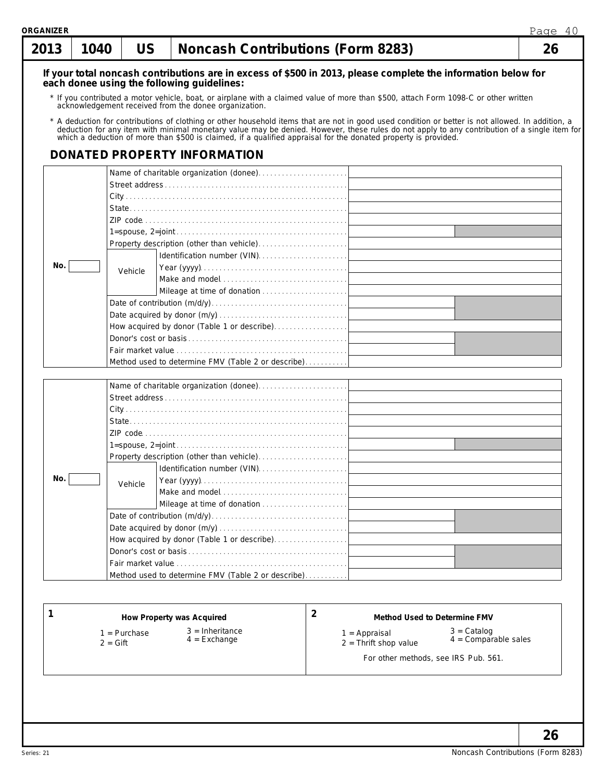| १GANIZER<br>2013 | 1040 | US      | <b>Noncash Contributions (Form 8283)</b>                                                                                                                                                                                       |                              | Page 40<br>26 |
|------------------|------|---------|--------------------------------------------------------------------------------------------------------------------------------------------------------------------------------------------------------------------------------|------------------------------|---------------|
|                  |      |         | If your total noncash contributions are in excess of \$500 in 2013, please complete the information below for                                                                                                                  |                              |               |
|                  |      |         | each donee using the following quidelines:                                                                                                                                                                                     |                              |               |
|                  |      |         | * If you contributed a motor vehicle, boat, or airplane with a claimed value of more than \$500, attach Form 1098-C or other written<br>acknowledgement received from the donee organization.                                  |                              |               |
|                  |      |         | * A deduction for contributions of clothing or other household items that are not in good used condition or better is not allowed. In addition, a deduction for any item with minimal monetary value may be denied. However, t |                              |               |
|                  |      |         | DONATED PROPERTY INFORMATION                                                                                                                                                                                                   |                              |               |
|                  |      |         |                                                                                                                                                                                                                                |                              |               |
|                  |      |         |                                                                                                                                                                                                                                |                              |               |
|                  |      |         |                                                                                                                                                                                                                                |                              |               |
|                  |      |         |                                                                                                                                                                                                                                |                              |               |
|                  |      |         |                                                                                                                                                                                                                                |                              |               |
|                  |      |         |                                                                                                                                                                                                                                |                              |               |
|                  |      |         |                                                                                                                                                                                                                                |                              |               |
|                  |      |         |                                                                                                                                                                                                                                |                              |               |
| No.              |      |         |                                                                                                                                                                                                                                |                              |               |
|                  |      | Vehicle |                                                                                                                                                                                                                                |                              |               |
|                  |      |         |                                                                                                                                                                                                                                |                              |               |
|                  |      |         |                                                                                                                                                                                                                                |                              |               |
|                  |      |         |                                                                                                                                                                                                                                |                              |               |
|                  |      |         | How acquired by donor (Table 1 or describe)                                                                                                                                                                                    |                              |               |
|                  |      |         |                                                                                                                                                                                                                                |                              |               |
|                  |      |         |                                                                                                                                                                                                                                |                              |               |
|                  |      |         | Method used to determine FMV (Table 2 or describe)                                                                                                                                                                             |                              |               |
|                  |      |         |                                                                                                                                                                                                                                |                              |               |
|                  |      |         |                                                                                                                                                                                                                                |                              |               |
|                  |      |         |                                                                                                                                                                                                                                |                              |               |
|                  |      |         |                                                                                                                                                                                                                                |                              |               |
|                  |      |         |                                                                                                                                                                                                                                |                              |               |
|                  |      |         |                                                                                                                                                                                                                                |                              |               |
|                  |      |         |                                                                                                                                                                                                                                |                              |               |
|                  |      |         | Property description (other than vehicle)                                                                                                                                                                                      |                              |               |
|                  |      |         |                                                                                                                                                                                                                                |                              |               |
| No.              |      | Vehicle |                                                                                                                                                                                                                                |                              |               |
|                  |      |         |                                                                                                                                                                                                                                |                              |               |
|                  |      |         |                                                                                                                                                                                                                                |                              |               |
|                  |      |         |                                                                                                                                                                                                                                |                              |               |
|                  |      |         |                                                                                                                                                                                                                                |                              |               |
|                  |      |         | How acquired by donor (Table 1 or describe)                                                                                                                                                                                    |                              |               |
|                  |      |         |                                                                                                                                                                                                                                |                              |               |
|                  |      |         |                                                                                                                                                                                                                                |                              |               |
|                  |      |         | Method used to determine FMV (Table 2 or describe)                                                                                                                                                                             |                              |               |
|                  |      |         |                                                                                                                                                                                                                                |                              |               |
|                  |      |         |                                                                                                                                                                                                                                |                              |               |
|                  |      |         |                                                                                                                                                                                                                                |                              |               |
|                  |      |         | 2<br>How Property was Acquired                                                                                                                                                                                                 | Method Used to Determine FMV |               |

- 1 = Purchase
- 2 = Gift

3 = Inheritance 4 = Exchange

#### **2 Method Used to Determine FMV**

1 = Appraisal

3 = Catalog 4 = Comparable sales

- 2 = Thrift shop value
	- For other methods, see IRS Pub. 561.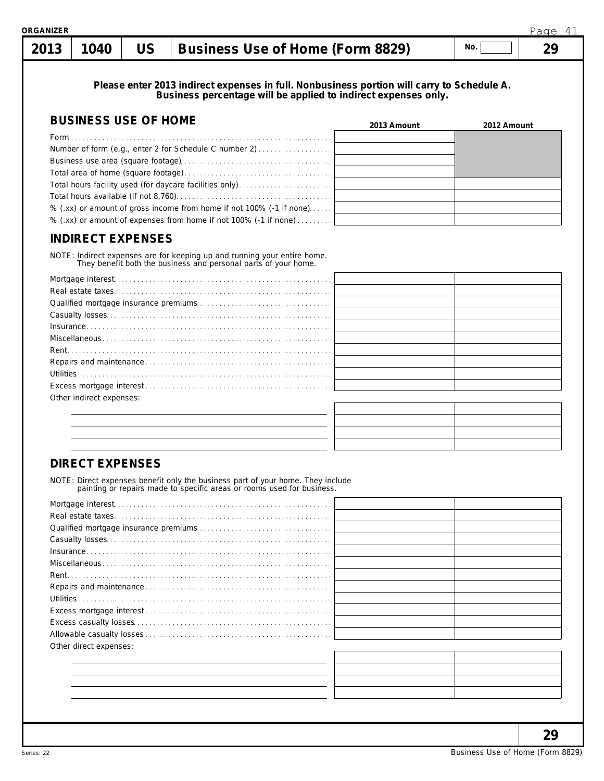| ORGANIZER |      |           |                                  |     | Page |
|-----------|------|-----------|----------------------------------|-----|------|
| 2013      | 1040 | <b>US</b> | Business Use of Home (Form 8829) | No. |      |
|           |      |           |                                  |     |      |

**Please enter 2013 indirect expenses in full. Nonbusiness portion will carry to Schedule A. Business percentage will be applied to indirect expenses only.**

| <b>BUSINESS USE OF HOME</b>                                          | 2013 Amount | 2012 Amount |
|----------------------------------------------------------------------|-------------|-------------|
|                                                                      |             |             |
| Number of form (e.g., enter 2 for Schedule C number 2)               |             |             |
|                                                                      |             |             |
|                                                                      |             |             |
| Total hours facility used (for daycare facilities only)              |             |             |
|                                                                      |             |             |
| % (.xx) or amount of gross income from home if not 100% (-1 if none) |             |             |
| % (.xx) or amount of expenses from home if not 100% (-1 if none)     |             |             |

## **INDIRECT EXPENSES**

NOTE: Indirect expenses are for keeping up and running your entire home. They benefit both the business and personal parts of your home.

| Other indirect expenses: |  |
|--------------------------|--|
|                          |  |

## **DIRECT EXPENSES**

NOTE: Direct expenses benefit only the business part of your home. They include painting or repairs made to specific areas or rooms used for business.

| Other direct expenses: |  |
|------------------------|--|
|                        |  |
|                        |  |
|                        |  |
|                        |  |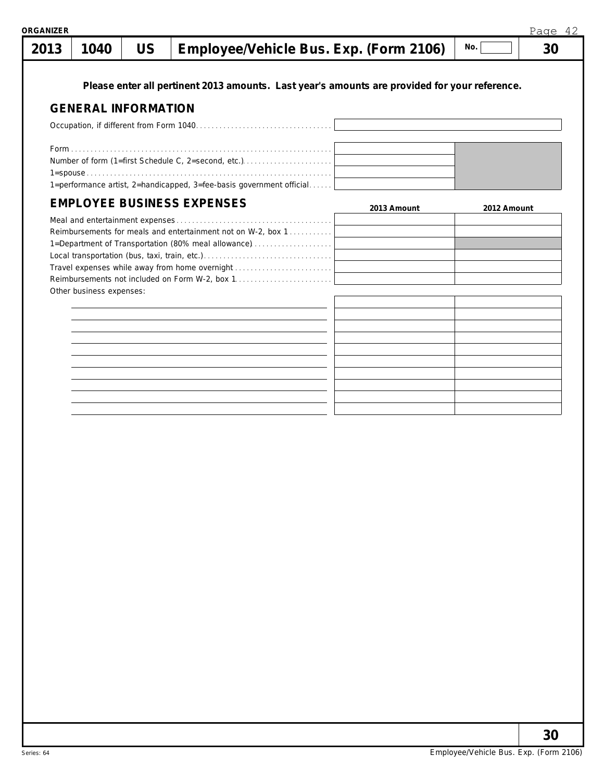| .<br>- uu |  |  |  |  |    |
|-----------|--|--|--|--|----|
|           |  |  |  |  | 30 |

**Please enter all pertinent 2013 amounts. Last year's amounts are provided for your reference.**

#### **GENERAL INFORMATION**

| Number of form (1=first Schedule C, 2=second, etc.)                  |  |  |  |
|----------------------------------------------------------------------|--|--|--|
|                                                                      |  |  |  |
| 1=performance artist, 2=handicapped, 3=fee-basis government official |  |  |  |

## **EMPLOYEE BUSINESS EXPENSES**

| EMPLOYEE BUSINESS EXPENSES                                   | 2013 Amount | 2012 Amount |
|--------------------------------------------------------------|-------------|-------------|
|                                                              |             |             |
| Reimbursements for meals and entertainment not on W-2, box 1 |             |             |
| 1=Department of Transportation (80% meal allowance)          |             |             |
|                                                              |             |             |
| Travel expenses while away from home overnight               |             |             |
| Reimbursements not included on Form W-2, box 1               |             |             |
| Other business expenses:                                     |             |             |
|                                                              |             |             |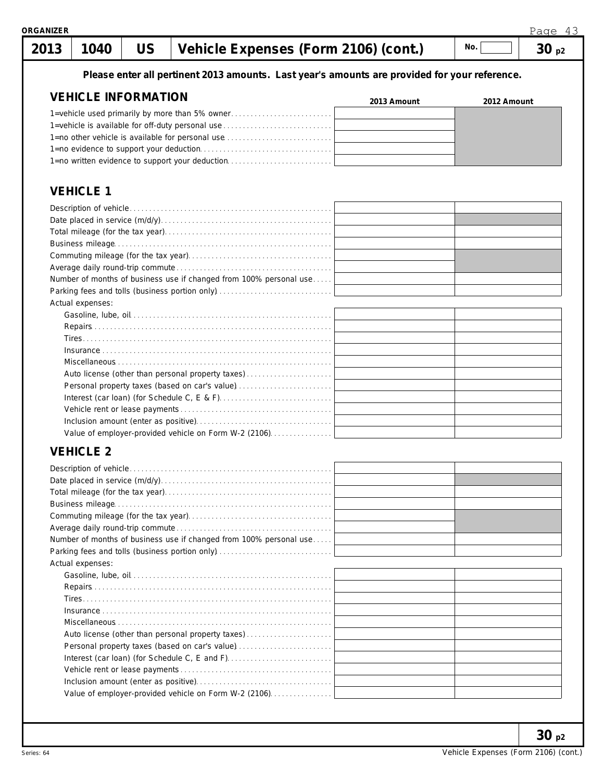### **Please enter all pertinent 2013 amounts. Last year's amounts are provided for your reference.**

| <b>VEHICLE INFORMATION</b>                       | 2013 Amount | 2012 Amount |
|--------------------------------------------------|-------------|-------------|
| 1=vehicle used primarily by more than 5% owner   |             |             |
| 1=vehicle is available for off-duty personal use |             |             |
| 1=no other vehicle is available for personal use |             |             |
|                                                  |             |             |
| 1=no written evidence to support your deduction  |             |             |

## **VEHICLE 1**

| Number of months of business use if changed from 100% personal use |  |
|--------------------------------------------------------------------|--|
|                                                                    |  |
| Actual expenses:                                                   |  |
|                                                                    |  |
|                                                                    |  |
|                                                                    |  |
|                                                                    |  |
|                                                                    |  |
| Auto license (other than personal property taxes)                  |  |
| Personal property taxes (based on car's value)                     |  |
|                                                                    |  |
|                                                                    |  |
|                                                                    |  |
| Value of employer-provided vehicle on Form W-2 (2106).             |  |

## **VEHICLE 2**

| Number of months of business use if changed from 100% personal use |  |
|--------------------------------------------------------------------|--|
| Parking fees and tolls (business portion only)                     |  |
| Actual expenses:                                                   |  |
|                                                                    |  |
|                                                                    |  |
|                                                                    |  |
|                                                                    |  |
|                                                                    |  |
| Auto license (other than personal property taxes)                  |  |
| Personal property taxes (based on car's value)                     |  |
|                                                                    |  |
|                                                                    |  |
|                                                                    |  |
| Value of employer-provided vehicle on Form W-2 (2106)              |  |
|                                                                    |  |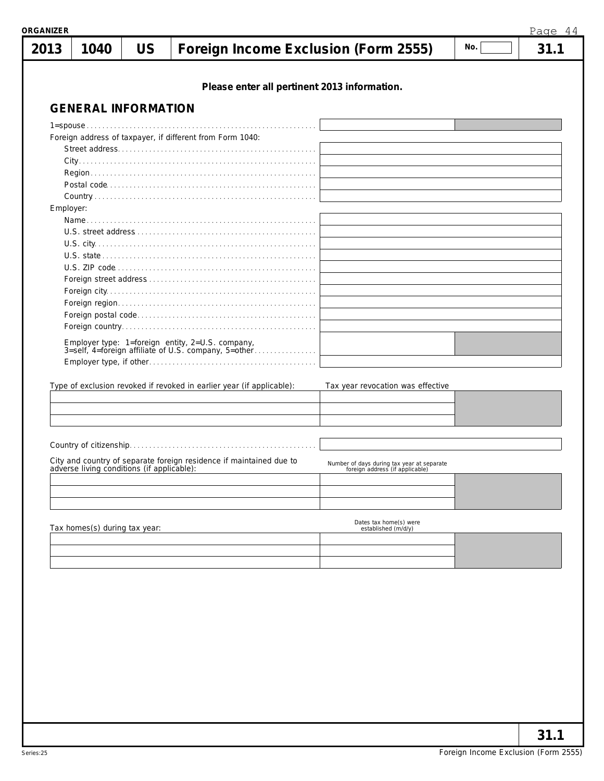| ORGANIZER |                                            |           |                                                                                                          |                                                                               |     | Page 44 |
|-----------|--------------------------------------------|-----------|----------------------------------------------------------------------------------------------------------|-------------------------------------------------------------------------------|-----|---------|
| 2013      | 1040                                       | <b>US</b> | Foreign Income Exclusion (Form 2555)                                                                     |                                                                               | No. | 31.1    |
|           |                                            |           | Please enter all pertinent 2013 information.                                                             |                                                                               |     |         |
|           | <b>GENERAL INFORMATION</b>                 |           |                                                                                                          |                                                                               |     |         |
|           |                                            |           |                                                                                                          |                                                                               |     |         |
|           |                                            |           | Foreign address of taxpayer, if different from Form 1040:                                                |                                                                               |     |         |
|           |                                            |           |                                                                                                          |                                                                               |     |         |
|           |                                            |           |                                                                                                          |                                                                               |     |         |
|           |                                            |           |                                                                                                          |                                                                               |     |         |
|           |                                            |           |                                                                                                          |                                                                               |     |         |
| Employer: |                                            |           |                                                                                                          |                                                                               |     |         |
|           |                                            |           |                                                                                                          |                                                                               |     |         |
|           |                                            |           |                                                                                                          |                                                                               |     |         |
|           |                                            |           |                                                                                                          |                                                                               |     |         |
|           |                                            |           |                                                                                                          |                                                                               |     |         |
|           |                                            |           |                                                                                                          |                                                                               |     |         |
|           |                                            |           |                                                                                                          |                                                                               |     |         |
|           |                                            |           |                                                                                                          |                                                                               |     |         |
|           |                                            |           |                                                                                                          |                                                                               |     |         |
|           |                                            |           |                                                                                                          |                                                                               |     |         |
|           |                                            |           | Employer type: 1=foreign entity, 2=U.S. company,<br>3=self, 4=foreign affiliate of U.S. company, 5=other |                                                                               |     |         |
|           |                                            |           |                                                                                                          |                                                                               |     |         |
|           |                                            |           |                                                                                                          |                                                                               |     |         |
|           |                                            |           | Type of exclusion revoked if revoked in earlier year (if applicable):                                    | Tax year revocation was effective                                             |     |         |
|           |                                            |           |                                                                                                          |                                                                               |     |         |
|           |                                            |           |                                                                                                          |                                                                               |     |         |
|           |                                            |           |                                                                                                          |                                                                               |     |         |
|           |                                            |           |                                                                                                          |                                                                               |     |         |
|           |                                            |           |                                                                                                          |                                                                               |     |         |
|           | adverse living conditions (if applicable): |           | City and country of separate foreign residence if maintained due to                                      | Number of days during tax year at separate<br>foreign address (if applicable) |     |         |
|           |                                            |           |                                                                                                          |                                                                               |     |         |
|           |                                            |           |                                                                                                          |                                                                               |     |         |
|           |                                            |           |                                                                                                          |                                                                               |     |         |
|           |                                            |           |                                                                                                          | Dates tax home(s) were                                                        |     |         |
|           | Tax homes(s) during tax year:              |           |                                                                                                          | established (m/d/y)                                                           |     |         |
|           |                                            |           |                                                                                                          |                                                                               |     |         |
|           |                                            |           |                                                                                                          |                                                                               |     |         |
|           |                                            |           |                                                                                                          |                                                                               |     |         |
|           |                                            |           |                                                                                                          |                                                                               |     |         |
|           |                                            |           |                                                                                                          |                                                                               |     |         |
|           |                                            |           |                                                                                                          |                                                                               |     |         |
|           |                                            |           |                                                                                                          |                                                                               |     |         |
|           |                                            |           |                                                                                                          |                                                                               |     |         |
|           |                                            |           |                                                                                                          |                                                                               |     |         |
|           |                                            |           |                                                                                                          |                                                                               |     |         |
|           |                                            |           |                                                                                                          |                                                                               |     |         |
|           |                                            |           |                                                                                                          |                                                                               |     |         |
|           |                                            |           |                                                                                                          |                                                                               |     |         |
|           |                                            |           |                                                                                                          |                                                                               |     |         |
|           |                                            |           |                                                                                                          |                                                                               |     |         |
|           |                                            |           |                                                                                                          |                                                                               |     | 31.1    |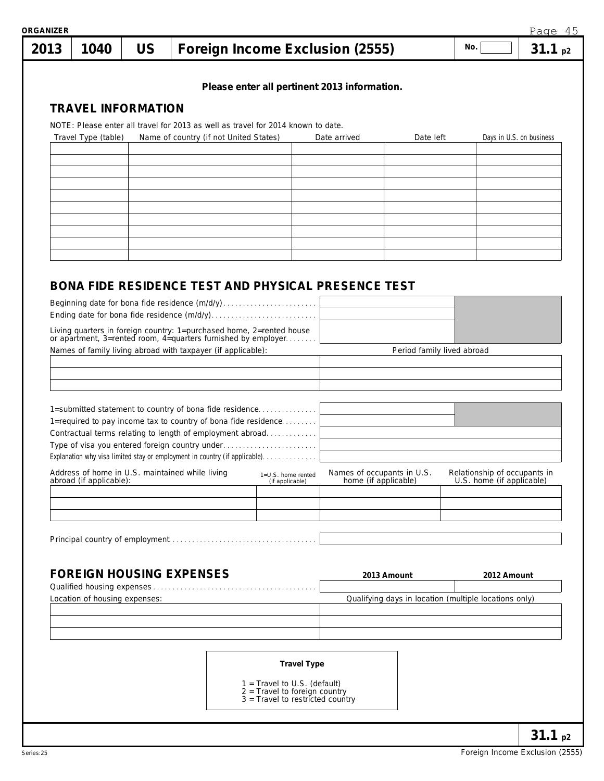| 1040                          | <b>US</b> |                                                                                                                                    | Foreign Income Exclusion (2555)                                   |                                                            |                            | No.                                                       | 31.1 <sub>p2</sub> |
|-------------------------------|-----------|------------------------------------------------------------------------------------------------------------------------------------|-------------------------------------------------------------------|------------------------------------------------------------|----------------------------|-----------------------------------------------------------|--------------------|
|                               |           |                                                                                                                                    |                                                                   | Please enter all pertinent 2013 information.               |                            |                                                           |                    |
| <b>TRAVEL INFORMATION</b>     |           |                                                                                                                                    |                                                                   |                                                            |                            |                                                           |                    |
|                               |           | NOTE: Please enter all travel for 2013 as well as travel for 2014 known to date.                                                   |                                                                   |                                                            |                            |                                                           |                    |
| Travel Type (table)           |           | Name of country (if not United States)                                                                                             |                                                                   | Date arrived                                               | Date left                  | Days in U.S. on business                                  |                    |
|                               |           |                                                                                                                                    |                                                                   |                                                            |                            |                                                           |                    |
|                               |           |                                                                                                                                    |                                                                   |                                                            |                            |                                                           |                    |
|                               |           |                                                                                                                                    |                                                                   |                                                            |                            |                                                           |                    |
|                               |           |                                                                                                                                    |                                                                   |                                                            |                            |                                                           |                    |
|                               |           |                                                                                                                                    |                                                                   |                                                            |                            |                                                           |                    |
|                               |           |                                                                                                                                    |                                                                   |                                                            |                            |                                                           |                    |
|                               |           |                                                                                                                                    |                                                                   |                                                            |                            |                                                           |                    |
|                               |           |                                                                                                                                    |                                                                   | <b>BONA FIDE RESIDENCE TEST AND PHYSICAL PRESENCE TEST</b> |                            |                                                           |                    |
|                               |           |                                                                                                                                    |                                                                   |                                                            |                            |                                                           |                    |
|                               |           |                                                                                                                                    |                                                                   |                                                            |                            |                                                           |                    |
|                               |           | Living quarters in foreign country: 1=purchased home, 2=rented house or apartment, 3=rented room, 4=quarters furnished by employer |                                                                   |                                                            |                            |                                                           |                    |
|                               |           | Names of family living abroad with taxpayer (if applicable):                                                                       |                                                                   |                                                            | Period family lived abroad |                                                           |                    |
|                               |           |                                                                                                                                    |                                                                   |                                                            |                            |                                                           |                    |
|                               |           |                                                                                                                                    |                                                                   |                                                            |                            |                                                           |                    |
|                               |           |                                                                                                                                    |                                                                   |                                                            |                            |                                                           |                    |
|                               |           |                                                                                                                                    |                                                                   |                                                            |                            |                                                           |                    |
|                               |           | 1=submitted statement to country of bona fide residence                                                                            |                                                                   |                                                            |                            |                                                           |                    |
|                               |           | 1=required to pay income tax to country of bona fide residence<br>Contractual terms relating to length of employment abroad        |                                                                   |                                                            |                            |                                                           |                    |
|                               |           | Type of visa you entered foreign country under                                                                                     |                                                                   |                                                            |                            |                                                           |                    |
|                               |           | Explanation why visa limited stay or employment in country (if applicable).                                                        |                                                                   |                                                            |                            |                                                           |                    |
| abroad (if applicable):       |           | Address of home in U.S. maintained while living                                                                                    | 1=U.S. home rented<br>(if applicable)                             | Names of occupants in U.S.<br>home (if applicable)         |                            | Relationship of occupants in<br>U.S. home (if applicable) |                    |
|                               |           |                                                                                                                                    |                                                                   |                                                            |                            |                                                           |                    |
|                               |           |                                                                                                                                    |                                                                   |                                                            |                            |                                                           |                    |
|                               |           |                                                                                                                                    |                                                                   |                                                            |                            |                                                           |                    |
|                               |           |                                                                                                                                    |                                                                   |                                                            |                            |                                                           |                    |
|                               |           |                                                                                                                                    |                                                                   |                                                            |                            |                                                           |                    |
|                               |           | <b>FOREIGN HOUSING EXPENSES</b>                                                                                                    |                                                                   | 2013 Amount                                                |                            | 2012 Amount                                               |                    |
| Location of housing expenses: |           |                                                                                                                                    |                                                                   | Qualifying days in location (multiple locations only)      |                            |                                                           |                    |
|                               |           |                                                                                                                                    |                                                                   |                                                            |                            |                                                           |                    |
|                               |           |                                                                                                                                    |                                                                   |                                                            |                            |                                                           |                    |
|                               |           |                                                                                                                                    |                                                                   |                                                            |                            |                                                           |                    |
|                               |           |                                                                                                                                    | <b>Travel Type</b>                                                |                                                            |                            |                                                           |                    |
|                               |           |                                                                                                                                    | $1 =$ Travel to U.S. (default)<br>$2$ = Travel to foreign country |                                                            |                            |                                                           |                    |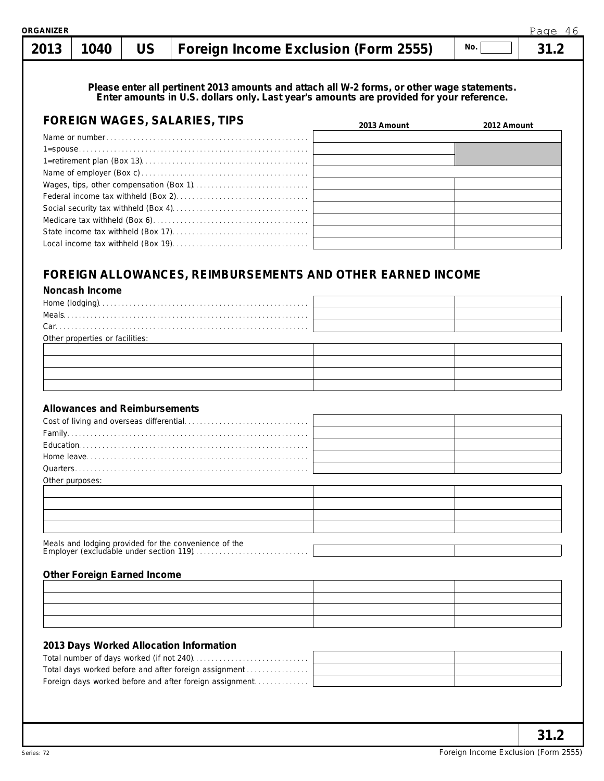# **1040 US Foreign Income Exclusion (Form 2555) 31.2 No. 2013**

#### **Please enter all pertinent 2013 amounts and attach all W-2 forms, or other wage statements. Enter amounts in U.S. dollars only. Last year's amounts are provided for your reference.**

| <b>FOREIGN WAGES, SALARIES, TIPS</b> | 2013 Amount | 2012 Amount |
|--------------------------------------|-------------|-------------|
|                                      |             |             |
|                                      |             |             |
|                                      |             |             |
|                                      |             |             |
|                                      |             |             |
|                                      |             |             |
|                                      |             |             |
|                                      |             |             |
|                                      |             |             |
|                                      |             |             |

## **FOREIGN ALLOWANCES, REIMBURSEMENTS AND OTHER EARNED INCOME**

**Noncash Income**

| $Car. \label{def:car} \begin{minipage}[c]{0.9\linewidth} \textbf{Car} \textbf{.} \textbf{.} \textbf{.} \textbf{.} \textbf{.} \textbf{.} \textbf{.} \textbf{.} \textbf{.} \textbf{.} \textbf{.} \textbf{.} \textbf{.} \textbf{.} \textbf{.} \textbf{.} \textbf{.} \textbf{.} \textbf{.} \textbf{.} \textbf{.} \textbf{.} \textbf{.} \textbf{.} \textbf{.} \textbf{.} \textbf{.} \textbf{.} \textbf{.} \textbf{.} \textbf{.} \textbf{$ |  |
|--------------------------------------------------------------------------------------------------------------------------------------------------------------------------------------------------------------------------------------------------------------------------------------------------------------------------------------------------------------------------------------------------------------------------------------|--|
| Other properties or facilities:                                                                                                                                                                                                                                                                                                                                                                                                      |  |
|                                                                                                                                                                                                                                                                                                                                                                                                                                      |  |
|                                                                                                                                                                                                                                                                                                                                                                                                                                      |  |
|                                                                                                                                                                                                                                                                                                                                                                                                                                      |  |
|                                                                                                                                                                                                                                                                                                                                                                                                                                      |  |

#### **Allowances and Reimbursements**

| Other purposes: |  |
|-----------------|--|

#### **Other Foreign Earned Income**

| the control of the control of the control of the control of the control of the control of the control of the control of the control of the control of the control of the control of the control of the control of the control |  |
|-------------------------------------------------------------------------------------------------------------------------------------------------------------------------------------------------------------------------------|--|

#### **2013 Days Worked Allocation Information**

| Total days worked before and after foreign assignment   |  |
|---------------------------------------------------------|--|
| Foreign days worked before and after foreign assignment |  |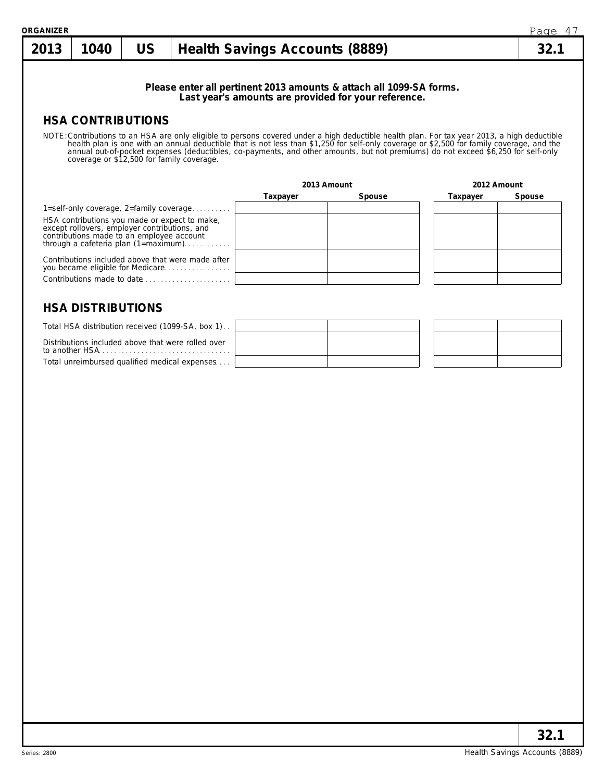| <b><i>RGANIZER</i></b>                                                                                                                                                              |                                           |           |                                                                                       |             |                                                                                                                                                                                                                                 |             | Page 47 |  |
|-------------------------------------------------------------------------------------------------------------------------------------------------------------------------------------|-------------------------------------------|-----------|---------------------------------------------------------------------------------------|-------------|---------------------------------------------------------------------------------------------------------------------------------------------------------------------------------------------------------------------------------|-------------|---------|--|
| 2013                                                                                                                                                                                | 1040                                      | <b>US</b> | <b>Health Savings Accounts (8889)</b>                                                 |             |                                                                                                                                                                                                                                 |             |         |  |
|                                                                                                                                                                                     |                                           |           |                                                                                       |             | Please enter all pertinent 2013 amounts & attach all 1099-SA forms.<br>Last year's amounts are provided for your reference.                                                                                                     |             |         |  |
|                                                                                                                                                                                     | <b>HSA CONTRIBUTIONS</b>                  |           |                                                                                       |             |                                                                                                                                                                                                                                 |             |         |  |
|                                                                                                                                                                                     | coverage or \$12,500 for family coverage. |           |                                                                                       | 2013 Amount | NOTE: Contributions to an HSA are only eligible to persons covered under a high deductible health plan. For tax year 2013, a high deductible health plan is one with an annual deductible that is not less than \$1,250 for sel | 2012 Amount |         |  |
|                                                                                                                                                                                     |                                           |           |                                                                                       | Taxpayer    | Spouse                                                                                                                                                                                                                          | Taxpayer    | Spouse  |  |
|                                                                                                                                                                                     |                                           |           | 1=self-only coverage, $2=$ family coverage                                            |             |                                                                                                                                                                                                                                 |             |         |  |
| HSA contributions you made or expect to make,<br>except rollovers, employer contributions, and<br>contributions made to an employee account<br>through a cafeteria plan (1=maximum) |                                           |           |                                                                                       |             |                                                                                                                                                                                                                                 |             |         |  |
|                                                                                                                                                                                     |                                           |           | Contributions included above that were made after<br>you became eligible for Medicare |             |                                                                                                                                                                                                                                 |             |         |  |
|                                                                                                                                                                                     |                                           |           | Contributions made to date                                                            |             |                                                                                                                                                                                                                                 |             |         |  |
|                                                                                                                                                                                     | <b>HSA DISTRIBUTIONS</b>                  |           | Total HSA distribution received (1099-SA, box 1).                                     |             |                                                                                                                                                                                                                                 |             |         |  |

| Total HSA distribution received (1099-SA, box 1).                                                                                                                                                                                                                                    |  |  |  |
|--------------------------------------------------------------------------------------------------------------------------------------------------------------------------------------------------------------------------------------------------------------------------------------|--|--|--|
| Distributions included above that were rolled over<br>to another HSA and the state of the state of the state of the state of the state of the state of the state of the state of the state of the state of the state of the state of the state of the state of the state of the stat |  |  |  |
| Total unreimbursed qualified medical expenses                                                                                                                                                                                                                                        |  |  |  |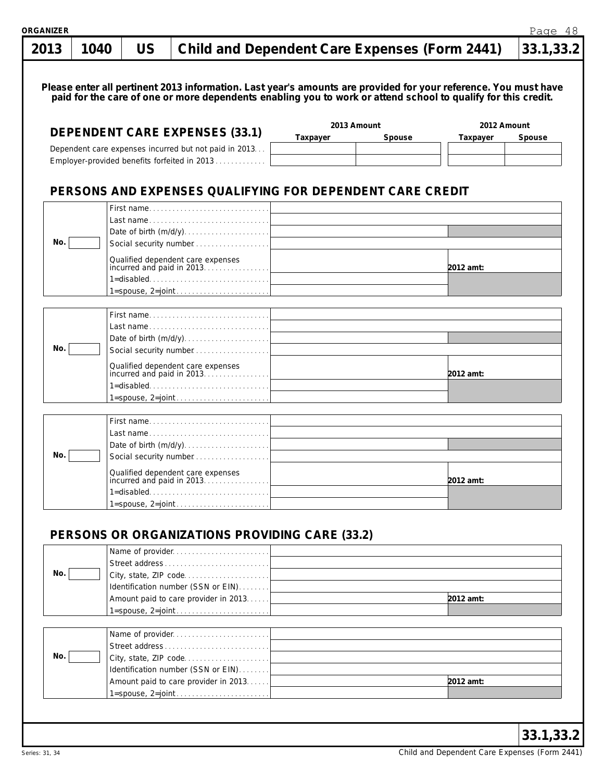| US<br><b>Child and Dependent Care Expenses (Form 2441)</b><br>2013<br>1040<br>Please enter all pertinent 2013 information. Last year's amounts are provided for your reference. You must have<br>paid for the care of one or more dependents enabling you to work or attend school to qualify for this credit.<br>2013 Amount<br>2012 Amount<br><b>DEPENDENT CARE EXPENSES (33.1)</b><br>Spouse<br>Spouse<br>Taxpayer<br>Taxpayer<br>Dependent care expenses incurred but not paid in 2013<br>Employer-provided benefits forfeited in 2013<br>PERSONS AND EXPENSES QUALIFYING FOR DEPENDENT CARE CREDIT<br>First name<br>Last name<br>Date of birth (m/d/y)<br>No.<br>Social security number<br>Qualified dependent care expenses<br>incurred and paid in 2013.<br>2012 amt:<br>1=disabled<br>First name<br>Last name<br>Date of birth (m/d/y)<br>No.<br>Social security number<br>Qualified dependent care expenses<br>2012 amt:<br>1=disabled<br>First name<br>Last name<br>Date of birth (m/d/y)<br>No.<br>Social security number<br>Qualified dependent care expenses<br>incurred and paid in 2013.<br>2012 amt:<br>1=disabled<br>PERSONS OR ORGANIZATIONS PROVIDING CARE (33.2)<br>Name of provider<br><u> 1989 - Jan Stern Stern Stern Stern Stern Stern Stern Stern Stern Stern Stern Stern Stern Stern Stern Stern Stern Stern Stern Stern Stern Stern Stern Stern Stern Stern Stern Stern Stern Stern Stern Stern Stern Stern Stern</u><br>Street address<br>No.<br>City, state, ZIP code<br>Identification number (SSN or EIN)<br>2012 amt:<br>Name of provider<br>Street address<br>No.<br>City, state, ZIP code<br>Identification number (SSN or EIN)<br>2012 amt: | <b>GANIZER</b> |  |  | Page 48   |
|--------------------------------------------------------------------------------------------------------------------------------------------------------------------------------------------------------------------------------------------------------------------------------------------------------------------------------------------------------------------------------------------------------------------------------------------------------------------------------------------------------------------------------------------------------------------------------------------------------------------------------------------------------------------------------------------------------------------------------------------------------------------------------------------------------------------------------------------------------------------------------------------------------------------------------------------------------------------------------------------------------------------------------------------------------------------------------------------------------------------------------------------------------------------------------------------------------------------------------------------------------------------------------------------------------------------------------------------------------------------------------------------------------------------------------------------------------------------------------------------------------------------------------------------------------------------------------------------------------------------------------------------------------------------------------|----------------|--|--|-----------|
|                                                                                                                                                                                                                                                                                                                                                                                                                                                                                                                                                                                                                                                                                                                                                                                                                                                                                                                                                                                                                                                                                                                                                                                                                                                                                                                                                                                                                                                                                                                                                                                                                                                                                |                |  |  | 33.1,33.2 |
|                                                                                                                                                                                                                                                                                                                                                                                                                                                                                                                                                                                                                                                                                                                                                                                                                                                                                                                                                                                                                                                                                                                                                                                                                                                                                                                                                                                                                                                                                                                                                                                                                                                                                |                |  |  |           |
|                                                                                                                                                                                                                                                                                                                                                                                                                                                                                                                                                                                                                                                                                                                                                                                                                                                                                                                                                                                                                                                                                                                                                                                                                                                                                                                                                                                                                                                                                                                                                                                                                                                                                |                |  |  |           |
|                                                                                                                                                                                                                                                                                                                                                                                                                                                                                                                                                                                                                                                                                                                                                                                                                                                                                                                                                                                                                                                                                                                                                                                                                                                                                                                                                                                                                                                                                                                                                                                                                                                                                |                |  |  |           |
|                                                                                                                                                                                                                                                                                                                                                                                                                                                                                                                                                                                                                                                                                                                                                                                                                                                                                                                                                                                                                                                                                                                                                                                                                                                                                                                                                                                                                                                                                                                                                                                                                                                                                |                |  |  |           |
|                                                                                                                                                                                                                                                                                                                                                                                                                                                                                                                                                                                                                                                                                                                                                                                                                                                                                                                                                                                                                                                                                                                                                                                                                                                                                                                                                                                                                                                                                                                                                                                                                                                                                |                |  |  |           |
|                                                                                                                                                                                                                                                                                                                                                                                                                                                                                                                                                                                                                                                                                                                                                                                                                                                                                                                                                                                                                                                                                                                                                                                                                                                                                                                                                                                                                                                                                                                                                                                                                                                                                |                |  |  |           |
|                                                                                                                                                                                                                                                                                                                                                                                                                                                                                                                                                                                                                                                                                                                                                                                                                                                                                                                                                                                                                                                                                                                                                                                                                                                                                                                                                                                                                                                                                                                                                                                                                                                                                |                |  |  |           |
|                                                                                                                                                                                                                                                                                                                                                                                                                                                                                                                                                                                                                                                                                                                                                                                                                                                                                                                                                                                                                                                                                                                                                                                                                                                                                                                                                                                                                                                                                                                                                                                                                                                                                |                |  |  |           |
|                                                                                                                                                                                                                                                                                                                                                                                                                                                                                                                                                                                                                                                                                                                                                                                                                                                                                                                                                                                                                                                                                                                                                                                                                                                                                                                                                                                                                                                                                                                                                                                                                                                                                |                |  |  |           |
|                                                                                                                                                                                                                                                                                                                                                                                                                                                                                                                                                                                                                                                                                                                                                                                                                                                                                                                                                                                                                                                                                                                                                                                                                                                                                                                                                                                                                                                                                                                                                                                                                                                                                |                |  |  |           |
|                                                                                                                                                                                                                                                                                                                                                                                                                                                                                                                                                                                                                                                                                                                                                                                                                                                                                                                                                                                                                                                                                                                                                                                                                                                                                                                                                                                                                                                                                                                                                                                                                                                                                |                |  |  |           |
|                                                                                                                                                                                                                                                                                                                                                                                                                                                                                                                                                                                                                                                                                                                                                                                                                                                                                                                                                                                                                                                                                                                                                                                                                                                                                                                                                                                                                                                                                                                                                                                                                                                                                |                |  |  |           |
|                                                                                                                                                                                                                                                                                                                                                                                                                                                                                                                                                                                                                                                                                                                                                                                                                                                                                                                                                                                                                                                                                                                                                                                                                                                                                                                                                                                                                                                                                                                                                                                                                                                                                |                |  |  |           |
|                                                                                                                                                                                                                                                                                                                                                                                                                                                                                                                                                                                                                                                                                                                                                                                                                                                                                                                                                                                                                                                                                                                                                                                                                                                                                                                                                                                                                                                                                                                                                                                                                                                                                |                |  |  |           |
|                                                                                                                                                                                                                                                                                                                                                                                                                                                                                                                                                                                                                                                                                                                                                                                                                                                                                                                                                                                                                                                                                                                                                                                                                                                                                                                                                                                                                                                                                                                                                                                                                                                                                |                |  |  |           |
|                                                                                                                                                                                                                                                                                                                                                                                                                                                                                                                                                                                                                                                                                                                                                                                                                                                                                                                                                                                                                                                                                                                                                                                                                                                                                                                                                                                                                                                                                                                                                                                                                                                                                |                |  |  |           |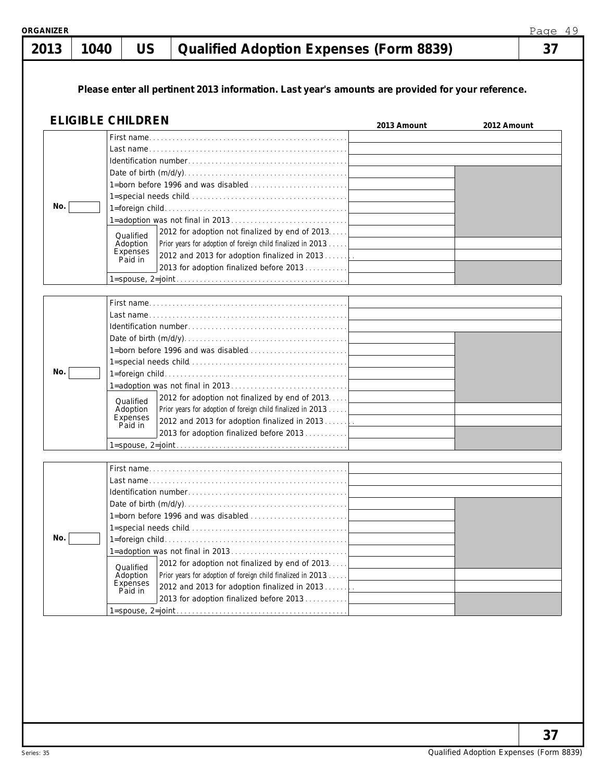| 2013 | 1040 | <b>US</b>                                    | <b>Qualified Adoption Expenses (Form 8839)</b>                                                                 |             |             |  |
|------|------|----------------------------------------------|----------------------------------------------------------------------------------------------------------------|-------------|-------------|--|
|      |      |                                              | Please enter all pertinent 2013 information. Last year's amounts are provided for your reference.              |             |             |  |
|      |      | <b>ELIGIBLE CHILDREN</b>                     |                                                                                                                | 2013 Amount | 2012 Amount |  |
|      |      |                                              |                                                                                                                |             |             |  |
| No.  |      |                                              |                                                                                                                |             |             |  |
|      |      |                                              |                                                                                                                |             |             |  |
|      |      | Qualified<br>Adoption<br>Expenses<br>Paid in | 2012 for adoption not finalized by end of 2013.<br>Prior years for adoption of foreign child finalized in 2013 |             |             |  |
|      |      |                                              |                                                                                                                |             |             |  |
|      |      |                                              |                                                                                                                |             |             |  |
|      |      |                                              | 1=born before 1996 and was disabled                                                                            |             |             |  |
|      |      |                                              |                                                                                                                |             |             |  |
| No.  |      |                                              |                                                                                                                |             |             |  |
|      |      | Qualified<br>Adoption<br>Expenses<br>Paid in | 2012 for adoption not finalized by end of 2013.<br>Prior years for adoption of foreign child finalized in 2013 |             |             |  |
|      |      |                                              |                                                                                                                |             |             |  |
|      |      |                                              |                                                                                                                |             |             |  |
|      |      |                                              |                                                                                                                |             |             |  |
|      |      |                                              |                                                                                                                |             |             |  |
|      |      |                                              |                                                                                                                |             |             |  |
|      |      |                                              |                                                                                                                |             |             |  |
| No.  |      |                                              |                                                                                                                |             |             |  |
|      |      | Qualified<br>Adoption<br>Expenses<br>Paid in | 2012 for adoption not finalized by end of 2013.<br>Prior years for adoption of foreign child finalized in 2013 |             |             |  |
|      |      |                                              |                                                                                                                |             |             |  |
|      |      |                                              |                                                                                                                |             |             |  |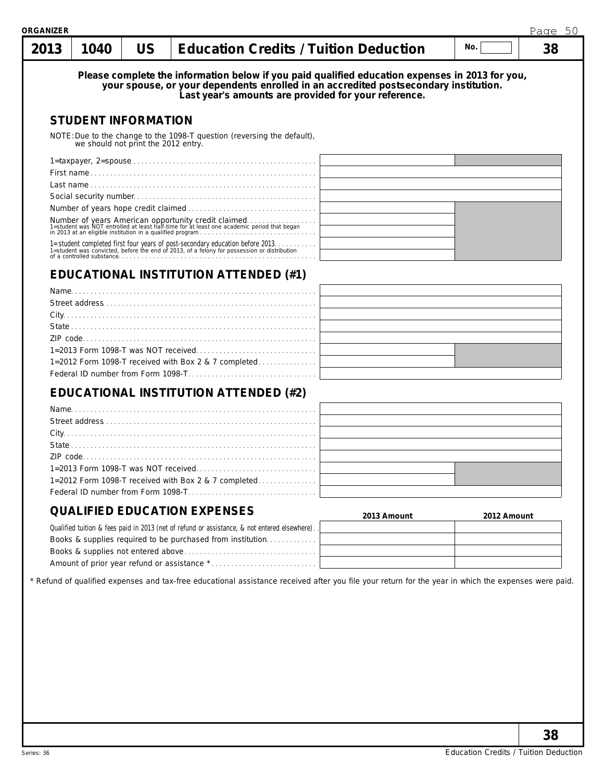| 2013 | 1040 | US                                  | <b>Education Credits / Tuition Deduction</b>                                                                                                                                                                                                    |             | No.         | 38 |
|------|------|-------------------------------------|-------------------------------------------------------------------------------------------------------------------------------------------------------------------------------------------------------------------------------------------------|-------------|-------------|----|
|      |      |                                     | Please complete the information below if you paid qualified education expenses in 2013 for you,<br>your spouse, or your dependents enrolled in an accredited postsecondary institution.<br>Last year's amounts are provided for your reference. |             |             |    |
|      |      | <b>STUDENT INFORMATION</b>          |                                                                                                                                                                                                                                                 |             |             |    |
|      |      | we should not print the 2012 entry. | NOTE: Due to the change to the 1098-T question (reversing the default),                                                                                                                                                                         |             |             |    |
|      |      |                                     |                                                                                                                                                                                                                                                 |             |             |    |
|      |      |                                     |                                                                                                                                                                                                                                                 |             |             |    |
|      |      |                                     |                                                                                                                                                                                                                                                 |             |             |    |
|      |      |                                     |                                                                                                                                                                                                                                                 |             |             |    |
|      |      |                                     |                                                                                                                                                                                                                                                 |             |             |    |
|      |      |                                     |                                                                                                                                                                                                                                                 |             |             |    |
|      |      |                                     | 1=student completed first four years of post-secondary education before 2013.<br>1=student was convicted, before the end of 2013, of a felony for possession or distribution<br>of a controlled substance.                                      |             |             |    |
|      |      |                                     | <b>EDUCATIONAL INSTITUTION ATTENDED (#1)</b>                                                                                                                                                                                                    |             |             |    |
|      |      |                                     |                                                                                                                                                                                                                                                 |             |             |    |
|      |      |                                     |                                                                                                                                                                                                                                                 |             |             |    |
|      |      |                                     |                                                                                                                                                                                                                                                 |             |             |    |
|      |      |                                     |                                                                                                                                                                                                                                                 |             |             |    |
|      |      |                                     |                                                                                                                                                                                                                                                 |             |             |    |
|      |      |                                     |                                                                                                                                                                                                                                                 |             |             |    |
|      |      |                                     | 1=2012 Form 1098-T received with Box 2 & 7 completed                                                                                                                                                                                            |             |             |    |
|      |      |                                     |                                                                                                                                                                                                                                                 |             |             |    |
|      |      |                                     | EDUCATIONAL INSTITUTION ATTENDED (#2)                                                                                                                                                                                                           |             |             |    |
|      |      |                                     |                                                                                                                                                                                                                                                 |             |             |    |
|      |      |                                     | Name and the contract of the contract of the contract of the contract of the contract of the contract of the contract of the contract of the contract of the contract of the contract of the contract of the contract of the c                  |             |             |    |
|      |      |                                     |                                                                                                                                                                                                                                                 |             |             |    |
|      |      |                                     |                                                                                                                                                                                                                                                 |             |             |    |
|      |      |                                     |                                                                                                                                                                                                                                                 |             |             |    |
|      |      |                                     |                                                                                                                                                                                                                                                 |             |             |    |
|      |      |                                     | 1=2012 Form 1098-T received with Box 2 & 7 completed                                                                                                                                                                                            |             |             |    |
|      |      |                                     |                                                                                                                                                                                                                                                 |             |             |    |
|      |      |                                     |                                                                                                                                                                                                                                                 |             |             |    |
|      |      |                                     | <b>QUALIFIED EDUCATION EXPENSES</b>                                                                                                                                                                                                             | 2013 Amount | 2012 Amount |    |
|      |      |                                     | Qualified tuition & fees paid in 2013 (net of refund or assistance, & not entered elsewhere).                                                                                                                                                   |             |             |    |
|      |      |                                     | Books & supplies required to be purchased from institution                                                                                                                                                                                      |             |             |    |
|      |      |                                     |                                                                                                                                                                                                                                                 |             |             |    |
|      |      |                                     |                                                                                                                                                                                                                                                 |             |             |    |
|      |      |                                     | * Refund of qualified expenses and tax-free educational assistance received after you file your return for the year in which the expenses were paid.                                                                                            |             |             |    |
|      |      |                                     |                                                                                                                                                                                                                                                 |             |             |    |
|      |      |                                     |                                                                                                                                                                                                                                                 |             |             |    |
|      |      |                                     |                                                                                                                                                                                                                                                 |             |             |    |
|      |      |                                     |                                                                                                                                                                                                                                                 |             |             |    |
|      |      |                                     |                                                                                                                                                                                                                                                 |             |             |    |
|      |      |                                     |                                                                                                                                                                                                                                                 |             |             |    |
|      |      |                                     |                                                                                                                                                                                                                                                 |             |             |    |
|      |      |                                     |                                                                                                                                                                                                                                                 |             |             |    |
|      |      |                                     |                                                                                                                                                                                                                                                 |             |             |    |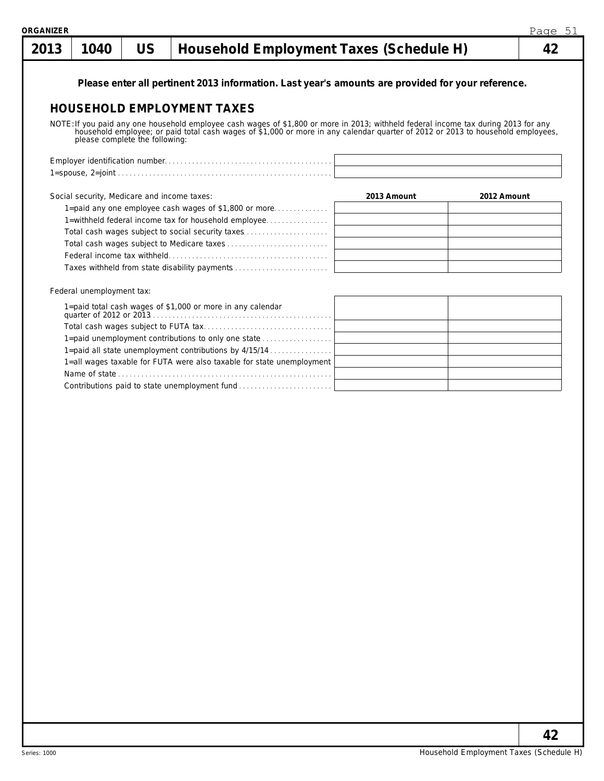| 2013 | 1040                                        | <b>US</b> | Household Employment Taxes (Schedule H)                                                                                                                                                                                          |             | 42          |
|------|---------------------------------------------|-----------|----------------------------------------------------------------------------------------------------------------------------------------------------------------------------------------------------------------------------------|-------------|-------------|
|      |                                             |           | Please enter all pertinent 2013 information. Last year's amounts are provided for your reference.                                                                                                                                |             |             |
|      |                                             |           | <b>HOUSEHOLD EMPLOYMENT TAXES</b>                                                                                                                                                                                                |             |             |
|      |                                             |           |                                                                                                                                                                                                                                  |             |             |
|      |                                             |           | NOTE: If you paid any one household employee cash wages of \$1,800 or more in 2013; withheld federal income tax during 2013 for any household employee; or paid total cash wages of \$1,000 or more in any calendar quarter of 2 |             |             |
|      |                                             |           |                                                                                                                                                                                                                                  |             |             |
|      |                                             |           |                                                                                                                                                                                                                                  |             |             |
|      | Social security, Medicare and income taxes: |           |                                                                                                                                                                                                                                  | 2013 Amount | 2012 Amount |
|      |                                             |           | 1=paid any one employee cash wages of \$1,800 or more                                                                                                                                                                            |             |             |
|      |                                             |           | 1=withheld federal income tax for household employee                                                                                                                                                                             |             |             |
|      |                                             |           | Total cash wages subject to social security taxes                                                                                                                                                                                |             |             |
|      |                                             |           |                                                                                                                                                                                                                                  |             |             |
|      |                                             |           |                                                                                                                                                                                                                                  |             |             |
|      |                                             |           | Taxes withheld from state disability payments                                                                                                                                                                                    |             |             |
|      | Federal unemployment tax:                   |           |                                                                                                                                                                                                                                  |             |             |
|      |                                             |           |                                                                                                                                                                                                                                  |             |             |
|      |                                             |           |                                                                                                                                                                                                                                  |             |             |
|      |                                             |           | 1=paid unemployment contributions to only one state                                                                                                                                                                              |             |             |
|      |                                             |           | 1=paid all state unemployment contributions by 4/15/14                                                                                                                                                                           |             |             |
|      |                                             |           | 1=all wages taxable for FUTA were also taxable for state unemployment                                                                                                                                                            |             |             |
|      |                                             |           |                                                                                                                                                                                                                                  |             |             |
|      |                                             |           | Contributions paid to state unemployment fund                                                                                                                                                                                    |             |             |
|      |                                             |           |                                                                                                                                                                                                                                  |             |             |
|      |                                             |           |                                                                                                                                                                                                                                  |             |             |
|      |                                             |           |                                                                                                                                                                                                                                  |             |             |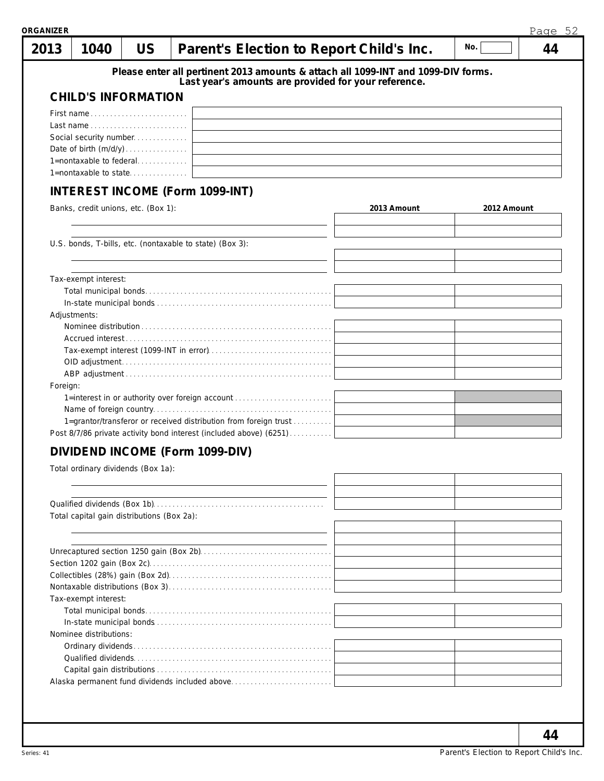| 2013     | 1040                                       | <b>US</b> | Parent's Election to Report Child's Inc.                                          |             | No.         | 44 |
|----------|--------------------------------------------|-----------|-----------------------------------------------------------------------------------|-------------|-------------|----|
|          |                                            |           | Please enter all pertinent 2013 amounts & attach all 1099-INT and 1099-DIV forms. |             |             |    |
|          |                                            |           | Last year's amounts are provided for your reference.                              |             |             |    |
|          | <b>CHILD'S INFORMATION</b>                 |           |                                                                                   |             |             |    |
|          | First name                                 |           |                                                                                   |             |             |    |
|          |                                            |           |                                                                                   |             |             |    |
|          | Social security number                     |           |                                                                                   |             |             |    |
|          |                                            |           |                                                                                   |             |             |    |
|          | 1=nontaxable to federal                    |           |                                                                                   |             |             |    |
|          | 1=nontaxable to state                      |           |                                                                                   |             |             |    |
|          |                                            |           | <b>INTEREST INCOME (Form 1099-INT)</b>                                            |             |             |    |
|          | Banks, credit unions, etc. (Box 1):        |           |                                                                                   | 2013 Amount | 2012 Amount |    |
|          |                                            |           |                                                                                   |             |             |    |
|          |                                            |           | U.S. bonds, T-bills, etc. (nontaxable to state) (Box 3):                          |             |             |    |
|          |                                            |           |                                                                                   |             |             |    |
|          |                                            |           |                                                                                   |             |             |    |
|          | Tax-exempt interest:                       |           |                                                                                   |             |             |    |
|          |                                            |           |                                                                                   |             |             |    |
|          | Adjustments:                               |           |                                                                                   |             |             |    |
|          |                                            |           |                                                                                   |             |             |    |
|          |                                            |           |                                                                                   |             |             |    |
|          |                                            |           |                                                                                   |             |             |    |
|          |                                            |           |                                                                                   |             |             |    |
|          |                                            |           |                                                                                   |             |             |    |
| Foreign: |                                            |           |                                                                                   |             |             |    |
|          |                                            |           | 1=interest in or authority over foreign account                                   |             |             |    |
|          |                                            |           |                                                                                   |             |             |    |
|          |                                            |           | 1=grantor/transferor or received distribution from foreign trust                  |             |             |    |
|          |                                            |           | Post 8/7/86 private activity bond interest (included above) (6251)                |             |             |    |
|          |                                            |           | DIVIDEND INCOME (Form 1099-DIV)                                                   |             |             |    |
|          | Total ordinary dividends (Box 1a):         |           |                                                                                   |             |             |    |
|          |                                            |           |                                                                                   |             |             |    |
|          |                                            |           |                                                                                   |             |             |    |
|          |                                            |           |                                                                                   |             |             |    |
|          | Total capital gain distributions (Box 2a): |           |                                                                                   |             |             |    |
|          |                                            |           |                                                                                   |             |             |    |
|          |                                            |           |                                                                                   |             |             |    |
|          |                                            |           |                                                                                   |             |             |    |
|          |                                            |           |                                                                                   |             |             |    |
|          |                                            |           |                                                                                   |             |             |    |
|          | Tax-exempt interest:                       |           |                                                                                   |             |             |    |
|          |                                            |           |                                                                                   |             |             |    |
|          |                                            |           |                                                                                   |             |             |    |
|          | Nominee distributions:                     |           |                                                                                   |             |             |    |
|          |                                            |           |                                                                                   |             |             |    |
|          |                                            |           |                                                                                   |             |             |    |
|          |                                            |           |                                                                                   |             |             |    |
|          |                                            |           |                                                                                   |             |             |    |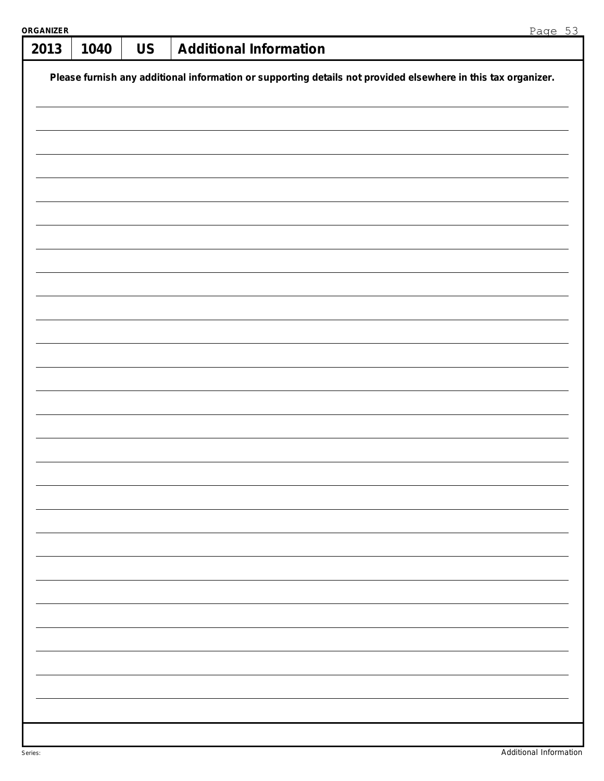| <b>ORGANIZER</b> |                                                                                                               |           | Page 53                       |  |  |  |  |  |  |
|------------------|---------------------------------------------------------------------------------------------------------------|-----------|-------------------------------|--|--|--|--|--|--|
| 2013             | 1040                                                                                                          | <b>US</b> | <b>Additional Information</b> |  |  |  |  |  |  |
|                  | Please furnish any additional information or supporting details not provided elsewhere in this tax organizer. |           |                               |  |  |  |  |  |  |
|                  |                                                                                                               |           |                               |  |  |  |  |  |  |
|                  |                                                                                                               |           |                               |  |  |  |  |  |  |
|                  |                                                                                                               |           |                               |  |  |  |  |  |  |
|                  |                                                                                                               |           |                               |  |  |  |  |  |  |
|                  |                                                                                                               |           |                               |  |  |  |  |  |  |
|                  |                                                                                                               |           |                               |  |  |  |  |  |  |
|                  |                                                                                                               |           |                               |  |  |  |  |  |  |
|                  |                                                                                                               |           |                               |  |  |  |  |  |  |
|                  |                                                                                                               |           |                               |  |  |  |  |  |  |
|                  |                                                                                                               |           |                               |  |  |  |  |  |  |
|                  |                                                                                                               |           |                               |  |  |  |  |  |  |
|                  |                                                                                                               |           |                               |  |  |  |  |  |  |
|                  |                                                                                                               |           |                               |  |  |  |  |  |  |
|                  |                                                                                                               |           |                               |  |  |  |  |  |  |
|                  |                                                                                                               |           |                               |  |  |  |  |  |  |
|                  |                                                                                                               |           |                               |  |  |  |  |  |  |
|                  |                                                                                                               |           |                               |  |  |  |  |  |  |
|                  |                                                                                                               |           |                               |  |  |  |  |  |  |
|                  |                                                                                                               |           |                               |  |  |  |  |  |  |
|                  |                                                                                                               |           |                               |  |  |  |  |  |  |
|                  |                                                                                                               |           |                               |  |  |  |  |  |  |
|                  |                                                                                                               |           |                               |  |  |  |  |  |  |
|                  |                                                                                                               |           |                               |  |  |  |  |  |  |
|                  |                                                                                                               |           |                               |  |  |  |  |  |  |
|                  |                                                                                                               |           |                               |  |  |  |  |  |  |
|                  |                                                                                                               |           |                               |  |  |  |  |  |  |
|                  |                                                                                                               |           |                               |  |  |  |  |  |  |
|                  |                                                                                                               |           |                               |  |  |  |  |  |  |
|                  |                                                                                                               |           |                               |  |  |  |  |  |  |
|                  |                                                                                                               |           |                               |  |  |  |  |  |  |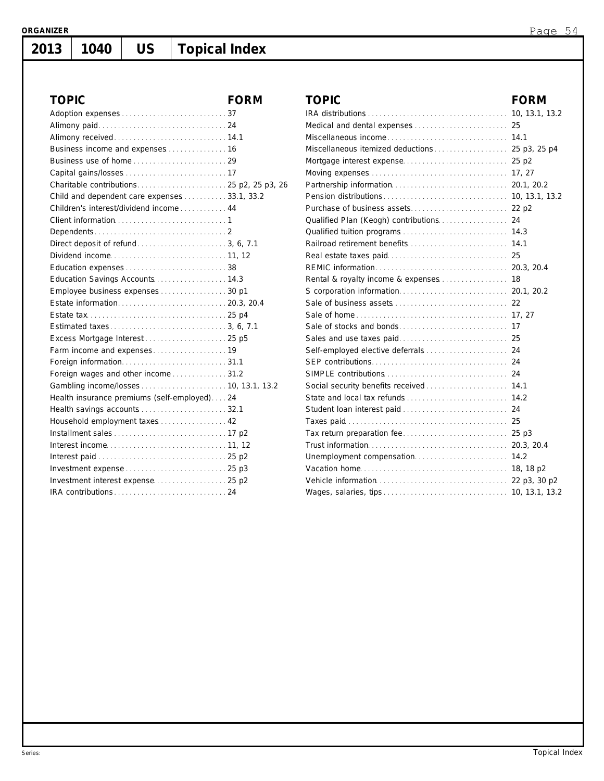# **1040 US Topical Index**

| <b>TOPIC</b>                                 | <b>FORM</b> | <b>TOPIC</b>       |
|----------------------------------------------|-------------|--------------------|
|                                              |             | IRA distribu       |
|                                              |             | Medical and        |
|                                              |             | Miscellaneo        |
|                                              |             | Miscellaneo        |
|                                              |             | Mortgage in        |
|                                              |             | Moving exp         |
|                                              |             | Partnership        |
| Child and dependent care expenses 33.1, 33.2 |             | Pension dis        |
| Children's interest/dividend income 44       |             | Purchase of        |
|                                              |             | Qualified PI       |
|                                              |             | Qualified tui      |
|                                              |             | Railroad ret       |
|                                              |             | Real estate        |
|                                              |             | <b>REMIC</b> infor |
| Education Savings Accounts  14.3             |             | Rental & ro        |
| Employee business expenses30 p1              |             | S corporatio       |
|                                              |             | Sale of busi       |
|                                              |             | Sale of hom        |
|                                              |             | Sale of stoc       |
|                                              |             | Sales and u        |
|                                              |             | Self-employ        |
|                                              |             | <b>SEP</b> contrib |
| Foreign wages and other income31.2           |             | SIMPLE cor         |
|                                              |             | Social secu        |
| Health insurance premiums (self-employed)24  |             | State and Io       |
| Health savings accounts  32.1                |             | Student Ioa        |
| Household employment taxes 42                |             | Taxes paid         |
|                                              |             | Tax return p       |
|                                              |             | Trust inform       |
|                                              |             | Unemploym          |
|                                              |             | Vacation ho        |
|                                              |             | Vehicle info       |
|                                              |             | Wages, sala        |

| TOPIC                                  | <b>FORM</b> |
|----------------------------------------|-------------|
|                                        |             |
|                                        |             |
|                                        |             |
|                                        |             |
|                                        |             |
|                                        |             |
|                                        |             |
|                                        |             |
|                                        |             |
|                                        |             |
|                                        |             |
|                                        |             |
|                                        |             |
|                                        |             |
| Rental & royalty income & expenses  18 |             |
|                                        |             |
|                                        |             |
|                                        |             |
|                                        |             |
|                                        |             |
|                                        |             |
|                                        |             |
|                                        |             |
| Social security benefits received 14.1 |             |
|                                        |             |
|                                        |             |
|                                        |             |
|                                        |             |
|                                        |             |
|                                        |             |
|                                        |             |
|                                        |             |
|                                        |             |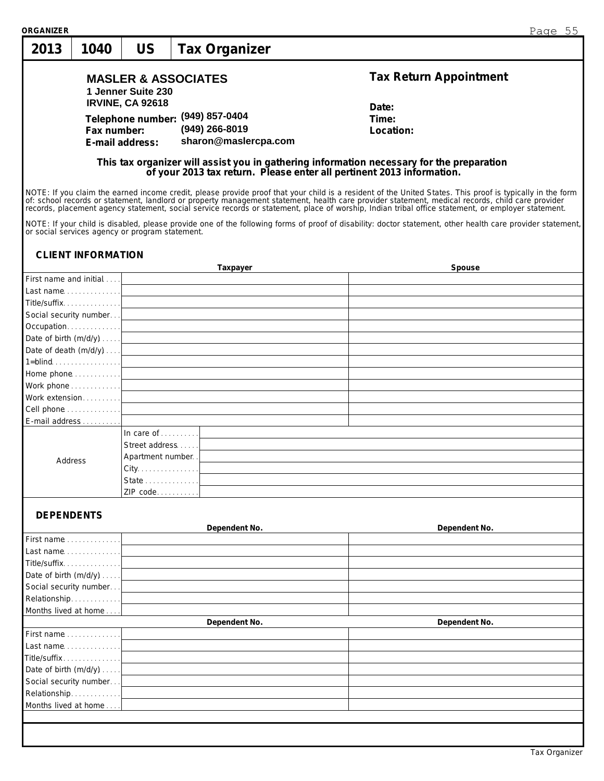| <b>ORGANIZER</b>       |                           |                                                 |                                                                                                                                                                                                                               | Page 55                                                                                                                                                                                                                                                                                                                                                                                     |
|------------------------|---------------------------|-------------------------------------------------|-------------------------------------------------------------------------------------------------------------------------------------------------------------------------------------------------------------------------------|---------------------------------------------------------------------------------------------------------------------------------------------------------------------------------------------------------------------------------------------------------------------------------------------------------------------------------------------------------------------------------------------|
| 2013                   | 1040                      | <b>US</b>                                       | <b>Tax Organizer</b>                                                                                                                                                                                                          |                                                                                                                                                                                                                                                                                                                                                                                             |
|                        |                           | 1 Jenner Suite 230                              | <b>MASLER &amp; ASSOCIATES</b>                                                                                                                                                                                                | <b>Tax Return Appointment</b>                                                                                                                                                                                                                                                                                                                                                               |
|                        |                           | <b>IRVINE, CA 92618</b>                         |                                                                                                                                                                                                                               | Date:                                                                                                                                                                                                                                                                                                                                                                                       |
|                        |                           |                                                 | Telephone number: (949) 857-0404                                                                                                                                                                                              | Time:                                                                                                                                                                                                                                                                                                                                                                                       |
|                        | Fax number:               |                                                 | (949) 266-8019                                                                                                                                                                                                                | Location:                                                                                                                                                                                                                                                                                                                                                                                   |
|                        |                           | E-mail address:                                 | sharon@maslercpa.com                                                                                                                                                                                                          |                                                                                                                                                                                                                                                                                                                                                                                             |
|                        |                           |                                                 |                                                                                                                                                                                                                               | This tax organizer will assist you in gathering information necessary for the preparation<br>of your 2013 tax return. Please enter all pertinent 2013 information.                                                                                                                                                                                                                          |
|                        |                           |                                                 |                                                                                                                                                                                                                               | NOTE: If you claim the earned income credit, please provide proof that your child is a resident of the United States. This proof is typically in the form<br>of: school records or statement, landlord or property management statement, health care provider statement, medical records, child care provider records, placement agency statement, social service records or statement, pla |
|                        |                           | or social services agency or program statement. |                                                                                                                                                                                                                               | NOTE: If your child is disabled, please provide one of the following forms of proof of disability: doctor statement, other health care provider statement,                                                                                                                                                                                                                                  |
|                        | <b>CLIENT INFORMATION</b> |                                                 |                                                                                                                                                                                                                               |                                                                                                                                                                                                                                                                                                                                                                                             |
|                        |                           |                                                 | Taxpayer                                                                                                                                                                                                                      | Spouse                                                                                                                                                                                                                                                                                                                                                                                      |
|                        | First name and initial    |                                                 |                                                                                                                                                                                                                               |                                                                                                                                                                                                                                                                                                                                                                                             |
|                        | Title/suffix. 1           |                                                 |                                                                                                                                                                                                                               |                                                                                                                                                                                                                                                                                                                                                                                             |
|                        |                           |                                                 |                                                                                                                                                                                                                               |                                                                                                                                                                                                                                                                                                                                                                                             |
|                        | Occupation                |                                                 | the control of the control of the control of the control of the control of the control of the control of the control of the control of the control of the control of the control of the control of the control of the control |                                                                                                                                                                                                                                                                                                                                                                                             |
|                        | Date of birth $(m/d/y)$   |                                                 | the control of the control of the control of the control of the control of the control of the control of the control of the control of the control of the control of the control of the control of the control of the control |                                                                                                                                                                                                                                                                                                                                                                                             |
|                        |                           |                                                 | Date of death $(m/d/y) \ldots$ .                                                                                                                                                                                              |                                                                                                                                                                                                                                                                                                                                                                                             |
|                        |                           |                                                 | $1 = blind$ $l$                                                                                                                                                                                                               |                                                                                                                                                                                                                                                                                                                                                                                             |
|                        |                           |                                                 |                                                                                                                                                                                                                               |                                                                                                                                                                                                                                                                                                                                                                                             |
|                        |                           |                                                 |                                                                                                                                                                                                                               |                                                                                                                                                                                                                                                                                                                                                                                             |
| Work extension         |                           |                                                 |                                                                                                                                                                                                                               |                                                                                                                                                                                                                                                                                                                                                                                             |
| Cell phone             |                           |                                                 | <u> 1980 - Johann Barbara, martxa alemaniar amerikan a</u>                                                                                                                                                                    |                                                                                                                                                                                                                                                                                                                                                                                             |
| E-mail address         |                           |                                                 |                                                                                                                                                                                                                               |                                                                                                                                                                                                                                                                                                                                                                                             |
|                        |                           | In care of $\ldots \ldots$                      |                                                                                                                                                                                                                               |                                                                                                                                                                                                                                                                                                                                                                                             |
|                        |                           | Street address                                  |                                                                                                                                                                                                                               |                                                                                                                                                                                                                                                                                                                                                                                             |
| Address                |                           | Apartment number.                               |                                                                                                                                                                                                                               |                                                                                                                                                                                                                                                                                                                                                                                             |
|                        |                           | City.                                           |                                                                                                                                                                                                                               |                                                                                                                                                                                                                                                                                                                                                                                             |
|                        |                           | State<br>ZIP code                               |                                                                                                                                                                                                                               |                                                                                                                                                                                                                                                                                                                                                                                             |
| <b>DEPENDENTS</b>      |                           |                                                 |                                                                                                                                                                                                                               |                                                                                                                                                                                                                                                                                                                                                                                             |
|                        |                           |                                                 | Dependent No.                                                                                                                                                                                                                 | Dependent No.                                                                                                                                                                                                                                                                                                                                                                               |
| First name             |                           |                                                 |                                                                                                                                                                                                                               |                                                                                                                                                                                                                                                                                                                                                                                             |
|                        | Last name. 1              |                                                 |                                                                                                                                                                                                                               |                                                                                                                                                                                                                                                                                                                                                                                             |
| Title/suffix           |                           |                                                 |                                                                                                                                                                                                                               |                                                                                                                                                                                                                                                                                                                                                                                             |
|                        | Date of birth (m/d/y)     |                                                 |                                                                                                                                                                                                                               |                                                                                                                                                                                                                                                                                                                                                                                             |
| Social security number |                           |                                                 |                                                                                                                                                                                                                               |                                                                                                                                                                                                                                                                                                                                                                                             |
| Relationship           |                           |                                                 |                                                                                                                                                                                                                               |                                                                                                                                                                                                                                                                                                                                                                                             |
| Months lived at home   |                           |                                                 |                                                                                                                                                                                                                               |                                                                                                                                                                                                                                                                                                                                                                                             |
| First name             |                           |                                                 | Dependent No.                                                                                                                                                                                                                 | Dependent No.                                                                                                                                                                                                                                                                                                                                                                               |
|                        | Last name. 1              |                                                 |                                                                                                                                                                                                                               |                                                                                                                                                                                                                                                                                                                                                                                             |
| Title/suffix           |                           |                                                 |                                                                                                                                                                                                                               |                                                                                                                                                                                                                                                                                                                                                                                             |
|                        | Date of birth (m/d/y)     |                                                 |                                                                                                                                                                                                                               |                                                                                                                                                                                                                                                                                                                                                                                             |
| Social security number |                           |                                                 |                                                                                                                                                                                                                               |                                                                                                                                                                                                                                                                                                                                                                                             |
| Relationship           |                           |                                                 |                                                                                                                                                                                                                               |                                                                                                                                                                                                                                                                                                                                                                                             |
| Months lived at home   |                           |                                                 |                                                                                                                                                                                                                               |                                                                                                                                                                                                                                                                                                                                                                                             |
|                        |                           |                                                 |                                                                                                                                                                                                                               |                                                                                                                                                                                                                                                                                                                                                                                             |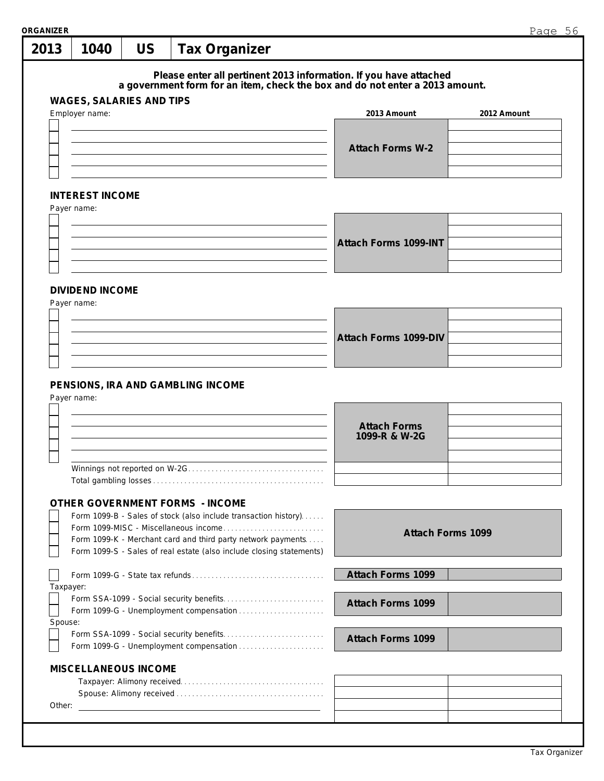| 2013      |                                                   |           |                                                                                                                                      |                                                                                                                                                   | Page $56$                |
|-----------|---------------------------------------------------|-----------|--------------------------------------------------------------------------------------------------------------------------------------|---------------------------------------------------------------------------------------------------------------------------------------------------|--------------------------|
|           | 1040                                              | <b>US</b> | <b>Tax Organizer</b>                                                                                                                 |                                                                                                                                                   |                          |
|           |                                                   |           |                                                                                                                                      | Please enter all pertinent 2013 information. If you have attached<br>a government form for an item, check the box and do not enter a 2013 amount. |                          |
|           | <b>WAGES, SALARIES AND TIPS</b><br>Employer name: |           |                                                                                                                                      | 2013 Amount                                                                                                                                       | 2012 Amount              |
|           |                                                   |           |                                                                                                                                      |                                                                                                                                                   |                          |
|           |                                                   |           |                                                                                                                                      | <b>Attach Forms W-2</b>                                                                                                                           |                          |
|           |                                                   |           |                                                                                                                                      |                                                                                                                                                   |                          |
|           |                                                   |           |                                                                                                                                      |                                                                                                                                                   |                          |
|           | <b>INTEREST INCOME</b>                            |           |                                                                                                                                      |                                                                                                                                                   |                          |
|           | Payer name:                                       |           |                                                                                                                                      |                                                                                                                                                   |                          |
|           |                                                   |           |                                                                                                                                      |                                                                                                                                                   |                          |
|           |                                                   |           |                                                                                                                                      | Attach Forms 1099-INT                                                                                                                             |                          |
|           |                                                   |           |                                                                                                                                      |                                                                                                                                                   |                          |
|           |                                                   |           |                                                                                                                                      |                                                                                                                                                   |                          |
|           | <b>DIVIDEND INCOME</b>                            |           |                                                                                                                                      |                                                                                                                                                   |                          |
|           | Payer name:                                       |           |                                                                                                                                      |                                                                                                                                                   |                          |
|           |                                                   |           |                                                                                                                                      |                                                                                                                                                   |                          |
|           |                                                   |           |                                                                                                                                      | <b>Attach Forms 1099-DIV</b>                                                                                                                      |                          |
|           |                                                   |           |                                                                                                                                      |                                                                                                                                                   |                          |
|           | Payer name:                                       |           | PENSIONS, IRA AND GAMBLING INCOME                                                                                                    |                                                                                                                                                   |                          |
|           |                                                   |           |                                                                                                                                      | <b>Attach Forms</b><br>1099-R & W-2G                                                                                                              |                          |
|           |                                                   |           | Winnings not reported on W-2G                                                                                                        |                                                                                                                                                   |                          |
|           |                                                   |           |                                                                                                                                      |                                                                                                                                                   |                          |
|           |                                                   |           | <b>OTHER GOVERNMENT FORMS - INCOME</b>                                                                                               |                                                                                                                                                   |                          |
|           |                                                   |           | Form 1099-B - Sales of stock (also include transaction history)                                                                      |                                                                                                                                                   |                          |
|           |                                                   |           |                                                                                                                                      |                                                                                                                                                   | <b>Attach Forms 1099</b> |
|           |                                                   |           | Form 1099-K - Merchant card and third party network payments<br>Form 1099-S - Sales of real estate (also include closing statements) |                                                                                                                                                   |                          |
|           |                                                   |           |                                                                                                                                      | <b>Attach Forms 1099</b>                                                                                                                          |                          |
| Taxpayer: |                                                   |           |                                                                                                                                      |                                                                                                                                                   |                          |
|           |                                                   |           |                                                                                                                                      | <b>Attach Forms 1099</b>                                                                                                                          |                          |
| Spouse:   |                                                   |           | Form 1099-G - Unemployment compensation                                                                                              |                                                                                                                                                   |                          |
|           |                                                   |           |                                                                                                                                      | <b>Attach Forms 1099</b>                                                                                                                          |                          |
|           |                                                   |           |                                                                                                                                      |                                                                                                                                                   |                          |
|           | <b>MISCELLANEOUS INCOME</b>                       |           |                                                                                                                                      |                                                                                                                                                   |                          |
|           |                                                   |           |                                                                                                                                      |                                                                                                                                                   |                          |
| Other:    |                                                   |           | <u> 1999 - Johann Harry Harry Harry Harry Harry Harry Harry Harry Harry Harry Harry Harry Harry Harry Harry Harry</u>                |                                                                                                                                                   |                          |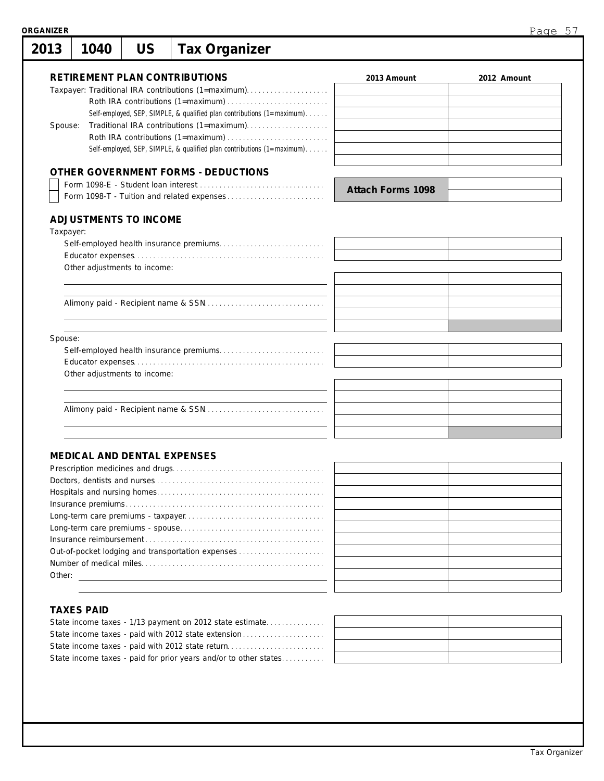| <b>ORGANIZER</b> |                                    |           |                                                                                             |                          | Page 57     |
|------------------|------------------------------------|-----------|---------------------------------------------------------------------------------------------|--------------------------|-------------|
| 2013             | 1040                               | <b>US</b> | <b>Tax Organizer</b>                                                                        |                          |             |
|                  |                                    |           | <b>RETIREMENT PLAN CONTRIBUTIONS</b><br>Taxpayer: Traditional IRA contributions (1=maximum) | 2013 Amount              | 2012 Amount |
|                  |                                    |           |                                                                                             |                          |             |
|                  |                                    |           | Self-employed, SEP, SIMPLE, & qualified plan contributions (1=maximum)                      |                          |             |
| Spouse:          |                                    |           |                                                                                             |                          |             |
|                  |                                    |           | Self-employed, SEP, SIMPLE, & qualified plan contributions (1=maximum).                     |                          |             |
|                  |                                    |           |                                                                                             |                          |             |
|                  |                                    |           | <b>OTHER GOVERNMENT FORMS - DEDUCTIONS</b>                                                  |                          |             |
|                  |                                    |           |                                                                                             | <b>Attach Forms 1098</b> |             |
|                  | <b>ADJUSTMENTS TO INCOME</b>       |           |                                                                                             |                          |             |
| Taxpayer:        |                                    |           |                                                                                             |                          |             |
|                  |                                    |           |                                                                                             |                          |             |
|                  |                                    |           |                                                                                             |                          |             |
|                  | Other adjustments to income:       |           |                                                                                             |                          |             |
|                  |                                    |           |                                                                                             |                          |             |
|                  |                                    |           |                                                                                             |                          |             |
|                  |                                    |           |                                                                                             |                          |             |
|                  |                                    |           |                                                                                             |                          |             |
| Spouse:          |                                    |           |                                                                                             |                          |             |
|                  |                                    |           |                                                                                             |                          |             |
|                  |                                    |           |                                                                                             |                          |             |
|                  | Other adjustments to income:       |           |                                                                                             |                          |             |
|                  |                                    |           |                                                                                             |                          |             |
|                  |                                    |           |                                                                                             |                          |             |
|                  |                                    |           |                                                                                             |                          |             |
|                  |                                    |           |                                                                                             |                          |             |
|                  |                                    |           |                                                                                             |                          |             |
|                  | <b>MEDICAL AND DENTAL EXPENSES</b> |           |                                                                                             |                          |             |
|                  |                                    |           |                                                                                             |                          |             |
|                  |                                    |           |                                                                                             |                          |             |
|                  |                                    |           |                                                                                             |                          |             |
|                  |                                    |           |                                                                                             |                          |             |
|                  |                                    |           |                                                                                             |                          |             |
|                  |                                    |           |                                                                                             |                          |             |
|                  |                                    |           |                                                                                             |                          |             |

| Out-of-pocket lodging and transportation expenses |  |
|---------------------------------------------------|--|
|                                                   |  |
| Other:                                            |  |
|                                                   |  |

## **TAXES PAID**

| State income taxes - paid with 2012 state return                 |  |
|------------------------------------------------------------------|--|
| State income taxes - paid for prior years and/or to other states |  |
|                                                                  |  |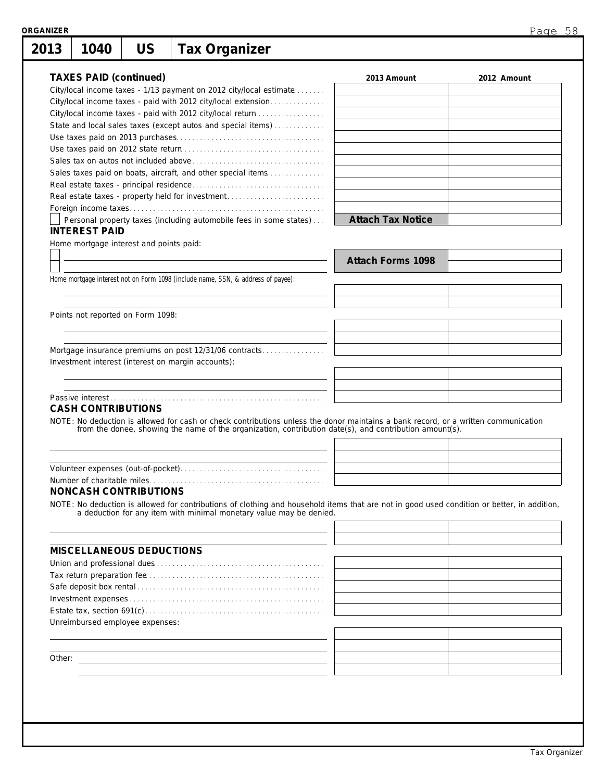| 1040                          | <b>US</b>                               | <b>Tax Organizer</b>                                                                                                                                                                                                           |                          |             |
|-------------------------------|-----------------------------------------|--------------------------------------------------------------------------------------------------------------------------------------------------------------------------------------------------------------------------------|--------------------------|-------------|
| <b>TAXES PAID (continued)</b> |                                         |                                                                                                                                                                                                                                | 2013 Amount              | 2012 Amount |
|                               |                                         | City/local income taxes - 1/13 payment on 2012 city/local estimate                                                                                                                                                             |                          |             |
|                               |                                         | City/local income taxes - paid with 2012 city/local extension                                                                                                                                                                  |                          |             |
|                               |                                         | City/local income taxes - paid with 2012 city/local return                                                                                                                                                                     |                          |             |
|                               |                                         | State and local sales taxes (except autos and special items)                                                                                                                                                                   |                          |             |
|                               |                                         |                                                                                                                                                                                                                                |                          |             |
|                               |                                         |                                                                                                                                                                                                                                |                          |             |
|                               |                                         |                                                                                                                                                                                                                                |                          |             |
|                               |                                         | Sales taxes paid on boats, aircraft, and other special items                                                                                                                                                                   |                          |             |
|                               |                                         |                                                                                                                                                                                                                                |                          |             |
|                               |                                         | Real estate taxes - property held for investment                                                                                                                                                                               |                          |             |
|                               |                                         |                                                                                                                                                                                                                                |                          |             |
|                               |                                         | Personal property taxes (including automobile fees in some states)                                                                                                                                                             | <b>Attach Tax Notice</b> |             |
| <b>INTEREST PAID</b>          |                                         |                                                                                                                                                                                                                                |                          |             |
|                               | Home mortgage interest and points paid: |                                                                                                                                                                                                                                |                          |             |
|                               |                                         |                                                                                                                                                                                                                                |                          |             |
|                               |                                         |                                                                                                                                                                                                                                | <b>Attach Forms 1098</b> |             |
|                               |                                         | Home mortgage interest not on Form 1098 (include name, SSN, & address of payee):                                                                                                                                               |                          |             |
|                               |                                         |                                                                                                                                                                                                                                |                          |             |
|                               |                                         |                                                                                                                                                                                                                                |                          |             |
|                               | Points not reported on Form 1098:       |                                                                                                                                                                                                                                |                          |             |
|                               |                                         |                                                                                                                                                                                                                                |                          |             |
|                               |                                         |                                                                                                                                                                                                                                |                          |             |
|                               |                                         | Mortgage insurance premiums on post 12/31/06 contracts                                                                                                                                                                         |                          |             |
|                               |                                         | Investment interest (interest on margin accounts):                                                                                                                                                                             |                          |             |
|                               |                                         |                                                                                                                                                                                                                                |                          |             |
|                               |                                         |                                                                                                                                                                                                                                |                          |             |
|                               |                                         |                                                                                                                                                                                                                                |                          |             |
| <b>CASH CONTRIBUTIONS</b>     |                                         |                                                                                                                                                                                                                                |                          |             |
|                               |                                         |                                                                                                                                                                                                                                |                          |             |
|                               |                                         |                                                                                                                                                                                                                                |                          |             |
|                               |                                         | NOTE: No deduction is allowed for cash or check contributions unless the donor maintains a bank record, or a written communication from the donee, showing the name of the organization, contribution date(s), and contributio |                          |             |
|                               |                                         |                                                                                                                                                                                                                                |                          |             |
|                               |                                         |                                                                                                                                                                                                                                |                          |             |
|                               |                                         |                                                                                                                                                                                                                                |                          |             |
|                               |                                         |                                                                                                                                                                                                                                |                          |             |
|                               | <b>NONCASH CONTRIBUTIONS</b>            |                                                                                                                                                                                                                                |                          |             |
|                               |                                         |                                                                                                                                                                                                                                |                          |             |
|                               |                                         | NOTE: No deduction is allowed for contributions of clothing and household items that are not in good used condition or better, in addition, a deduction for any item with minimal monetary value may be denied.                |                          |             |
|                               |                                         |                                                                                                                                                                                                                                |                          |             |
|                               |                                         |                                                                                                                                                                                                                                |                          |             |
|                               | <b>MISCELLANEOUS DEDUCTIONS</b>         |                                                                                                                                                                                                                                |                          |             |
|                               |                                         |                                                                                                                                                                                                                                |                          |             |
|                               |                                         |                                                                                                                                                                                                                                |                          |             |
|                               |                                         |                                                                                                                                                                                                                                |                          |             |
|                               |                                         |                                                                                                                                                                                                                                |                          |             |
|                               |                                         |                                                                                                                                                                                                                                |                          |             |
|                               | Unreimbursed employee expenses:         |                                                                                                                                                                                                                                |                          |             |
|                               |                                         |                                                                                                                                                                                                                                |                          |             |
|                               |                                         |                                                                                                                                                                                                                                |                          |             |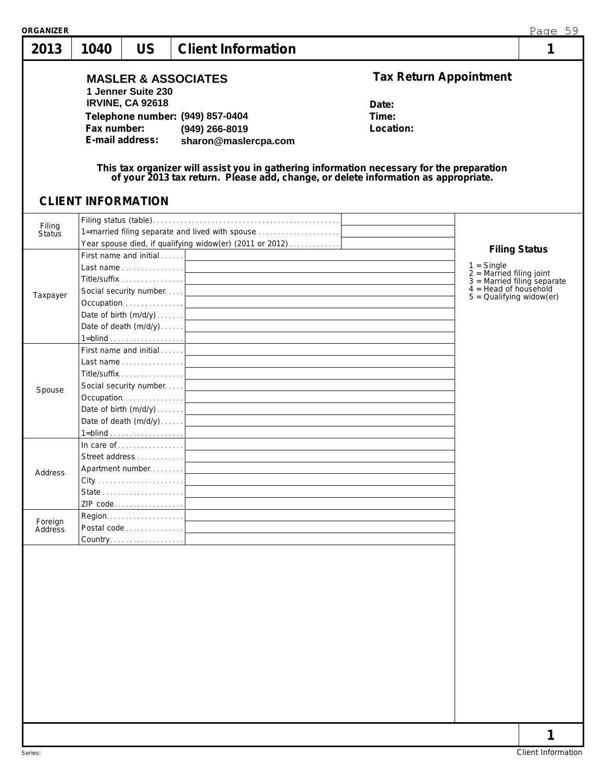| 2013               | 1040        | <b>US</b>                                                                                     | <b>Client Information</b>                                                                                                                                                                                                                                                                                                                                                    |                                                              |                                                                                                                                                              | 1 |
|--------------------|-------------|-----------------------------------------------------------------------------------------------|------------------------------------------------------------------------------------------------------------------------------------------------------------------------------------------------------------------------------------------------------------------------------------------------------------------------------------------------------------------------------|--------------------------------------------------------------|--------------------------------------------------------------------------------------------------------------------------------------------------------------|---|
|                    | Fax number: | 1 Jenner Suite 230<br><b>IRVINE, CA 92618</b><br>E-mail address:<br><b>CLIENT INFORMATION</b> | <b>MASLER &amp; ASSOCIATES</b><br>Telephone number: (949) 857-0404<br>(949) 266-8019<br>sharon@maslercpa.com<br>This tax organizer will assist you in gathering information necessary for the preparation<br>of your 2013 tax return. Please add, change, or delete information as appropriate.                                                                              | <b>Tax Return Appointment</b><br>Date:<br>Time:<br>Location: |                                                                                                                                                              |   |
| Filing<br>Status   |             |                                                                                               | 1=married filing separate and lived with spouse<br>Year spouse died, if qualifying widow(er) (2011 or 2012)                                                                                                                                                                                                                                                                  |                                                              |                                                                                                                                                              |   |
| Taxpayer           |             | Title/suffix 1                                                                                | First name and initial<br>$1 = \underline{\text{blind}} \cdot \ldots \cdot \ldots \cdot \ldots \cdot \ldots \cdot \cdot \cdot \cdot$                                                                                                                                                                                                                                         |                                                              | <b>Filing Status</b><br>$1 =$ Single<br>$2 =$ Married filing joint<br>$3 =$ Married filing separate<br>$4 =$ Head of household<br>$5 =$ Qualifying widow(er) |   |
| Spouse             |             | First name and initial                                                                        | and the control of the control of the control of the control of the control of the control of the control of the<br>Social security number<br>Occupation contains and containing the contact of the contact of the contact of the contact of the contact of the contact of the contact of the contact of the contact of the contact of the contact of the contact of the con |                                                              |                                                                                                                                                              |   |
| Address            |             | Street address<br>Apartment number<br>ZIP code                                                | and the control of the control of the control of the control of the control of the control of the control of the                                                                                                                                                                                                                                                             |                                                              |                                                                                                                                                              |   |
| Foreign<br>Address |             | Postal code 1<br>Country.                                                                     |                                                                                                                                                                                                                                                                                                                                                                              |                                                              |                                                                                                                                                              |   |
|                    |             |                                                                                               |                                                                                                                                                                                                                                                                                                                                                                              |                                                              |                                                                                                                                                              |   |
|                    |             |                                                                                               |                                                                                                                                                                                                                                                                                                                                                                              |                                                              |                                                                                                                                                              | 1 |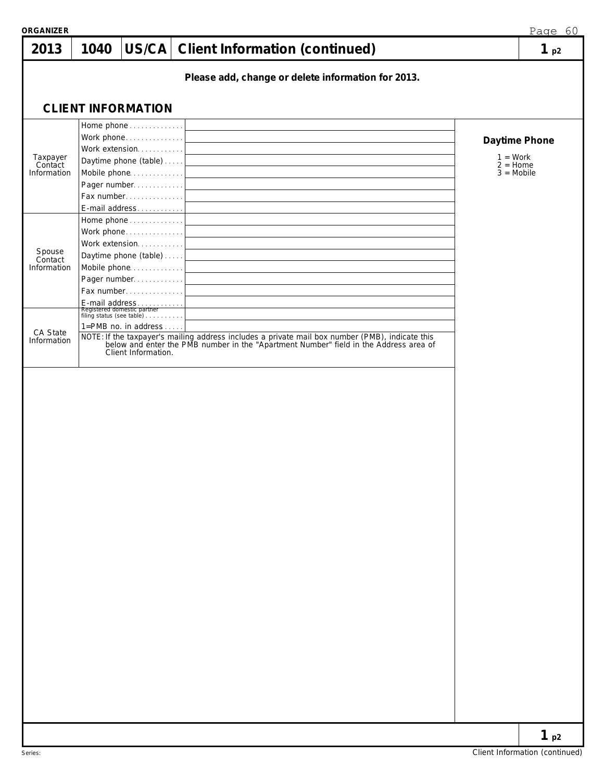| 2013                               | 1040 |                                                                                                                                      | US/CA Client Information (continued)                                                                                                                                                  | 1 <sub>p2</sub>                                           |
|------------------------------------|------|--------------------------------------------------------------------------------------------------------------------------------------|---------------------------------------------------------------------------------------------------------------------------------------------------------------------------------------|-----------------------------------------------------------|
|                                    |      |                                                                                                                                      | Please add, change or delete information for 2013.                                                                                                                                    |                                                           |
|                                    |      | <b>CLIENT INFORMATION</b>                                                                                                            |                                                                                                                                                                                       |                                                           |
| Taxpayer<br>Contact<br>Information |      | Home phone<br>Work phone<br>Work extension.<br>Daytime phone (table)<br>Mobile phone<br>Pager number<br>Fax number<br>E-mail address |                                                                                                                                                                                       | Daytime Phone<br>$1 = Work$<br>$2 =$ Home<br>$3 = Mobile$ |
| Spouse<br>Contact<br>Information   |      | Home phone<br>Work phone<br>Work extension<br>Daytime phone (table)<br>Mobile phone<br>Pager number<br>Fax number                    |                                                                                                                                                                                       |                                                           |
| CA State<br>Information            |      | 1=PMB no. in address<br>Client Information.                                                                                          | NOTE: If the taxpayer's mailing address includes a private mail box number (PMB), indicate this below and enter the PMB number in the "Apartment Number" field in the Address area of |                                                           |
|                                    |      |                                                                                                                                      |                                                                                                                                                                                       |                                                           |
|                                    |      |                                                                                                                                      |                                                                                                                                                                                       |                                                           |
|                                    |      |                                                                                                                                      |                                                                                                                                                                                       |                                                           |
|                                    |      |                                                                                                                                      |                                                                                                                                                                                       |                                                           |
|                                    |      |                                                                                                                                      |                                                                                                                                                                                       | 1 <sub>p2</sub>                                           |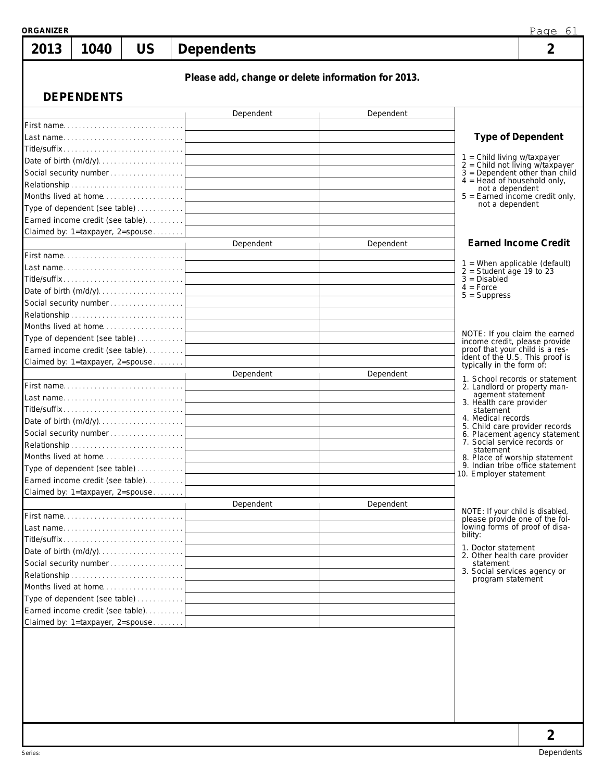| <b>ORGANIZER</b> |                   |                                                                             |                                                    |           |                                                                                                                                                 | Page 61                                                               |  |
|------------------|-------------------|-----------------------------------------------------------------------------|----------------------------------------------------|-----------|-------------------------------------------------------------------------------------------------------------------------------------------------|-----------------------------------------------------------------------|--|
| 2013             | 1040              | <b>US</b>                                                                   | <b>Dependents</b>                                  |           |                                                                                                                                                 | $\overline{2}$                                                        |  |
|                  |                   |                                                                             | Please add, change or delete information for 2013. |           |                                                                                                                                                 |                                                                       |  |
|                  | <b>DEPENDENTS</b> |                                                                             |                                                    |           |                                                                                                                                                 |                                                                       |  |
|                  |                   |                                                                             | Dependent                                          | Dependent |                                                                                                                                                 |                                                                       |  |
|                  |                   | First name<br>Last name                                                     |                                                    |           |                                                                                                                                                 | <b>Type of Dependent</b>                                              |  |
|                  |                   |                                                                             |                                                    |           |                                                                                                                                                 |                                                                       |  |
|                  |                   |                                                                             |                                                    |           | 1 = Child living w/taxpayer                                                                                                                     |                                                                       |  |
|                  |                   |                                                                             |                                                    |           | $4 = Head of household only,$                                                                                                                   | $2 =$ Child not living w/taxpayer<br>$3 =$ Dependent other than child |  |
|                  |                   |                                                                             |                                                    |           | not a dependent                                                                                                                                 |                                                                       |  |
|                  |                   |                                                                             |                                                    |           | not a dependent                                                                                                                                 | $5 =$ Earned income credit only,                                      |  |
|                  |                   | Earned income credit (see table)                                            |                                                    |           |                                                                                                                                                 |                                                                       |  |
|                  |                   | Claimed by: 1=taxpayer, 2=spouse                                            |                                                    |           |                                                                                                                                                 |                                                                       |  |
|                  |                   |                                                                             | Dependent                                          | Dependent |                                                                                                                                                 | <b>Earned Income Credit</b>                                           |  |
|                  |                   | First name                                                                  |                                                    |           |                                                                                                                                                 |                                                                       |  |
|                  |                   | Last name                                                                   |                                                    |           | $2 =$ Student age 19 to 23                                                                                                                      | $1$ = When applicable (default)                                       |  |
|                  |                   | $\text{Title/suffix} \dots \dots \dots \dots \dots \dots \dots \dots \dots$ |                                                    |           | $3 = Disabled$<br>$4 = Force$                                                                                                                   |                                                                       |  |
|                  |                   |                                                                             |                                                    |           | $5 =$ Suppress                                                                                                                                  |                                                                       |  |
|                  |                   |                                                                             |                                                    |           |                                                                                                                                                 |                                                                       |  |
|                  |                   |                                                                             |                                                    |           |                                                                                                                                                 |                                                                       |  |
|                  |                   |                                                                             |                                                    |           |                                                                                                                                                 | NOTE: If you claim the earned                                         |  |
|                  |                   | Earned income credit (see table)                                            |                                                    |           | proof that your child is a res-                                                                                                                 | income credit, please provide                                         |  |
|                  |                   | Claimed by: 1=taxpayer, 2=spouse                                            |                                                    |           | typically in the form of:                                                                                                                       | ident of the U.S. This proof is                                       |  |
|                  |                   |                                                                             | Dependent                                          | Dependent |                                                                                                                                                 |                                                                       |  |
|                  |                   | First name                                                                  |                                                    |           | 1. School records or statement<br>2. Landlord or property man-                                                                                  |                                                                       |  |
|                  |                   |                                                                             |                                                    |           | agement statement<br>3. Health care provider                                                                                                    |                                                                       |  |
|                  |                   |                                                                             |                                                    |           | statement                                                                                                                                       |                                                                       |  |
|                  |                   |                                                                             |                                                    |           | 4. Medical records<br>5. Child care provider records                                                                                            |                                                                       |  |
|                  |                   |                                                                             |                                                    |           | 6. Placement agency statement<br>7. Social service records or<br>statement<br>8. Place of worship statement<br>9. Indian tribe office statement |                                                                       |  |
|                  |                   | Months lived at home                                                        |                                                    |           |                                                                                                                                                 |                                                                       |  |
|                  |                   | Type of dependent (see table)                                               |                                                    |           |                                                                                                                                                 |                                                                       |  |
|                  |                   | Earned income credit (see table).                                           |                                                    |           | 10. Employer statement                                                                                                                          |                                                                       |  |
|                  |                   | Claimed by: 1=taxpayer, 2=spouse                                            |                                                    |           |                                                                                                                                                 |                                                                       |  |
|                  |                   |                                                                             | Dependent                                          | Dependent |                                                                                                                                                 |                                                                       |  |
|                  |                   | First name                                                                  |                                                    |           | NOTE: If your child is disabled,                                                                                                                | please provide one of the fol-                                        |  |
|                  |                   |                                                                             |                                                    |           | bility:                                                                                                                                         | lowing forms of proof of disa-                                        |  |
|                  |                   | Title/suffix                                                                |                                                    |           | 1. Doctor statement                                                                                                                             |                                                                       |  |
|                  |                   |                                                                             |                                                    |           | 2. Other health care provider                                                                                                                   |                                                                       |  |
|                  |                   | Social security number                                                      |                                                    |           | statement<br>3. Social services agency or                                                                                                       |                                                                       |  |
|                  |                   | Months lived at home                                                        |                                                    |           | program statement                                                                                                                               |                                                                       |  |
|                  |                   | Type of dependent (see table)                                               |                                                    |           |                                                                                                                                                 |                                                                       |  |
|                  |                   | Earned income credit (see table).                                           |                                                    |           |                                                                                                                                                 |                                                                       |  |
|                  |                   | Claimed by: 1=taxpayer, 2=spouse                                            |                                                    |           |                                                                                                                                                 |                                                                       |  |
|                  |                   |                                                                             |                                                    |           |                                                                                                                                                 |                                                                       |  |
|                  |                   |                                                                             |                                                    |           |                                                                                                                                                 |                                                                       |  |
|                  |                   |                                                                             |                                                    |           |                                                                                                                                                 |                                                                       |  |
|                  |                   |                                                                             |                                                    |           |                                                                                                                                                 |                                                                       |  |
|                  |                   |                                                                             |                                                    |           |                                                                                                                                                 |                                                                       |  |
|                  |                   |                                                                             |                                                    |           |                                                                                                                                                 |                                                                       |  |
|                  |                   |                                                                             |                                                    |           |                                                                                                                                                 |                                                                       |  |
|                  |                   |                                                                             |                                                    |           |                                                                                                                                                 | 2                                                                     |  |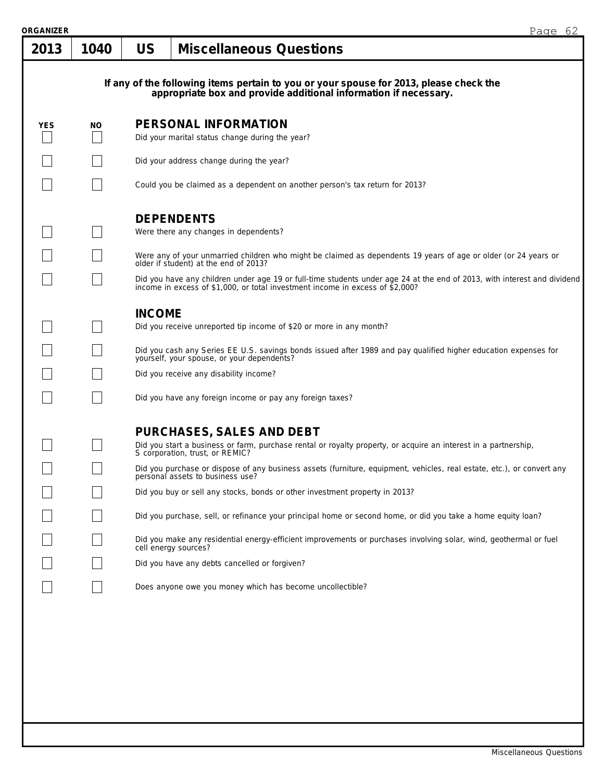| ORGANIZER  |      |               | Page 62                                                                                                                                                                                                                                                                                                                                     |  |  |  |  |  |  |
|------------|------|---------------|---------------------------------------------------------------------------------------------------------------------------------------------------------------------------------------------------------------------------------------------------------------------------------------------------------------------------------------------|--|--|--|--|--|--|
| 2013       | 1040 | <b>US</b>     | <b>Miscellaneous Questions</b>                                                                                                                                                                                                                                                                                                              |  |  |  |  |  |  |
|            |      |               | If any of the following items pertain to you or your spouse for 2013, please check the appropriate box and provide additional information if necessary.                                                                                                                                                                                     |  |  |  |  |  |  |
| <b>YES</b> | NO.  |               | PERSONAL INFORMATION<br>Did your marital status change during the year?                                                                                                                                                                                                                                                                     |  |  |  |  |  |  |
|            |      |               | Did your address change during the year?                                                                                                                                                                                                                                                                                                    |  |  |  |  |  |  |
|            |      |               | Could you be claimed as a dependent on another person's tax return for 2013?                                                                                                                                                                                                                                                                |  |  |  |  |  |  |
|            |      |               | <b>DEPENDENTS</b><br>Were there any changes in dependents?                                                                                                                                                                                                                                                                                  |  |  |  |  |  |  |
|            |      |               | Were any of your unmarried children who might be claimed as dependents 19 years of age or older (or 24 years or older if student) at the end of 2013?                                                                                                                                                                                       |  |  |  |  |  |  |
|            |      |               | Did you have any children under age 19 or full-time students under age 24 at the end of 2013, with interest and dividend income in excess of \$1,000, or total investment income in excess of \$2,000?                                                                                                                                      |  |  |  |  |  |  |
|            |      | <b>INCOME</b> | Did you receive unreported tip income of \$20 or more in any month?<br>Did you cash any Series EE U.S. savings bonds issued after 1989 and pay qualified higher education expenses for<br>yourself, your spouse, or your dependents?<br>Did you receive any disability income?<br>Did you have any foreign income or pay any foreign taxes? |  |  |  |  |  |  |
|            |      |               | <b>PURCHASES, SALES AND DEBT</b><br>Did you start a business or farm, purchase rental or royalty property, or acquire an interest in a partnership, S corporation, trust, or REMIC?<br>Did you purchase or dispose of any business assets (furniture, equipment, vehicles, real estate, etc.), or convert any                               |  |  |  |  |  |  |
|            |      |               | personal assets to business use?<br>Did you buy or sell any stocks, bonds or other investment property in 2013?                                                                                                                                                                                                                             |  |  |  |  |  |  |
|            |      |               | Did you purchase, sell, or refinance your principal home or second home, or did you take a home equity loan?                                                                                                                                                                                                                                |  |  |  |  |  |  |
|            |      |               | Did you make any residential energy-efficient improvements or purchases involving solar, wind, geothermal or fuel<br>cell energy sources?                                                                                                                                                                                                   |  |  |  |  |  |  |
|            |      |               | Did you have any debts cancelled or forgiven?                                                                                                                                                                                                                                                                                               |  |  |  |  |  |  |
|            |      |               | Does anyone owe you money which has become uncollectible?                                                                                                                                                                                                                                                                                   |  |  |  |  |  |  |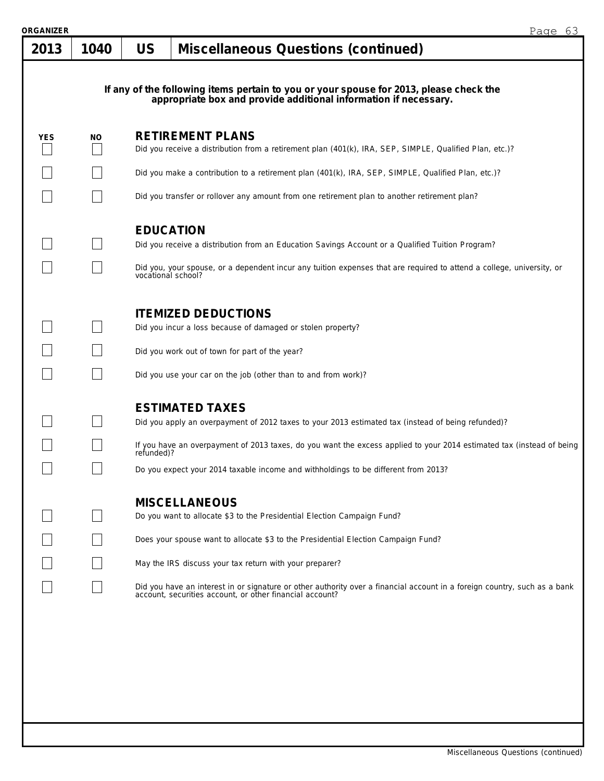| ORGANIZER |      |                    |                                                                                                                                                                                                                                                                                                                                                                                                                                          | Page 63 |
|-----------|------|--------------------|------------------------------------------------------------------------------------------------------------------------------------------------------------------------------------------------------------------------------------------------------------------------------------------------------------------------------------------------------------------------------------------------------------------------------------------|---------|
| 2013      | 1040 | <b>US</b>          | <b>Miscellaneous Questions (continued)</b>                                                                                                                                                                                                                                                                                                                                                                                               |         |
|           |      |                    | If any of the following items pertain to you or your spouse for 2013, please check the<br>appropriate box and provide additional information if necessary.                                                                                                                                                                                                                                                                               |         |
| YES       | NO.  |                    | <b>RETIREMENT PLANS</b><br>Did you receive a distribution from a retirement plan (401(k), IRA, SEP, SIMPLE, Qualified Plan, etc.)?                                                                                                                                                                                                                                                                                                       |         |
|           |      |                    | Did you make a contribution to a retirement plan (401(k), IRA, SEP, SIMPLE, Qualified Plan, etc.)?                                                                                                                                                                                                                                                                                                                                       |         |
|           |      |                    | Did you transfer or rollover any amount from one retirement plan to another retirement plan?                                                                                                                                                                                                                                                                                                                                             |         |
|           |      | vocational school? | <b>EDUCATION</b><br>Did you receive a distribution from an Education Savings Account or a Qualified Tuition Program?<br>Did you, your spouse, or a dependent incur any tuition expenses that are required to attend a college, university, or                                                                                                                                                                                            |         |
|           |      |                    | <b>ITEMIZED DEDUCTIONS</b><br>Did you incur a loss because of damaged or stolen property?<br>Did you work out of town for part of the year?<br>Did you use your car on the job (other than to and from work)?                                                                                                                                                                                                                            |         |
|           |      | refunded)?         | <b>ESTIMATED TAXES</b><br>Did you apply an overpayment of 2012 taxes to your 2013 estimated tax (instead of being refunded)?<br>If you have an overpayment of 2013 taxes, do you want the excess applied to your 2014 estimated tax (instead of being<br>Do you expect your 2014 taxable income and withholdings to be different from 2013?                                                                                              |         |
|           |      |                    | <b>MISCELLANEOUS</b><br>Do you want to allocate \$3 to the Presidential Election Campaign Fund?<br>Does your spouse want to allocate \$3 to the Presidential Election Campaign Fund?<br>May the IRS discuss your tax return with your preparer?<br>Did you have an interest in or signature or other authority over a financial account in a foreign country, such as a bank<br>account, securities account, or other financial account? |         |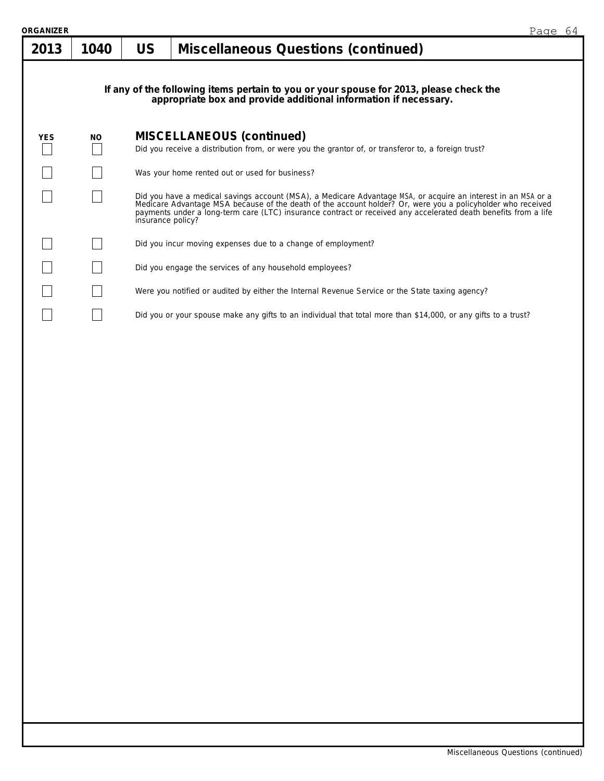| ORGANIZER  |           |                   |                                                                                                                                                                                                                                                                                                                                                 | Page 64 |
|------------|-----------|-------------------|-------------------------------------------------------------------------------------------------------------------------------------------------------------------------------------------------------------------------------------------------------------------------------------------------------------------------------------------------|---------|
| 2013       | 1040      | <b>US</b>         | <b>Miscellaneous Questions (continued)</b>                                                                                                                                                                                                                                                                                                      |         |
|            |           |                   | If any of the following items pertain to you or your spouse for 2013, please check the<br>appropriate box and provide additional information if necessary.                                                                                                                                                                                      |         |
| <b>YES</b> | <b>NO</b> |                   | <b>MISCELLANEOUS (continued)</b>                                                                                                                                                                                                                                                                                                                |         |
|            |           |                   | Did you receive a distribution from, or were you the grantor of, or transferor to, a foreign trust?                                                                                                                                                                                                                                             |         |
|            |           |                   | Was your home rented out or used for business?                                                                                                                                                                                                                                                                                                  |         |
|            |           | insurance policy? | Did you have a medical savings account (MSA), a Medicare Advantage MSA, or acquire an interest in an MSA or a<br>Medicare Advantage MSA because of the death of the account holder? Or, were you a policyholder who received<br>payments under a long-term care (LTC) insurance contract or received any accelerated death benefits from a life |         |
|            |           |                   | Did you incur moving expenses due to a change of employment?                                                                                                                                                                                                                                                                                    |         |
|            |           |                   | Did you engage the services of any household employees?                                                                                                                                                                                                                                                                                         |         |
|            |           |                   | Were you notified or audited by either the Internal Revenue Service or the State taxing agency?                                                                                                                                                                                                                                                 |         |
|            |           |                   | Did you or your spouse make any gifts to an individual that total more than \$14,000, or any gifts to a trust?                                                                                                                                                                                                                                  |         |
|            |           |                   |                                                                                                                                                                                                                                                                                                                                                 |         |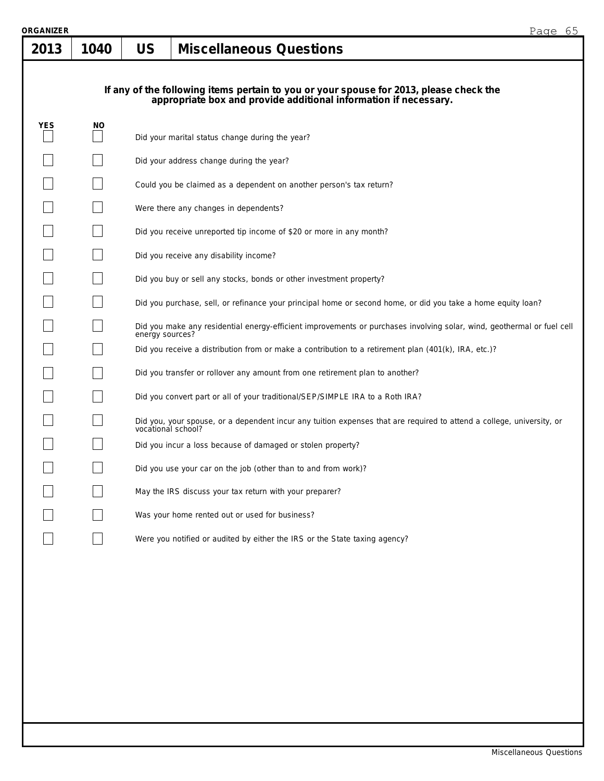| RGANIZER<br>2013 | 1040 | 65<br>Page<br><b>US</b><br><b>Miscellaneous Questions</b>                                                                                                  |
|------------------|------|------------------------------------------------------------------------------------------------------------------------------------------------------------|
|                  |      | If any of the following items pertain to you or your spouse for 2013, please check the<br>appropriate box and provide additional information if necessary. |
| <b>YES</b>       | NO.  | Did your marital status change during the year?                                                                                                            |
|                  |      | Did your address change during the year?                                                                                                                   |
|                  |      | Could you be claimed as a dependent on another person's tax return?                                                                                        |
|                  |      | Were there any changes in dependents?                                                                                                                      |
|                  |      | Did you receive unreported tip income of \$20 or more in any month?                                                                                        |
|                  |      | Did you receive any disability income?                                                                                                                     |
|                  |      | Did you buy or sell any stocks, bonds or other investment property?                                                                                        |
|                  |      | Did you purchase, sell, or refinance your principal home or second home, or did you take a home equity loan?                                               |
|                  |      | Did you make any residential energy-efficient improvements or purchases involving solar, wind, geothermal or fuel cell<br>energy sources?                  |
|                  |      | Did you receive a distribution from or make a contribution to a retirement plan (401(k), IRA, etc.)?                                                       |
|                  |      | Did you transfer or rollover any amount from one retirement plan to another?                                                                               |
|                  |      | Did you convert part or all of your traditional/SEP/SIMPLE IRA to a Roth IRA?                                                                              |
|                  |      | Did you, your spouse, or a dependent incur any tuition expenses that are required to attend a college, university, or vocational school?                   |
|                  |      | Did you incur a loss because of damaged or stolen property?                                                                                                |
|                  |      | Did you use your car on the job (other than to and from work)?                                                                                             |
|                  |      | May the IRS discuss your tax return with your preparer?                                                                                                    |
|                  |      | Was your home rented out or used for business?                                                                                                             |
|                  |      | Were you notified or audited by either the IRS or the State taxing agency?                                                                                 |
|                  |      |                                                                                                                                                            |
|                  |      |                                                                                                                                                            |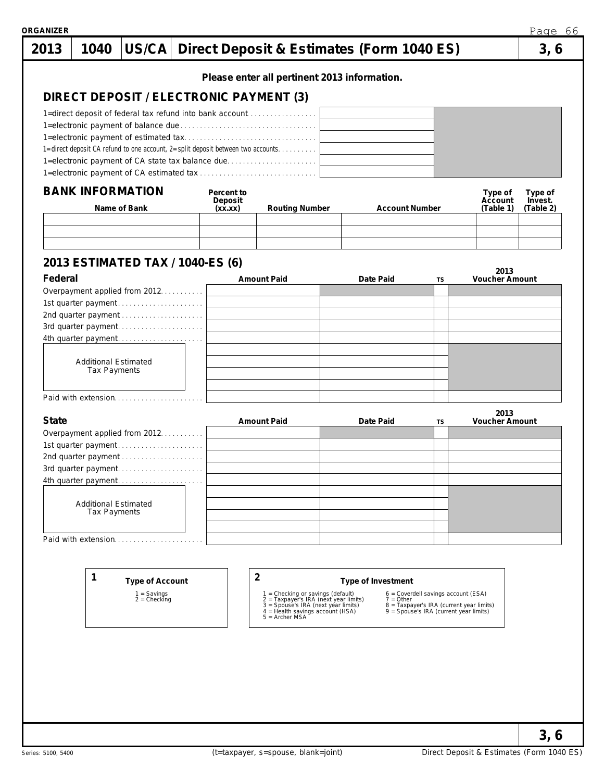| 2013         | 1040                                        | US/CA                                      |                                                                                                                                      | Direct Deposit & Estimates (Form 1040 ES)                                                                                                             |                       |                                                                                    |                               | 3, 6                 |
|--------------|---------------------------------------------|--------------------------------------------|--------------------------------------------------------------------------------------------------------------------------------------|-------------------------------------------------------------------------------------------------------------------------------------------------------|-----------------------|------------------------------------------------------------------------------------|-------------------------------|----------------------|
|              |                                             |                                            |                                                                                                                                      | Please enter all pertinent 2013 information.                                                                                                          |                       |                                                                                    |                               |                      |
|              |                                             |                                            | DIRECT DEPOSIT / ELECTRONIC PAYMENT (3)                                                                                              |                                                                                                                                                       |                       |                                                                                    |                               |                      |
|              |                                             |                                            | 1=direct deposit of federal tax refund into bank account                                                                             |                                                                                                                                                       |                       |                                                                                    |                               |                      |
|              |                                             |                                            |                                                                                                                                      |                                                                                                                                                       |                       |                                                                                    |                               |                      |
|              |                                             |                                            |                                                                                                                                      |                                                                                                                                                       |                       |                                                                                    |                               |                      |
|              |                                             |                                            | 1=direct deposit CA refund to one account, 2=split deposit between two accounts.<br>1=electronic payment of CA state tax balance due |                                                                                                                                                       |                       |                                                                                    |                               |                      |
|              |                                             |                                            |                                                                                                                                      |                                                                                                                                                       |                       |                                                                                    |                               |                      |
|              | <b>BANK INFORMATION</b>                     |                                            | Percent to                                                                                                                           |                                                                                                                                                       |                       |                                                                                    | Type of                       | Type of              |
|              | Name of Bank                                |                                            | Deposit<br>(xx.xx)                                                                                                                   | <b>Routing Number</b>                                                                                                                                 | <b>Account Number</b> |                                                                                    | Account<br>(Table 1)          | Invest.<br>(Table 2) |
|              |                                             |                                            |                                                                                                                                      |                                                                                                                                                       |                       |                                                                                    |                               |                      |
|              |                                             |                                            |                                                                                                                                      |                                                                                                                                                       |                       |                                                                                    |                               |                      |
|              |                                             |                                            | 2013 ESTIMATED TAX / 1040-ES (6)                                                                                                     |                                                                                                                                                       |                       |                                                                                    |                               |                      |
| Federal      |                                             |                                            |                                                                                                                                      | <b>Amount Paid</b>                                                                                                                                    | Date Paid             | TS                                                                                 | 2013<br><b>Voucher Amount</b> |                      |
|              |                                             | Overpayment applied from 2012.             |                                                                                                                                      |                                                                                                                                                       |                       |                                                                                    |                               |                      |
|              |                                             | 2nd quarter payment                        |                                                                                                                                      |                                                                                                                                                       |                       |                                                                                    |                               |                      |
|              |                                             |                                            |                                                                                                                                      |                                                                                                                                                       |                       |                                                                                    |                               |                      |
|              |                                             | 4th quarter payment                        |                                                                                                                                      |                                                                                                                                                       |                       |                                                                                    |                               |                      |
|              | <b>Additional Estimated</b>                 |                                            |                                                                                                                                      |                                                                                                                                                       |                       |                                                                                    |                               |                      |
|              | Tax Payments                                |                                            |                                                                                                                                      |                                                                                                                                                       |                       |                                                                                    |                               |                      |
|              |                                             | Paid with extension                        |                                                                                                                                      |                                                                                                                                                       |                       |                                                                                    |                               |                      |
|              |                                             |                                            |                                                                                                                                      |                                                                                                                                                       |                       |                                                                                    | 2013                          |                      |
| <b>State</b> |                                             | Overpayment applied from 2012.             |                                                                                                                                      | <b>Amount Paid</b>                                                                                                                                    | Date Paid             | TS                                                                                 | Voucher Amount                |                      |
|              |                                             | 1st quarter payment                        |                                                                                                                                      |                                                                                                                                                       |                       |                                                                                    |                               |                      |
|              |                                             | 2nd quarter payment                        |                                                                                                                                      |                                                                                                                                                       |                       |                                                                                    |                               |                      |
|              |                                             | 3rd quarter payment<br>4th quarter payment |                                                                                                                                      |                                                                                                                                                       |                       |                                                                                    |                               |                      |
|              |                                             |                                            |                                                                                                                                      |                                                                                                                                                       |                       |                                                                                    |                               |                      |
|              | <b>Additional Estimated</b><br>Tax Payments |                                            |                                                                                                                                      |                                                                                                                                                       |                       |                                                                                    |                               |                      |
|              |                                             |                                            |                                                                                                                                      |                                                                                                                                                       |                       |                                                                                    |                               |                      |
|              |                                             | Paid with extension                        |                                                                                                                                      |                                                                                                                                                       |                       |                                                                                    |                               |                      |
|              |                                             |                                            |                                                                                                                                      |                                                                                                                                                       |                       |                                                                                    |                               |                      |
|              | 1                                           | Type of Account                            |                                                                                                                                      | $\overline{2}$                                                                                                                                        | Type of Investment    |                                                                                    |                               |                      |
|              |                                             | $1 =$ Savings<br>$2 =$ Checking            |                                                                                                                                      |                                                                                                                                                       | $7 = Other$           | $6$ = Coverdell savings account (ESA)                                              |                               |                      |
|              |                                             |                                            |                                                                                                                                      | 1 = Checking or savings (default)<br>2 = Taxpayer's IRA (next year limits)<br>3 = Spouse's IRA (next year limits)<br>4 = Health savings account (HSA) |                       | 8 = Taxpayer's IRA (current year limits)<br>9 = Spouse's IRA (current year limits) |                               |                      |
|              |                                             |                                            |                                                                                                                                      | $5 =$ Archer MSA                                                                                                                                      |                       |                                                                                    |                               |                      |
|              |                                             |                                            |                                                                                                                                      |                                                                                                                                                       |                       |                                                                                    |                               |                      |
|              |                                             |                                            |                                                                                                                                      |                                                                                                                                                       |                       |                                                                                    |                               |                      |
|              |                                             |                                            |                                                                                                                                      |                                                                                                                                                       |                       |                                                                                    |                               |                      |
|              |                                             |                                            |                                                                                                                                      |                                                                                                                                                       |                       |                                                                                    |                               |                      |
|              |                                             |                                            |                                                                                                                                      |                                                                                                                                                       |                       |                                                                                    |                               |                      |
|              |                                             |                                            |                                                                                                                                      |                                                                                                                                                       |                       |                                                                                    |                               |                      |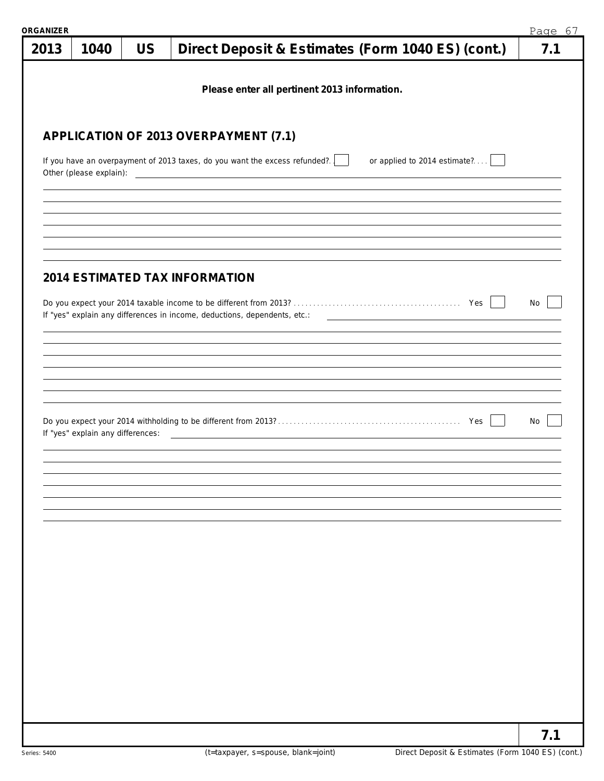| <b>RGANIZER</b> |                                   |           |                                                                                                                      | Page 67 |
|-----------------|-----------------------------------|-----------|----------------------------------------------------------------------------------------------------------------------|---------|
| 2013            | 1040                              | <b>US</b> | Direct Deposit & Estimates (Form 1040 ES) (cont.)                                                                    | 7.1     |
|                 |                                   |           | Please enter all pertinent 2013 information.                                                                         |         |
|                 |                                   |           | APPLICATION OF 2013 OVERPAYMENT (7.1)                                                                                |         |
|                 |                                   |           | If you have an overpayment of 2013 taxes, do you want the excess refunded?<br>or applied to 2014 estimate?           |         |
|                 |                                   |           |                                                                                                                      |         |
|                 |                                   |           | <b>2014 ESTIMATED TAX INFORMATION</b>                                                                                |         |
|                 |                                   |           | If "yes" explain any differences in income, deductions, dependents, etc.: The manuscription of the manuscription     | No      |
|                 |                                   |           |                                                                                                                      |         |
|                 |                                   |           |                                                                                                                      |         |
|                 | If "yes" explain any differences: |           | <u> Territoria de la contrada de la contrada de la contrada de la contrada de la contrada de la contrada de la c</u> | No      |
|                 |                                   |           |                                                                                                                      |         |
|                 |                                   |           |                                                                                                                      |         |
|                 |                                   |           |                                                                                                                      |         |
|                 |                                   |           |                                                                                                                      |         |
|                 |                                   |           |                                                                                                                      |         |
|                 |                                   |           |                                                                                                                      |         |
|                 |                                   |           |                                                                                                                      | 7.1     |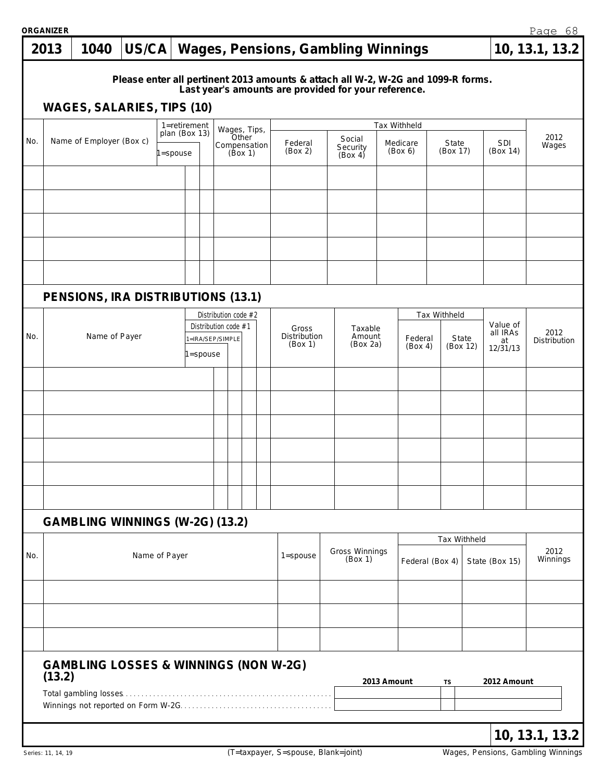**ORGANIZER**

|     | ORGANIZER |                                                  |               |              |               |         |                                          |       |                         |                                                                                                                                          |                               |                     |              |                   |              |                                        | Page 68              |
|-----|-----------|--------------------------------------------------|---------------|--------------|---------------|---------|------------------------------------------|-------|-------------------------|------------------------------------------------------------------------------------------------------------------------------------------|-------------------------------|---------------------|--------------|-------------------|--------------|----------------------------------------|----------------------|
|     | 2013      | 1040                                             | US/CA         |              |               |         |                                          |       |                         | Wages, Pensions, Gambling Winnings                                                                                                       |                               |                     |              |                   |              |                                        | 10, 13.1, 13.2       |
|     |           | <b>WAGES, SALARIES, TIPS (10)</b>                |               |              |               |         |                                          |       |                         | Please enter all pertinent 2013 amounts & attach all W-2, W-2G and 1099-R forms.<br>Last year's amounts are provided for your reference. |                               |                     |              |                   |              |                                        |                      |
|     |           |                                                  |               |              | 1=retirement  |         |                                          |       | Wages, Tips,            |                                                                                                                                          |                               | Tax Withheld        |              |                   |              |                                        |                      |
| No. |           | Name of Employer (Box c)                         |               | $1 =$ spouse | plan (Box 13) |         |                                          | Other | Compensation<br>(Box 1) | Federal<br>(Box 2)                                                                                                                       | Social<br>Security<br>(Box 4) | Medicare<br>(Box 6) |              | State<br>(Box 17) |              | SDI<br>(Box 14)                        | 2012<br>Wages        |
|     |           |                                                  |               |              |               |         |                                          |       |                         |                                                                                                                                          |                               |                     |              |                   |              |                                        |                      |
|     |           |                                                  |               |              |               |         |                                          |       |                         |                                                                                                                                          |                               |                     |              |                   |              |                                        |                      |
|     |           |                                                  |               |              |               |         |                                          |       |                         |                                                                                                                                          |                               |                     |              |                   |              |                                        |                      |
|     |           | PENSIONS, IRA DISTRIBUTIONS (13.1)               |               |              |               |         |                                          |       |                         |                                                                                                                                          |                               |                     |              |                   |              |                                        |                      |
|     |           |                                                  |               |              |               |         |                                          |       | Distribution code #2    |                                                                                                                                          |                               |                     | Tax Withheld |                   |              |                                        |                      |
| No. |           | Name of Payer                                    |               |              |               | =spouse | Distribution code #1<br>1=IRA/SEP/SIMPLE |       |                         | Gross<br>Distribution<br>(Box 1)                                                                                                         | Taxable<br>Amount<br>(Box 2a) | Federal<br>(Box 4)  |              | State             | (Box 12)     | Value of<br>all IRAs<br>at<br>12/31/13 | 2012<br>Distribution |
|     |           |                                                  |               |              |               |         |                                          |       |                         |                                                                                                                                          |                               |                     |              |                   |              |                                        |                      |
|     |           |                                                  |               |              |               |         |                                          |       |                         |                                                                                                                                          |                               |                     |              |                   |              |                                        |                      |
|     |           |                                                  |               |              |               |         |                                          |       |                         |                                                                                                                                          |                               |                     |              |                   |              |                                        |                      |
|     |           |                                                  |               |              |               |         |                                          |       |                         |                                                                                                                                          |                               |                     |              |                   |              |                                        |                      |
|     |           |                                                  |               |              |               |         |                                          |       |                         |                                                                                                                                          |                               |                     |              |                   |              |                                        |                      |
|     |           | GAMBLING WINNINGS (W-2G) (13.2)                  |               |              |               |         |                                          |       |                         |                                                                                                                                          |                               |                     |              |                   |              |                                        |                      |
|     |           |                                                  |               |              |               |         |                                          |       |                         |                                                                                                                                          |                               |                     |              |                   | Tax Withheld |                                        | 2012                 |
| No. |           |                                                  | Name of Payer |              |               |         |                                          |       |                         | $1 =$ spouse                                                                                                                             | Gross Winnings<br>(Box 1)     | Federal (Box 4)     |              |                   |              | State (Box 15)                         | Winnings             |
|     |           |                                                  |               |              |               |         |                                          |       |                         |                                                                                                                                          |                               |                     |              |                   |              |                                        |                      |
|     |           |                                                  |               |              |               |         |                                          |       |                         |                                                                                                                                          |                               |                     |              |                   |              |                                        |                      |
|     | (13.2)    | <b>GAMBLING LOSSES &amp; WINNINGS (NON W-2G)</b> |               |              |               |         |                                          |       |                         |                                                                                                                                          |                               |                     |              |                   |              |                                        |                      |
|     |           |                                                  |               |              |               |         |                                          |       |                         |                                                                                                                                          |                               | 2013 Amount         | TS           |                   |              | 2012 Amount                            |                      |
|     |           |                                                  |               |              |               |         |                                          |       |                         |                                                                                                                                          |                               |                     |              |                   |              |                                        | 10, 13.1, 13.2       |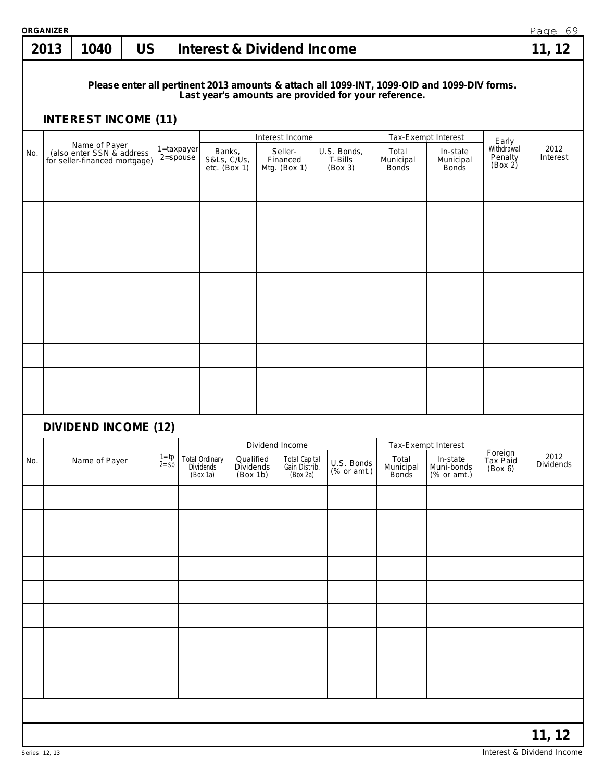|     | ORGANIZER |                                             |           |                      |              |                                                |                                           |                                                   |                                   |                                                      |                                                                                             |                                | Page 69                  |
|-----|-----------|---------------------------------------------|-----------|----------------------|--------------|------------------------------------------------|-------------------------------------------|---------------------------------------------------|-----------------------------------|------------------------------------------------------|---------------------------------------------------------------------------------------------|--------------------------------|--------------------------|
|     | 2013      | 1040                                        | <b>US</b> |                      |              |                                                |                                           | <b>Interest &amp; Dividend Income</b>             |                                   |                                                      |                                                                                             |                                | 11, 12                   |
|     |           | <b>INTEREST INCOME (11)</b>                 |           |                      |              |                                                |                                           |                                                   |                                   | Last year's amounts are provided for your reference. | Please enter all pertinent 2013 amounts & attach all 1099-INT, 1099-OID and 1099-DIV forms. |                                |                          |
|     |           |                                             |           |                      |              |                                                |                                           |                                                   |                                   |                                                      |                                                                                             |                                |                          |
|     |           | Name of Payer<br>(also enter SSN & address) |           |                      | 1=taxpayer   | Banks,                                         |                                           | Interest Income<br>Seller-                        |                                   | Total                                                | Tax-Exempt Interest<br>In-state                                                             | Early<br>Withdrawal            | 2012                     |
| No. |           | for seller-financed mortgage)               |           |                      | $2 =$ spouse | S&Ls, C/Us,                                    | $etc.$ (Box 1)                            | Financed<br>Mtg. (Box 1)                          | U.S. Bonds,<br>T-Bills<br>(Box 3) | Municipal<br><b>Bonds</b>                            | Municipal<br><b>Bonds</b>                                                                   | Penalty<br>(Box 2)             | Interest                 |
|     |           |                                             |           |                      |              |                                                |                                           |                                                   |                                   |                                                      |                                                                                             |                                |                          |
|     |           |                                             |           |                      |              |                                                |                                           |                                                   |                                   |                                                      |                                                                                             |                                |                          |
|     |           |                                             |           |                      |              |                                                |                                           |                                                   |                                   |                                                      |                                                                                             |                                |                          |
|     |           |                                             |           |                      |              |                                                |                                           |                                                   |                                   |                                                      |                                                                                             |                                |                          |
|     |           |                                             |           |                      |              |                                                |                                           |                                                   |                                   |                                                      |                                                                                             |                                |                          |
|     |           |                                             |           |                      |              |                                                |                                           |                                                   |                                   |                                                      |                                                                                             |                                |                          |
|     |           |                                             |           |                      |              |                                                |                                           |                                                   |                                   |                                                      |                                                                                             |                                |                          |
|     |           |                                             |           |                      |              |                                                |                                           |                                                   |                                   |                                                      |                                                                                             |                                |                          |
|     |           |                                             |           |                      |              |                                                |                                           |                                                   |                                   |                                                      |                                                                                             |                                |                          |
|     |           | <b>DIVIDEND INCOME (12)</b>                 |           |                      |              |                                                |                                           | Dividend Income                                   |                                   |                                                      | Tax-Exempt Interest                                                                         |                                |                          |
| No. |           | Name of Payer                               |           | $1 = tp$<br>$2 = sp$ |              | <b>Total Ordinary</b><br>Dividends<br>(Box 1a) | Qualified<br><b>Dividends</b><br>(Box 1b) | <b>Total Capital</b><br>Gain Distrib.<br>(Box 2a) | U.S. Bonds<br>(% or amt.)         | Total                                                | In-state<br>Municipal Muni-bonds<br>Bonds (% or amt.)                                       | Foreign<br>Tax Paid<br>(Box 6) | 2012<br><b>Dividends</b> |
|     |           |                                             |           |                      |              |                                                |                                           |                                                   |                                   |                                                      |                                                                                             |                                |                          |
|     |           |                                             |           |                      |              |                                                |                                           |                                                   |                                   |                                                      |                                                                                             |                                |                          |
|     |           |                                             |           |                      |              |                                                |                                           |                                                   |                                   |                                                      |                                                                                             |                                |                          |
|     |           |                                             |           |                      |              |                                                |                                           |                                                   |                                   |                                                      |                                                                                             |                                |                          |
|     |           |                                             |           |                      |              |                                                |                                           |                                                   |                                   |                                                      |                                                                                             |                                |                          |
|     |           |                                             |           |                      |              |                                                |                                           |                                                   |                                   |                                                      |                                                                                             |                                |                          |
|     |           |                                             |           |                      |              |                                                |                                           |                                                   |                                   |                                                      |                                                                                             |                                |                          |
|     |           |                                             |           |                      |              |                                                |                                           |                                                   |                                   |                                                      |                                                                                             |                                |                          |
|     |           |                                             |           |                      |              |                                                |                                           |                                                   |                                   |                                                      |                                                                                             |                                |                          |
|     |           |                                             |           |                      |              |                                                |                                           |                                                   |                                   |                                                      |                                                                                             |                                | 11, 12                   |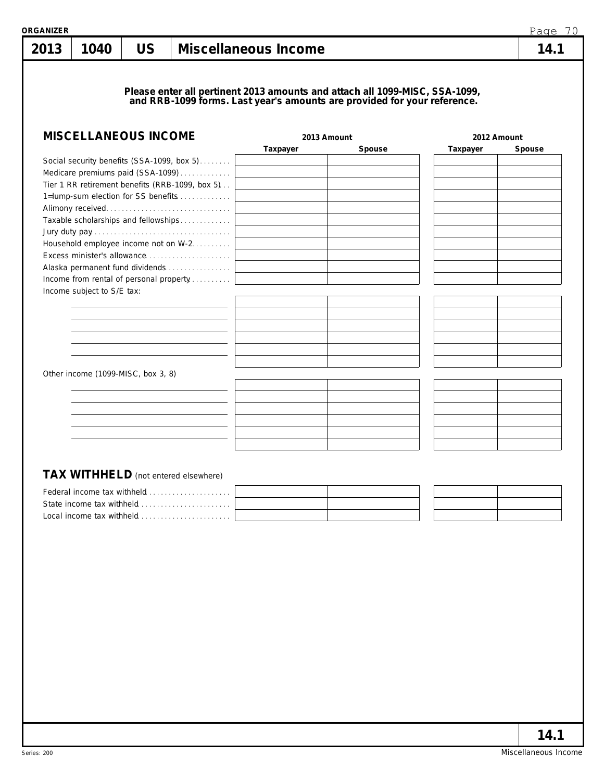**Please enter all pertinent 2013 amounts and attach all 1099-MISC, SSA-1099, and RRB-1099 forms. Last year's amounts are provided for your reference.**

| <b>MISCELLANEOUS INCOME</b>                     | 2013 Amount |        | 2012 Amount |        |  |
|-------------------------------------------------|-------------|--------|-------------|--------|--|
|                                                 | Taxpayer    | Spouse | Taxpayer    | Spouse |  |
| Social security benefits (SSA-1099, box 5)      |             |        |             |        |  |
| Medicare premiums paid (SSA-1099)               |             |        |             |        |  |
| Tier 1 RR retirement benefits (RRB-1099, box 5) |             |        |             |        |  |
| 1=lump-sum election for SS benefits             |             |        |             |        |  |
|                                                 |             |        |             |        |  |
| Taxable scholarships and fellowships            |             |        |             |        |  |
|                                                 |             |        |             |        |  |
| Household employee income not on W-2.           |             |        |             |        |  |
| Excess minister's allowance                     |             |        |             |        |  |
| Alaska permanent fund dividends                 |             |        |             |        |  |
| Income from rental of personal property         |             |        |             |        |  |
| Income subject to S/E tax:                      |             |        |             |        |  |
|                                                 |             |        |             |        |  |
|                                                 |             |        |             |        |  |
|                                                 |             |        |             |        |  |
|                                                 |             |        |             |        |  |
|                                                 |             |        |             |        |  |
|                                                 |             |        |             |        |  |
| Other income (1099-MISC, box 3, 8)              |             |        |             |        |  |
|                                                 |             |        |             |        |  |
|                                                 |             |        |             |        |  |
|                                                 |             |        |             |        |  |
|                                                 |             |        |             |        |  |
|                                                 |             |        |             |        |  |
|                                                 |             |        |             |        |  |
|                                                 |             |        |             |        |  |
|                                                 |             |        |             |        |  |
| TAX WITHHELD (not entered elsewhere)            |             |        |             |        |  |
| Federal income tax withheld                     |             |        |             |        |  |
|                                                 |             |        |             |        |  |
| Local income tax withheld                       |             |        |             |        |  |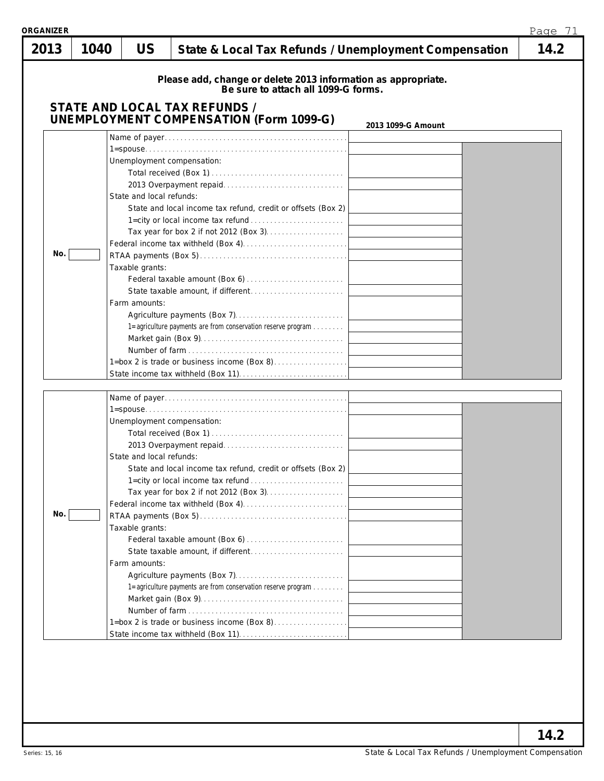| ORGANIZER |      |                                                              |                                                                                                                                                                                                                                   | Page 71 |
|-----------|------|--------------------------------------------------------------|-----------------------------------------------------------------------------------------------------------------------------------------------------------------------------------------------------------------------------------|---------|
| 2013      | 1040 | <b>US</b>                                                    | State & Local Tax Refunds / Unemployment Compensation                                                                                                                                                                             | 14.2    |
|           |      |                                                              | Please add, change or delete 2013 information as appropriate.<br>Be sure to attach all 1099-G forms.<br>STATE AND LOCAL TAX REFUNDS /<br><b>UNEMPLOYMENT COMPENSATION (Form 1099-G)</b>                                           |         |
| No.       |      | State and local refunds:<br>Taxable grants:<br>Farm amounts: | 2013 1099-G Amount<br>Unemployment compensation:<br>State and local income tax refund, credit or offsets (Box 2)<br>1=agriculture payments are from conservation reserve program  <br>1=box 2 is trade or business income (Box 8) |         |
| No.       |      | State and local refunds:<br>Taxable grants:<br>Farm amounts: | Unemployment compensation:<br>State and local income tax refund, credit or offsets (Box 2)<br>1=agriculture payments are from conservation reserve program                                                                        |         |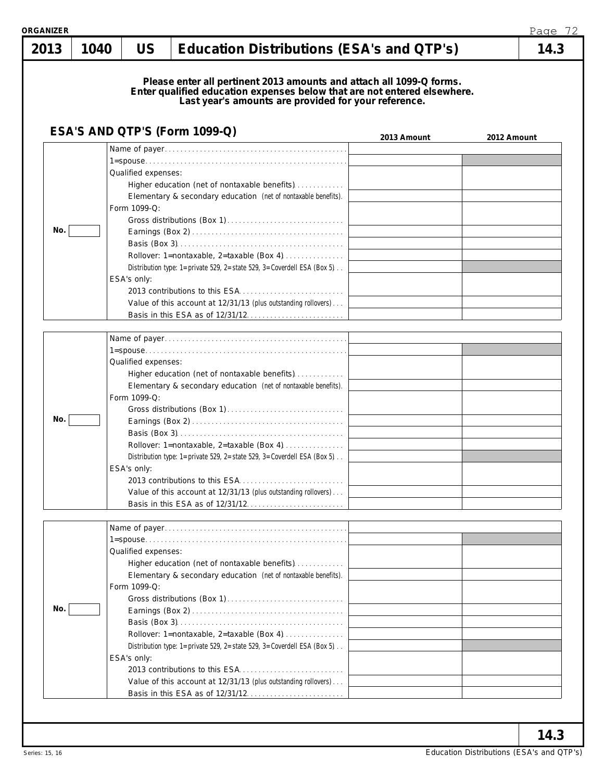| 2013 | 1040 | <b>US</b>                           | Education Distributions (ESA's and QTP's)                                                                                                                                                                |             | 14.3        |
|------|------|-------------------------------------|----------------------------------------------------------------------------------------------------------------------------------------------------------------------------------------------------------|-------------|-------------|
|      |      |                                     | Please enter all pertinent 2013 amounts and attach all 1099-Q forms.<br>Enter qualified education expenses below that are not entered elsewhere.<br>Last year's amounts are provided for your reference. |             |             |
|      |      |                                     | ESA'S AND QTP'S (Form 1099-Q)                                                                                                                                                                            | 2013 Amount | 2012 Amount |
|      |      |                                     |                                                                                                                                                                                                          |             |             |
|      |      | Qualified expenses:<br>Form 1099-Q: | Higher education (net of nontaxable benefits)<br>Elementary & secondary education (net of nontaxable benefits).                                                                                          |             |             |
| No.  |      |                                     |                                                                                                                                                                                                          |             |             |
|      |      |                                     |                                                                                                                                                                                                          |             |             |
|      |      |                                     | Rollover: 1=nontaxable, 2=taxable (Box 4) $\ldots$<br>Distribution type: 1=private 529, 2=state 529, 3=Coverdell ESA (Box 5).                                                                            |             |             |
|      |      | ESA's only:                         |                                                                                                                                                                                                          |             |             |
|      |      |                                     |                                                                                                                                                                                                          |             |             |
|      |      |                                     | Value of this account at 12/31/13 (plus outstanding rollovers)                                                                                                                                           |             |             |
|      |      |                                     |                                                                                                                                                                                                          |             |             |
|      |      |                                     |                                                                                                                                                                                                          |             |             |
|      |      |                                     |                                                                                                                                                                                                          |             |             |
|      |      | Qualified expenses:                 |                                                                                                                                                                                                          |             |             |
|      |      |                                     | Higher education (net of nontaxable benefits)                                                                                                                                                            |             |             |
|      |      | Form 1099-Q:                        | Elementary & secondary education (net of nontaxable benefits).                                                                                                                                           |             |             |
|      |      |                                     |                                                                                                                                                                                                          |             |             |
| No.  |      |                                     |                                                                                                                                                                                                          |             |             |
|      |      |                                     |                                                                                                                                                                                                          |             |             |
|      |      |                                     | Rollover: 1=nontaxable, 2=taxable (Box 4)                                                                                                                                                                |             |             |
|      |      |                                     | Distribution type: 1=private 529, 2=state 529, 3=Coverdell ESA (Box 5).                                                                                                                                  |             |             |
|      |      |                                     | ESA's only:                                                                                                                                                                                              |             |             |
|      |      |                                     | Value of this account at 12/31/13 (plus outstanding rollovers)                                                                                                                                           |             |             |
|      |      |                                     |                                                                                                                                                                                                          |             |             |
|      |      |                                     |                                                                                                                                                                                                          |             |             |
|      |      |                                     |                                                                                                                                                                                                          |             |             |
|      |      | Qualified expenses:                 |                                                                                                                                                                                                          |             |             |
|      |      |                                     | Higher education (net of nontaxable benefits)                                                                                                                                                            |             |             |
|      |      |                                     | Elementary & secondary education (net of nontaxable benefits).                                                                                                                                           |             |             |
|      |      | Form 1099-Q:                        |                                                                                                                                                                                                          |             |             |
| No.  |      |                                     |                                                                                                                                                                                                          |             |             |
|      |      |                                     |                                                                                                                                                                                                          |             |             |
|      |      |                                     | Rollover: 1=nontaxable, 2=taxable (Box 4)                                                                                                                                                                |             |             |
|      |      |                                     | Distribution type: 1=private 529, 2=state 529, 3=Coverdell ESA (Box 5).                                                                                                                                  |             |             |
|      |      | ESA's only:                         |                                                                                                                                                                                                          |             |             |
|      |      |                                     |                                                                                                                                                                                                          |             |             |
|      |      |                                     | Value of this account at 12/31/13 (plus outstanding rollovers)                                                                                                                                           |             |             |
|      |      |                                     |                                                                                                                                                                                                          |             |             |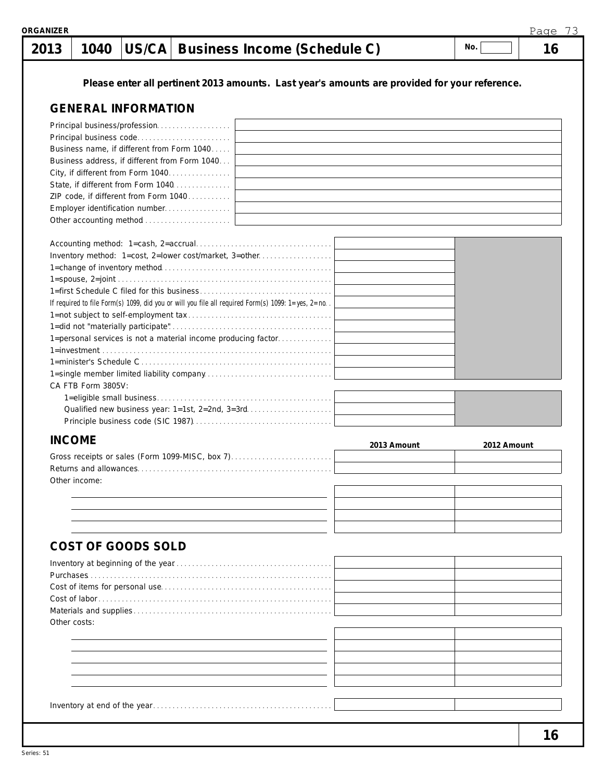|              | 1040               |                            | US/CA Business Income (Schedule C)                                                                   |             | No.         | 16 |
|--------------|--------------------|----------------------------|------------------------------------------------------------------------------------------------------|-------------|-------------|----|
|              |                    |                            | Please enter all pertinent 2013 amounts. Last year's amounts are provided for your reference.        |             |             |    |
|              |                    | <b>GENERAL INFORMATION</b> |                                                                                                      |             |             |    |
|              |                    |                            |                                                                                                      |             |             |    |
|              |                    |                            |                                                                                                      |             |             |    |
|              |                    |                            | Business name, if different from Form 1040                                                           |             |             |    |
|              |                    |                            | Business address, if different from Form 1040                                                        |             |             |    |
|              |                    |                            | City, if different from Form 1040                                                                    |             |             |    |
|              |                    |                            | State, if different from Form 1040                                                                   |             |             |    |
|              |                    |                            | ZIP code, if different from Form 1040                                                                |             |             |    |
|              |                    |                            |                                                                                                      |             |             |    |
|              |                    |                            |                                                                                                      |             |             |    |
|              |                    |                            |                                                                                                      |             |             |    |
|              |                    |                            | Inventory method: 1=cost, 2=lower cost/market, 3=other                                               |             |             |    |
|              |                    |                            |                                                                                                      |             |             |    |
|              |                    |                            |                                                                                                      |             |             |    |
|              |                    |                            |                                                                                                      |             |             |    |
|              |                    |                            | If required to file Form(s) 1099, did you or will you file all required Form(s) 1099: 1=yes, 2=no. . |             |             |    |
|              |                    |                            |                                                                                                      |             |             |    |
|              |                    |                            |                                                                                                      |             |             |    |
|              |                    |                            | 1=personal services is not a material income producing factor                                        |             |             |    |
|              |                    |                            |                                                                                                      |             |             |    |
|              |                    |                            |                                                                                                      |             |             |    |
|              |                    |                            |                                                                                                      |             |             |    |
|              | CA FTB Form 3805V: |                            |                                                                                                      |             |             |    |
|              |                    |                            |                                                                                                      |             |             |    |
|              |                    |                            |                                                                                                      |             |             |    |
|              |                    |                            |                                                                                                      |             |             |    |
|              |                    |                            |                                                                                                      |             |             |    |
|              | <b>INCOME</b>      |                            |                                                                                                      | 2013 Amount | 2012 Amount |    |
|              |                    |                            | Gross receipts or sales (Form 1099-MISC, box 7)                                                      |             |             |    |
|              |                    |                            |                                                                                                      |             |             |    |
|              | Other income:      |                            |                                                                                                      |             |             |    |
|              |                    |                            |                                                                                                      |             |             |    |
|              |                    |                            |                                                                                                      |             |             |    |
|              |                    |                            |                                                                                                      |             |             |    |
|              |                    |                            |                                                                                                      |             |             |    |
|              |                    | <b>COST OF GOODS SOLD</b>  |                                                                                                      |             |             |    |
|              |                    |                            |                                                                                                      |             |             |    |
|              |                    |                            |                                                                                                      |             |             |    |
|              |                    |                            |                                                                                                      |             |             |    |
|              |                    |                            |                                                                                                      |             |             |    |
|              |                    |                            |                                                                                                      |             |             |    |
| Other costs: |                    |                            |                                                                                                      |             |             |    |
|              |                    |                            |                                                                                                      |             |             |    |
|              |                    |                            |                                                                                                      |             |             |    |
|              |                    |                            |                                                                                                      |             |             |    |
|              |                    |                            |                                                                                                      |             |             |    |
|              |                    |                            |                                                                                                      |             |             |    |

**ORGANIZER**

Page 73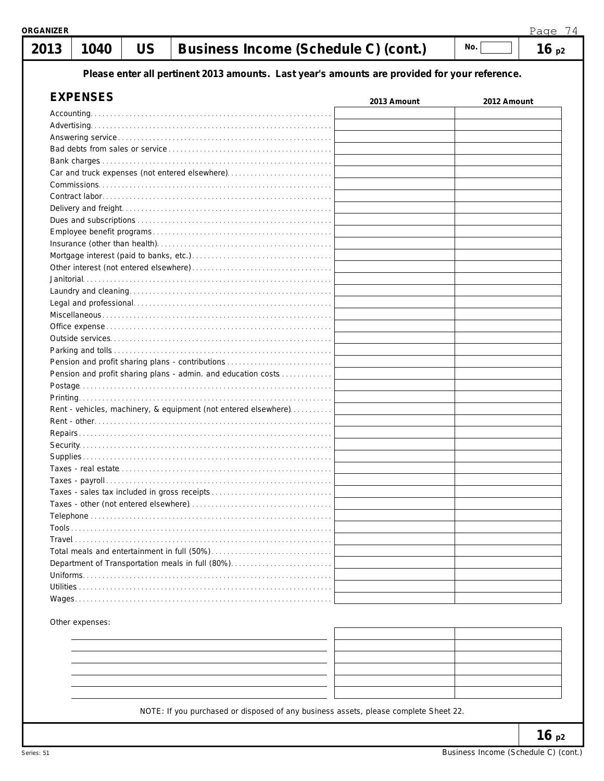| १GANIZER    | Page 74         |           |                                                                                               |             |             |      |  |  |
|-------------|-----------------|-----------|-----------------------------------------------------------------------------------------------|-------------|-------------|------|--|--|
| 2013        | 1040            | <b>US</b> | Business Income (Schedule C) (cont.)                                                          |             | No.         | 16p2 |  |  |
|             |                 |           | Please enter all pertinent 2013 amounts. Last year's amounts are provided for your reference. |             |             |      |  |  |
|             | <b>EXPENSES</b> |           |                                                                                               |             |             |      |  |  |
|             |                 |           |                                                                                               | 2013 Amount | 2012 Amount |      |  |  |
| Accounting. |                 |           |                                                                                               |             |             |      |  |  |
|             |                 |           |                                                                                               |             |             |      |  |  |
|             |                 |           |                                                                                               |             |             |      |  |  |
|             |                 |           |                                                                                               |             |             |      |  |  |
|             |                 |           |                                                                                               |             |             |      |  |  |
|             |                 |           | Car and truck expenses (not entered elsewhere)                                                |             |             |      |  |  |
|             |                 |           |                                                                                               |             |             |      |  |  |
|             |                 |           |                                                                                               |             |             |      |  |  |
|             |                 |           |                                                                                               |             |             |      |  |  |
|             |                 |           |                                                                                               |             |             |      |  |  |
|             |                 |           |                                                                                               |             |             |      |  |  |
|             |                 |           |                                                                                               |             |             |      |  |  |
|             |                 |           |                                                                                               |             |             |      |  |  |
|             |                 |           |                                                                                               |             |             |      |  |  |
|             |                 |           |                                                                                               |             |             |      |  |  |
|             |                 |           |                                                                                               |             |             |      |  |  |
|             |                 |           |                                                                                               |             |             |      |  |  |
|             |                 |           |                                                                                               |             |             |      |  |  |
|             |                 |           |                                                                                               |             |             |      |  |  |
|             |                 |           |                                                                                               |             |             |      |  |  |
|             |                 |           | Pension and profit sharing plans - contributions                                              |             |             |      |  |  |
|             |                 |           | Pension and profit sharing plans - admin. and education costs                                 |             |             |      |  |  |
|             |                 |           |                                                                                               |             |             |      |  |  |
|             |                 |           |                                                                                               |             |             |      |  |  |
|             |                 |           | Rent - vehicles, machinery, & equipment (not entered elsewhere)                               |             |             |      |  |  |
|             |                 |           |                                                                                               |             |             |      |  |  |
|             |                 |           |                                                                                               |             |             |      |  |  |
|             |                 |           |                                                                                               |             |             |      |  |  |
|             |                 |           |                                                                                               |             |             |      |  |  |
|             |                 |           |                                                                                               |             |             |      |  |  |
|             |                 |           |                                                                                               |             |             |      |  |  |
|             |                 |           |                                                                                               |             |             |      |  |  |
|             |                 |           |                                                                                               |             |             |      |  |  |
|             |                 |           |                                                                                               |             |             |      |  |  |
|             |                 |           |                                                                                               |             |             |      |  |  |
|             |                 |           |                                                                                               |             |             |      |  |  |
|             |                 |           |                                                                                               |             |             |      |  |  |
|             |                 |           |                                                                                               |             |             |      |  |  |
|             |                 |           |                                                                                               |             |             |      |  |  |
|             |                 |           |                                                                                               |             |             |      |  |  |
|             |                 |           |                                                                                               |             |             |      |  |  |
|             |                 |           |                                                                                               |             |             |      |  |  |

Other expenses:

|                                                                                 | <u>records and the contract of the contract of the contract of the contract of the contract of the contract of the contract of the contract of the contract of the contract of the contract of the contract of the contract of t</u> |  |
|---------------------------------------------------------------------------------|--------------------------------------------------------------------------------------------------------------------------------------------------------------------------------------------------------------------------------------|--|
|                                                                                 |                                                                                                                                                                                                                                      |  |
| the contract of the contract of                                                 |                                                                                                                                                                                                                                      |  |
|                                                                                 |                                                                                                                                                                                                                                      |  |
| the contract of the contract of the contract of the contract of the contract of |                                                                                                                                                                                                                                      |  |
|                                                                                 |                                                                                                                                                                                                                                      |  |

NOTE: If you purchased or disposed of any business assets, please complete Sheet 22.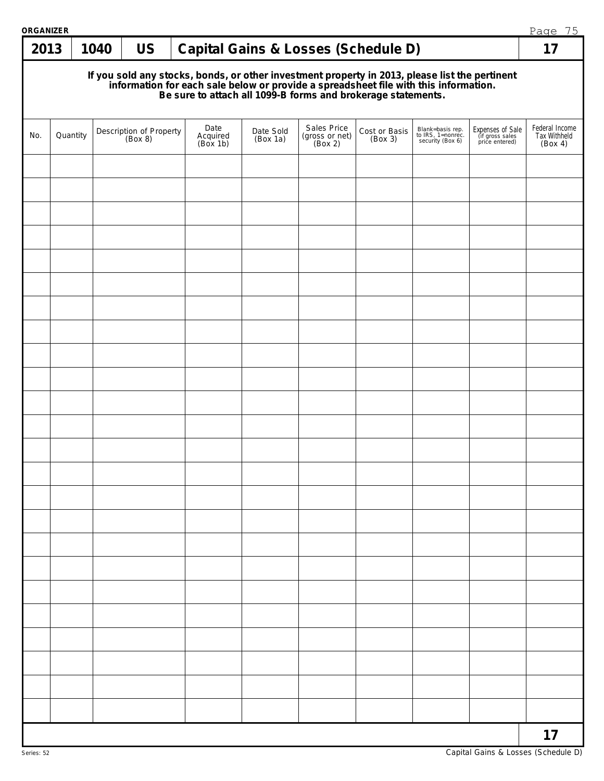| ORGANIZER |                                                                                                                                                                                                                                      |      |                                    |  |                              |                       |                                          |                          |                                                           |                                                       | Page 75                                   |  |  |
|-----------|--------------------------------------------------------------------------------------------------------------------------------------------------------------------------------------------------------------------------------------|------|------------------------------------|--|------------------------------|-----------------------|------------------------------------------|--------------------------|-----------------------------------------------------------|-------------------------------------------------------|-------------------------------------------|--|--|
| 2013      |                                                                                                                                                                                                                                      | 1040 | <b>US</b>                          |  |                              |                       | Capital Gains & Losses (Schedule D)      |                          |                                                           |                                                       | 17                                        |  |  |
|           | If you sold any stocks, bonds, or other investment property in 2013, please list the pertinent<br>information for each sale below or provide a spreadsheet file with this information.<br>Be sure to attach all 1099-B forms and bro |      |                                    |  |                              |                       |                                          |                          |                                                           |                                                       |                                           |  |  |
| No.       | Quantity                                                                                                                                                                                                                             |      | Description of Property<br>(Box 8) |  | Date<br>Acquired<br>(Box 1b) | Date Sold<br>(Box 1a) | Sales Price<br>(gross or net)<br>(Box 2) | Cost or Basis<br>(Box 3) | Blank=basis rep.<br>to IRS, 1=nonrec.<br>security (Box 6) | Expenses of Sale<br>(if gross sales<br>price entered) | Federal Income<br>Tax Withheld<br>(Box 4) |  |  |
|           |                                                                                                                                                                                                                                      |      |                                    |  |                              |                       |                                          |                          |                                                           |                                                       |                                           |  |  |
|           |                                                                                                                                                                                                                                      |      |                                    |  |                              |                       |                                          |                          |                                                           |                                                       |                                           |  |  |
|           |                                                                                                                                                                                                                                      |      |                                    |  |                              |                       |                                          |                          |                                                           |                                                       |                                           |  |  |
|           |                                                                                                                                                                                                                                      |      |                                    |  |                              |                       |                                          |                          |                                                           |                                                       |                                           |  |  |
|           |                                                                                                                                                                                                                                      |      |                                    |  |                              |                       |                                          |                          |                                                           |                                                       |                                           |  |  |
|           |                                                                                                                                                                                                                                      |      |                                    |  |                              |                       |                                          |                          |                                                           |                                                       |                                           |  |  |
|           |                                                                                                                                                                                                                                      |      |                                    |  |                              |                       |                                          |                          |                                                           |                                                       |                                           |  |  |
|           |                                                                                                                                                                                                                                      |      |                                    |  |                              |                       |                                          |                          |                                                           |                                                       |                                           |  |  |
|           |                                                                                                                                                                                                                                      |      |                                    |  |                              |                       |                                          |                          |                                                           |                                                       |                                           |  |  |
|           |                                                                                                                                                                                                                                      |      |                                    |  |                              |                       |                                          |                          |                                                           |                                                       |                                           |  |  |
|           |                                                                                                                                                                                                                                      |      |                                    |  |                              |                       |                                          |                          |                                                           |                                                       |                                           |  |  |
|           |                                                                                                                                                                                                                                      |      |                                    |  |                              |                       |                                          |                          |                                                           |                                                       |                                           |  |  |
|           |                                                                                                                                                                                                                                      |      |                                    |  |                              |                       |                                          |                          |                                                           |                                                       |                                           |  |  |
|           |                                                                                                                                                                                                                                      |      |                                    |  |                              |                       |                                          |                          |                                                           |                                                       |                                           |  |  |
|           |                                                                                                                                                                                                                                      |      |                                    |  |                              |                       |                                          |                          |                                                           |                                                       |                                           |  |  |
|           |                                                                                                                                                                                                                                      |      |                                    |  |                              |                       |                                          |                          |                                                           |                                                       |                                           |  |  |
|           |                                                                                                                                                                                                                                      |      |                                    |  |                              |                       |                                          |                          |                                                           |                                                       |                                           |  |  |
|           |                                                                                                                                                                                                                                      |      |                                    |  |                              |                       |                                          |                          |                                                           |                                                       |                                           |  |  |
|           |                                                                                                                                                                                                                                      |      |                                    |  |                              |                       |                                          |                          |                                                           |                                                       |                                           |  |  |
|           |                                                                                                                                                                                                                                      |      |                                    |  |                              |                       |                                          |                          |                                                           |                                                       |                                           |  |  |
|           |                                                                                                                                                                                                                                      |      |                                    |  |                              |                       |                                          |                          |                                                           |                                                       |                                           |  |  |
|           |                                                                                                                                                                                                                                      |      |                                    |  |                              |                       |                                          |                          |                                                           |                                                       |                                           |  |  |
|           |                                                                                                                                                                                                                                      |      |                                    |  |                              |                       |                                          |                          |                                                           |                                                       |                                           |  |  |
|           |                                                                                                                                                                                                                                      |      |                                    |  |                              |                       |                                          |                          |                                                           |                                                       |                                           |  |  |
|           |                                                                                                                                                                                                                                      |      |                                    |  |                              |                       |                                          |                          |                                                           |                                                       | 17                                        |  |  |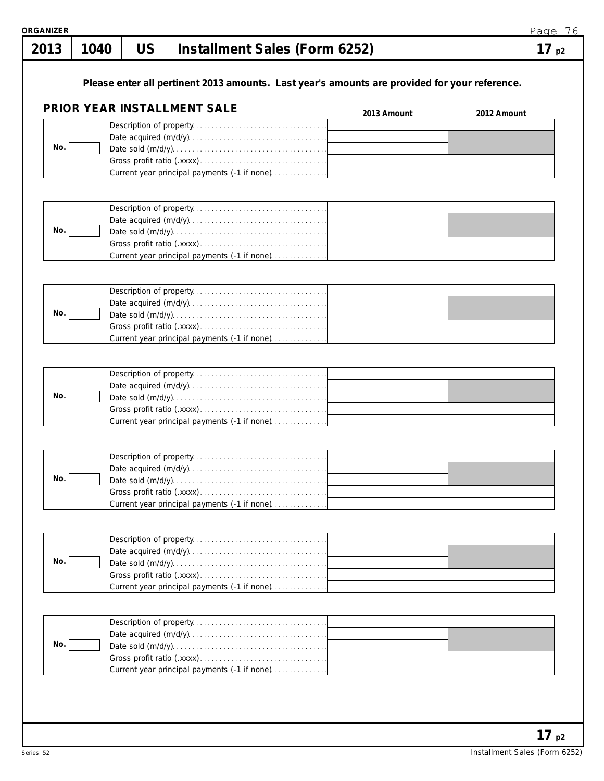| 1040 | <b>US</b> | Installment Sales (Form 6252)                |                             | 17p2                                                                                                                                                                                                                                                                                                                                                                                          |
|------|-----------|----------------------------------------------|-----------------------------|-----------------------------------------------------------------------------------------------------------------------------------------------------------------------------------------------------------------------------------------------------------------------------------------------------------------------------------------------------------------------------------------------|
|      |           |                                              |                             |                                                                                                                                                                                                                                                                                                                                                                                               |
|      |           |                                              | 2013 Amount                 | 2012 Amount                                                                                                                                                                                                                                                                                                                                                                                   |
|      |           |                                              |                             |                                                                                                                                                                                                                                                                                                                                                                                               |
|      |           |                                              |                             |                                                                                                                                                                                                                                                                                                                                                                                               |
|      |           |                                              |                             |                                                                                                                                                                                                                                                                                                                                                                                               |
|      |           |                                              |                             |                                                                                                                                                                                                                                                                                                                                                                                               |
|      |           |                                              |                             |                                                                                                                                                                                                                                                                                                                                                                                               |
|      |           |                                              |                             |                                                                                                                                                                                                                                                                                                                                                                                               |
|      |           |                                              |                             |                                                                                                                                                                                                                                                                                                                                                                                               |
|      |           |                                              |                             |                                                                                                                                                                                                                                                                                                                                                                                               |
|      |           |                                              |                             |                                                                                                                                                                                                                                                                                                                                                                                               |
|      |           |                                              |                             |                                                                                                                                                                                                                                                                                                                                                                                               |
|      |           |                                              |                             |                                                                                                                                                                                                                                                                                                                                                                                               |
|      |           |                                              |                             |                                                                                                                                                                                                                                                                                                                                                                                               |
|      |           |                                              |                             |                                                                                                                                                                                                                                                                                                                                                                                               |
|      |           |                                              |                             |                                                                                                                                                                                                                                                                                                                                                                                               |
|      |           | Current year principal payments (-1 if none) |                             |                                                                                                                                                                                                                                                                                                                                                                                               |
|      |           |                                              | PRIOR YEAR INSTALLMENT SALE | Please enter all pertinent 2013 amounts. Last year's amounts are provided for your reference.<br>Current year principal payments (-1 if none)<br>Current year principal payments (-1 if none)<br>Current year principal payments (-1 if none)<br>Current year principal payments (-1 if none)<br>Current year principal payments (-1 if none)<br>Current year principal payments (-1 if none) |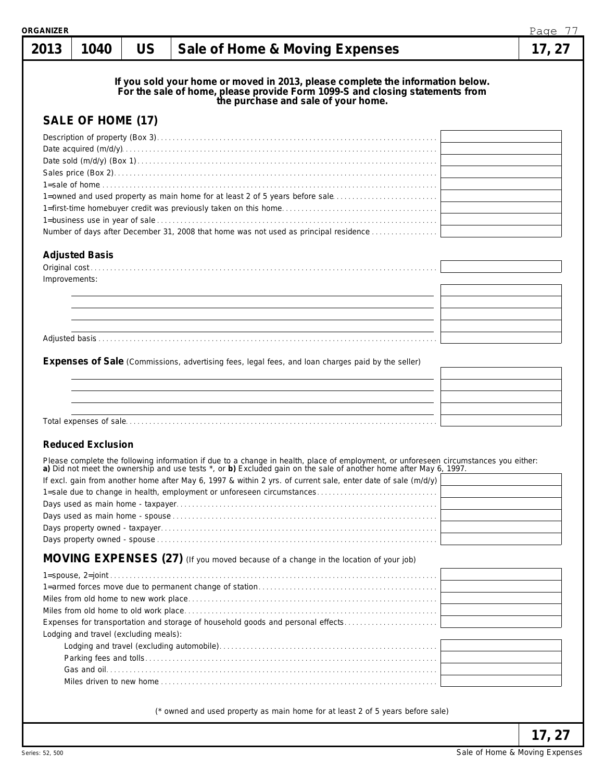| २GANIZER      |                                       |           |                                                                                                                                                                                                                                                                                                                                                                                                                           | Page 77 |
|---------------|---------------------------------------|-----------|---------------------------------------------------------------------------------------------------------------------------------------------------------------------------------------------------------------------------------------------------------------------------------------------------------------------------------------------------------------------------------------------------------------------------|---------|
| 2013          | 1040                                  | <b>US</b> | Sale of Home & Moving Expenses                                                                                                                                                                                                                                                                                                                                                                                            | 17, 27  |
|               | SALE OF HOME (17)                     |           | If you sold your home or moved in 2013, please complete the information below.<br>For the sale of home, please provide Form 1099-S and closing statements from<br>the purchase and sale of your home.<br>1=owned and used property as main home for at least 2 of 5 years before sale                                                                                                                                     |         |
|               |                                       |           | Number of days after December 31, 2008 that home was not used as principal residence                                                                                                                                                                                                                                                                                                                                      |         |
| Improvements: | <b>Adjusted Basis</b>                 |           |                                                                                                                                                                                                                                                                                                                                                                                                                           |         |
|               |                                       |           |                                                                                                                                                                                                                                                                                                                                                                                                                           |         |
|               | <b>Reduced Exclusion</b>              |           | Expenses of Sale (Commissions, advertising fees, legal fees, and loan charges paid by the seller)                                                                                                                                                                                                                                                                                                                         |         |
|               |                                       |           | Please complete the following information if due to a change in health, place of employment, or unforeseen circumstances you either: a) Did not meet the ownership and use tests *, or b) Excluded gain on the sale of another<br>If excl. gain from another home after May 6, 1997 & within 2 yrs. of current sale, enter date of sale (m/d/y)<br>1=sale due to change in health, employment or unforeseen circumstances |         |
|               |                                       |           | MOVING EXPENSES (27) (If you moved because of a change in the location of your job)                                                                                                                                                                                                                                                                                                                                       |         |
|               | Lodging and travel (excluding meals): |           | Expenses for transportation and storage of household goods and personal effects                                                                                                                                                                                                                                                                                                                                           |         |
|               |                                       |           | (* owned and used property as main home for at least 2 of 5 years before sale)                                                                                                                                                                                                                                                                                                                                            |         |
|               |                                       |           |                                                                                                                                                                                                                                                                                                                                                                                                                           | 17, 27  |

Sale of Home & Moving Expenses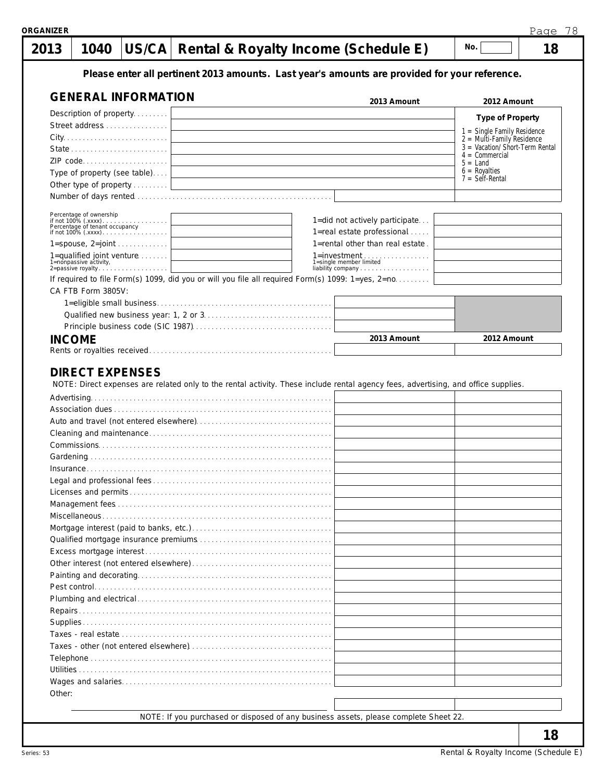| 2013                   | 1040 |                              |  | US/CA   Rental & Royalty Income (Schedule E)                                                                                       | No.                                                         |
|------------------------|------|------------------------------|--|------------------------------------------------------------------------------------------------------------------------------------|-------------------------------------------------------------|
|                        |      |                              |  | Please enter all pertinent 2013 amounts. Last year's amounts are provided for your reference.                                      |                                                             |
|                        |      | <b>GENERAL INFORMATION</b>   |  | 2013 Amount                                                                                                                        | 2012 Amount                                                 |
|                        |      | Description of property      |  |                                                                                                                                    | <b>Type of Property</b>                                     |
|                        |      | Street address               |  |                                                                                                                                    |                                                             |
|                        |      |                              |  |                                                                                                                                    | 1 = Single Family Residence<br>$2 =$ Multi-Family Residence |
|                        |      |                              |  |                                                                                                                                    | $3 =$ Vacation/Short-Term Rental                            |
|                        |      | ZIP code                     |  |                                                                                                                                    | $4 =$ Commercial<br>$5 =$ Land                              |
|                        |      | Type of property (see table) |  |                                                                                                                                    | $6$ = Royalties<br>$7 = \text{Self-Rental}$                 |
|                        |      | Other type of property       |  |                                                                                                                                    |                                                             |
|                        |      |                              |  |                                                                                                                                    |                                                             |
|                        |      |                              |  | 1=did not actively participate                                                                                                     |                                                             |
|                        |      |                              |  | 1=real estate professional                                                                                                         |                                                             |
|                        |      | $1 =$ spouse, $2 =$ joint    |  | 1=rental other than real estate.                                                                                                   |                                                             |
|                        |      | 1=qualified joint venture    |  | 1=investment<br>1=single member limited                                                                                            |                                                             |
| 1=nonpassive activity, |      | 2=passive royalty            |  | i-single member immed<br>liability company                                                                                         |                                                             |
|                        |      |                              |  | If required to file Form(s) 1099, did you or will you file all required Form(s) 1099: 1=yes, 2=no                                  |                                                             |
| CA FTB Form 3805V:     |      |                              |  |                                                                                                                                    |                                                             |
|                        |      |                              |  |                                                                                                                                    |                                                             |
|                        |      |                              |  |                                                                                                                                    |                                                             |
|                        |      |                              |  |                                                                                                                                    |                                                             |
| <b>INCOME</b>          |      |                              |  | 2013 Amount                                                                                                                        | 2012 Amount                                                 |
|                        |      |                              |  |                                                                                                                                    |                                                             |
|                        |      | <b>DIRECT EXPENSES</b>       |  | NOTE: Direct expenses are related only to the rental activity. These include rental agency fees, advertising, and office supplies. |                                                             |
|                        |      |                              |  |                                                                                                                                    |                                                             |
|                        |      |                              |  |                                                                                                                                    |                                                             |
|                        |      |                              |  |                                                                                                                                    |                                                             |
| Insurance              |      |                              |  |                                                                                                                                    |                                                             |
|                        |      |                              |  |                                                                                                                                    |                                                             |
|                        |      |                              |  |                                                                                                                                    |                                                             |
|                        |      |                              |  |                                                                                                                                    |                                                             |
|                        |      |                              |  |                                                                                                                                    |                                                             |
|                        |      |                              |  |                                                                                                                                    |                                                             |
|                        |      |                              |  |                                                                                                                                    |                                                             |
|                        |      |                              |  |                                                                                                                                    |                                                             |
|                        |      |                              |  |                                                                                                                                    |                                                             |
|                        |      |                              |  |                                                                                                                                    |                                                             |
|                        |      |                              |  |                                                                                                                                    |                                                             |
|                        |      |                              |  |                                                                                                                                    |                                                             |
|                        |      |                              |  |                                                                                                                                    |                                                             |
|                        |      |                              |  |                                                                                                                                    |                                                             |
|                        |      |                              |  |                                                                                                                                    |                                                             |
|                        |      |                              |  |                                                                                                                                    |                                                             |
|                        |      |                              |  |                                                                                                                                    |                                                             |
|                        |      |                              |  |                                                                                                                                    |                                                             |
| Other:                 |      |                              |  |                                                                                                                                    |                                                             |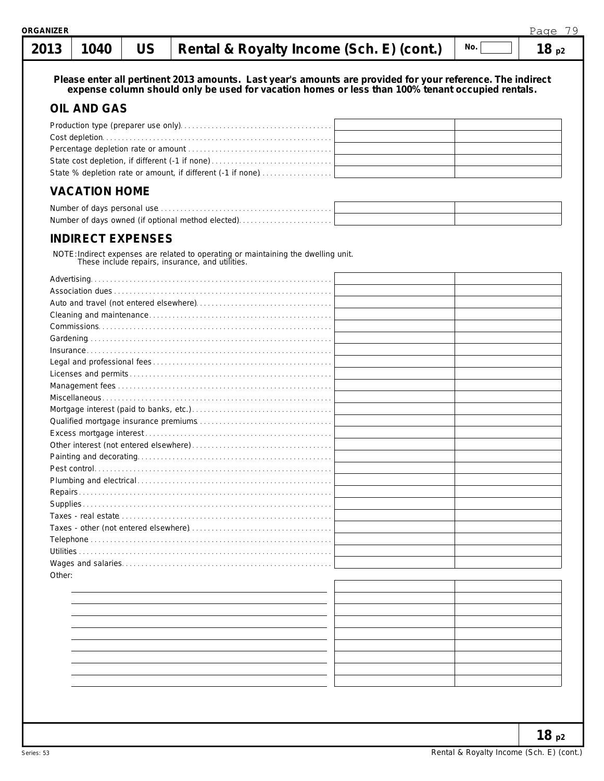#### **2013 1040 US**  $\begin{bmatrix} \text{Path 1} \\ \text{Path 2} \end{bmatrix}$  **Repose**  $\begin{bmatrix} \text{R}_1 \\ \text{R}_2 \end{bmatrix}$  **Paper Properties Properties Properties**  $\overline{\phantom{a}}$  No.  $\overline{\phantom{a}}$  $\blacksquare$

| UIJ      | TU40                 |                          | Refital & ROYARY INCOME (SCH. E) (CONT.)                                                                                                                                                                       | 10p2 |
|----------|----------------------|--------------------------|----------------------------------------------------------------------------------------------------------------------------------------------------------------------------------------------------------------|------|
|          |                      |                          | Please enter all pertinent 2013 amounts. Last year's amounts are provided for your reference. The indirect<br>expense column should only be used for vacation homes or less than 100% tenant occupied rentals. |      |
|          | <b>OIL AND GAS</b>   |                          |                                                                                                                                                                                                                |      |
|          |                      |                          |                                                                                                                                                                                                                |      |
|          |                      |                          |                                                                                                                                                                                                                |      |
|          |                      |                          |                                                                                                                                                                                                                |      |
|          |                      |                          |                                                                                                                                                                                                                |      |
|          |                      |                          | State % depletion rate or amount, if different (-1 if none)                                                                                                                                                    |      |
|          | <b>VACATION HOME</b> |                          |                                                                                                                                                                                                                |      |
|          |                      |                          |                                                                                                                                                                                                                |      |
|          |                      |                          | Number of days owned (if optional method elected)                                                                                                                                                              |      |
|          |                      | <b>INDIRECT EXPENSES</b> |                                                                                                                                                                                                                |      |
|          |                      |                          | NOTE: Indirect expenses are related to operating or maintaining the dwelling unit.<br>These include repairs, insurance, and utilities.                                                                         |      |
|          |                      |                          |                                                                                                                                                                                                                |      |
|          |                      |                          |                                                                                                                                                                                                                |      |
|          |                      |                          |                                                                                                                                                                                                                |      |
|          |                      |                          |                                                                                                                                                                                                                |      |
|          |                      |                          |                                                                                                                                                                                                                |      |
|          |                      |                          |                                                                                                                                                                                                                |      |
|          |                      |                          |                                                                                                                                                                                                                |      |
|          |                      |                          |                                                                                                                                                                                                                |      |
|          |                      |                          |                                                                                                                                                                                                                |      |
|          |                      |                          |                                                                                                                                                                                                                |      |
|          |                      |                          |                                                                                                                                                                                                                |      |
|          |                      |                          |                                                                                                                                                                                                                |      |
|          |                      |                          |                                                                                                                                                                                                                |      |
|          |                      |                          |                                                                                                                                                                                                                |      |
|          |                      |                          |                                                                                                                                                                                                                |      |
|          |                      |                          |                                                                                                                                                                                                                |      |
|          |                      |                          |                                                                                                                                                                                                                |      |
| Repairs. |                      |                          |                                                                                                                                                                                                                |      |
|          |                      |                          |                                                                                                                                                                                                                |      |
|          |                      |                          |                                                                                                                                                                                                                |      |
|          |                      |                          |                                                                                                                                                                                                                |      |
|          |                      |                          |                                                                                                                                                                                                                |      |
|          |                      |                          |                                                                                                                                                                                                                |      |
| Other:   |                      |                          |                                                                                                                                                                                                                |      |
|          |                      |                          |                                                                                                                                                                                                                |      |
|          |                      |                          |                                                                                                                                                                                                                |      |
|          |                      |                          |                                                                                                                                                                                                                |      |
|          |                      |                          |                                                                                                                                                                                                                |      |
|          |                      |                          |                                                                                                                                                                                                                |      |
|          |                      |                          |                                                                                                                                                                                                                |      |
|          |                      |                          |                                                                                                                                                                                                                |      |
|          |                      |                          |                                                                                                                                                                                                                |      |
|          |                      |                          |                                                                                                                                                                                                                |      |
|          |                      |                          |                                                                                                                                                                                                                |      |

**18 p2**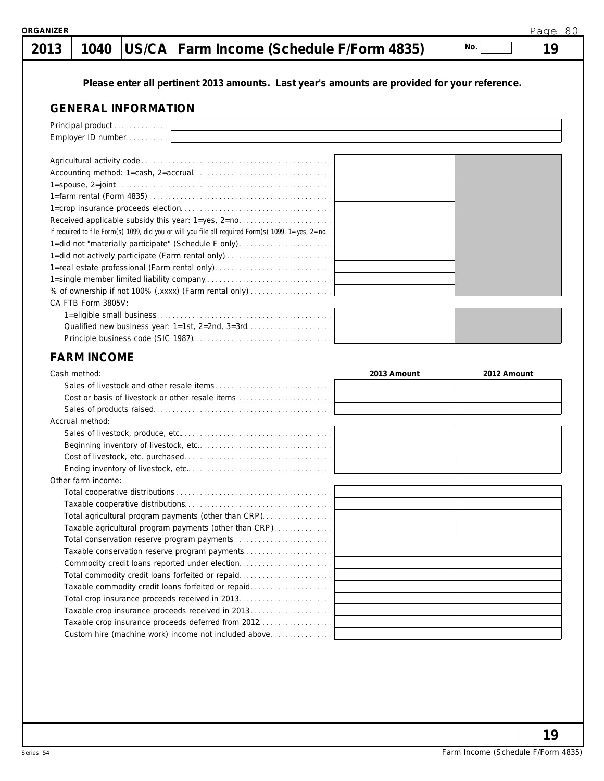### **1040 US/CA Farm Income (Schedule F/Form 4835) 19 2013**

**No.**

# **Please enter all pertinent 2013 amounts. Last year's amounts are provided for your reference.**

## **GENERAL INFORMATION**

| Principal product                                                                                 |             |             |
|---------------------------------------------------------------------------------------------------|-------------|-------------|
| Employer ID number                                                                                |             |             |
|                                                                                                   |             |             |
|                                                                                                   |             |             |
|                                                                                                   |             |             |
|                                                                                                   |             |             |
|                                                                                                   |             |             |
|                                                                                                   |             |             |
| Received applicable subsidy this year: 1=yes, 2=no                                                |             |             |
| If required to file Form(s) 1099, did you or will you file all required Form(s) 1099: 1=yes, 2=no |             |             |
| 1=did not "materially participate" (Schedule F only)                                              |             |             |
| 1=did not actively participate (Farm rental only)                                                 |             |             |
| 1=real estate professional (Farm rental only)                                                     |             |             |
|                                                                                                   |             |             |
| % of ownership if not 100% (.xxxx) (Farm rental only)                                             |             |             |
| CA FTB Form 3805V:                                                                                |             |             |
|                                                                                                   |             |             |
|                                                                                                   |             |             |
|                                                                                                   |             |             |
|                                                                                                   |             |             |
| <b>FARM INCOME</b>                                                                                |             |             |
| Cash method:                                                                                      | 2013 Amount | 2012 Amount |
|                                                                                                   |             |             |
|                                                                                                   |             |             |
| Cost or basis of livestock or other resale items                                                  |             |             |
|                                                                                                   |             |             |
| Accrual method:                                                                                   |             |             |
|                                                                                                   |             |             |
|                                                                                                   |             |             |
|                                                                                                   |             |             |
|                                                                                                   |             |             |
| Other farm income:                                                                                |             |             |
|                                                                                                   |             |             |
|                                                                                                   |             |             |
|                                                                                                   |             |             |
| Total agricultural program payments (other than CRP).                                             |             |             |
| Taxable agricultural program payments (other than CRP)                                            |             |             |
|                                                                                                   |             |             |
| Taxable conservation reserve program payments<br>Commodity credit loans reported under election   |             |             |
|                                                                                                   |             |             |
| Total commodity credit loans forfeited or repaid                                                  |             |             |
| Taxable commodity credit loans forfeited or repaid                                                |             |             |
|                                                                                                   |             |             |
| Taxable crop insurance proceeds deferred from 2012                                                |             |             |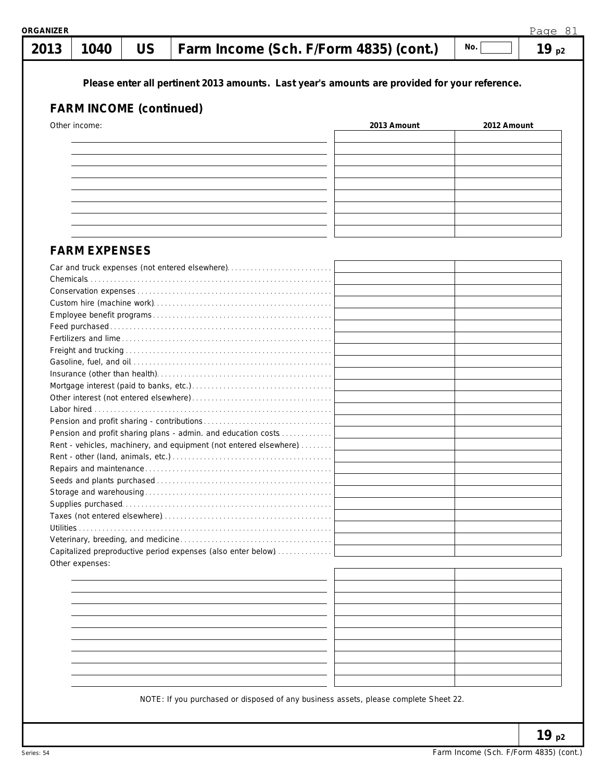|                                | Please enter all pertinent 2013 amounts. Last year's amounts are provided for your reference. |             |             |  |
|--------------------------------|-----------------------------------------------------------------------------------------------|-------------|-------------|--|
| <b>FARM INCOME (continued)</b> |                                                                                               |             |             |  |
| Other income:                  |                                                                                               | 2013 Amount | 2012 Amount |  |
|                                |                                                                                               |             |             |  |
|                                |                                                                                               |             |             |  |
|                                |                                                                                               |             |             |  |
|                                |                                                                                               |             |             |  |
|                                |                                                                                               |             |             |  |
|                                |                                                                                               |             |             |  |
|                                |                                                                                               |             |             |  |
|                                |                                                                                               |             |             |  |
| <b>FARM EXPENSES</b>           |                                                                                               |             |             |  |
|                                |                                                                                               |             |             |  |
|                                | Car and truck expenses (not entered elsewhere)                                                |             |             |  |
|                                |                                                                                               |             |             |  |
|                                |                                                                                               |             |             |  |
|                                |                                                                                               |             |             |  |
|                                |                                                                                               |             |             |  |
|                                |                                                                                               |             |             |  |
|                                |                                                                                               |             |             |  |
|                                |                                                                                               |             |             |  |
|                                |                                                                                               |             |             |  |
|                                |                                                                                               |             |             |  |
|                                |                                                                                               |             |             |  |
|                                |                                                                                               |             |             |  |
|                                | Pension and profit sharing plans - admin. and education costs                                 |             |             |  |
|                                | Rent - vehicles, machinery, and equipment (not entered elsewhere)                             |             |             |  |
|                                |                                                                                               |             |             |  |
|                                |                                                                                               |             |             |  |
|                                |                                                                                               |             |             |  |
|                                |                                                                                               |             |             |  |
|                                |                                                                                               |             |             |  |
|                                |                                                                                               |             |             |  |
|                                |                                                                                               |             |             |  |
|                                | Capitalized preproductive period expenses (also enter below)                                  |             |             |  |
| Other expenses:                |                                                                                               |             |             |  |
|                                |                                                                                               |             |             |  |
|                                |                                                                                               |             |             |  |
|                                |                                                                                               |             |             |  |
|                                |                                                                                               |             |             |  |
|                                |                                                                                               |             |             |  |
|                                |                                                                                               |             |             |  |
|                                |                                                                                               |             |             |  |
|                                |                                                                                               |             |             |  |
|                                |                                                                                               |             |             |  |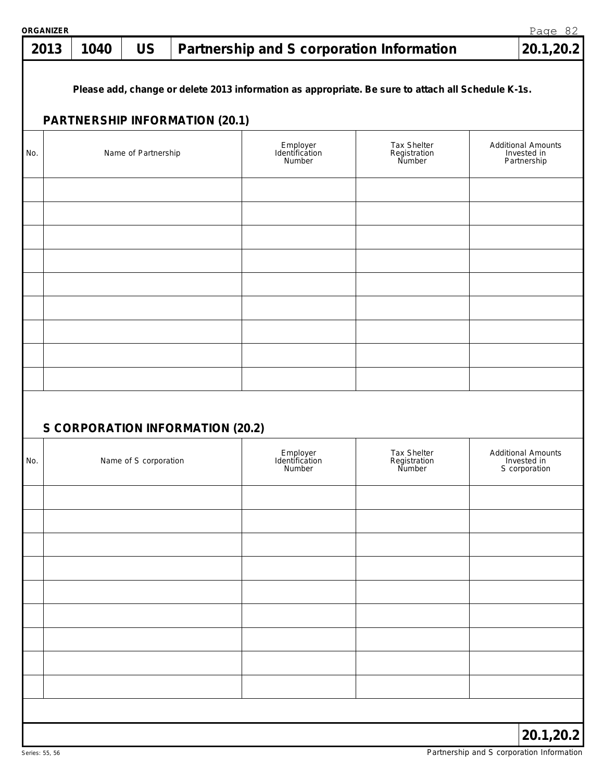### **1040 US Partnership and S corporation Information 20.1,20.2 2013**

**Please add, change or delete 2013 information as appropriate. Be sure to attach all Schedule K-1s.**

# **PARTNERSHIP INFORMATION (20.1)**

| No. | Name of Partnership              | Employer<br>Identification<br>Number | Tax Shelter<br>Registration<br>Number | Additional Amounts<br>Invested in<br>Partnership          |
|-----|----------------------------------|--------------------------------------|---------------------------------------|-----------------------------------------------------------|
|     |                                  |                                      |                                       |                                                           |
|     |                                  |                                      |                                       |                                                           |
|     |                                  |                                      |                                       |                                                           |
|     |                                  |                                      |                                       |                                                           |
|     |                                  |                                      |                                       |                                                           |
|     |                                  |                                      |                                       |                                                           |
|     |                                  |                                      |                                       |                                                           |
|     |                                  |                                      |                                       |                                                           |
|     |                                  |                                      |                                       |                                                           |
|     |                                  |                                      |                                       |                                                           |
|     | S CORPORATION INFORMATION (20.2) |                                      |                                       |                                                           |
| No. | Name of S corporation            | Employer<br>Identification<br>Number | Tax Shelter<br>Registration<br>Number | <b>Additional Amounts</b><br>Invested in<br>S corporation |
|     |                                  |                                      |                                       |                                                           |
|     |                                  |                                      |                                       |                                                           |
|     |                                  |                                      |                                       |                                                           |
|     |                                  |                                      |                                       |                                                           |
|     |                                  |                                      |                                       |                                                           |
|     |                                  |                                      |                                       |                                                           |
|     |                                  |                                      |                                       |                                                           |
|     |                                  |                                      |                                       |                                                           |
|     |                                  |                                      |                                       |                                                           |
|     |                                  |                                      |                                       | 20.1,20.2                                                 |

Page 82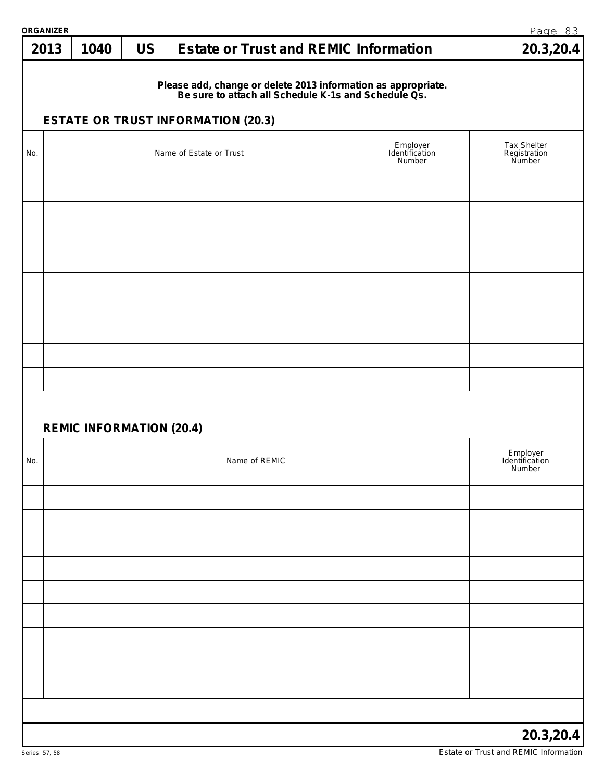| ORGANIZER |                                 |           |                                                                                                                                                                    |                                      | Page 83                               |
|-----------|---------------------------------|-----------|--------------------------------------------------------------------------------------------------------------------------------------------------------------------|--------------------------------------|---------------------------------------|
| 2013      | 1040                            | <b>US</b> | <b>Estate or Trust and REMIC Information</b>                                                                                                                       |                                      | 20.3,20.4                             |
|           |                                 |           | Please add, change or delete 2013 information as appropriate.<br>Be sure to attach all Schedule K-1s and Schedule Qs.<br><b>ESTATE OR TRUST INFORMATION (20.3)</b> |                                      |                                       |
|           |                                 |           |                                                                                                                                                                    |                                      |                                       |
| No.       |                                 |           | Name of Estate or Trust                                                                                                                                            | Employer<br>Identification<br>Number | Tax Shelter<br>Registration<br>Number |
|           |                                 |           |                                                                                                                                                                    |                                      |                                       |
|           |                                 |           |                                                                                                                                                                    |                                      |                                       |
|           |                                 |           |                                                                                                                                                                    |                                      |                                       |
|           |                                 |           |                                                                                                                                                                    |                                      |                                       |
|           |                                 |           |                                                                                                                                                                    |                                      |                                       |
|           |                                 |           |                                                                                                                                                                    |                                      |                                       |
|           | <b>REMIC INFORMATION (20.4)</b> |           |                                                                                                                                                                    |                                      |                                       |
| No.       |                                 |           | Name of REMIC                                                                                                                                                      |                                      | Employer<br>Identification<br>Number  |
|           |                                 |           |                                                                                                                                                                    |                                      |                                       |
|           |                                 |           |                                                                                                                                                                    |                                      |                                       |
|           |                                 |           |                                                                                                                                                                    |                                      |                                       |
|           |                                 |           |                                                                                                                                                                    |                                      |                                       |
|           |                                 |           |                                                                                                                                                                    |                                      |                                       |
|           |                                 |           |                                                                                                                                                                    |                                      |                                       |
|           |                                 |           |                                                                                                                                                                    |                                      |                                       |
|           |                                 |           |                                                                                                                                                                    |                                      | 20.3,20.4                             |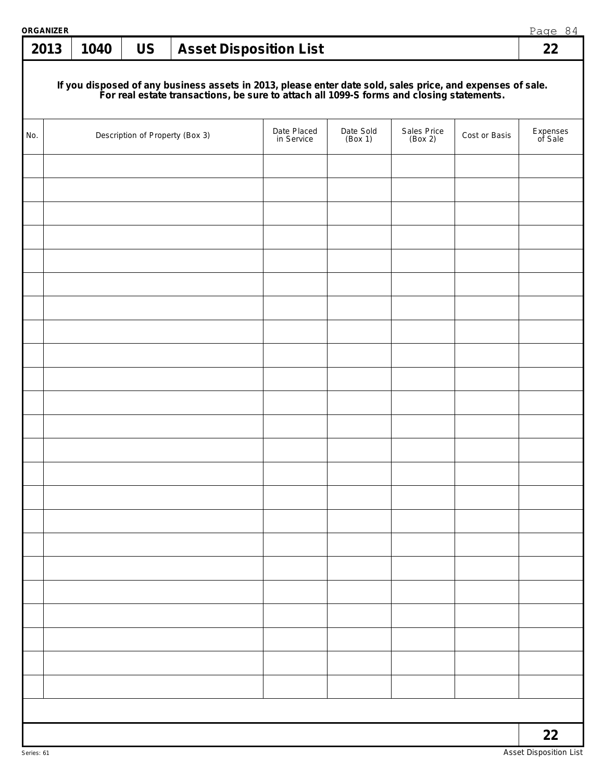| ORGANIZER |      |                                 |                                                                                                                                                                                                        |                      |                        |               | Page 84             |
|-----------|------|---------------------------------|--------------------------------------------------------------------------------------------------------------------------------------------------------------------------------------------------------|----------------------|------------------------|---------------|---------------------|
| 2013      | 1040 | <b>US</b>                       | <b>Asset Disposition List</b>                                                                                                                                                                          |                      |                        |               | 22                  |
|           |      |                                 | If you disposed of any business assets in 2013, please enter date sold, sales price, and expenses of sale.<br>For real estate transactions, be sure to attach all 1099-S forms and closing statements. |                      |                        |               |                     |
| No.       |      | Description of Property (Box 3) | Date Placed<br>in Service                                                                                                                                                                              | Date Sold<br>(Box 1) | Sales Price<br>(Box 2) | Cost or Basis | Expenses<br>of Sale |
|           |      |                                 |                                                                                                                                                                                                        |                      |                        |               |                     |
|           |      |                                 |                                                                                                                                                                                                        |                      |                        |               |                     |
|           |      |                                 |                                                                                                                                                                                                        |                      |                        |               |                     |
|           |      |                                 |                                                                                                                                                                                                        |                      |                        |               |                     |
|           |      |                                 |                                                                                                                                                                                                        |                      |                        |               |                     |
|           |      |                                 |                                                                                                                                                                                                        |                      |                        |               |                     |
|           |      |                                 |                                                                                                                                                                                                        |                      |                        |               |                     |
|           |      |                                 |                                                                                                                                                                                                        |                      |                        |               |                     |
|           |      |                                 |                                                                                                                                                                                                        |                      |                        |               |                     |
|           |      |                                 |                                                                                                                                                                                                        |                      |                        |               |                     |
|           |      |                                 |                                                                                                                                                                                                        |                      |                        |               |                     |
|           |      |                                 |                                                                                                                                                                                                        |                      |                        |               |                     |
|           |      |                                 |                                                                                                                                                                                                        |                      |                        |               |                     |
|           |      |                                 |                                                                                                                                                                                                        |                      |                        |               |                     |
|           |      |                                 |                                                                                                                                                                                                        |                      |                        |               |                     |
|           |      |                                 |                                                                                                                                                                                                        |                      |                        |               |                     |
|           |      |                                 |                                                                                                                                                                                                        |                      |                        |               |                     |
|           |      |                                 |                                                                                                                                                                                                        |                      |                        |               |                     |
|           |      |                                 |                                                                                                                                                                                                        |                      |                        |               |                     |
|           |      |                                 |                                                                                                                                                                                                        |                      |                        |               |                     |
|           |      |                                 |                                                                                                                                                                                                        |                      |                        |               |                     |
|           |      |                                 |                                                                                                                                                                                                        |                      |                        |               |                     |
|           |      |                                 |                                                                                                                                                                                                        |                      |                        |               |                     |
|           |      |                                 |                                                                                                                                                                                                        |                      |                        |               | 22                  |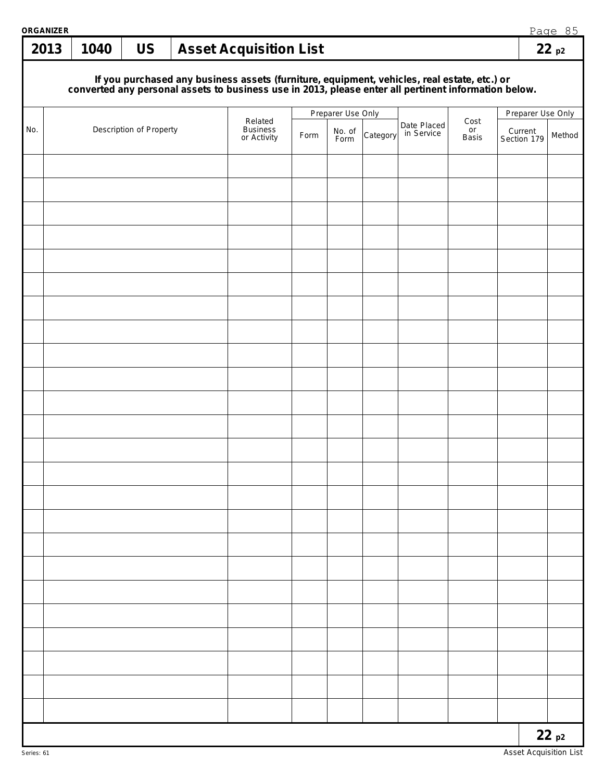| ORGANIZER<br>2013 | 1040 | <b>US</b>               | <b>Asset Acquisition List</b>                                                                                                                                                                       |      |                   |          |                           |                     |                        | Page 85<br>22p2 |
|-------------------|------|-------------------------|-----------------------------------------------------------------------------------------------------------------------------------------------------------------------------------------------------|------|-------------------|----------|---------------------------|---------------------|------------------------|-----------------|
|                   |      |                         | If you purchased any business assets (furniture, equipment, vehicles, real estate, etc.) or<br>converted any personal assets to business use in 2013, please enter all pertinent information below. |      |                   |          |                           |                     |                        |                 |
|                   |      |                         |                                                                                                                                                                                                     |      | Preparer Use Only |          |                           |                     | Preparer Use Only      |                 |
| No.               |      | Description of Property | Related<br><b>Business</b><br>or Activity                                                                                                                                                           | Form | No. of<br>Form    | Category | Date Placed<br>in Service | Cost<br>or<br>Basis | Current<br>Section 179 | Method          |
|                   |      |                         |                                                                                                                                                                                                     |      |                   |          |                           |                     |                        |                 |
|                   |      |                         |                                                                                                                                                                                                     |      |                   |          |                           |                     |                        |                 |
|                   |      |                         |                                                                                                                                                                                                     |      |                   |          |                           |                     |                        |                 |
|                   |      |                         |                                                                                                                                                                                                     |      |                   |          |                           |                     |                        |                 |
|                   |      |                         |                                                                                                                                                                                                     |      |                   |          |                           |                     |                        |                 |
|                   |      |                         |                                                                                                                                                                                                     |      |                   |          |                           |                     |                        |                 |
|                   |      |                         |                                                                                                                                                                                                     |      |                   |          |                           |                     |                        |                 |
|                   |      |                         |                                                                                                                                                                                                     |      |                   |          |                           |                     |                        |                 |
|                   |      |                         |                                                                                                                                                                                                     |      |                   |          |                           |                     |                        |                 |
|                   |      |                         |                                                                                                                                                                                                     |      |                   |          |                           |                     |                        |                 |
|                   |      |                         |                                                                                                                                                                                                     |      |                   |          |                           |                     |                        |                 |
|                   |      |                         |                                                                                                                                                                                                     |      |                   |          |                           |                     |                        |                 |
|                   |      |                         |                                                                                                                                                                                                     |      |                   |          |                           |                     |                        |                 |
|                   |      |                         |                                                                                                                                                                                                     |      |                   |          |                           |                     |                        |                 |
|                   |      |                         |                                                                                                                                                                                                     |      |                   |          |                           |                     |                        |                 |
|                   |      |                         |                                                                                                                                                                                                     |      |                   |          |                           |                     |                        |                 |
|                   |      |                         |                                                                                                                                                                                                     |      |                   |          |                           |                     |                        |                 |
|                   |      |                         |                                                                                                                                                                                                     |      |                   |          |                           |                     |                        |                 |
|                   |      |                         |                                                                                                                                                                                                     |      |                   |          |                           |                     |                        |                 |
|                   |      |                         |                                                                                                                                                                                                     |      |                   |          |                           |                     |                        |                 |
|                   |      |                         |                                                                                                                                                                                                     |      |                   |          |                           |                     |                        |                 |
|                   |      |                         |                                                                                                                                                                                                     |      |                   |          |                           |                     |                        |                 |
|                   |      |                         |                                                                                                                                                                                                     |      |                   |          |                           |                     |                        | 22p2            |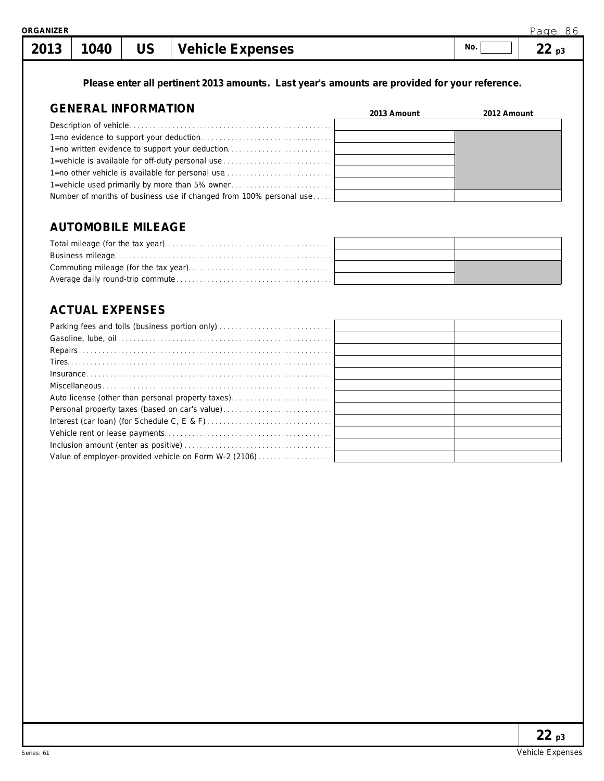**Please enter all pertinent 2013 amounts. Last year's amounts are provided for your reference.**

# **GENERAL INFORMATION**

| GENERAL INFORMATION                                                | 2013 Amount | 2012 Amount |
|--------------------------------------------------------------------|-------------|-------------|
|                                                                    |             |             |
|                                                                    |             |             |
| 1=no written evidence to support your deduction                    |             |             |
| 1=vehicle is available for off-duty personal use                   |             |             |
| 1=no other vehicle is available for personal use                   |             |             |
| 1-vehicle used primarily by more than 5% owner                     |             |             |
| Number of months of business use if changed from 100% personal use |             |             |

# **AUTOMOBILE MILEAGE**

# **ACTUAL EXPENSES**

| $[{\sf Insurance} \dots \dots \dots \dots \dots \dots \dots \dots \dots \dots \dots \dots \dots \dots \dots \dots \dots]$ |  |
|---------------------------------------------------------------------------------------------------------------------------|--|
|                                                                                                                           |  |
|                                                                                                                           |  |
|                                                                                                                           |  |
|                                                                                                                           |  |
|                                                                                                                           |  |
|                                                                                                                           |  |
| Value of employer-provided vehicle on Form W-2 (2106)                                                                     |  |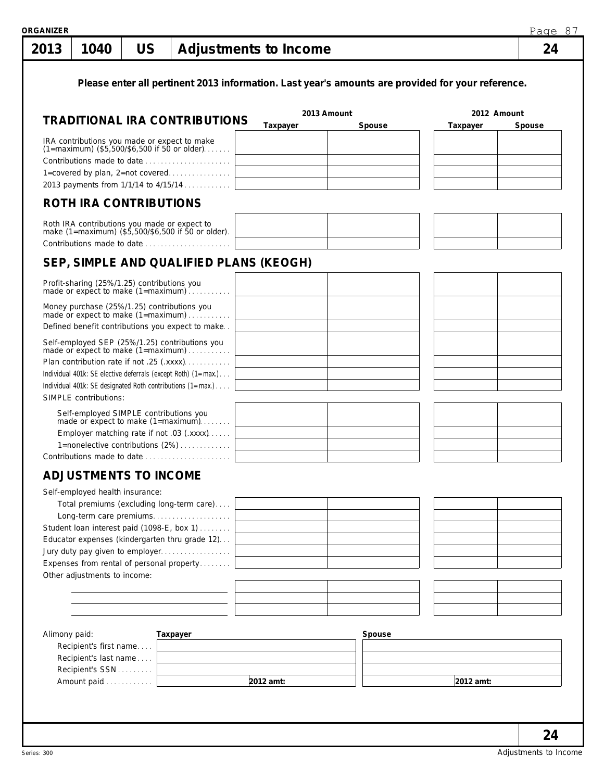Series: 300

| 2013          | 1040                                                                 | US |                                                                                                                                                                                                                                                                  | Adjustments to Income |             |                                                                                                   | 24          |
|---------------|----------------------------------------------------------------------|----|------------------------------------------------------------------------------------------------------------------------------------------------------------------------------------------------------------------------------------------------------------------|-----------------------|-------------|---------------------------------------------------------------------------------------------------|-------------|
|               |                                                                      |    | <b>TRADITIONAL IRA CONTRIBUTIONS</b>                                                                                                                                                                                                                             |                       | 2013 Amount | Please enter all pertinent 2013 information. Last year's amounts are provided for your reference. | 2012 Amount |
|               |                                                                      |    |                                                                                                                                                                                                                                                                  | Taxpayer              | Spouse      | Taxpayer                                                                                          | Spouse      |
|               |                                                                      |    | IRA contributions you made or expect to make<br>(1=maximum) (\$5,500/\$6,500 if 50 or older)<br>Contributions made to date<br>1=covered by plan, 2=not covered<br>2013 payments from 1/1/14 to 4/15/14                                                           |                       |             |                                                                                                   |             |
|               | <b>ROTH IRA CONTRIBUTIONS</b>                                        |    |                                                                                                                                                                                                                                                                  |                       |             |                                                                                                   |             |
|               |                                                                      |    | Roth IRA contributions you made or expect to<br>make (1=maximum) (\$5,500/\$6,500 if 50 or older).<br>Contributions made to date                                                                                                                                 |                       |             |                                                                                                   |             |
|               |                                                                      |    | SEP, SIMPLE AND QUALIFIED PLANS (KEOGH)                                                                                                                                                                                                                          |                       |             |                                                                                                   |             |
|               | Profit-sharing (25%/1.25) contributions you                          |    | made or expect to make (1=maximum)                                                                                                                                                                                                                               |                       |             |                                                                                                   |             |
|               |                                                                      |    | Money purchase (25%/1.25) contributions you<br>made or expect to make (1=maximum)<br>Defined benefit contributions you expect to make                                                                                                                            |                       |             |                                                                                                   |             |
|               | SIMPLE contributions:                                                |    | Self-employed SEP (25%/1.25) contributions you<br>made or expect to make (1=maximum)<br>Plan contribution rate if not .25 (.xxxx)<br>Individual 401k: SE elective deferrals (except Roth) (1=max.)<br>Individual 401k: SE designated Roth contributions (1=max.) |                       |             |                                                                                                   |             |
|               | Self-employed SIMPLE contributions you                               |    | made or expect to make (1=maximum)<br>Employer matching rate if not .03 (.xxxx)<br>1=nonelective contributions (2%)<br>Contributions made to date                                                                                                                |                       |             |                                                                                                   |             |
|               | <b>ADJUSTMENTS TO INCOME</b>                                         |    |                                                                                                                                                                                                                                                                  |                       |             |                                                                                                   |             |
|               | Self-employed health insurance:<br>Other adjustments to income:      |    | Total premiums (excluding long-term care)<br>Student loan interest paid (1098-E, box 1)<br>Educator expenses (kindergarten thru grade 12)<br>Expenses from rental of personal property                                                                           |                       |             |                                                                                                   |             |
| Alimony paid: |                                                                      |    | Taxpayer                                                                                                                                                                                                                                                         |                       | Spouse      |                                                                                                   |             |
|               | Recipient's first name<br>Recipient's last name<br>Recipient's SSN [ |    |                                                                                                                                                                                                                                                                  |                       |             |                                                                                                   |             |
|               | Amount paid                                                          |    |                                                                                                                                                                                                                                                                  | $2012$ amt:           |             | 2012 amt:                                                                                         |             |

Adjustments to Income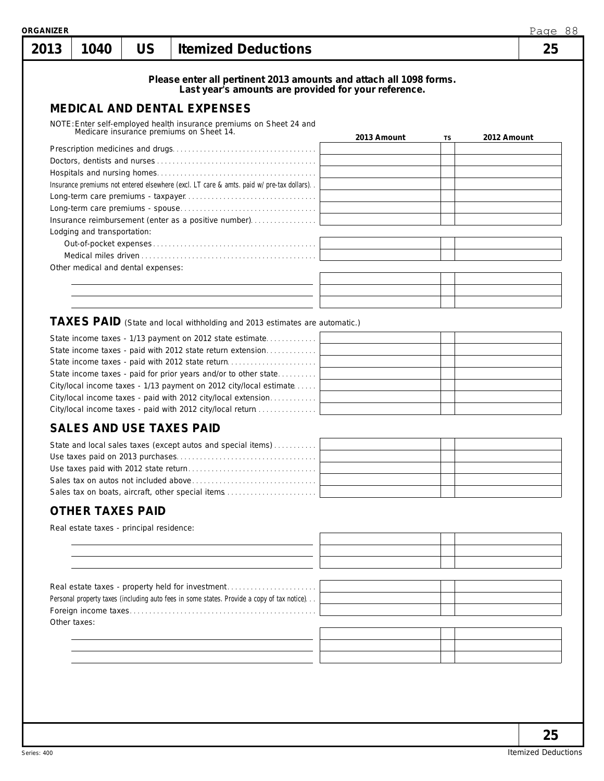| Please enter all pertinent 2013 amounts and attach all 1098 forms.<br>Last year's amounts are provided for your reference.<br><b>MEDICAL AND DENTAL EXPENSES</b><br>NOTE: Enter self-employed health insurance premiums on Sheet 24 and<br>Medicare insurance premiums on Sheet 14.<br>2013 Amount<br>2012 Amount<br>TS<br>Insurance premiums not entered elsewhere (excl. LT care & amts. paid w/pre-tax dollars)<br>Insurance reimbursement (enter as a positive number)<br>Lodging and transportation:<br>Other medical and dental expenses:<br>TAXES PAID (State and local withholding and 2013 estimates are automatic.)<br>State income taxes - 1/13 payment on 2012 state estimate<br>State income taxes - paid with 2012 state return extension<br>State income taxes - paid with 2012 state return<br>State income taxes - paid for prior years and/or to other state<br>City/local income taxes - 1/13 payment on 2012 city/local estimate<br>City/local income taxes - paid with 2012 city/local extension<br>City/local income taxes - paid with 2012 city/local return<br><b>SALES AND USE TAXES PAID</b><br>State and local sales taxes (except autos and special items)<br>Use taxes paid on 2013 purchases<br>Sales tax on boats, aircraft, other special items<br><b>OTHER TAXES PAID</b><br>Real estate taxes - principal residence: |  |
|--------------------------------------------------------------------------------------------------------------------------------------------------------------------------------------------------------------------------------------------------------------------------------------------------------------------------------------------------------------------------------------------------------------------------------------------------------------------------------------------------------------------------------------------------------------------------------------------------------------------------------------------------------------------------------------------------------------------------------------------------------------------------------------------------------------------------------------------------------------------------------------------------------------------------------------------------------------------------------------------------------------------------------------------------------------------------------------------------------------------------------------------------------------------------------------------------------------------------------------------------------------------------------------------------------------------------------------------------------|--|
|                                                                                                                                                                                                                                                                                                                                                                                                                                                                                                                                                                                                                                                                                                                                                                                                                                                                                                                                                                                                                                                                                                                                                                                                                                                                                                                                                        |  |
|                                                                                                                                                                                                                                                                                                                                                                                                                                                                                                                                                                                                                                                                                                                                                                                                                                                                                                                                                                                                                                                                                                                                                                                                                                                                                                                                                        |  |
|                                                                                                                                                                                                                                                                                                                                                                                                                                                                                                                                                                                                                                                                                                                                                                                                                                                                                                                                                                                                                                                                                                                                                                                                                                                                                                                                                        |  |
|                                                                                                                                                                                                                                                                                                                                                                                                                                                                                                                                                                                                                                                                                                                                                                                                                                                                                                                                                                                                                                                                                                                                                                                                                                                                                                                                                        |  |
|                                                                                                                                                                                                                                                                                                                                                                                                                                                                                                                                                                                                                                                                                                                                                                                                                                                                                                                                                                                                                                                                                                                                                                                                                                                                                                                                                        |  |
|                                                                                                                                                                                                                                                                                                                                                                                                                                                                                                                                                                                                                                                                                                                                                                                                                                                                                                                                                                                                                                                                                                                                                                                                                                                                                                                                                        |  |
|                                                                                                                                                                                                                                                                                                                                                                                                                                                                                                                                                                                                                                                                                                                                                                                                                                                                                                                                                                                                                                                                                                                                                                                                                                                                                                                                                        |  |
|                                                                                                                                                                                                                                                                                                                                                                                                                                                                                                                                                                                                                                                                                                                                                                                                                                                                                                                                                                                                                                                                                                                                                                                                                                                                                                                                                        |  |
|                                                                                                                                                                                                                                                                                                                                                                                                                                                                                                                                                                                                                                                                                                                                                                                                                                                                                                                                                                                                                                                                                                                                                                                                                                                                                                                                                        |  |
|                                                                                                                                                                                                                                                                                                                                                                                                                                                                                                                                                                                                                                                                                                                                                                                                                                                                                                                                                                                                                                                                                                                                                                                                                                                                                                                                                        |  |
|                                                                                                                                                                                                                                                                                                                                                                                                                                                                                                                                                                                                                                                                                                                                                                                                                                                                                                                                                                                                                                                                                                                                                                                                                                                                                                                                                        |  |
|                                                                                                                                                                                                                                                                                                                                                                                                                                                                                                                                                                                                                                                                                                                                                                                                                                                                                                                                                                                                                                                                                                                                                                                                                                                                                                                                                        |  |
|                                                                                                                                                                                                                                                                                                                                                                                                                                                                                                                                                                                                                                                                                                                                                                                                                                                                                                                                                                                                                                                                                                                                                                                                                                                                                                                                                        |  |
|                                                                                                                                                                                                                                                                                                                                                                                                                                                                                                                                                                                                                                                                                                                                                                                                                                                                                                                                                                                                                                                                                                                                                                                                                                                                                                                                                        |  |
|                                                                                                                                                                                                                                                                                                                                                                                                                                                                                                                                                                                                                                                                                                                                                                                                                                                                                                                                                                                                                                                                                                                                                                                                                                                                                                                                                        |  |
|                                                                                                                                                                                                                                                                                                                                                                                                                                                                                                                                                                                                                                                                                                                                                                                                                                                                                                                                                                                                                                                                                                                                                                                                                                                                                                                                                        |  |
|                                                                                                                                                                                                                                                                                                                                                                                                                                                                                                                                                                                                                                                                                                                                                                                                                                                                                                                                                                                                                                                                                                                                                                                                                                                                                                                                                        |  |
|                                                                                                                                                                                                                                                                                                                                                                                                                                                                                                                                                                                                                                                                                                                                                                                                                                                                                                                                                                                                                                                                                                                                                                                                                                                                                                                                                        |  |
|                                                                                                                                                                                                                                                                                                                                                                                                                                                                                                                                                                                                                                                                                                                                                                                                                                                                                                                                                                                                                                                                                                                                                                                                                                                                                                                                                        |  |
|                                                                                                                                                                                                                                                                                                                                                                                                                                                                                                                                                                                                                                                                                                                                                                                                                                                                                                                                                                                                                                                                                                                                                                                                                                                                                                                                                        |  |
|                                                                                                                                                                                                                                                                                                                                                                                                                                                                                                                                                                                                                                                                                                                                                                                                                                                                                                                                                                                                                                                                                                                                                                                                                                                                                                                                                        |  |
|                                                                                                                                                                                                                                                                                                                                                                                                                                                                                                                                                                                                                                                                                                                                                                                                                                                                                                                                                                                                                                                                                                                                                                                                                                                                                                                                                        |  |
|                                                                                                                                                                                                                                                                                                                                                                                                                                                                                                                                                                                                                                                                                                                                                                                                                                                                                                                                                                                                                                                                                                                                                                                                                                                                                                                                                        |  |
|                                                                                                                                                                                                                                                                                                                                                                                                                                                                                                                                                                                                                                                                                                                                                                                                                                                                                                                                                                                                                                                                                                                                                                                                                                                                                                                                                        |  |
|                                                                                                                                                                                                                                                                                                                                                                                                                                                                                                                                                                                                                                                                                                                                                                                                                                                                                                                                                                                                                                                                                                                                                                                                                                                                                                                                                        |  |

Personal property taxes (including auto fees in some states. Provide a co Foreign income taxes. . . . . . . . . . . . . . . . . . . . . . . . . . . . . . . . . . . . . . . . . . . . . . . . Other taxes: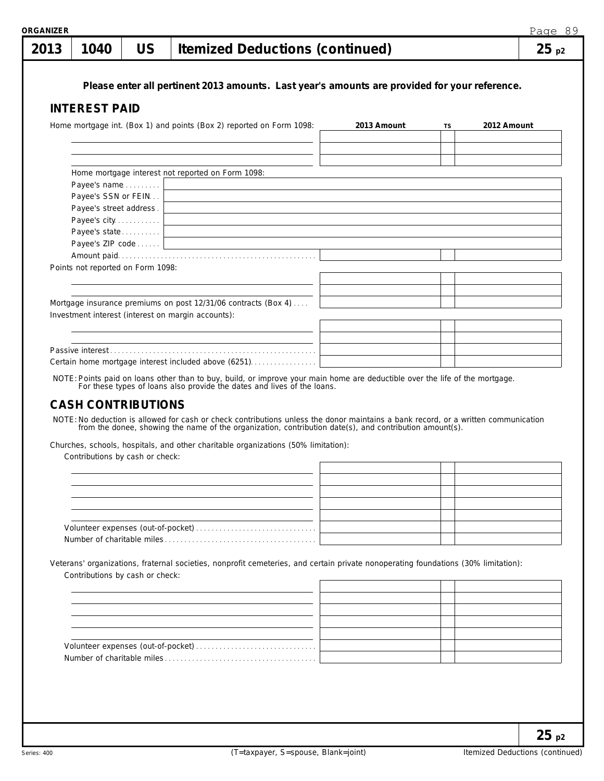| 2013 | 1040                              | <b>US</b> | <b>Itemized Deductions (continued)</b>                                                                                                                                                                  |             |           |             | 25p2 |
|------|-----------------------------------|-----------|---------------------------------------------------------------------------------------------------------------------------------------------------------------------------------------------------------|-------------|-----------|-------------|------|
|      |                                   |           | Please enter all pertinent 2013 amounts. Last year's amounts are provided for your reference.                                                                                                           |             |           |             |      |
|      |                                   |           |                                                                                                                                                                                                         |             |           |             |      |
|      | <b>INTEREST PAID</b>              |           |                                                                                                                                                                                                         |             |           |             |      |
|      |                                   |           | Home mortgage int. (Box 1) and points (Box 2) reported on Form 1098:                                                                                                                                    | 2013 Amount | <b>TS</b> | 2012 Amount |      |
|      |                                   |           |                                                                                                                                                                                                         |             |           |             |      |
|      |                                   |           |                                                                                                                                                                                                         |             |           |             |      |
|      |                                   |           |                                                                                                                                                                                                         |             |           |             |      |
|      |                                   |           | Home mortgage interest not reported on Form 1098:                                                                                                                                                       |             |           |             |      |
|      | Payee's name                      |           | <u> 1989 - Johann Stein, fransk politik (d. 1989)</u>                                                                                                                                                   |             |           |             |      |
|      | Payee's SSN or FEIN               |           |                                                                                                                                                                                                         |             |           |             |      |
|      | Payee's street address.           |           |                                                                                                                                                                                                         |             |           |             |      |
|      |                                   |           |                                                                                                                                                                                                         |             |           |             |      |
|      | Payee's state                     |           |                                                                                                                                                                                                         |             |           |             |      |
|      |                                   |           | Payee's ZIP code                                                                                                                                                                                        |             |           |             |      |
|      |                                   |           |                                                                                                                                                                                                         |             |           |             |      |
|      | Points not reported on Form 1098: |           |                                                                                                                                                                                                         |             |           |             |      |
|      |                                   |           |                                                                                                                                                                                                         |             |           |             |      |
|      |                                   |           |                                                                                                                                                                                                         |             |           |             |      |
|      |                                   |           | Mortgage insurance premiums on post 12/31/06 contracts (Box 4)                                                                                                                                          |             |           |             |      |
|      |                                   |           | Investment interest (interest on margin accounts):                                                                                                                                                      |             |           |             |      |
|      |                                   |           |                                                                                                                                                                                                         |             |           |             |      |
|      |                                   |           |                                                                                                                                                                                                         |             |           |             |      |
|      |                                   |           | Certain home mortgage interest included above (6251)                                                                                                                                                    |             |           |             |      |
|      |                                   |           |                                                                                                                                                                                                         |             |           |             |      |
|      |                                   |           | NOTE: Points paid on loans other than to buy, build, or improve your main home are deductible over the life of the mortgage.<br>For these types of loans also provide the dates and lives of the loans. |             |           |             |      |
|      |                                   |           |                                                                                                                                                                                                         |             |           |             |      |

# **CASH CONTRIBUTIONS**

NOTE:No deduction is allowed for cash or check contributions unless the donor maintains a bank record, or a written communication from the donee, showing the name of the organization, contribution date(s), and contribution amount(s).

Churches, schools, hospitals, and other charitable organizations (50% limitation):

Contributions by cash or check:

Veterans' organizations, fraternal societies, nonprofit cemeteries, and certain private nonoperating foundations (30% limitation): Contributions by cash or check: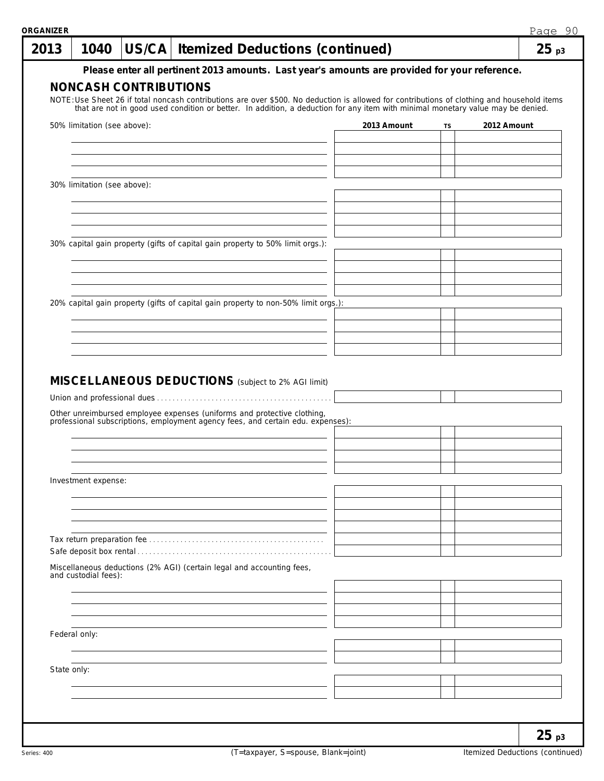| 2013          | 1040                        |                              |  | US/CA   Itemized Deductions (continued)                                                                                                                 |                                                                                                                                                                                                                                 |    |             | 25 <sub>p3</sub> |
|---------------|-----------------------------|------------------------------|--|---------------------------------------------------------------------------------------------------------------------------------------------------------|---------------------------------------------------------------------------------------------------------------------------------------------------------------------------------------------------------------------------------|----|-------------|------------------|
|               |                             |                              |  |                                                                                                                                                         | Please enter all pertinent 2013 amounts. Last year's amounts are provided for your reference.                                                                                                                                   |    |             |                  |
|               |                             | <b>NONCASH CONTRIBUTIONS</b> |  |                                                                                                                                                         | NOTE: Use Sheet 26 if total noncash contributions are over \$500. No deduction is allowed for contributions of clothing and household items that are not in good used condition or better. In addition, a deduction for any ite |    |             |                  |
|               |                             |                              |  |                                                                                                                                                         |                                                                                                                                                                                                                                 |    |             |                  |
|               | 50% limitation (see above): |                              |  |                                                                                                                                                         | 2013 Amount                                                                                                                                                                                                                     | TS | 2012 Amount |                  |
|               |                             |                              |  |                                                                                                                                                         |                                                                                                                                                                                                                                 |    |             |                  |
|               |                             |                              |  |                                                                                                                                                         |                                                                                                                                                                                                                                 |    |             |                  |
|               | 30% limitation (see above): |                              |  |                                                                                                                                                         |                                                                                                                                                                                                                                 |    |             |                  |
|               |                             |                              |  |                                                                                                                                                         |                                                                                                                                                                                                                                 |    |             |                  |
|               |                             |                              |  |                                                                                                                                                         |                                                                                                                                                                                                                                 |    |             |                  |
|               |                             |                              |  |                                                                                                                                                         |                                                                                                                                                                                                                                 |    |             |                  |
|               |                             |                              |  | 30% capital gain property (gifts of capital gain property to 50% limit orgs.):                                                                          |                                                                                                                                                                                                                                 |    |             |                  |
|               |                             |                              |  |                                                                                                                                                         |                                                                                                                                                                                                                                 |    |             |                  |
|               |                             |                              |  |                                                                                                                                                         |                                                                                                                                                                                                                                 |    |             |                  |
|               |                             |                              |  | 20% capital gain property (gifts of capital gain property to non-50% limit orgs.):                                                                      |                                                                                                                                                                                                                                 |    |             |                  |
|               |                             |                              |  |                                                                                                                                                         |                                                                                                                                                                                                                                 |    |             |                  |
|               |                             |                              |  |                                                                                                                                                         |                                                                                                                                                                                                                                 |    |             |                  |
|               |                             |                              |  |                                                                                                                                                         |                                                                                                                                                                                                                                 |    |             |                  |
|               |                             |                              |  | MISCELLANEOUS DEDUCTIONS (subject to 2% AGI limit)                                                                                                      |                                                                                                                                                                                                                                 |    |             |                  |
|               |                             |                              |  |                                                                                                                                                         |                                                                                                                                                                                                                                 |    |             |                  |
|               |                             |                              |  | Other unreimbursed employee expenses (uniforms and protective clothing, professional subscriptions, employment agency fees, and certain edu. expenses): |                                                                                                                                                                                                                                 |    |             |                  |
|               |                             |                              |  |                                                                                                                                                         |                                                                                                                                                                                                                                 |    |             |                  |
|               |                             |                              |  |                                                                                                                                                         |                                                                                                                                                                                                                                 |    |             |                  |
|               | Investment expense:         |                              |  |                                                                                                                                                         |                                                                                                                                                                                                                                 |    |             |                  |
|               |                             |                              |  |                                                                                                                                                         |                                                                                                                                                                                                                                 |    |             |                  |
|               |                             |                              |  |                                                                                                                                                         |                                                                                                                                                                                                                                 |    |             |                  |
|               |                             |                              |  |                                                                                                                                                         |                                                                                                                                                                                                                                 |    |             |                  |
|               |                             |                              |  |                                                                                                                                                         |                                                                                                                                                                                                                                 |    |             |                  |
|               | and custodial fees):        |                              |  | Miscellaneous deductions (2% AGI) (certain legal and accounting fees,                                                                                   |                                                                                                                                                                                                                                 |    |             |                  |
|               |                             |                              |  |                                                                                                                                                         |                                                                                                                                                                                                                                 |    |             |                  |
|               |                             |                              |  |                                                                                                                                                         |                                                                                                                                                                                                                                 |    |             |                  |
|               |                             |                              |  |                                                                                                                                                         |                                                                                                                                                                                                                                 |    |             |                  |
| Federal only: |                             |                              |  |                                                                                                                                                         |                                                                                                                                                                                                                                 |    |             |                  |
|               |                             |                              |  |                                                                                                                                                         |                                                                                                                                                                                                                                 |    |             |                  |
| State only:   |                             |                              |  |                                                                                                                                                         |                                                                                                                                                                                                                                 |    |             |                  |
|               |                             |                              |  |                                                                                                                                                         |                                                                                                                                                                                                                                 |    |             |                  |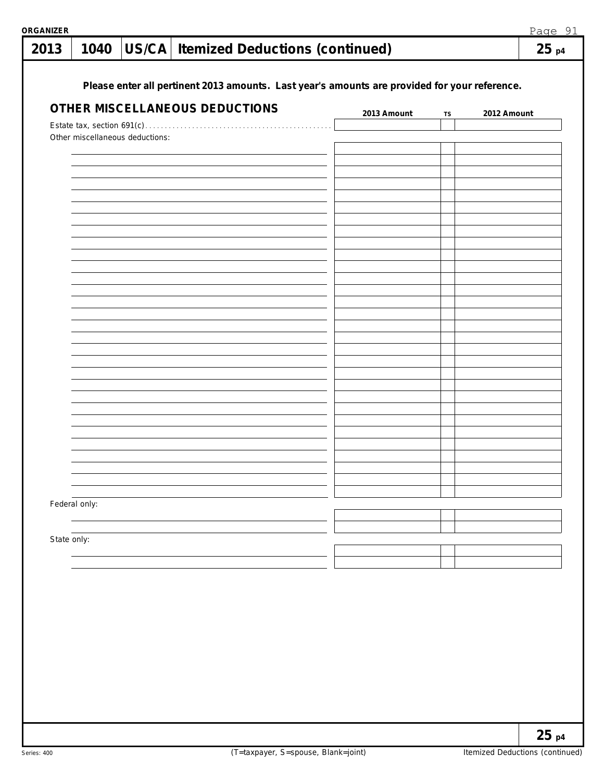| 2013        | 1040          |                                 | US/CA Itemized Deductions (continued)                                                         |             |    | 25p4        |
|-------------|---------------|---------------------------------|-----------------------------------------------------------------------------------------------|-------------|----|-------------|
|             |               |                                 |                                                                                               |             |    |             |
|             |               |                                 | Please enter all pertinent 2013 amounts. Last year's amounts are provided for your reference. |             |    |             |
|             |               |                                 | OTHER MISCELLANEOUS DEDUCTIONS                                                                |             |    |             |
|             |               |                                 |                                                                                               | 2013 Amount | TS | 2012 Amount |
|             |               | Other miscellaneous deductions: |                                                                                               |             |    |             |
|             |               |                                 |                                                                                               |             |    |             |
|             |               |                                 |                                                                                               |             |    |             |
|             |               |                                 |                                                                                               |             |    |             |
|             |               |                                 |                                                                                               |             |    |             |
|             |               |                                 |                                                                                               |             |    |             |
|             |               |                                 |                                                                                               |             |    |             |
|             |               |                                 |                                                                                               |             |    |             |
|             |               |                                 |                                                                                               |             |    |             |
|             |               |                                 |                                                                                               |             |    |             |
|             |               |                                 |                                                                                               |             |    |             |
|             |               |                                 |                                                                                               |             |    |             |
|             |               |                                 |                                                                                               |             |    |             |
|             |               |                                 |                                                                                               |             |    |             |
|             |               |                                 |                                                                                               |             |    |             |
|             |               |                                 |                                                                                               |             |    |             |
|             |               |                                 |                                                                                               |             |    |             |
|             |               |                                 |                                                                                               |             |    |             |
|             |               |                                 |                                                                                               |             |    |             |
|             |               |                                 |                                                                                               |             |    |             |
|             |               |                                 |                                                                                               |             |    |             |
|             |               |                                 |                                                                                               |             |    |             |
|             |               |                                 |                                                                                               |             |    |             |
|             |               |                                 |                                                                                               |             |    |             |
|             | Federal only: |                                 |                                                                                               |             |    |             |
|             |               |                                 |                                                                                               |             |    |             |
|             |               |                                 |                                                                                               |             |    |             |
| State only: |               |                                 |                                                                                               |             |    |             |
|             |               |                                 |                                                                                               |             |    |             |
|             |               |                                 |                                                                                               |             |    |             |
|             |               |                                 |                                                                                               |             |    |             |
|             |               |                                 |                                                                                               |             |    |             |
|             |               |                                 |                                                                                               |             |    |             |
|             |               |                                 |                                                                                               |             |    |             |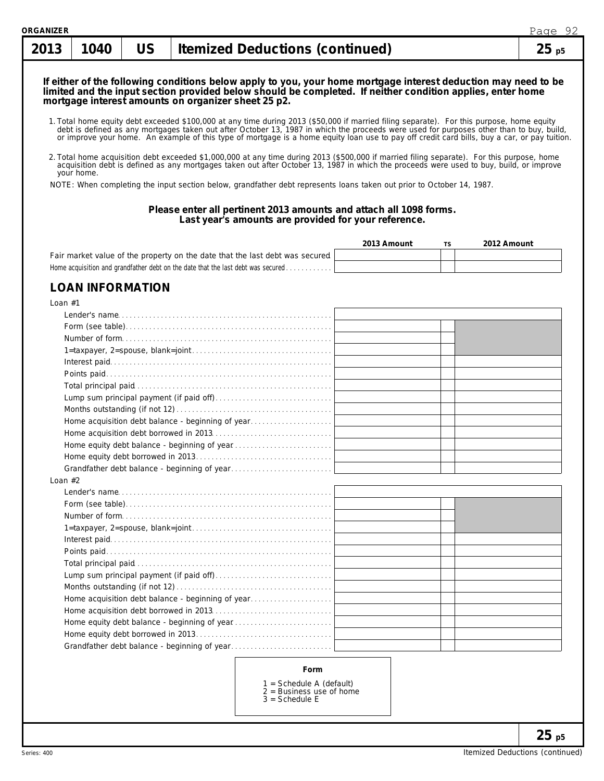# 1. Total home equity debt exceeded \$100,000 at any time during 2013 (\$50,000 if married filing separate). For this purpose, home equity **If either of the following conditions below apply to you, your home mortgage interest deduction may need to be limited and the input section provided below should be completed. If neither condition applies, enter home mortgage interest amounts on organizer sheet 25 p2.**

- debt is defined as any mortgages taken out after October 13, 1987 in which the proceeds were used for purposes other than to buy, build,<br>or improve your home. An example of this type of mortgage is a home equity loan use t
- 2. Total home acquisition debt exceeded \$1,000,000 at any time during 2013 (\$500,000 if married filing separate). For this purpose, home acquisition debt is defined as any mortgages taken out after October 13, 1987 in which the proceeds were used to buy, build, or improve your home.

NOTE: When completing the input section below, grandfather debt represents loans taken out prior to October 14, 1987.

### **Please enter all pertinent 2013 amounts and attach all 1098 forms. Last year's amounts are provided for your reference.**

|                                                                                  | 2013 Amount | 2012 Amount |
|----------------------------------------------------------------------------------|-------------|-------------|
| Fair market value of the property on the date that the last debt was secured     |             |             |
| Home acquisition and grandfather debt on the date that the last debt was secured |             |             |

# **LOAN INFORMATION**

| Loan $#1$                                         |  |
|---------------------------------------------------|--|
|                                                   |  |
|                                                   |  |
|                                                   |  |
|                                                   |  |
|                                                   |  |
|                                                   |  |
|                                                   |  |
|                                                   |  |
|                                                   |  |
| Home acquisition debt balance - beginning of year |  |
|                                                   |  |
|                                                   |  |
|                                                   |  |
|                                                   |  |
| Loan $#2$                                         |  |
|                                                   |  |
|                                                   |  |
|                                                   |  |
|                                                   |  |
|                                                   |  |
|                                                   |  |
|                                                   |  |
|                                                   |  |
|                                                   |  |
| Home acquisition debt balance - beginning of year |  |
|                                                   |  |
|                                                   |  |
|                                                   |  |
|                                                   |  |
|                                                   |  |
| <b>Form</b>                                       |  |

#### **Form**

- 1 = Schedule A (default)
- 2 = Business use of home
- $3 =$  Schedule E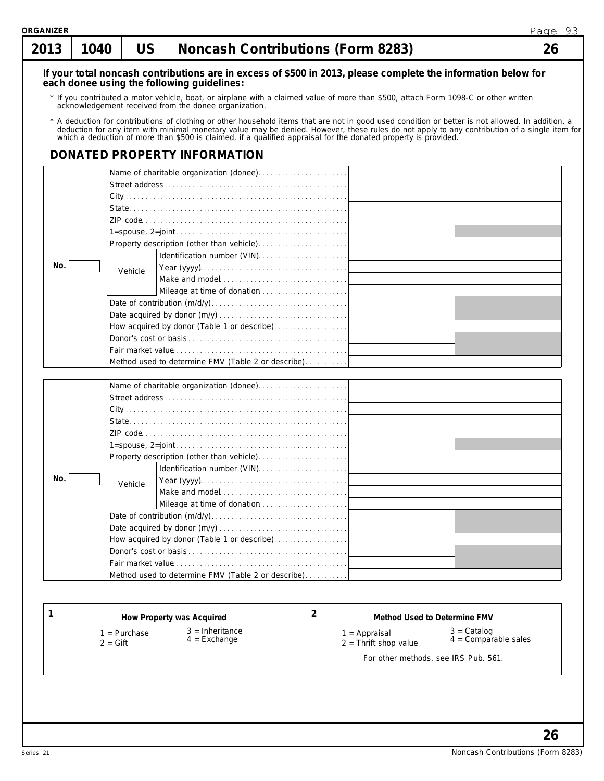| 2013 | 1040 | US      | <b>Noncash Contributions (Form 8283)</b>                                                                                                                                                                                       |   |                              | Page 93<br>26 |
|------|------|---------|--------------------------------------------------------------------------------------------------------------------------------------------------------------------------------------------------------------------------------|---|------------------------------|---------------|
|      |      |         | If your total noncash contributions are in excess of \$500 in 2013, please complete the information below for                                                                                                                  |   |                              |               |
|      |      |         | each donee using the following guidelines:                                                                                                                                                                                     |   |                              |               |
|      |      |         | * If you contributed a motor vehicle, boat, or airplane with a claimed value of more than \$500, attach Form 1098-C or other written<br>acknowledgement received from the donee organization.                                  |   |                              |               |
|      |      |         |                                                                                                                                                                                                                                |   |                              |               |
|      |      |         | * A deduction for contributions of clothing or other household items that are not in good used condition or better is not allowed. In addition, a deduction for any item with minimal monetary value may be denied. However, t |   |                              |               |
|      |      |         | DONATED PROPERTY INFORMATION                                                                                                                                                                                                   |   |                              |               |
|      |      |         |                                                                                                                                                                                                                                |   |                              |               |
|      |      |         |                                                                                                                                                                                                                                |   |                              |               |
|      |      |         |                                                                                                                                                                                                                                |   |                              |               |
|      |      |         |                                                                                                                                                                                                                                |   |                              |               |
|      |      |         |                                                                                                                                                                                                                                |   |                              |               |
|      |      |         |                                                                                                                                                                                                                                |   |                              |               |
|      |      |         |                                                                                                                                                                                                                                |   |                              |               |
|      |      |         |                                                                                                                                                                                                                                |   |                              |               |
| No.  |      | Vehicle |                                                                                                                                                                                                                                |   |                              |               |
|      |      |         |                                                                                                                                                                                                                                |   |                              |               |
|      |      |         |                                                                                                                                                                                                                                |   |                              |               |
|      |      |         |                                                                                                                                                                                                                                |   |                              |               |
|      |      |         |                                                                                                                                                                                                                                |   |                              |               |
|      |      |         | How acquired by donor (Table 1 or describe)                                                                                                                                                                                    |   |                              |               |
|      |      |         |                                                                                                                                                                                                                                |   |                              |               |
|      |      |         |                                                                                                                                                                                                                                |   |                              |               |
|      |      |         | Method used to determine FMV (Table 2 or describe)                                                                                                                                                                             |   |                              |               |
|      |      |         |                                                                                                                                                                                                                                |   |                              |               |
|      |      |         |                                                                                                                                                                                                                                |   |                              |               |
|      |      |         |                                                                                                                                                                                                                                |   |                              |               |
|      |      |         |                                                                                                                                                                                                                                |   |                              |               |
|      |      |         |                                                                                                                                                                                                                                |   |                              |               |
|      |      |         |                                                                                                                                                                                                                                |   |                              |               |
|      |      |         | Property description (other than vehicle)                                                                                                                                                                                      |   |                              |               |
|      |      |         |                                                                                                                                                                                                                                |   |                              |               |
| No.  |      | Vehicle |                                                                                                                                                                                                                                |   |                              |               |
|      |      |         |                                                                                                                                                                                                                                |   |                              |               |
|      |      |         |                                                                                                                                                                                                                                |   |                              |               |
|      |      |         |                                                                                                                                                                                                                                |   |                              |               |
|      |      |         |                                                                                                                                                                                                                                |   |                              |               |
|      |      |         | How acquired by donor (Table 1 or describe)                                                                                                                                                                                    |   |                              |               |
|      |      |         |                                                                                                                                                                                                                                |   |                              |               |
|      |      |         |                                                                                                                                                                                                                                |   |                              |               |
|      |      |         | Method used to determine FMV (Table 2 or describe)                                                                                                                                                                             |   |                              |               |
|      |      |         |                                                                                                                                                                                                                                |   |                              |               |
|      |      |         |                                                                                                                                                                                                                                |   |                              |               |
|      |      |         | How Property was Acquired                                                                                                                                                                                                      | 2 | Method Used to Determine FMV |               |

3 = Inheritance

1 = Purchase 2 = Gift

4 = Exchange

### **2 Method Used to Determine FMV**

1 = Appraisal

3 = Catalog 4 = Comparable sales

2 = Thrift shop value

For other methods, see IRS Pub. 561.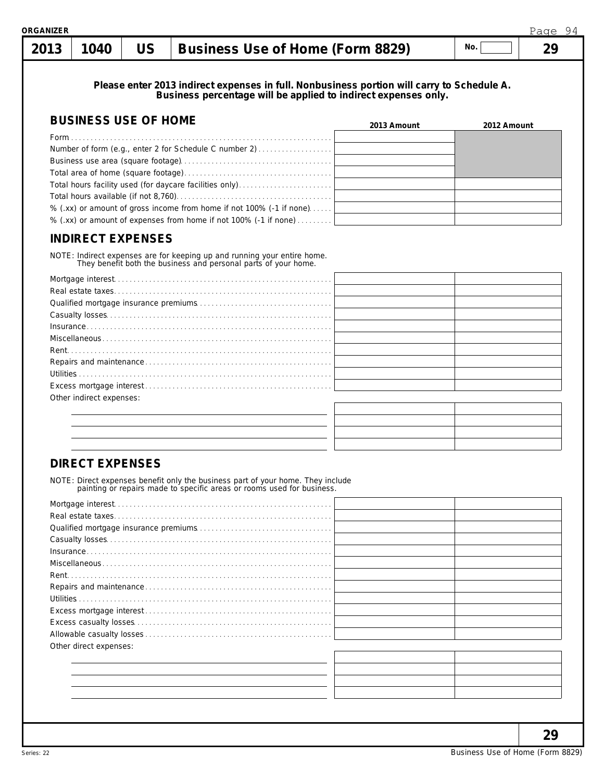| ORGANIZER |      |           |                                  |     | Page | 94 |
|-----------|------|-----------|----------------------------------|-----|------|----|
| 2013      | 1040 | <b>US</b> | Business Use of Home (Form 8829) | No. |      |    |
|           |      |           |                                  |     |      |    |

**Please enter 2013 indirect expenses in full. Nonbusiness portion will carry to Schedule A. Business percentage will be applied to indirect expenses only.**

| <b>BUSINESS USE OF HOME</b>                                          | 2013 Amount | 2012 Amount |
|----------------------------------------------------------------------|-------------|-------------|
|                                                                      |             |             |
| Number of form (e.g., enter 2 for Schedule C number 2)               |             |             |
|                                                                      |             |             |
|                                                                      |             |             |
|                                                                      |             |             |
|                                                                      |             |             |
| % (.xx) or amount of gross income from home if not 100% (-1 if none) |             |             |
| % (.xx) or amount of expenses from home if not 100% (-1 if none)     |             |             |

# **INDIRECT EXPENSES**

NOTE: Indirect expenses are for keeping up and running your entire home. They benefit both the business and personal parts of your home.

| Other indirect expenses: |  |
|--------------------------|--|
|                          |  |

# **DIRECT EXPENSES**

NOTE: Direct expenses benefit only the business part of your home. They include painting or repairs made to specific areas or rooms used for business.

| Other direct expenses: |  |
|------------------------|--|
|                        |  |
|                        |  |
|                        |  |
|                        |  |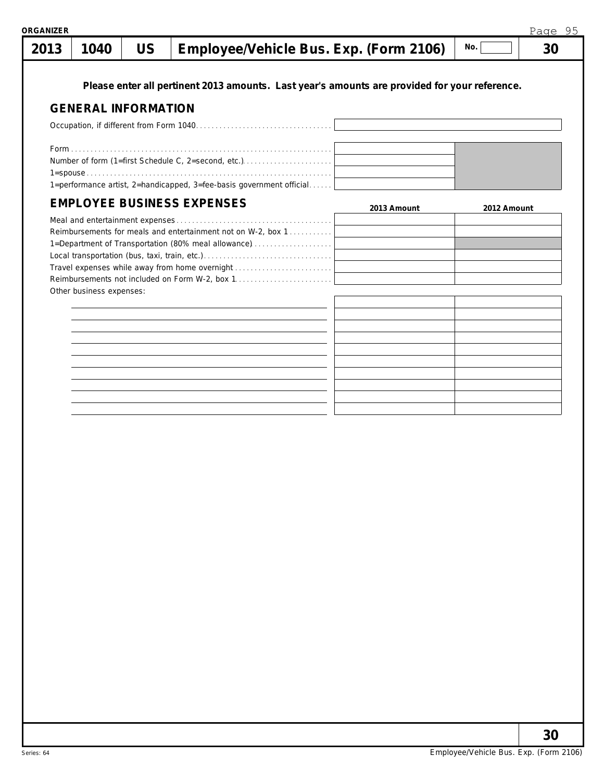**Please enter all pertinent 2013 amounts. Last year's amounts are provided for your reference. GENERAL INFORMATION** Occupation, if different from Form 1040. . . . . . . . . . . . . . . . . . . . . . . . . . . . . . . . . . . Form. . . . . . . . . . . . . . . . . . . . . . . . . . . . . . . . . . . . . . . . . . . . . . . . . . . . . . . . . . . . . . . . . . . . Number of form (1=first Schedule C, 2=second, etc.). . . . . . . . . . . . . . . . . . . . . . . 1=spouse . . . . . . . . . . . . . . . . . . . . . . . . . . . . . . . . . . . . . . . . . . . . . . . . . . . . . . . . . . . . . . . 1=performance artist, 2=handicapped, 3=fee-basis government official. . . . . . **EMPLOYEE BUSINESS EXPENSES** Meal and entertainment expenses . . . . . . . . . . Reimbursements for meals and entertainment not on W-2, box 1... 1=Department of Transportation (80% meal allowance)..................... Local transportation (bus, taxi, train, etc.). . . . . . . . . . . . . . . . . . . . . . . . . . . . . . . . . Travel expenses while away from home overnight . . . . . . . . . . . . . . Reimbursements not included on Form W-2, box 1. . . . . . . . . Other business expenses:  $1040$   $\vert$  US  $\vert$  Employee/Vehicle Bus. Exp. (Form 2106)  $\vert$  <sup>No.</sup>  $\vert$  30 **2013 Amount 2012 Amount** Page 95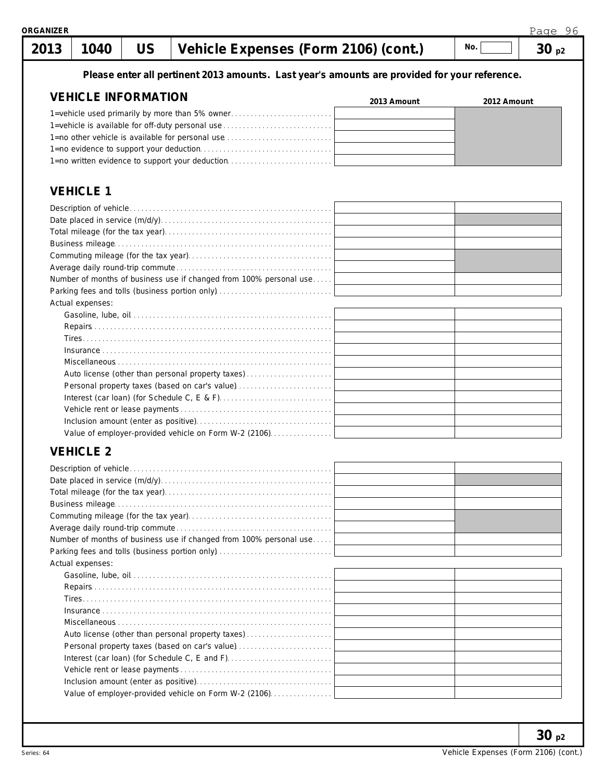

| Number of months of business use if changed from 100% personal use |  |
|--------------------------------------------------------------------|--|
|                                                                    |  |
| Actual expenses:                                                   |  |
|                                                                    |  |
|                                                                    |  |
|                                                                    |  |
|                                                                    |  |
|                                                                    |  |
| Auto license (other than personal property taxes)                  |  |
| Personal property taxes (based on car's value)                     |  |
|                                                                    |  |
|                                                                    |  |
|                                                                    |  |
| Value of employer-provided vehicle on Form W-2 (2106)              |  |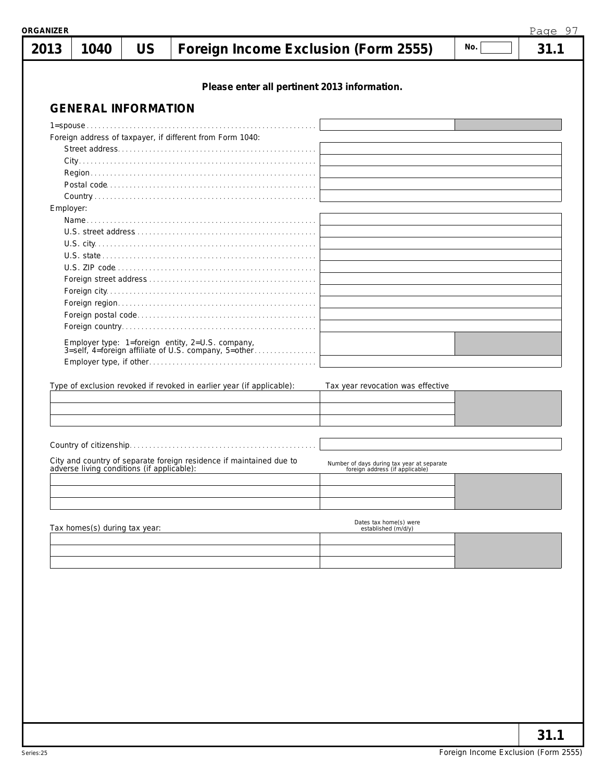|           | 1040                                       | <b>US</b> | Foreign Income Exclusion (Form 2555)                                                                     |                                                                               | No. | 31.1 |
|-----------|--------------------------------------------|-----------|----------------------------------------------------------------------------------------------------------|-------------------------------------------------------------------------------|-----|------|
|           |                                            |           | Please enter all pertinent 2013 information.                                                             |                                                                               |     |      |
|           | <b>GENERAL INFORMATION</b>                 |           |                                                                                                          |                                                                               |     |      |
|           |                                            |           |                                                                                                          |                                                                               |     |      |
|           |                                            |           | Foreign address of taxpayer, if different from Form 1040:                                                |                                                                               |     |      |
|           |                                            |           |                                                                                                          |                                                                               |     |      |
|           |                                            |           |                                                                                                          |                                                                               |     |      |
|           |                                            |           |                                                                                                          |                                                                               |     |      |
|           |                                            |           |                                                                                                          |                                                                               |     |      |
| Employer: |                                            |           |                                                                                                          |                                                                               |     |      |
|           |                                            |           |                                                                                                          |                                                                               |     |      |
|           |                                            |           |                                                                                                          |                                                                               |     |      |
|           |                                            |           |                                                                                                          |                                                                               |     |      |
|           |                                            |           |                                                                                                          |                                                                               |     |      |
|           |                                            |           |                                                                                                          |                                                                               |     |      |
|           |                                            |           |                                                                                                          |                                                                               |     |      |
|           |                                            |           |                                                                                                          |                                                                               |     |      |
|           |                                            |           |                                                                                                          |                                                                               |     |      |
|           |                                            |           |                                                                                                          |                                                                               |     |      |
|           |                                            |           | Employer type: 1=foreign entity, 2=U.S. company,<br>3=self, 4=foreign affiliate of U.S. company, 5=other |                                                                               |     |      |
|           |                                            |           |                                                                                                          |                                                                               |     |      |
|           |                                            |           |                                                                                                          |                                                                               |     |      |
|           |                                            |           |                                                                                                          |                                                                               |     |      |
|           |                                            |           | Type of exclusion revoked if revoked in earlier year (if applicable):                                    | Tax year revocation was effective                                             |     |      |
|           |                                            |           |                                                                                                          |                                                                               |     |      |
|           |                                            |           |                                                                                                          |                                                                               |     |      |
|           |                                            |           |                                                                                                          |                                                                               |     |      |
|           |                                            |           |                                                                                                          |                                                                               |     |      |
|           |                                            |           |                                                                                                          |                                                                               |     |      |
|           | adverse living conditions (if applicable): |           | City and country of separate foreign residence if maintained due to                                      | Number of days during tax year at separate<br>foreign address (if applicable) |     |      |
|           |                                            |           |                                                                                                          |                                                                               |     |      |
|           |                                            |           |                                                                                                          |                                                                               |     |      |
|           |                                            |           |                                                                                                          |                                                                               |     |      |
|           | Tax homes(s) during tax year:              |           |                                                                                                          | Dates tax home(s) were<br>established (m/d/y)                                 |     |      |
|           |                                            |           |                                                                                                          |                                                                               |     |      |
|           |                                            |           |                                                                                                          |                                                                               |     |      |
|           |                                            |           |                                                                                                          |                                                                               |     |      |
|           |                                            |           |                                                                                                          |                                                                               |     |      |
|           |                                            |           |                                                                                                          |                                                                               |     |      |
|           |                                            |           |                                                                                                          |                                                                               |     |      |
|           |                                            |           |                                                                                                          |                                                                               |     |      |
|           |                                            |           |                                                                                                          |                                                                               |     |      |
|           |                                            |           |                                                                                                          |                                                                               |     |      |
|           |                                            |           |                                                                                                          |                                                                               |     |      |
|           |                                            |           |                                                                                                          |                                                                               |     |      |
|           |                                            |           |                                                                                                          |                                                                               |     |      |
|           |                                            |           |                                                                                                          |                                                                               |     |      |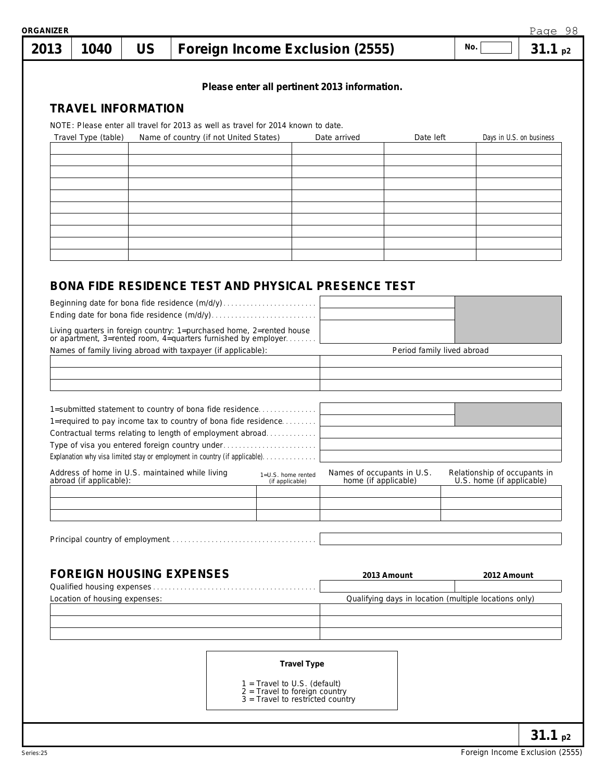| 2013 | 1040                          | <b>US</b> |                                                                                                                                    | Foreign Income Exclusion (2555)                                                                       |                                                       | No.                          | 31.1 <sub>p2</sub>       |
|------|-------------------------------|-----------|------------------------------------------------------------------------------------------------------------------------------------|-------------------------------------------------------------------------------------------------------|-------------------------------------------------------|------------------------------|--------------------------|
|      | <b>TRAVEL INFORMATION</b>     |           |                                                                                                                                    |                                                                                                       | Please enter all pertinent 2013 information.          |                              |                          |
|      | Travel Type (table)           |           | NOTE: Please enter all travel for 2013 as well as travel for 2014 known to date.<br>Name of country (if not United States)         |                                                                                                       | Date arrived<br>Date left                             |                              | Days in U.S. on business |
|      |                               |           |                                                                                                                                    |                                                                                                       |                                                       |                              |                          |
|      |                               |           |                                                                                                                                    |                                                                                                       |                                                       |                              |                          |
|      |                               |           |                                                                                                                                    |                                                                                                       |                                                       |                              |                          |
|      |                               |           |                                                                                                                                    |                                                                                                       |                                                       |                              |                          |
|      |                               |           |                                                                                                                                    |                                                                                                       |                                                       |                              |                          |
|      |                               |           | Beginning date for bona fide residence (m/d/y)                                                                                     |                                                                                                       | BONA FIDE RESIDENCE TEST AND PHYSICAL PRESENCE TEST   |                              |                          |
|      |                               |           |                                                                                                                                    |                                                                                                       |                                                       |                              |                          |
|      |                               |           | Living quarters in foreign country: 1=purchased home, 2=rented house or apartment, 3=rented room, 4=quarters furnished by employer |                                                                                                       |                                                       |                              |                          |
|      |                               |           | Names of family living abroad with taxpayer (if applicable):                                                                       |                                                                                                       |                                                       | Period family lived abroad   |                          |
|      |                               |           |                                                                                                                                    |                                                                                                       |                                                       |                              |                          |
|      |                               |           |                                                                                                                                    |                                                                                                       |                                                       |                              |                          |
|      |                               |           | 1=submitted statement to country of bona fide residence<br>1=required to pay income tax to country of bona fide residence          |                                                                                                       |                                                       |                              |                          |
|      |                               |           | Contractual terms relating to length of employment abroad                                                                          |                                                                                                       |                                                       |                              |                          |
|      |                               |           | Type of visa you entered foreign country under<br>Explanation why visa limited stay or employment in country (if applicable).      |                                                                                                       |                                                       |                              |                          |
|      |                               |           | Address of home in U.S. maintained while living                                                                                    | 1=U.S. home rented                                                                                    | Names of occupants in U.S.                            | Relationship of occupants in |                          |
|      | abroad (if applicable):       |           |                                                                                                                                    | (if applicable)                                                                                       | home (if applicable)                                  | U.S. home (if applicable)    |                          |
|      |                               |           |                                                                                                                                    |                                                                                                       |                                                       |                              |                          |
|      |                               |           |                                                                                                                                    |                                                                                                       |                                                       |                              |                          |
|      |                               |           |                                                                                                                                    |                                                                                                       |                                                       |                              |                          |
|      |                               |           |                                                                                                                                    |                                                                                                       |                                                       |                              |                          |
|      |                               |           | <b>FOREIGN HOUSING EXPENSES</b>                                                                                                    |                                                                                                       | 2013 Amount                                           | 2012 Amount                  |                          |
|      | Location of housing expenses: |           |                                                                                                                                    |                                                                                                       | Qualifying days in location (multiple locations only) |                              |                          |
|      |                               |           |                                                                                                                                    |                                                                                                       |                                                       |                              |                          |
|      |                               |           |                                                                                                                                    |                                                                                                       |                                                       |                              |                          |
|      |                               |           |                                                                                                                                    |                                                                                                       |                                                       |                              |                          |
|      |                               |           |                                                                                                                                    | <b>Travel Type</b>                                                                                    |                                                       |                              |                          |
|      |                               |           |                                                                                                                                    |                                                                                                       |                                                       |                              |                          |
|      |                               |           |                                                                                                                                    | 1 = Travel to U.S. (default)<br>$2$ = Travel to foreign country<br>$3 =$ Travel to restricted country |                                                       |                              |                          |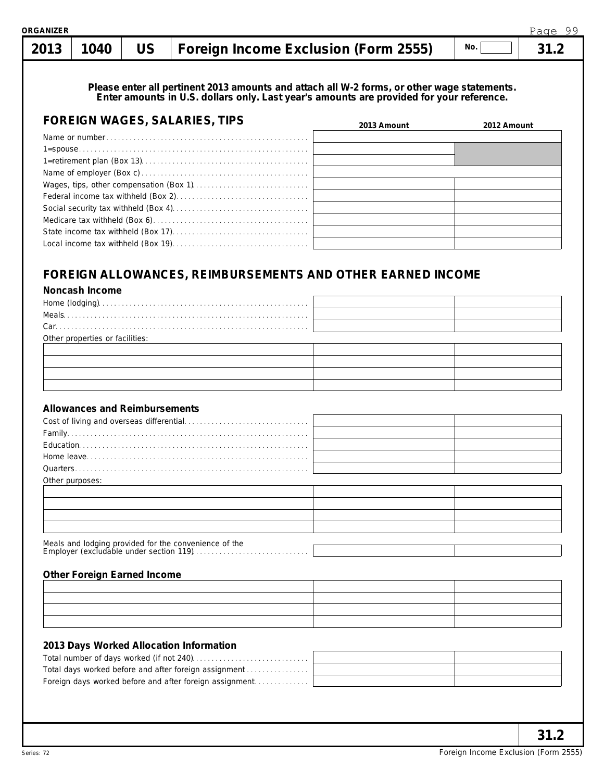# **1040 US Foreign Income Exclusion (Form 2555) 31.2 No. 2013**

**Please enter all pertinent 2013 amounts and attach all W-2 forms, or other wage statements. Enter amounts in U.S. dollars only. Last year's amounts are provided for your reference.**

| <b>FOREIGN WAGES, SALARIES, TIPS</b> | 2013 Amount | 2012 Amount |
|--------------------------------------|-------------|-------------|
|                                      |             |             |
|                                      |             |             |
|                                      |             |             |
|                                      |             |             |
|                                      |             |             |
|                                      |             |             |
|                                      |             |             |
|                                      |             |             |
|                                      |             |             |
|                                      |             |             |

# **FOREIGN ALLOWANCES, REIMBURSEMENTS AND OTHER EARNED INCOME**

**Noncash Income**

| Home (lodging)<br>Meals                                                                                                                                                                                                                                                                                                                                                                                                                              |  |
|------------------------------------------------------------------------------------------------------------------------------------------------------------------------------------------------------------------------------------------------------------------------------------------------------------------------------------------------------------------------------------------------------------------------------------------------------|--|
|                                                                                                                                                                                                                                                                                                                                                                                                                                                      |  |
| $Car. \label{eq:car} \begin{minipage}{0.9\linewidth} Car. \end{minipage} \begin{minipage}{0.9\linewidth} \textbf{Car} \textbf{1} & \textbf{1} & \textbf{1} & \textbf{1} & \textbf{1} & \textbf{1} & \textbf{1} & \textbf{1} & \textbf{1} & \textbf{1} & \textbf{1} & \textbf{1} & \textbf{1} & \textbf{1} & \textbf{1} & \textbf{1} & \textbf{1} & \textbf{1} & \textbf{1} & \textbf{1} & \textbf{1} & \textbf{1} & \textbf{1} & \textbf{1} & \text$ |  |
| Other properties or facilities:                                                                                                                                                                                                                                                                                                                                                                                                                      |  |
|                                                                                                                                                                                                                                                                                                                                                                                                                                                      |  |
|                                                                                                                                                                                                                                                                                                                                                                                                                                                      |  |
|                                                                                                                                                                                                                                                                                                                                                                                                                                                      |  |
|                                                                                                                                                                                                                                                                                                                                                                                                                                                      |  |

### **Allowances and Reimbursements**

| Other purposes: |  |
|-----------------|--|

### **Other Foreign Earned Income**

| <u> La componente de la contrada de la contrada de la contrada de la contrada de la contrada de la contrada de l</u> |  |
|----------------------------------------------------------------------------------------------------------------------|--|
|                                                                                                                      |  |
|                                                                                                                      |  |
| <u> 1989 - Andrea Santa Andrea Andrea Andrea Andrea Andrea Andrea Andrea Andrea Andrea Andrea Andrea Andrea Andr</u> |  |

### **2013 Days Worked Allocation Information**

| Total days worked before and after foreign assignment   |  |
|---------------------------------------------------------|--|
| Foreign days worked before and after foreign assignment |  |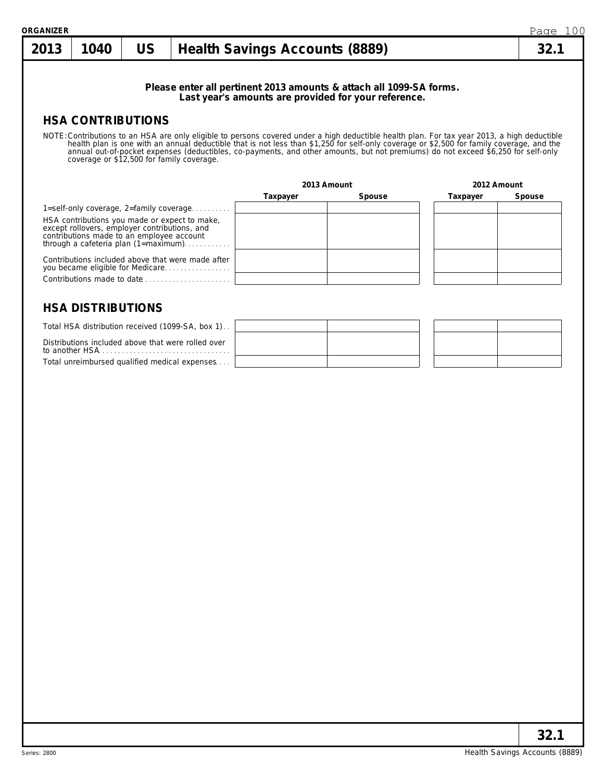| <b>Health Savings Accounts (8889)</b><br>Please enter all pertinent 2013 amounts & attach all 1099-SA forms.<br>Last year's amounts are provided for your reference.<br>NOTE: Contributions to an HSA are only eligible to persons covered under a high deductible health plan. For tax year 2013, a high deductible health plan is one with an annual deductible that is not less than \$1,250 for sel<br>coverage or \$12,500 for family coverage. |          |                       | 32.1     |
|------------------------------------------------------------------------------------------------------------------------------------------------------------------------------------------------------------------------------------------------------------------------------------------------------------------------------------------------------------------------------------------------------------------------------------------------------|----------|-----------------------|----------|
|                                                                                                                                                                                                                                                                                                                                                                                                                                                      |          |                       |          |
|                                                                                                                                                                                                                                                                                                                                                                                                                                                      |          |                       |          |
|                                                                                                                                                                                                                                                                                                                                                                                                                                                      |          |                       |          |
|                                                                                                                                                                                                                                                                                                                                                                                                                                                      |          | 2012 Amount           |          |
|                                                                                                                                                                                                                                                                                                                                                                                                                                                      |          |                       | Spouse   |
| 1=self-only coverage, $2=$ family coverage                                                                                                                                                                                                                                                                                                                                                                                                           |          |                       |          |
| HSA contributions you made or expect to make,<br>except rollovers, employer contributions, and<br>contributions made to an employee account<br>through a cafeteria plan $(1 = maximum)$                                                                                                                                                                                                                                                              |          |                       |          |
| Contributions included above that were made after<br>you became eligible for Medicare                                                                                                                                                                                                                                                                                                                                                                |          |                       |          |
| Contributions made to date                                                                                                                                                                                                                                                                                                                                                                                                                           |          |                       |          |
|                                                                                                                                                                                                                                                                                                                                                                                                                                                      | Taxpayer | 2013 Amount<br>Spouse | Taxpayer |

| Total HSA distribution received (1099-SA, box 1).                                                              |  |  |
|----------------------------------------------------------------------------------------------------------------|--|--|
| Distributions included above that were rolled over<br>to another HSA $\ldots$ , $\ldots$ , $\ldots$ , $\ldots$ |  |  |
| Total unreimbursed qualified medical expenses                                                                  |  |  |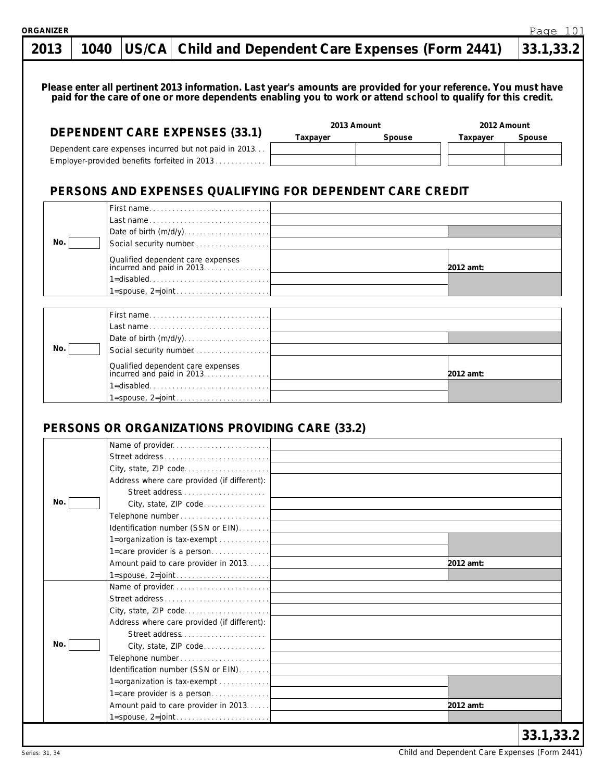|     | 1040 | US/CA   Child and Dependent Care Expenses (Form 2441)                                                                                                                                                                            |          |             |             | 33.1,33.2 |
|-----|------|----------------------------------------------------------------------------------------------------------------------------------------------------------------------------------------------------------------------------------|----------|-------------|-------------|-----------|
|     |      |                                                                                                                                                                                                                                  |          |             |             |           |
|     |      | Please enter all pertinent 2013 information. Last year's amounts are provided for your reference. You must have<br>paid for the care of one or more dependents enabling you to work or attend school to qualify for this credit. |          |             |             |           |
|     |      |                                                                                                                                                                                                                                  |          |             |             |           |
|     |      | <b>DEPENDENT CARE EXPENSES (33.1)</b>                                                                                                                                                                                            |          | 2013 Amount | 2012 Amount |           |
|     |      | Dependent care expenses incurred but not paid in 2013                                                                                                                                                                            | Taxpayer | Spouse      | Taxpayer    | Spouse    |
|     |      | Employer-provided benefits forfeited in 2013                                                                                                                                                                                     |          |             |             |           |
|     |      |                                                                                                                                                                                                                                  |          |             |             |           |
|     |      | PERSONS AND EXPENSES QUALIFYING FOR DEPENDENT CARE CREDIT                                                                                                                                                                        |          |             |             |           |
|     |      | First name                                                                                                                                                                                                                       |          |             |             |           |
|     |      | Last name                                                                                                                                                                                                                        |          |             |             |           |
|     |      | Date of birth $(m/d/y)$                                                                                                                                                                                                          |          |             |             |           |
| No. |      | Social security number                                                                                                                                                                                                           |          |             |             |           |
|     |      | Qualified dependent care expenses<br>incurred and paid in 2013                                                                                                                                                                   |          |             |             |           |
|     |      |                                                                                                                                                                                                                                  |          |             | 2012 amt:   |           |
|     |      | $1 =$ disabled                                                                                                                                                                                                                   |          |             |             |           |
|     |      | $1 =$ spouse, $2 = joint \dots \dots \dots \dots \dots \dots \dots$                                                                                                                                                              |          |             |             |           |
|     |      | First name                                                                                                                                                                                                                       |          |             |             |           |
|     |      | Last name                                                                                                                                                                                                                        |          |             |             |           |
|     |      |                                                                                                                                                                                                                                  |          |             |             |           |
| No. |      | Social security number                                                                                                                                                                                                           |          |             |             |           |
|     |      | Qualified dependent care expenses<br>incurred and paid in 2013                                                                                                                                                                   |          |             |             |           |
|     |      |                                                                                                                                                                                                                                  |          |             | 2012 amt:   |           |
|     |      | $1 =$ disabled                                                                                                                                                                                                                   |          |             |             |           |
|     |      |                                                                                                                                                                                                                                  |          |             |             |           |
|     |      |                                                                                                                                                                                                                                  |          |             |             |           |
|     |      | PERSONS OR ORGANIZATIONS PROVIDING CARE (33.2)                                                                                                                                                                                   |          |             |             |           |
|     |      | Name of provider                                                                                                                                                                                                                 |          |             |             |           |
|     |      |                                                                                                                                                                                                                                  |          |             |             |           |
|     |      | Street address                                                                                                                                                                                                                   |          |             |             |           |
|     |      | City, state, ZIP code                                                                                                                                                                                                            |          |             |             |           |
|     |      | Address where care provided (if different):                                                                                                                                                                                      |          |             |             |           |
|     |      |                                                                                                                                                                                                                                  |          |             |             |           |
| No. |      | City, state, ZIP code                                                                                                                                                                                                            |          |             |             |           |
|     |      |                                                                                                                                                                                                                                  |          |             |             |           |
|     |      | Identification number (SSN or EIN)                                                                                                                                                                                               |          |             |             |           |
|     |      | 1=organization is tax-exempt                                                                                                                                                                                                     |          |             |             |           |
|     |      | 1=care provider is a person                                                                                                                                                                                                      |          |             |             |           |
|     |      | Amount paid to care provider in 2013.                                                                                                                                                                                            |          |             | 2012 amt:   |           |
|     |      | Name of provider                                                                                                                                                                                                                 |          |             |             |           |
|     |      | Street address                                                                                                                                                                                                                   |          |             |             |           |
|     |      | City, state, ZIP code                                                                                                                                                                                                            |          |             |             |           |
|     |      | Address where care provided (if different):                                                                                                                                                                                      |          |             |             |           |
|     |      |                                                                                                                                                                                                                                  |          |             |             |           |
| No. |      | City, state, ZIP code                                                                                                                                                                                                            |          |             |             |           |
|     |      |                                                                                                                                                                                                                                  |          |             |             |           |
|     |      | Identification number (SSN or EIN)                                                                                                                                                                                               |          |             |             |           |
|     |      | 1=organization is tax-exempt                                                                                                                                                                                                     |          |             |             |           |
|     |      | 1=care provider is a person                                                                                                                                                                                                      |          |             |             |           |
|     |      | Amount paid to care provider in 2013.                                                                                                                                                                                            |          |             | 2012 amt:   |           |

Page 101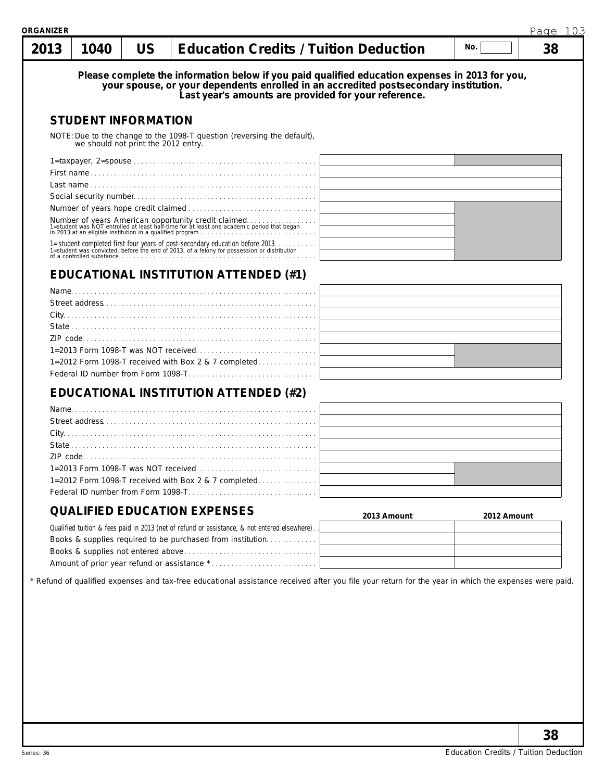| 2013 | 1040 | <b>US</b>                           | <b>Education Credits / Tuition Deduction</b>                                                                                                                                                                                                    | No. |             | 38 |
|------|------|-------------------------------------|-------------------------------------------------------------------------------------------------------------------------------------------------------------------------------------------------------------------------------------------------|-----|-------------|----|
|      |      |                                     | Please complete the information below if you paid qualified education expenses in 2013 for you,<br>your spouse, or your dependents enrolled in an accredited postsecondary institution.<br>Last year's amounts are provided for your reference. |     |             |    |
|      |      | <b>STUDENT INFORMATION</b>          |                                                                                                                                                                                                                                                 |     |             |    |
|      |      | we should not print the 2012 entry. | NOTE: Due to the change to the 1098-T question (reversing the default),                                                                                                                                                                         |     |             |    |
|      |      |                                     |                                                                                                                                                                                                                                                 |     |             |    |
|      |      |                                     |                                                                                                                                                                                                                                                 |     |             |    |
|      |      |                                     |                                                                                                                                                                                                                                                 |     |             |    |
|      |      |                                     |                                                                                                                                                                                                                                                 |     |             |    |
|      |      |                                     |                                                                                                                                                                                                                                                 |     |             |    |
|      |      |                                     | Number of years American opportunity credit claimed.<br>1=student was NOT entrolled at least half-time for at least one academic period that began<br>in 2013 at an eligible institution in a qualified program                                 |     |             |    |
|      |      | of a controlled substance           | 1=student completed first four years of post-secondary education before 2013.<br>1=student was convicted, before the end of 2013, of a felony for possession or distribution                                                                    |     |             |    |
|      |      |                                     | EDUCATIONAL INSTITUTION ATTENDED (#1)                                                                                                                                                                                                           |     |             |    |
|      |      |                                     |                                                                                                                                                                                                                                                 |     |             |    |
|      |      |                                     |                                                                                                                                                                                                                                                 |     |             |    |
|      |      |                                     |                                                                                                                                                                                                                                                 |     |             |    |
|      |      |                                     |                                                                                                                                                                                                                                                 |     |             |    |
|      |      |                                     |                                                                                                                                                                                                                                                 |     |             |    |
|      |      |                                     |                                                                                                                                                                                                                                                 |     |             |    |
|      |      |                                     | 1=2012 Form 1098-T received with Box 2 & 7 completed                                                                                                                                                                                            |     |             |    |
|      |      |                                     |                                                                                                                                                                                                                                                 |     |             |    |
|      |      |                                     | <b>EDUCATIONAL INSTITUTION ATTENDED (#2)</b>                                                                                                                                                                                                    |     |             |    |
|      |      |                                     |                                                                                                                                                                                                                                                 |     |             |    |
|      |      |                                     |                                                                                                                                                                                                                                                 |     |             |    |
|      |      |                                     |                                                                                                                                                                                                                                                 |     |             |    |
|      |      |                                     |                                                                                                                                                                                                                                                 |     |             |    |
|      |      |                                     |                                                                                                                                                                                                                                                 |     |             |    |
|      |      |                                     |                                                                                                                                                                                                                                                 |     |             |    |
|      |      |                                     | 1=2012 Form 1098-T received with Box 2 & 7 completed                                                                                                                                                                                            |     |             |    |
|      |      |                                     |                                                                                                                                                                                                                                                 |     |             |    |
|      |      |                                     | <b>QUALIFIED EDUCATION EXPENSES</b><br>2013 Amount                                                                                                                                                                                              |     | 2012 Amount |    |
|      |      |                                     | Qualified tuition & fees paid in 2013 (net of refund or assistance, & not entered elsewhere).                                                                                                                                                   |     |             |    |
|      |      |                                     | Books & supplies required to be purchased from institution                                                                                                                                                                                      |     |             |    |
|      |      |                                     |                                                                                                                                                                                                                                                 |     |             |    |
|      |      |                                     |                                                                                                                                                                                                                                                 |     |             |    |
|      |      |                                     | * Refund of qualified expenses and tax-free educational assistance received after you file your return for the year in which the expenses were paid.                                                                                            |     |             |    |
|      |      |                                     |                                                                                                                                                                                                                                                 |     |             |    |
|      |      |                                     |                                                                                                                                                                                                                                                 |     |             |    |
|      |      |                                     |                                                                                                                                                                                                                                                 |     |             |    |
|      |      |                                     |                                                                                                                                                                                                                                                 |     |             |    |
|      |      |                                     |                                                                                                                                                                                                                                                 |     |             |    |
|      |      |                                     |                                                                                                                                                                                                                                                 |     |             |    |
|      |      |                                     |                                                                                                                                                                                                                                                 |     |             |    |
|      |      |                                     |                                                                                                                                                                                                                                                 |     |             |    |
|      |      |                                     |                                                                                                                                                                                                                                                 |     |             |    |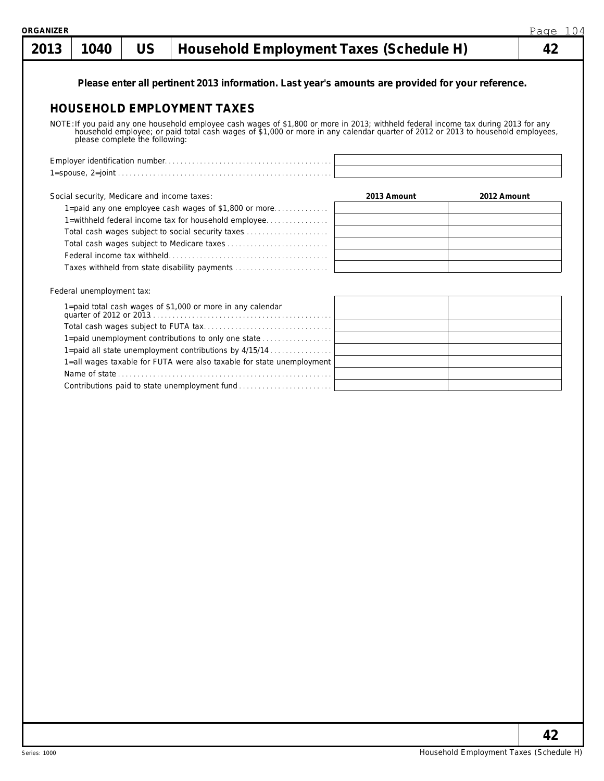| 2013 | 1040                                        | <b>US</b>                      | Household Employment Taxes (Schedule H)                                                                                                                                                                                          |             |             | 42 |
|------|---------------------------------------------|--------------------------------|----------------------------------------------------------------------------------------------------------------------------------------------------------------------------------------------------------------------------------|-------------|-------------|----|
|      |                                             |                                | Please enter all pertinent 2013 information. Last year's amounts are provided for your reference.                                                                                                                                |             |             |    |
|      |                                             |                                |                                                                                                                                                                                                                                  |             |             |    |
|      |                                             |                                | <b>HOUSEHOLD EMPLOYMENT TAXES</b>                                                                                                                                                                                                |             |             |    |
|      |                                             |                                |                                                                                                                                                                                                                                  |             |             |    |
|      |                                             | please complete the following: | NOTE: If you paid any one household employee cash wages of \$1,800 or more in 2013; withheld federal income tax during 2013 for any household employee; or paid total cash wages of \$1,000 or more in any calendar quarter of 2 |             |             |    |
|      |                                             |                                |                                                                                                                                                                                                                                  |             |             |    |
|      |                                             |                                |                                                                                                                                                                                                                                  |             |             |    |
|      | Social security, Medicare and income taxes: |                                |                                                                                                                                                                                                                                  | 2013 Amount | 2012 Amount |    |
|      |                                             |                                | 1=paid any one employee cash wages of \$1,800 or more                                                                                                                                                                            |             |             |    |
|      |                                             |                                | 1=withheld federal income tax for household employee                                                                                                                                                                             |             |             |    |
|      |                                             |                                | Total cash wages subject to social security taxes                                                                                                                                                                                |             |             |    |
|      |                                             |                                |                                                                                                                                                                                                                                  |             |             |    |
|      |                                             |                                |                                                                                                                                                                                                                                  |             |             |    |
|      |                                             |                                | Taxes withheld from state disability payments                                                                                                                                                                                    |             |             |    |
|      | Federal unemployment tax:                   |                                |                                                                                                                                                                                                                                  |             |             |    |
|      |                                             |                                | 1=paid total cash wages of \$1,000 or more in any calendar                                                                                                                                                                       |             |             |    |
|      |                                             |                                |                                                                                                                                                                                                                                  |             |             |    |
|      |                                             |                                | 1=paid unemployment contributions to only one state                                                                                                                                                                              |             |             |    |
|      |                                             |                                | 1=paid all state unemployment contributions by 4/15/14                                                                                                                                                                           |             |             |    |
|      |                                             |                                | 1=all wages taxable for FUTA were also taxable for state unemployment                                                                                                                                                            |             |             |    |
|      |                                             |                                |                                                                                                                                                                                                                                  |             |             |    |
|      |                                             |                                | Contributions paid to state unemployment fund                                                                                                                                                                                    |             |             |    |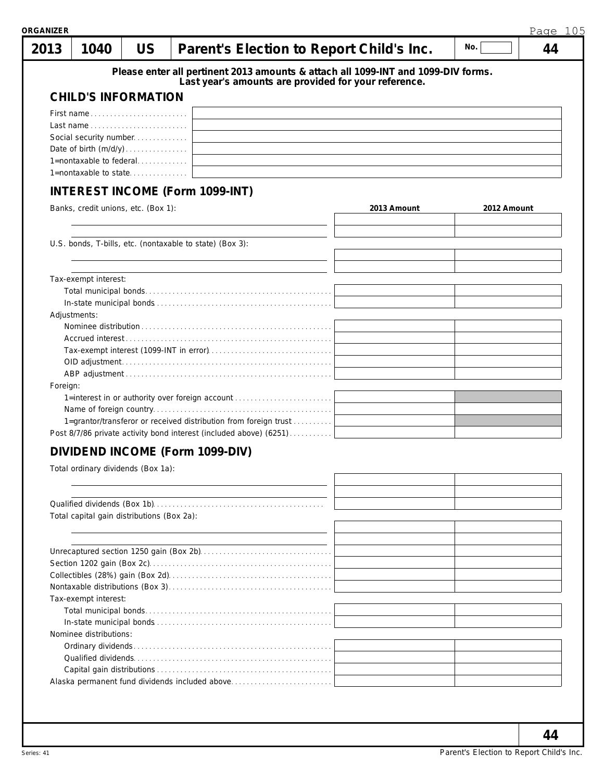| 2013     | 1040                                             | <b>US</b> | Parent's Election to Report Child's Inc.                                          |             | No.         | 44 |
|----------|--------------------------------------------------|-----------|-----------------------------------------------------------------------------------|-------------|-------------|----|
|          |                                                  |           | Please enter all pertinent 2013 amounts & attach all 1099-INT and 1099-DIV forms. |             |             |    |
|          |                                                  |           | Last year's amounts are provided for your reference.                              |             |             |    |
|          | <b>CHILD'S INFORMATION</b>                       |           |                                                                                   |             |             |    |
|          | First name                                       |           |                                                                                   |             |             |    |
|          |                                                  |           |                                                                                   |             |             |    |
|          | Social security number                           |           |                                                                                   |             |             |    |
|          |                                                  |           |                                                                                   |             |             |    |
|          | 1=nontaxable to federal<br>1=nontaxable to state |           |                                                                                   |             |             |    |
|          |                                                  |           |                                                                                   |             |             |    |
|          |                                                  |           | <b>INTEREST INCOME (Form 1099-INT)</b>                                            |             |             |    |
|          | Banks, credit unions, etc. (Box 1):              |           |                                                                                   | 2013 Amount | 2012 Amount |    |
|          |                                                  |           |                                                                                   |             |             |    |
|          |                                                  |           | U.S. bonds, T-bills, etc. (nontaxable to state) (Box 3):                          |             |             |    |
|          |                                                  |           |                                                                                   |             |             |    |
|          | Tax-exempt interest:                             |           |                                                                                   |             |             |    |
|          |                                                  |           |                                                                                   |             |             |    |
|          | Adjustments:                                     |           |                                                                                   |             |             |    |
|          |                                                  |           |                                                                                   |             |             |    |
|          |                                                  |           |                                                                                   |             |             |    |
|          |                                                  |           |                                                                                   |             |             |    |
|          |                                                  |           |                                                                                   |             |             |    |
|          |                                                  |           |                                                                                   |             |             |    |
| Foreign: |                                                  |           |                                                                                   |             |             |    |
|          |                                                  |           | 1=interest in or authority over foreign account                                   |             |             |    |
|          |                                                  |           |                                                                                   |             |             |    |
|          |                                                  |           | 1=grantor/transferor or received distribution from foreign trust                  |             |             |    |
|          |                                                  |           | Post 8/7/86 private activity bond interest (included above) (6251)                |             |             |    |
|          |                                                  |           | DIVIDEND INCOME (Form 1099-DIV)                                                   |             |             |    |
|          | Total ordinary dividends (Box 1a):               |           |                                                                                   |             |             |    |
|          |                                                  |           |                                                                                   |             |             |    |
|          |                                                  |           |                                                                                   |             |             |    |
|          | Total capital gain distributions (Box 2a):       |           |                                                                                   |             |             |    |
|          |                                                  |           |                                                                                   |             |             |    |
|          |                                                  |           |                                                                                   |             |             |    |
|          |                                                  |           |                                                                                   |             |             |    |
|          |                                                  |           |                                                                                   |             |             |    |
|          |                                                  |           |                                                                                   |             |             |    |
|          | Tax-exempt interest:                             |           |                                                                                   |             |             |    |
|          |                                                  |           |                                                                                   |             |             |    |
|          |                                                  |           |                                                                                   |             |             |    |
|          | Nominee distributions:                           |           |                                                                                   |             |             |    |
|          |                                                  |           |                                                                                   |             |             |    |
|          |                                                  |           |                                                                                   |             |             |    |
|          |                                                  |           |                                                                                   |             |             |    |
|          |                                                  |           |                                                                                   |             |             |    |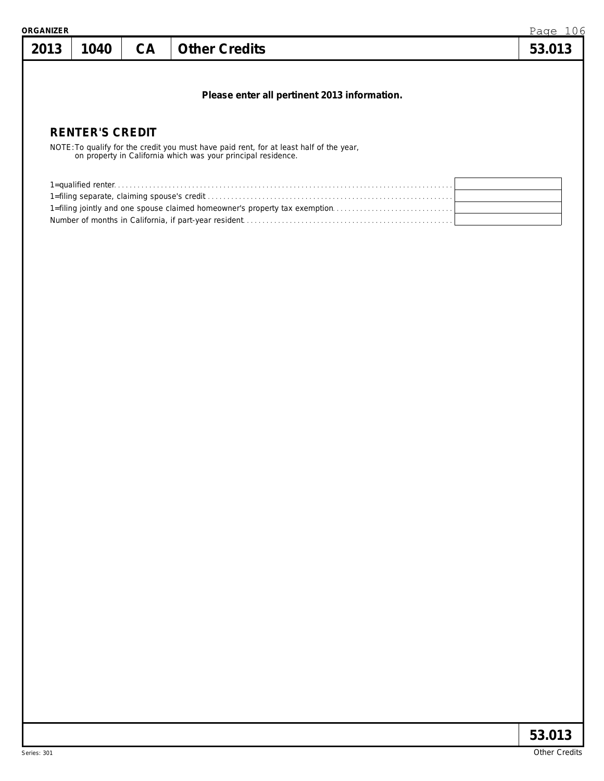| 2013 | 1040                   | CA | <b>Other Credits</b>                                                                                                                                  | Page 106<br>53.013 |
|------|------------------------|----|-------------------------------------------------------------------------------------------------------------------------------------------------------|--------------------|
|      |                        |    | Please enter all pertinent 2013 information.                                                                                                          |                    |
|      | <b>RENTER'S CREDIT</b> |    |                                                                                                                                                       |                    |
|      |                        |    | NOTE: To qualify for the credit you must have paid rent, for at least half of the year, on property in California which was your principal residence. |                    |
|      |                        |    |                                                                                                                                                       |                    |
|      |                        |    |                                                                                                                                                       |                    |
|      |                        |    |                                                                                                                                                       |                    |
|      |                        |    |                                                                                                                                                       |                    |
|      |                        |    |                                                                                                                                                       |                    |
|      |                        |    |                                                                                                                                                       |                    |
|      |                        |    |                                                                                                                                                       |                    |
|      |                        |    |                                                                                                                                                       |                    |
|      |                        |    |                                                                                                                                                       |                    |
|      |                        |    |                                                                                                                                                       |                    |
|      |                        |    |                                                                                                                                                       |                    |
|      |                        |    |                                                                                                                                                       |                    |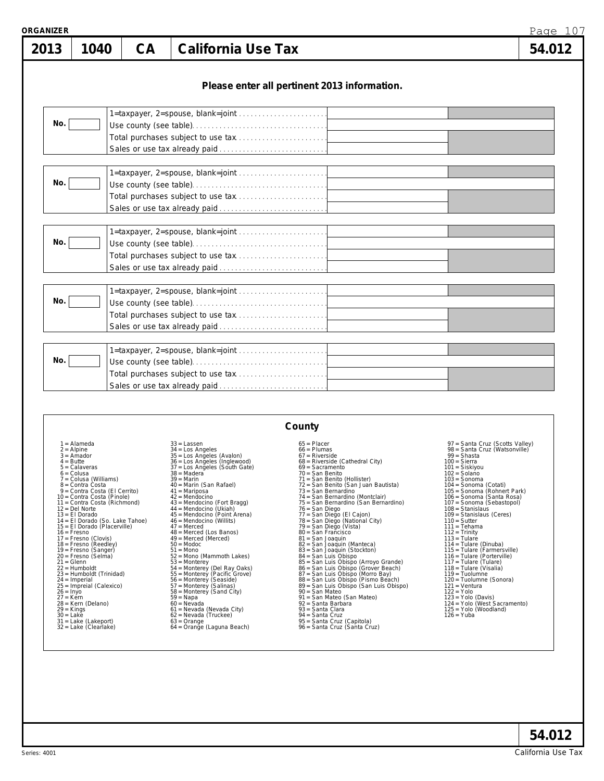| <b>ORGANIZER</b> |      |    |                                                                                                                                                             | Page 107 |
|------------------|------|----|-------------------------------------------------------------------------------------------------------------------------------------------------------------|----------|
| 2013             | 1040 | CA | <b>California Use Tax</b>                                                                                                                                   | 54.012   |
|                  |      |    | Please enter all pertinent 2013 information.                                                                                                                |          |
| No.              |      |    |                                                                                                                                                             |          |
| No.              |      |    |                                                                                                                                                             |          |
| No.              |      |    |                                                                                                                                                             |          |
| No.              |      |    | 1=taxpayer, 2=spouse, blank=joint<br><u> La Carlo Carlo Carlo Carlo Carlo Carlo Carlo Carlo Carlo Carlo Carlo Carlo Carlo Carlo Carlo Carlo Carlo Carlo</u> |          |
| No.              |      |    | 1=taxpayer, 2=spouse, blank=joint                                                                                                                           |          |

| County                                                                                                                                                                                                                                                                                                                                                                                                                                                                                                                                                                                                                                                                                                                                      |                                                                                                                                                                                                                                                                                                                                                                                                                                                                                                                                                                                                                                                                                                                                                                                                                      |                                                                                                                                                                                                                                                                                                                                                                                                                                                                                                                                                                                                                                                                                                                                                                                                                                                                                                                                        |                                                                                                                                                                                                                                                                                                                                                                                                                                                                                                                                                                                                                                                                                                                                       |  |  |
|---------------------------------------------------------------------------------------------------------------------------------------------------------------------------------------------------------------------------------------------------------------------------------------------------------------------------------------------------------------------------------------------------------------------------------------------------------------------------------------------------------------------------------------------------------------------------------------------------------------------------------------------------------------------------------------------------------------------------------------------|----------------------------------------------------------------------------------------------------------------------------------------------------------------------------------------------------------------------------------------------------------------------------------------------------------------------------------------------------------------------------------------------------------------------------------------------------------------------------------------------------------------------------------------------------------------------------------------------------------------------------------------------------------------------------------------------------------------------------------------------------------------------------------------------------------------------|----------------------------------------------------------------------------------------------------------------------------------------------------------------------------------------------------------------------------------------------------------------------------------------------------------------------------------------------------------------------------------------------------------------------------------------------------------------------------------------------------------------------------------------------------------------------------------------------------------------------------------------------------------------------------------------------------------------------------------------------------------------------------------------------------------------------------------------------------------------------------------------------------------------------------------------|---------------------------------------------------------------------------------------------------------------------------------------------------------------------------------------------------------------------------------------------------------------------------------------------------------------------------------------------------------------------------------------------------------------------------------------------------------------------------------------------------------------------------------------------------------------------------------------------------------------------------------------------------------------------------------------------------------------------------------------|--|--|
| $1 =$ Alameda<br>$2 =$ Alpine<br>$3 =$ Amador<br>$4 = Butte$<br>$5 =$ Calaveras<br>$6 = Colusa$<br>7 = Colusa (Williams)<br>$8 =$ Contra Costa<br>9 = Contra Costa (El Cerrito)<br>10 = Contra Costa (Pinole)<br>11 = Contra Costa (Richmond)<br>$12 =$ Del Norte<br>$13 = E1$ Dorado<br>14 = El Dorado (So. Lake Tahoe)<br>15 = El Dorado (Placerville)<br>$16 =$ Fresno<br>$17 =$ Fresno (Clovis)<br>$18 =$ Fresno (Reedley)<br>19 = Fresno (Sanger)<br>20 = Fresno (Selma)<br>$21 = \text{Glenn}$<br>$22 =$ Humboldt<br>23 = Humboldt (Trinidad)<br>$24 =$ Imperial<br>$25 =$ Impreial (Calexico)<br>$26 = \ln y$<br>$27 =$ Kern<br>28 = Kern (Delano)<br>$29 =$ Kings<br>$30 =$ Lake<br>$31 =$ Lake (Lakeport)<br>32 = Lake (Clearlake) | $33 =$ Lassen<br>$34 =$ Los Angeles<br>35 = Los Angeles (Avalon)<br>36 = Los Angeles (Inglewood)<br>37 = Los Angeles (South Gate)<br>$38 = 4$<br>$39 =$ Marin<br>40 = Marin (San Rafael)<br>$41 =$ Mariposa<br>$42 = \text{Mendocino}$<br>43 = Mendocino (Fort Bragg)<br>44 = Mendocino (Ukiah)<br>45 = Mendocino (Point Arena)<br>$46$ = Mendocino (Willits)<br>$47 =$ Merced<br>48 = Merced (Los Banos)<br>$49$ = Merced (Merced)<br>$50 =$ Modoc<br>$51 = \text{Mono}$<br>52 = Mono (Mammoth Lakes)<br>$53 =$ Monterey<br>54 = Monterey (Del Ray Oaks)<br>55 = Monterey (Pacific Grove)<br>56 = Monterey (Seaside)<br>57 = Monterey (Salinas)<br>58 = Monterey (Sand City)<br>$59 = Napa$<br>$60 = Nevada$<br>61 = Nevada (Nevada City)<br>$62$ = Nevada (Truckee)<br>$63 = Orange$<br>64 = Orange (Laguna Beach) | $65 =$ Placer<br>$66 =$ Plumas<br>$67$ = Riverside<br>68 = Riverside (Cathedral City)<br>$69 =$ Sacramento<br>$70 =$ San Benito<br>71 = San Benito (Hollister)<br>72 = San Benito (San Juan Bautista)<br>73 = San Bernardino<br>74 = San Bernardino (Montclair)<br>75 = San Bernardino (San Bernardino)<br>76 = San Diego<br>77 = San Diego (El Cajon)<br>78 = San Diego (National City)<br>79 = San Diego (Vista)<br>$80 =$ San Francisco<br>81 = San Joaquin<br>82 = San Joaquin (Manteca)<br>83 = San Joaquin (Stockton)<br>84 = San Luis Obispo<br>85 = San Luis Obispo (Arroyo Grande)<br>86 = San Luis Obispo (Grover Beach)<br>87 = San Luis Obispo (Grover Beach)<br>88 = San Luis Obispo (Pismo Beach)<br>89 = San Luis Obispo (San Luis Obispo)<br>90 = San Mateo<br>91 = San Mateo (San Mateo)<br>92 = Santa Barbara<br>93 = Santa Clara<br>$94 =$ Santa Cruz<br>95 = Santa Cruz (Capitola)<br>96 = Santa Cruz (Santa Cruz) | 97 = Santa Cruz (Scotts Valley)<br>98 = Santa Cruz (Watsonville)<br>$99 = Shasta$<br>$100 =$ Sierra<br>101 = Siskiyou<br>$102 = Sola$ no<br>$103 =$ Sonoma<br>104 = Sonoma (Cotati)<br>105 = Sonoma (Rohnert Park)<br>106 = Sonoma (Santa Rosa)<br>107 = Sonoma (Sebastopol)<br>$108 =$ Stanislaus<br>109 = Stanislaus (Ceres)<br>$110 =$ Sutter<br>$111 =$ Tehama<br>$112 =$ Trinity<br>$113 =$ Tulare<br>$114 =$ Tulare (Dinuba)<br>115 = Tulare (Farmersville)<br>116 = Tulare (Porterville)<br>$117 =$ Tulare (Tulare)<br>118 = Tulare (Visalia)<br>$119 =$ Tuolumne<br>120 = Tuolumne (Sonora)<br>$121 =$ Ventura<br>$122 = Y0$<br>$123 =$ Yolo (Davis)<br>124 = Yolo (West Sacramento)<br>125 = Yolo (Woodland)<br>$126 =$ Yuba |  |  |

Series: 4001